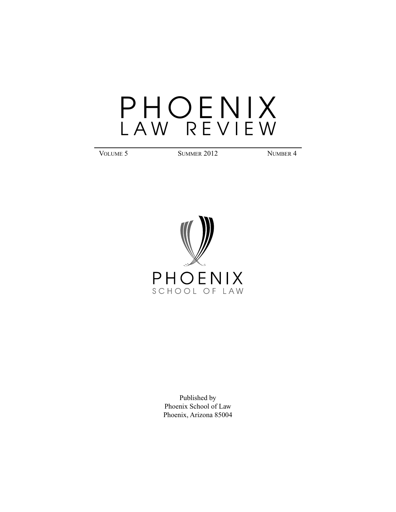VOLUME 5 SUMMER 2012 NUMBER 4



Published by Phoenix School of Law Phoenix, Arizona 85004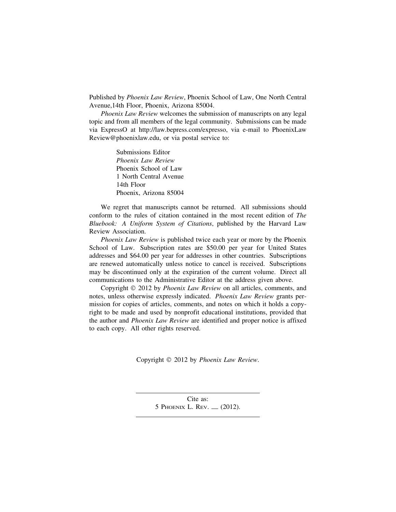Published by *Phoenix Law Review*, Phoenix School of Law, One North Central Avenue,14th Floor, Phoenix, Arizona 85004.

*Phoenix Law Review* welcomes the submission of manuscripts on any legal topic and from all members of the legal community. Submissions can be made via ExpressO at http://law.bepress.com/expresso, via e-mail to PhoenixLaw Review@phoenixlaw.edu, or via postal service to:

> Submissions Editor *Phoenix Law Review* Phoenix School of Law 1 North Central Avenue 14th Floor Phoenix, Arizona 85004

We regret that manuscripts cannot be returned. All submissions should conform to the rules of citation contained in the most recent edition of *The Bluebook: A Uniform System of Citations*, published by the Harvard Law Review Association.

*Phoenix Law Review* is published twice each year or more by the Phoenix School of Law. Subscription rates are \$50.00 per year for United States addresses and \$64.00 per year for addresses in other countries. Subscriptions are renewed automatically unless notice to cancel is received. Subscriptions may be discontinued only at the expiration of the current volume. Direct all communications to the Administrative Editor at the address given above.

Copyright © 2012 by *Phoenix Law Review* on all articles, comments, and notes, unless otherwise expressly indicated. *Phoenix Law Review* grants permission for copies of articles, comments, and notes on which it holds a copyright to be made and used by nonprofit educational institutions, provided that the author and *Phoenix Law Review* are identified and proper notice is affixed to each copy. All other rights reserved.

Copyright © 2012 by *Phoenix Law Review*.

Cite as: 5 PHOENIX L. REV. — (2012).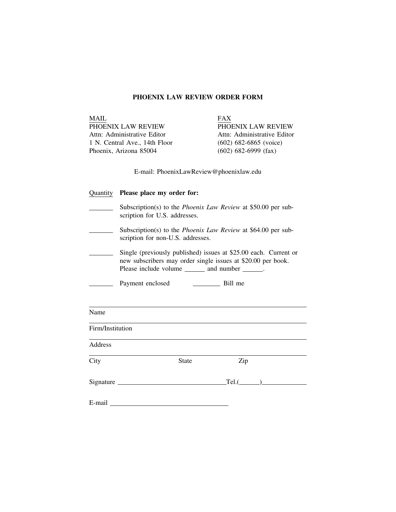# **PHOENIX LAW REVIEW ORDER FORM**

| <b>MAIL</b>                             |                                                                                                                                                                                                                                |                        | <b>FAX</b>                  |  |  |  |  |
|-----------------------------------------|--------------------------------------------------------------------------------------------------------------------------------------------------------------------------------------------------------------------------------|------------------------|-----------------------------|--|--|--|--|
| PHOENIX LAW REVIEW                      |                                                                                                                                                                                                                                |                        | PHOENIX LAW REVIEW          |  |  |  |  |
| Attn: Administrative Editor             |                                                                                                                                                                                                                                |                        | Attn: Administrative Editor |  |  |  |  |
| 1 N. Central Ave., 14th Floor           |                                                                                                                                                                                                                                |                        | $(602)$ 682-6865 (voice)    |  |  |  |  |
|                                         | Phoenix, Arizona 85004                                                                                                                                                                                                         | $(602)$ 682-6999 (fax) |                             |  |  |  |  |
| E-mail: PhoenixLawReview@phoenixlaw.edu |                                                                                                                                                                                                                                |                        |                             |  |  |  |  |
| Quantity                                | Please place my order for:                                                                                                                                                                                                     |                        |                             |  |  |  |  |
|                                         | Subscription(s) to the <i>Phoenix Law Review</i> at \$50.00 per sub-<br>scription for U.S. addresses.                                                                                                                          |                        |                             |  |  |  |  |
|                                         | Subscription(s) to the <i>Phoenix Law Review</i> at \$64.00 per sub-<br>scription for non-U.S. addresses.                                                                                                                      |                        |                             |  |  |  |  |
|                                         | Single (previously published) issues at \$25.00 each. Current or<br>new subscribers may order single issues at \$20.00 per book.<br>Please include volume _______ and number ______.                                           |                        |                             |  |  |  |  |
|                                         | Payment enclosed                                                                                                                                                                                                               |                        | Bill me                     |  |  |  |  |
| Name                                    |                                                                                                                                                                                                                                |                        |                             |  |  |  |  |
| Firm/Institution                        |                                                                                                                                                                                                                                |                        |                             |  |  |  |  |
| Address                                 |                                                                                                                                                                                                                                |                        |                             |  |  |  |  |
| City                                    |                                                                                                                                                                                                                                | <b>State</b>           | Zip                         |  |  |  |  |
|                                         |                                                                                                                                                                                                                                |                        | $Tel.(\_\_)$                |  |  |  |  |
|                                         | E-mail and the contract of the contract of the contract of the contract of the contract of the contract of the contract of the contract of the contract of the contract of the contract of the contract of the contract of the |                        |                             |  |  |  |  |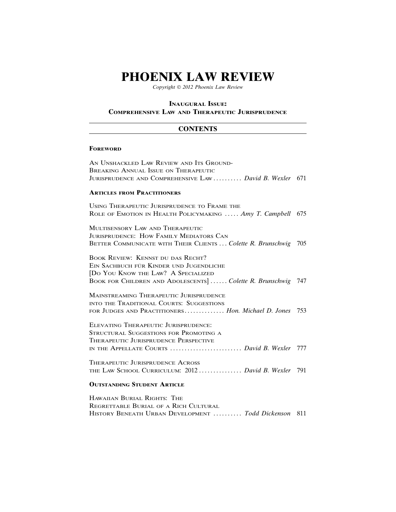*Copyright* © *2012 Phoenix Law Review*

#### **INAUGURAL ISSUE:**

#### **COMPREHENSIVE LAW AND THERAPEUTIC JURISPRUDENCE**

#### **CONTENTS**

#### **FOREWORD**

AN UNSHACKLED LAW REVIEW AND ITS GROUND-BREAKING ANNUAL ISSUE ON THERAPEUTIC JURISPRUDENCE AND COMPREHENSIVE LAW .......... *David B. Wexler* 671

#### **ARTICLES FROM PRACTITIONERS**

USING THERAPEUTIC JURISPRUDENCE TO FRAME THE ROLE OF EMOTION IN HEALTH POLICYMAKING ..... *Amy T. Campbell* 675

MULTISENSORY LAW AND THERAPEUTIC JURISPRUDENCE: HOW FAMILY MEDIATORS CAN BETTER COMMUNICATE WITH THEIR CLIENTS ... *Colette R. Brunschwig* 705

BOOK REVIEW: KENNST DU DAS RECHT? EIN SACHBUCH FÜR KINDER UND JUGENDLICHE [DO YOU KNOW THE LAW? A SPECIALIZED BOOK FOR CHILDREN AND ADOLESCENTS]...... *Colette R. Brunschwig* 747

MAINSTREAMING THERAPEUTIC JURISPRUDENCE INTO THE TRADITIONAL COURTS: SUGGESTIONS FOR JUDGES AND PRACTITIONERS .............. *Hon. Michael D. Jones* 753

ELEVATING THERAPEUTIC JURISPRUDENCE: STRUCTURAL SUGGESTIONS FOR PROMOTING A THERAPEUTIC JURISPRUDENCE PERSPECTIVE IN THE APPELLATE COURTS ......................... *David B. Wexler* 777

THERAPEUTIC JURISPRUDENCE ACROSS THE LAW SCHOOL CURRICULUM: 2012 ............... *David B. Wexler* 791

## **OUTSTANDING STUDENT ARTICLE**

HAWAIIAN BURIAL RIGHTS: THE REGRETTABLE BURIAL OF A RICH CULTURAL HISTORY BENEATH URBAN DEVELOPMENT .......... *Todd Dickenson* 811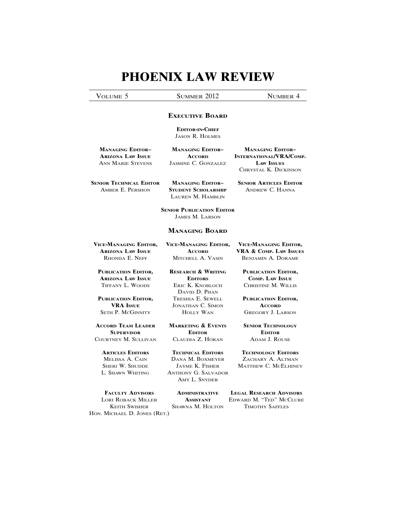VOLUME 5 SUMMER 2012 NUMBER 4

## **EXECUTIVE BOARD**

**EDITOR-IN-CHIEF** JASON R. HOLMES

**MANAGING EDITOR– MANAGING EDITOR– MANAGING EDITOR– ARIZONA LAW ISSUE ACCORD INTERNATIONAL/VRA/COMP.** ANN MARIE STEVENS JASMINE C. GONZALEZ **LAW ISSUES**

CHRYSTAL K. DICKINSON

**STUDENT SCHOLARSHIP** LAUREN M. HAMBLIN

**SENIOR TECHNICAL EDITOR MANAGING EDITOR- SENIOR ARTICLES EDITOR**<br>AMBER E. PERSHON STUDENT SCHOLARSHIP ANDREW C. HANNA

**SENIOR PUBLICATION EDITOR** JAMES M. LARSON

#### **MANAGING BOARD**

DAVID D. PHAN

**VICE-MANAGING EDITOR, VICE-MANAGING EDITOR, VICE-MANAGING EDITOR,**

**PUBLICATION EDITOR, RESEARCH & WRITING PUBLICATION EDITOR, ARIZONA LAW ISSUE EDITORS COMP. LAW ISSUE**

**PUBLICATION EDITOR,** TRESHIA E. SEWELL **PUBLICATION EDITOR, VRA ISSUE** JONATHAN C. SIMON **ACCORD** SETH P. MCGINNITY HOLLY WAN GREGORY J. LARSON

**ACCORD TEAM LEADER MARKETING & EVENTS SENIOR TECHNOLOGY SUPERVISOR EDITOR EDITOR** COURTNEY M. SULLIVAN CLAUDIA Z. HORAN ADAM J. ROUSE

# **ARTICLES EDITORS TECHNICAL EDITORS TECHNOLOGY EDITORS**

L. SHAWN WHITING ANTHONY G. SALVADOR

AMY L. SNYDER

**ARIZONA LAW ISSUE ACCORD VRA & COMP. LAW ISSUES** RHONDA E. NEFF MITCHELL A. VASIN BENJAMIN A. DORAME

TIFFANY L. WOODS ERIC K. KNOBLOCH CHRISTINE M. WILLIS

MELISSA A. CAIN DANA M. BOXMEYER ZACHARY A. ALTMAN MATTHEW C. MCELHINEY

**FACULTY ADVISORS ADMINISTRATIVE LEGAL RESEARCH ADVISORS** LORI ROBACK MILLER **ASSISTANT** EDWARD M. "TED" MCCLURE KEITH SWISHER SHAWNA M. HOLTON TIMOTHY SAFFLES

HON. MICHAEL D. JONES (RET.)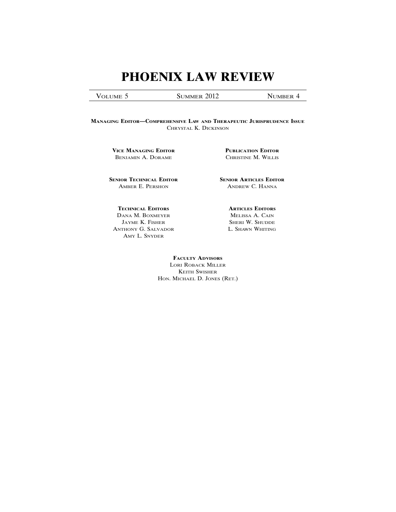VOLUME 5 SUMMER 2012 NUMBER 4

**MANAGING EDITOR—COMPREHENSIVE LAW AND THERAPEUTIC JURISPRUDENCE ISSUE** CHRYSTAL K. DICKINSON

**VICE MANAGING EDITOR PUBLICATION EDITOR** BENJAMIN A. DORAME CHRISTINE M. WILLIS

**SENIOR TECHNICAL EDITOR SENIOR ARTICLES EDITOR** AMBER E. PERSHON ANDREW C. HANNA

**TECHNICAL EDITORS ARTICLES EDITORS** DANA M. BOXMEYER MELISSA A. CAIN JAYME K. FISHER SHERI W. SHUDDE ANTHONY G. SALVADOR L. SHAWN WHITING AMY L. SNYDER

**FACULTY ADVISORS** LORI ROBACK MILLER KEITH SWISHER HON. MICHAEL D. JONES (RET.)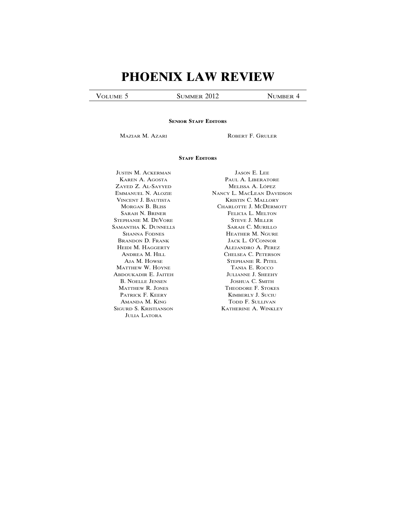VOLUME 5 SUMMER 2012 NUMBER 4

#### **SENIOR STAFF EDITORS**

**MAZIAR M. AZARI ROBERT F. GRULER** 

#### **STAFF EDITORS**

ZAYED Z. AL-SAYYED MELISSA A. LOPEZ ´ STEPHANIE M. DEVORE STEVE J. MILLER SAMANTHA K. DUNNELLS SARAH C. MURILLO MATTHEW W. HOYNE TANIA E. ROCCO ABDOUKADIR E. JAITEH JULIANNE J. SHEEHY JULIA LATORA

**JUSTIN M. ACKERMAN** JASON E. LEE KAREN A. AGOSTA PAUL A. LIBERATORE EMMANUEL N. ALOZIE NANCY L. MACLEAN DAVIDSON VINCENT J. BAUTISTA KRISTIN C. MALLORY MORGAN B. BLISS CHARLOTTE J. MCDERMOTT SARAH N. BRINER FELICIA L. MELTON SHANNA FODNES HEATHER M. NGURE BRANDON D. FRANK JACK L. O'CONNOR HEIDI M. HAGGERTY ALEJANDRO A. PEREZ ANDREA M. HILL CHELSEA C. PETERSON AJA M. HOWSE STEPHANIE R. PITEL B. NOELLE JENSEN JOSHUA C. SMITH MATTHEW R. JONES THEODORE F. STOKES PATRICK F. KEERY KIMBERLY J. SUCIU AMANDA M. KING TODD F. SULLIVAN SIGURD S. KRISTIANSON KATHERINE A. WINKLEY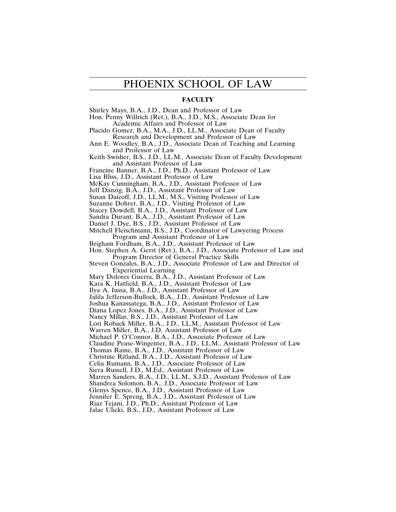# PHOENIX SCHOOL OF LAW

## **FACULTY**

Shirley Mays, B.A., J.D., Dean and Professor of Law

Hon. Penny Willrich (Ret.), B.A., J.D., M.S., Associate Dean for Academic Affairs and Professor of Law

- Placido Gomez, B.A., M.A., J.D., LL.M., Associate Dean of Faculty Research and Development and Professor of Law
- Ann E. Woodley, B.A., J.D., Associate Dean of Teaching and Learning and Professor of Law

Keith Swisher, B.S., J.D., LL.M., Associate Dean of Faculty Development and Assistant Professor of Law

Francine Banner, B.A., J.D., Ph.D., Assistant Professor of Law

Lisa Bliss, J.D., Assistant Professor of Law

McKay Cunningham, B.A., J.D., Assistant Professor of Law

Jeff Danzig, B.A., J.D., Assistant Professor of Law

Susan Daicoff, J.D., LL.M., M.S., Visiting Professor of Law

Suzanne Dohrer, B.A., J.D., Visiting Professor of Law

Stacey Dowdell, B.A., J.D., Assistant Professor of Law

Sandra Durant, B.A., J.D., Assistant Professor of Law

Daniel J. Dye, B.S., J.D., Assistant Professor of Law

Mitchell Fleischmann, B.S., J.D., Coordinator of Lawyering Process Program and Assistant Professor of Law

Brigham Fordham, B.A., J.D., Assistant Professor of Law

Hon. Stephen A. Gerst (Ret.), B.A., J.D., Associate Professor of Law and Program Director of General Practice Skills

Steven Gonzales, B.A., J.D., Associate Professor of Law and Director of Experiential Learning

Mary Dolores Guerra, B.A., J.D., Assistant Professor of Law

Kara K. Hatfield, B.A., J.D., Assistant Professor of Law

Ilya A. Iussa, B.A., J.D., Assistant Professor of Law

Jalila Jefferson-Bullock, B.A., J.D., Assistant Professor of Law

Joshua Kanassatega, B.A., J.D., Assistant Professor of Law

Diana Lopez Jones, B.A., J.D., Assistant Professor of Law

Nancy Millar, B.S., J.D., Assistant Professor of Law

Lori Roback Miller, B.A., J.D., LL.M., Assistant Professor of Law

Warren Miller, B.A., J.D. Assistant Professor of Law

Michael P. O'Connor, B.A., J.D., Associate Professor of Law

Claudine Pease-Wingenter, B.A., J.D., LL.M., Assistant Professor of Law

Thomas Raine, B.A., J.D., Assistant Professor of Law

Christine Ritland, B.A., J.D., Assistant Professor of Law

Celia Rumann, B.A., J.D., Associate Professor of Law

Siera Russell, J.D., M.Ed., Assistant Professor of Law

Marren Sanders, B.A., J.D., LL.M., S.J.D., Assistant Professor of Law

Shandrea Solomon, B.A., J.D., Associate Professor of Law

Glenys Spence, B.A., J.D., Assistant Professor of Law

Jennifer E. Spreng, B.A., J.D., Assistant Professor of Law

Riaz Tejani, J.D., Ph.D., Assistant Professor of Law Jalae Ulicki, B.S., J.D., Assistant Professor of Law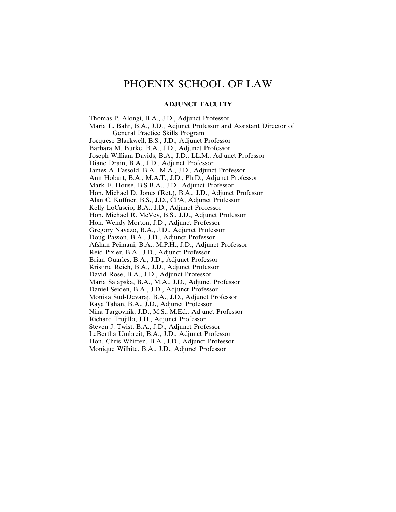# PHOENIX SCHOOL OF LAW

# **ADJUNCT FACULTY**

Thomas P. Alongi, B.A., J.D., Adjunct Professor Maria L. Bahr, B.A., J.D., Adjunct Professor and Assistant Director of General Practice Skills Program Jocquese Blackwell, B.S., J.D., Adjunct Professor Barbara M. Burke, B.A., J.D., Adjunct Professor Joseph William Davids, B.A., J.D., LL.M., Adjunct Professor Diane Drain, B.A., J.D., Adjunct Professor James A. Fassold, B.A., M.A., J.D., Adjunct Professor Ann Hobart, B.A., M.A.T., J.D., Ph.D., Adjunct Professor Mark E. House, B.S.B.A., J.D., Adjunct Professor Hon. Michael D. Jones (Ret.), B.A., J.D., Adjunct Professor Alan C. Kuffner, B.S., J.D., CPA, Adjunct Professor Kelly LoCascio, B.A., J.D., Adjunct Professor Hon. Michael R. McVey, B.S., J.D., Adjunct Professor Hon. Wendy Morton, J.D., Adjunct Professor Gregory Navazo, B.A., J.D., Adjunct Professor Doug Passon, B.A., J.D., Adjunct Professor Afshan Peimani, B.A., M.P.H., J.D., Adjunct Professor Reid Pixler, B.A., J.D., Adjunct Professor Brian Quarles, B.A., J.D., Adjunct Professor Kristine Reich, B.A., J.D., Adjunct Professor David Rose, B.A., J.D., Adjunct Professor Maria Salapska, B.A., M.A., J.D., Adjunct Professor Daniel Seiden, B.A., J.D., Adjunct Professor Monika Sud-Devaraj, B.A., J.D., Adjunct Professor Raya Tahan, B.A., J.D., Adjunct Professor Nina Targovnik, J.D., M.S., M.Ed., Adjunct Professor Richard Trujillo, J.D., Adjunct Professor Steven J. Twist, B.A., J.D., Adjunct Professor LeBertha Umbreit, B.A., J.D., Adjunct Professor Hon. Chris Whitten, B.A., J.D., Adjunct Professor Monique Wilhite, B.A., J.D., Adjunct Professor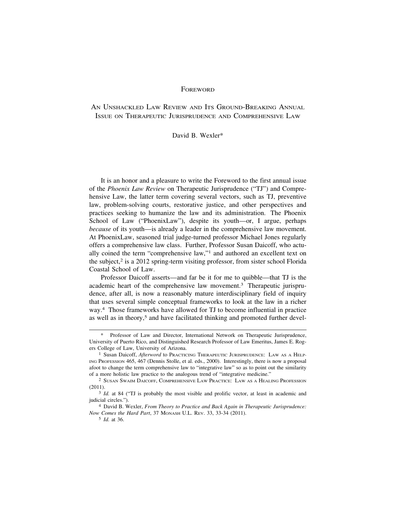#### **FOREWORD**

AN UNSHACKLED LAW REVIEW AND ITS GROUND-BREAKING ANNUAL ISSUE ON THERAPEUTIC JURISPRUDENCE AND COMPREHENSIVE LAW

#### David B. Wexler\*

It is an honor and a pleasure to write the Foreword to the first annual issue of the *Phoenix Law Review* on Therapeutic Jurisprudence ("TJ") and Comprehensive Law, the latter term covering several vectors, such as TJ, preventive law, problem-solving courts, restorative justice, and other perspectives and practices seeking to humanize the law and its administration. The Phoenix School of Law ("PhoenixLaw"), despite its youth—or, I argue, perhaps *because* of its youth—is already a leader in the comprehensive law movement. At PhoenixLaw, seasoned trial judge-turned professor Michael Jones regularly offers a comprehensive law class. Further, Professor Susan Daicoff, who actually coined the term "comprehensive law,"1 and authored an excellent text on the subject, $2$  is a 2012 spring-term visiting professor, from sister school Florida Coastal School of Law.

Professor Daicoff asserts—and far be it for me to quibble—that TJ is the academic heart of the comprehensive law movement.3 Therapeutic jurisprudence, after all, is now a reasonably mature interdisciplinary field of inquiry that uses several simple conceptual frameworks to look at the law in a richer way.4 Those frameworks have allowed for TJ to become influential in practice as well as in theory,<sup>5</sup> and have facilitated thinking and promoted further devel-

Professor of Law and Director, International Network on Therapeutic Jurisprudence, University of Puerto Rico, and Distinguished Research Professor of Law Emeritus, James E. Rogers College of Law, University of Arizona.

<sup>&</sup>lt;sup>1</sup> Susan Daicoff, *Afterword* to Practicing Therapeutic Jurisprudence: LAW AS A HELP-ING PROFESSION 465, 467 (Dennis Stolle, et al. eds., 2000). Interestingly, there is now a proposal afoot to change the term comprehensive law to "integrative law" so as to point out the similarity of a more holistic law practice to the analogous trend of "integrative medicine."

<sup>2</sup> SUSAN SWAIM DAICOFF, COMPREHENSIVE LAW PRACTICE: LAW AS A HEALING PROFESSION (2011).

<sup>&</sup>lt;sup>3</sup> *Id.* at 84 ("TJ is probably the most visible and prolific vector, at least in academic and judicial circles.").

<sup>4</sup> David B. Wexler, *From Theory to Practice and Back Again in Therapeutic Jurisprudence: Now Comes the Hard Part*, 37 MONASH U.L. REV. 33, 33-34 (2011).

<sup>5</sup> *Id.* at 36.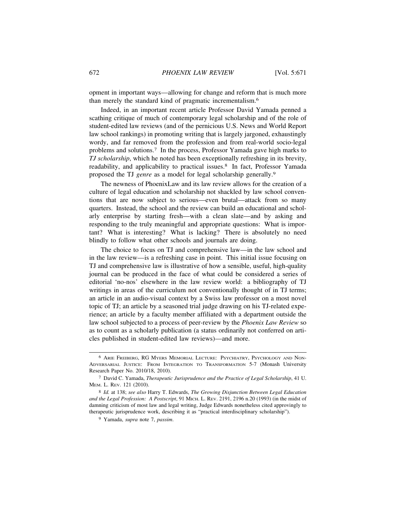opment in important ways—allowing for change and reform that is much more than merely the standard kind of pragmatic incrementalism.<sup>6</sup>

Indeed, in an important recent article Professor David Yamada penned a scathing critique of much of contemporary legal scholarship and of the role of student-edited law reviews (and of the pernicious U.S. News and World Report law school rankings) in promoting writing that is largely jargoned, exhaustingly wordy, and far removed from the profession and from real-world socio-legal problems and solutions.7 In the process, Professor Yamada gave high marks to *TJ scholarship*, which he noted has been exceptionally refreshing in its brevity, readability, and applicability to practical issues.8 In fact, Professor Yamada proposed the TJ *genre* as a model for legal scholarship generally.<sup>9</sup>

The newness of PhoenixLaw and its law review allows for the creation of a culture of legal education and scholarship not shackled by law school conventions that are now subject to serious—even brutal—attack from so many quarters. Instead, the school and the review can build an educational and scholarly enterprise by starting fresh—with a clean slate—and by asking and responding to the truly meaningful and appropriate questions: What is important? What is interesting? What is lacking? There is absolutely no need blindly to follow what other schools and journals are doing.

The choice to focus on TJ and comprehensive law—in the law school and in the law review—is a refreshing case in point. This initial issue focusing on TJ and comprehensive law is illustrative of how a sensible, useful, high-quality journal can be produced in the face of what could be considered a series of editorial 'no-nos' elsewhere in the law review world: a bibliography of TJ writings in areas of the curriculum not conventionally thought of in TJ terms; an article in an audio-visual context by a Swiss law professor on a most novel topic of TJ; an article by a seasoned trial judge drawing on his TJ-related experience; an article by a faculty member affiliated with a department outside the law school subjected to a process of peer-review by the *Phoenix Law Review* so as to count as a scholarly publication (a status ordinarily not conferred on articles published in student-edited law reviews)—and more.

<sup>6</sup> ARIE FREIBERG, RG MYERS MEMORIAL LECTURE: PSYCHIATRY, PSYCHOLOGY AND NON-ADVERSARIAL JUSTICE: FROM INTEGRATION TO TRANSFORMATION 5-7 (Monash University Research Paper No. 2010/18, 2010).

<sup>7</sup> David C. Yamada, *Therapeutic Jurisprudence and the Practice of Legal Scholarship*, 41 U. MEM. L. REV. 121 (2010).

<sup>8</sup> *Id.* at 138; *see also* Harry T. Edwards, *The Growing Disjunction Between Legal Education and the Legal Profession: A Postscript*, 91 MICH. L. REV. 2191, 2196 n.20 (1993) (in the midst of damning criticism of most law and legal writing, Judge Edwards nonetheless cited approvingly to therapeutic jurisprudence work, describing it as "practical interdisciplinary scholarship").

<sup>9</sup> Yamada, *supra* note 7, *passim*.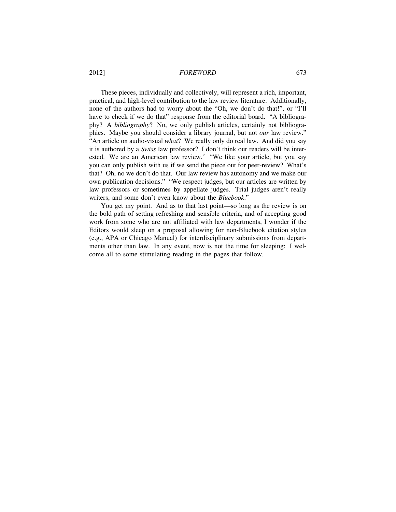#### 2012] *FOREWORD* 673

These pieces, individually and collectively, will represent a rich, important, practical, and high-level contribution to the law review literature. Additionally, none of the authors had to worry about the "Oh, we don't do that!", or "I'll have to check if we do that" response from the editorial board. "A bibliography? A *bibliography*? No, we only publish articles, certainly not bibliographies. Maybe you should consider a library journal, but not *our* law review." "An article on audio-visual *what*? We really only do real law. And did you say it is authored by a *Swiss* law professor? I don't think our readers will be interested. We are an American law review." "We like your article, but you say you can only publish with us if we send the piece out for peer-review? What's that? Oh, no we don't do that. Our law review has autonomy and we make our own publication decisions." "We respect judges, but our articles are written by law professors or sometimes by appellate judges. Trial judges aren't really writers, and some don't even know about the *Bluebook*."

You get my point. And as to that last point—so long as the review is on the bold path of setting refreshing and sensible criteria, and of accepting good work from some who are not affiliated with law departments, I wonder if the Editors would sleep on a proposal allowing for non-Bluebook citation styles (e.g., APA or Chicago Manual) for interdisciplinary submissions from departments other than law. In any event, now is not the time for sleeping: I welcome all to some stimulating reading in the pages that follow.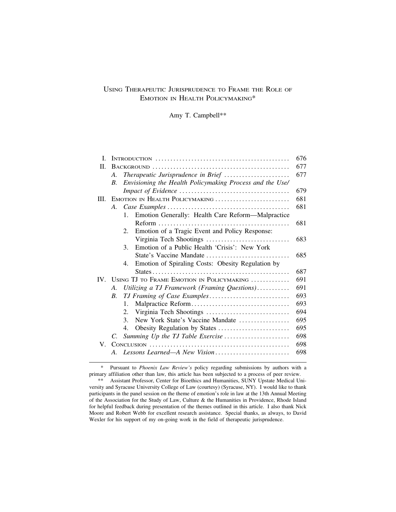# USING THERAPEUTIC JURISPRUDENCE TO FRAME THE ROLE OF EMOTION IN HEALTH POLICYMAKING\*

Amy T. Campbell\*\*

| L           |             |                                                              | 676 |  |
|-------------|-------------|--------------------------------------------------------------|-----|--|
| П.          |             |                                                              | 677 |  |
|             | A.          | Therapeutic Jurisprudence in Brief                           | 677 |  |
|             | B.          | Envisioning the Health Policymaking Process and the Use/     |     |  |
|             |             |                                                              | 679 |  |
| III.        |             | EMOTION IN HEALTH POLICYMAKING                               | 681 |  |
|             | A.          |                                                              |     |  |
|             |             | Emotion Generally: Health Care Reform-Malpractice<br>$1_{-}$ |     |  |
|             |             |                                                              | 681 |  |
|             |             | Emotion of a Tragic Event and Policy Response:<br>$2^{+}$    |     |  |
|             |             |                                                              | 683 |  |
|             |             | Emotion of a Public Health 'Crisis': New York<br>3.          |     |  |
|             |             | State's Vaccine Mandate                                      | 685 |  |
|             |             | Emotion of Spiraling Costs: Obesity Regulation by<br>4.      |     |  |
|             |             |                                                              | 687 |  |
|             |             | IV. USING TJ TO FRAME EMOTION IN POLICYMAKING                | 691 |  |
|             | A.          | Utilizing a TJ Framework (Framing Questions)                 | 691 |  |
|             | B.          | TJ Framing of Case Examples                                  | 693 |  |
|             |             | $\mathbf{1}$ .                                               | 693 |  |
|             |             | 2.                                                           | 694 |  |
|             |             | New York State's Vaccine Mandate<br>3.                       | 695 |  |
|             |             | 4.                                                           | 695 |  |
|             | $C_{\cdot}$ | Summing Up the TJ Table Exercise                             | 698 |  |
| $V_{\perp}$ |             |                                                              | 698 |  |
|             | $A_{\cdot}$ | Lessons Learned-A New Vision                                 | 698 |  |
|             |             |                                                              |     |  |

\* Pursuant to *Phoenix Law Review's* policy regarding submissions by authors with a primary affiliation other than law, this article has been subjected to a process of peer review.

<sup>\*\*</sup> Assistant Professor, Center for Bioethics and Humanities, SUNY Upstate Medical University and Syracuse University College of Law (courtesy) (Syracuse, NY). I would like to thank participants in the panel session on the theme of emotion's role in law at the 13th Annual Meeting of the Association for the Study of Law, Culture & the Humanities in Providence, Rhode Island for helpful feedback during presentation of the themes outlined in this article. I also thank Nick Moore and Robert Webb for excellent research assistance. Special thanks, as always, to David Wexler for his support of my on-going work in the field of therapeutic jurisprudence.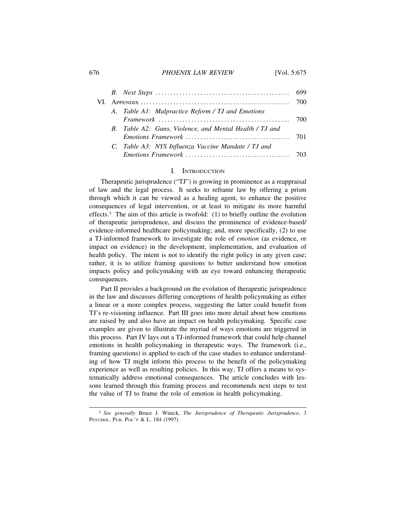#### 676 *PHOENIX LAW REVIEW* [Vol. 5:675

|  | A. Table A1: Malpractice Reform / TJ and Emotions       |  |
|--|---------------------------------------------------------|--|
|  |                                                         |  |
|  | B. Table A2: Guns, Violence, and Mental Health / TJ and |  |
|  |                                                         |  |
|  | C. Table A3: NYS Influenza Vaccine Mandate / TJ and     |  |
|  |                                                         |  |

### I. INTRODUCTION

Therapeutic jurisprudence ("TJ") is growing in prominence as a reappraisal of law and the legal process. It seeks to reframe law by offering a prism through which it can be viewed as a healing agent, to enhance the positive consequences of legal intervention, or at least to mitigate its more harmful effects.<sup>1</sup> The aim of this article is twofold: (1) to briefly outline the evolution of therapeutic jurisprudence, and discuss the prominence of evidence-based/ evidence-informed healthcare policymaking; and, more specifically, (2) to use a TJ-informed framework to investigate the role of *emotion* (as evidence, or impact on evidence) in the development, implementation, and evaluation of health policy. The intent is not to identify the right policy in any given case; rather, it is to utilize framing questions to better understand how emotion impacts policy and policymaking with an eye toward enhancing therapeutic consequences.

Part II provides a background on the evolution of therapeutic jurisprudence in the law and discusses differing conceptions of health policymaking as either a linear or a more complex process, suggesting the latter could benefit from TJ's re-visioning influence. Part III goes into more detail about how emotions are raised by and also have an impact on health policymaking. Specific case examples are given to illustrate the myriad of ways emotions are triggered in this process. Part IV lays out a TJ-informed framework that could help channel emotions in health policymaking in therapeutic ways. The framework (i.e., framing questions) is applied to each of the case studies to enhance understanding of how TJ might inform this process to the benefit of the policymaking experience as well as resulting policies. In this way, TJ offers a means to systematically address emotional consequences. The article concludes with lessons learned through this framing process and recommends next steps to test the value of TJ to frame the role of emotion in health policymaking.

<sup>1</sup> *See generally* Bruce J. Winick, *The Jurisprudence of Therapeutic Jurisprudence*, 3 PSYCHOL. PUB. POL'Y & L. 184 (1997).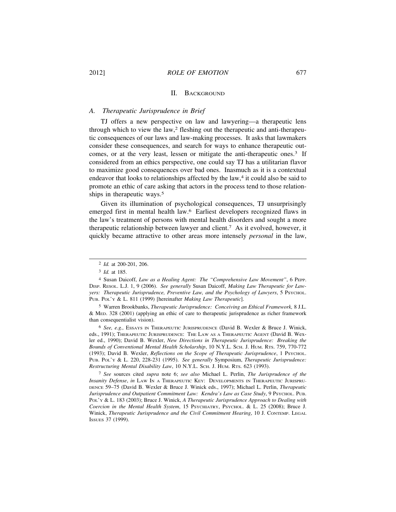#### II. BACKGROUND

#### *A. Therapeutic Jurisprudence in Brief*

TJ offers a new perspective on law and lawyering—a therapeutic lens through which to view the law,<sup>2</sup> fleshing out the therapeutic and anti-therapeutic consequences of our laws and law-making processes. It asks that lawmakers consider these consequences, and search for ways to enhance therapeutic outcomes, or at the very least, lessen or mitigate the anti-therapeutic ones.3 If considered from an ethics perspective, one could say TJ has a utilitarian flavor to maximize good consequences over bad ones. Inasmuch as it is a contextual endeavor that looks to relationships affected by the law,<sup>4</sup> it could also be said to promote an ethic of care asking that actors in the process tend to those relationships in therapeutic ways.<sup>5</sup>

Given its illumination of psychological consequences, TJ unsurprisingly emerged first in mental health law.6 Earliest developers recognized flaws in the law's treatment of persons with mental health disorders and sought a more therapeutic relationship between lawyer and client.7 As it evolved, however, it quickly became attractive to other areas more intensely *personal* in the law,

5 Warren Brookbanks, *Therapeutic Jurisprudence: Conceiving an Ethical Framework,* 8 J.L. & MED. 328 (2001) (applying an ethic of care to therapeutic jurisprudence as richer framework than consequentialist vision).

6 *See, e.g.,* ESSAYS IN THERAPEUTIC JURISPRUDENCE (David B. Wexler & Bruce J. Winick, eds., 1991); THERAPEUTIC JURISPRUDENCE: THE LAW AS A THERAPEUTIC AGENT (David B. Wexler ed., 1990); David B. Wexler, *New Directions in Therapeutic Jurisprudence: Breaking the Bounds of Conventional Mental Health Scholarship*, 10 N.Y.L. SCH. J. HUM. RTS. 759, 770-772 (1993); David B. Wexler, *Reflections on the Scope of Therapeutic Jurisprudence*, 1 PSYCHOL. PUB. POL'Y & L. 220, 228-231 (1995). *See generally* Symposium, *Therapeutic Jurisprudence: Restructuring Mental Disability Law*, 10 N.Y.L. SCH. J. HUM. RTS. 623 (1993).

7 *See* sources cited *supra* note 6; *see also* Michael L. Perlin, *The Jurisprudence of the Insanity Defense*, *in* LAW IN A THERAPEUTIC KEY: DEVELOPMENTS IN THERAPEUTIC JURISPRU-DENCE 59–75 (David B. Wexler & Bruce J. Winick eds., 1997); Michael L. Perlin, *Therapeutic Jurisprudence and Outpatient Commitment Law: Kendra's Law as Case Study*, 9 PSYCHOL. PUB. POL'Y & L. 183 (2003); Bruce J. Winick, *A Therapeutic Jurisprudence Approach to Dealing with Coercion in the Mental Health System*, 15 PSYCHIATRY, PSYCHOL. & L. 25 (2008); Bruce J. Winick, *Therapeutic Jurisprudence and the Civil Commitment Hearing*, 10 J. CONTEMP. LEGAL ISSUES 37 (1999).

<sup>2</sup> *Id.* at 200-201, 206.

<sup>3</sup> *Id.* at 185.

<sup>4</sup> Susan Daicoff, *Law as a Healing Agent: The "Comprehensive Law Movement"*, 6 PEPP. DISP. RESOL. L.J. 1, 9 (2006). *See generally* Susan Daicoff, *Making Law Therapeutic for Lawyers: Therapeutic Jurisprudence, Preventive Law, and the Psychology of Lawyers*, 5 PSYCHOL. PUB. POL'Y & L. 811 (1999) [hereinafter *Making Law Therapeutic*].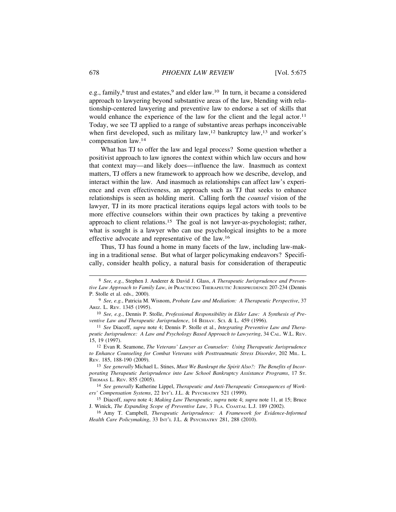e.g., family,<sup>8</sup> trust and estates,<sup>9</sup> and elder law.<sup>10</sup> In turn, it became a considered approach to lawyering beyond substantive areas of the law, blending with relationship-centered lawyering and preventive law to endorse a set of skills that would enhance the experience of the law for the client and the legal actor.<sup>11</sup> Today, we see TJ applied to a range of substantive areas perhaps inconceivable when first developed, such as military law,<sup>12</sup> bankruptcy law,<sup>13</sup> and worker's compensation law.<sup>14</sup>

What has TJ to offer the law and legal process? Some question whether a positivist approach to law ignores the context within which law occurs and how that context may—and likely does—influence the law. Inasmuch as context matters, TJ offers a new framework to approach how we describe, develop, and interact within the law. And inasmuch as relationships can affect law's experience and even effectiveness, an approach such as TJ that seeks to enhance relationships is seen as holding merit. Calling forth the *counsel* vision of the lawyer, TJ in its more practical iterations equips legal actors with tools to be more effective counselors within their own practices by taking a preventive approach to client relations.15 The goal is not lawyer-as-psychologist; rather, what is sought is a lawyer who can use psychological insights to be a more effective advocate and representative of the law.<sup>16</sup>

Thus, TJ has found a home in many facets of the law, including law-making in a traditional sense. But what of larger policymaking endeavors? Specifically, consider health policy, a natural basis for consideration of therapeutic

<sup>8</sup> *See, e.g.*, Stephen J. Anderer & David J. Glass, *A Therapeutic Jurisprudence and Preventive Law Approach to Family Law*, *in* PRACTICING THERAPEUTIC JURISPRUDENCE 207-234 (Dennis P. Stolle et al. eds., 2000).

<sup>9</sup> *See, e.g.*, Patricia M. Wisnom, *Probate Law and Mediation: A Therapeutic Perspective*, 37 ARIZ. L. REV. 1345 (1995).

<sup>10</sup> *See, e.g.*, Dennis P. Stolle, *Professional Responsibility in Elder Law: A Synthesis of Preventive Law and Therapeutic Jurisprudence*, 14 BEHAV. SCI. & L. 459 (1996).

<sup>11</sup> *See* Diacoff, *supra* note 4; Dennis P. Stolle et al., *Integrating Preventive Law and Therapeutic Jurisprudence: A Law and Psychology Based Approach to Lawyering*, 34 CAL. W.L. REV. 15, 19 (1997).

<sup>12</sup> Evan R. Seamone, *The Veterans' Lawyer as Counselor: Using Therapeutic Jurisprudence to Enhance Counseling for Combat Veterans with Posttrautmatic Stress Disorder*, 202 MIL. L. REV. 185, 188-190 (2009).

<sup>13</sup> *See generally* Michael L. Stines, *Must We Bankrupt the Spirit Also?: The Benefits of Incorporating Therapeutic Jurisprudence into Law School Bankruptcy Assistance Programs*, 17 ST. THOMAS L. REV. 855 (2005).

<sup>14</sup> *See generally* Katherine Lippel, *Therapeutic and Anti-Therapeutic Consequences of Workers' Compensation Systems*, 22 INT'L J.L. & PSYCHIATRY 521 (1999).

<sup>15</sup> Diacoff, *supra* note 4; *Making Law Therapeutic*, *supra* note 4; *supra* note 11, at 15; Bruce J. Winick, *The Expanding Scope of Preventive Law*, 3 FLA. COASTAL L.J. 189 (2002).

<sup>16</sup> Amy T. Campbell, *Therapeutic Jurisprudence: A Framework for Evidence-Informed Health Care Policymaking*, 33 INT'L J.L. & PSYCHIATRY 281, 288 (2010).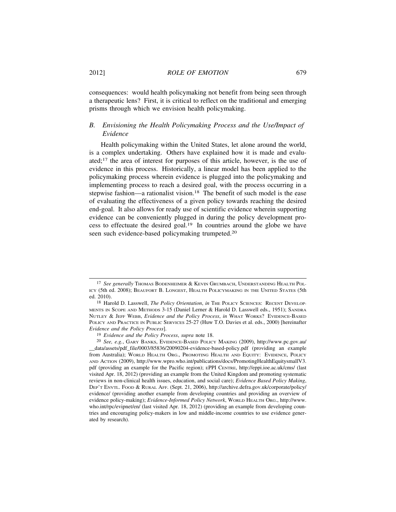consequences: would health policymaking not benefit from being seen through a therapeutic lens? First, it is critical to reflect on the traditional and emerging prisms through which we envision health policymaking.

## *B. Envisioning the Health Policymaking Process and the Use/Impact of Evidence*

Health policymaking within the United States, let alone around the world, is a complex undertaking. Others have explained how it is made and evaluated;17 the area of interest for purposes of this article, however, is the use of evidence in this process. Historically, a linear model has been applied to the policymaking process wherein evidence is plugged into the policymaking and implementing process to reach a desired goal, with the process occurring in a stepwise fashion—a rationalist vision.<sup>18</sup> The benefit of such model is the ease of evaluating the effectiveness of a given policy towards reaching the desired end-goal. It also allows for ready use of scientific evidence wherein supporting evidence can be conveniently plugged in during the policy development process to effectuate the desired goal.19 In countries around the globe we have seen such evidence-based policymaking trumpeted.<sup>20</sup>

<sup>&</sup>lt;sup>17</sup> See generally Thomas Bodenheimer & Kevin Grumbach, Understanding Health Pol-ICY (5th ed. 2008); BEAUFORT B. LONGEST, HEALTH POLICYMAKING IN THE UNITED STATES (5th ed. 2010).

<sup>18</sup> Harold D. Lasswell, *The Policy Orientation*, *in* THE POLICY SCIENCES: RECENT DEVELOP-MENTS IN SCOPE AND METHODS 3-15 (Daniel Lerner & Harold D. Lasswell eds., 1951); SANDRA NUTLEY & JEFF WEBB, *Evidence and the Policy Process*, *in* WHAT WORKS? EVIDENCE-BASED POLICY AND PRACTICE IN PUBLIC SERVICES 25-27 (Huw T.O. Davies et al. eds., 2000) [hereinafter *Evidence and the Policy Process*].

<sup>19</sup> *Evidence and the Policy Process*, *supra* note 18.

<sup>20</sup> *See, e.g.*, GARY BANKS, EVIDENCE-BASED POLICY MAKING (2009), http://www.pc.gov.au/ \_\_data/assets/pdf\_file/0003/85836/20090204-evidence-based-policy.pdf (providing an example from Australia); WORLD HEALTH ORG., PROMOTING HEALTH AND EQUITY: EVIDENCE, POLICY AND ACTION (2009), http://www.wpro.who.int/publications/docs/PromotingHealthEquitysmallV3. pdf (providing an example for the Pacific region); EPPI CENTRE, http://eppi.ioe.ac.uk/cms/ (last visited Apr. 18, 2012) (providing an example from the United Kingdom and promoting systematic reviews in non-clinical health issues, education, and social care); *Evidence Based Policy Making*, DEP'T ENVTL. FOOD & RURAL AFF. (Sept. 21, 2006), http://archive.defra.gov.uk/corporate/policy/ evidence/ (providing another example from developing countries and providing an overview of evidence policy-making); *Evidence-Informed Policy Network*, WORLD HEALTH ORG., http://www. who.int/rpc/evipnet/en/ (last visited Apr. 18, 2012) (providing an example from developing countries and encouraging policy-makers in low and middle-income countries to use evidence generated by research).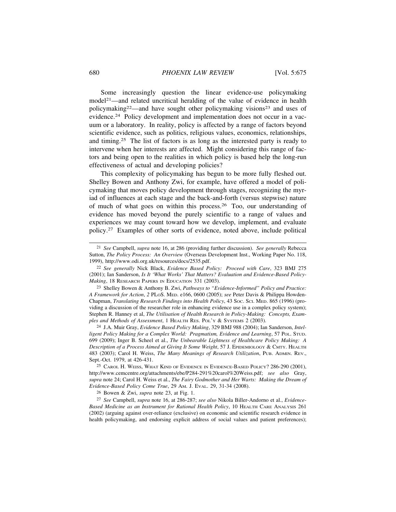Some increasingly question the linear evidence-use policymaking model<sup>21</sup>—and related uncritical heralding of the value of evidence in health policymaking22—and have sought other policymaking visions23 and uses of evidence.24 Policy development and implementation does not occur in a vacuum or a laboratory. In reality, policy is affected by a range of factors beyond scientific evidence, such as politics, religious values, economics, relationships, and timing.25 The list of factors is as long as the interested party is ready to intervene when her interests are affected. Might considering this range of factors and being open to the realities in which policy is based help the long-run effectiveness of actual and developing policies?

This complexity of policymaking has begun to be more fully fleshed out. Shelley Bowen and Anthony Zwi, for example, have offered a model of policymaking that moves policy development through stages, recognizing the myriad of influences at each stage and the back-and-forth (versus stepwise) nature of much of what goes on within this process.26 Too, our understanding of evidence has moved beyond the purely scientific to a range of values and experiences we may count toward how we develop, implement, and evaluate policy.27 Examples of other sorts of evidence, noted above, include political

26 Bowen & Zwi, *supra* note 23, at Fig. 1.

27 *See* Campbell, *supra* note 16, at 286-287; *see also* Nikola Biller-Andorno et al., *Evidence-Based Medicine as an Instrument for Rational Health Policy*, 10 HEALTH CARE ANALYSIS 261 (2002) (arguing against over-reliance (exclusive) on economic and scientific research evidence in health policymaking, and endorsing explicit address of social values and patient preferences);

<sup>21</sup> *See* Campbell, *supra* note 16, at 286 (providing further discussion). *See generally* Rebecca Sutton, *The Policy Process: An Overview* (Overseas Development Inst., Working Paper No. 118, 1999), http://www.odi.org.uk/resources/docs/2535.pdf.

<sup>22</sup> *See generally* Nick Black, *Evidence Based Policy: Proceed with Care*, 323 BMJ 275 (2001); Ian Sanderson, *Is It 'What Works' That Matters? Evaluation and Evidence-Based Policy-Making*, 18 RESEARCH PAPERS IN EDUCATION 331 (2003).

<sup>23</sup> Shelley Bowen & Anthony B. Zwi, *Pathways to "Evidence-Informed" Policy and Practice: A Framework for Action*, *2* PLOS. MED. e166, 0600 (2005); *see* Peter Davis & Philippa Howden-Chapman, *Translating Research Findings into Health Policy*, 43 SOC. SCI. MED. 865 (1996) (providing a discussion of the researcher role in enhancing evidence use in a complex policy system); Stephen R. Hanney et al, *The Utilisation of Health Research in Policy-Making: Concepts, Examples and Methods of Assessment*, 1 HEALTH RES. POL'Y & SYSTEMS 2 (2003).

<sup>24</sup> J.A. Muir Gray, *Evidence Based Policy Making*, 329 BMJ 988 (2004); Ian Sanderson, *Intelligent Policy Making for a Complex World: Pragmatism, Evidence and Learning*, 57 POL. STUD. 699 (2009); Inger B. Scheel et al., *The Unbearable Lightness of Healthcare Policy Making: A Description of a Process Aimed at Giving It Some Weight*, 57 J. EPIDEMIOLOGY & CMTY. HEALTH 483 (2003); Carol H. Weiss, *The Many Meanings of Research Utilization*, PUB. ADMIN. REV., Sept.-Oct. 1979, at 426-431.

<sup>25</sup> CAROL H. WEISS, WHAT KIND OF EVIDENCE IN EVIDENCE-BASED POLICY? 286-290 (2001), http://www.cemcentre.org/attachments/ebe/P284-291%20carol%20Weiss.pdf; *see also* Gray, *supra* note 24; Carol H. Weiss et al., *The Fairy Godmother and Her Warts: Making the Dream of Evidence-Based Policy Come True*, 29 AM. J. EVAL. 29, 31-34 (2008).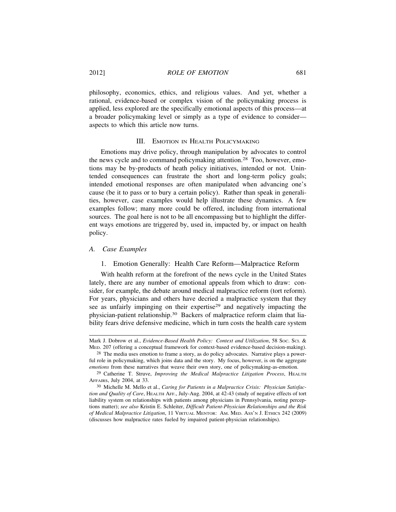philosophy, economics, ethics, and religious values. And yet, whether a rational, evidence-based or complex vision of the policymaking process is applied, less explored are the specifically emotional aspects of this process—at a broader policymaking level or simply as a type of evidence to consider aspects to which this article now turns.

#### III. EMOTION IN HEALTH POLICYMAKING

Emotions may drive policy, through manipulation by advocates to control the news cycle and to command policymaking attention.28 Too, however, emotions may be by-products of heath policy initiatives, intended or not. Unintended consequences can frustrate the short and long-term policy goals; intended emotional responses are often manipulated when advancing one's cause (be it to pass or to bury a certain policy). Rather than speak in generalities, however, case examples would help illustrate these dynamics. A few examples follow; many more could be offered, including from international sources. The goal here is not to be all encompassing but to highlight the different ways emotions are triggered by, used in, impacted by, or impact on health policy.

#### *A. Case Examples*

#### 1. Emotion Generally: Health Care Reform—Malpractice Reform

With health reform at the forefront of the news cycle in the United States lately, there are any number of emotional appeals from which to draw: consider, for example, the debate around medical malpractice reform (tort reform). For years, physicians and others have decried a malpractice system that they see as unfairly impinging on their expertise<sup>29</sup> and negatively impacting the physician-patient relationship.30 Backers of malpractice reform claim that liability fears drive defensive medicine, which in turn costs the health care system

Mark J. Dobrow et al., *Evidence-Based Health Policy: Context and Utilization*, 58 Soc. Sci. & MED. 207 (offering a conceptual framework for context-based evidence-based decision-making).

<sup>28</sup> The media uses emotion to frame a story, as do policy advocates. Narrative plays a powerful role in policymaking, which joins data and the story. My focus, however, is on the aggregate *emotions* from these narratives that weave their own story, one of policymaking-as-emotion.

<sup>29</sup> Catherine T. Struve, *Improving the Medical Malpractice Litigation Process*, HEALTH AFFAIRS, July 2004, at 33.

<sup>30</sup> Michelle M. Mello et al., *Caring for Patients in a Malpractice Crisis: Physician Satisfaction and Quality of Care*, HEALTH AFF., July-Aug. 2004, at 42-43 (study of negative effects of tort liability system on relationships with patients among physicians in Pennsylvania, noting perceptions matter); *see also* Kristin E. Schleiter, *Difficult Patient-Physician Relationships and the Risk of Medical Malpractice Litigation*, 11 VIRTUAL MENTOR: AM. MED. ASS'N J. ETHICS 242 (2009) (discusses how malpractice rates fueled by impaired patient-physician relationships).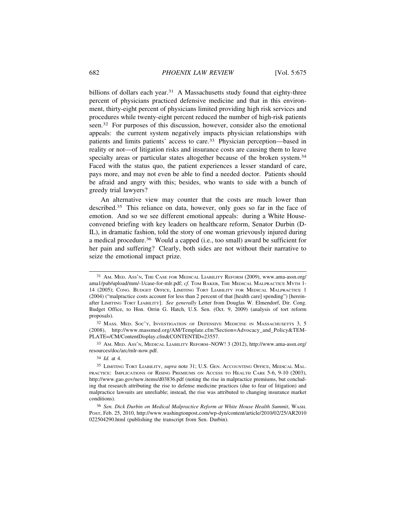billions of dollars each year.<sup>31</sup> A Massachusetts study found that eighty-three percent of physicians practiced defensive medicine and that in this environment, thirty-eight percent of physicians limited providing high risk services and procedures while twenty-eight percent reduced the number of high-risk patients seen.32 For purposes of this discussion, however, consider also the emotional appeals: the current system negatively impacts physician relationships with patients and limits patients' access to care.33 Physician perception—based in reality or not—of litigation risks and insurance costs are causing them to leave specialty areas or particular states altogether because of the broken system.<sup>34</sup> Faced with the status quo, the patient experiences a lesser standard of care, pays more, and may not even be able to find a needed doctor. Patients should be afraid and angry with this; besides, who wants to side with a bunch of greedy trial lawyers?

An alternative view may counter that the costs are much lower than described.35 This reliance on data, however, only goes so far in the face of emotion. And so we see different emotional appeals: during a White Houseconvened briefing with key leaders on healthcare reform, Senator Durbin (D-IL), in dramatic fashion, told the story of one woman grievously injured during a medical procedure.36 Would a capped (i.e., too small) award be sufficient for her pain and suffering? Clearly, both sides are not without their narrative to seize the emotional impact prize.

<sup>31</sup> AM. MED. ASS'N, THE CASE FOR MEDICAL LIABILITY REFORM (2009), www.ama-assn.org/ ama1/pub/upload/mm/-1/case-for-mlr.pdf; *cf.* TOM BAKER, THE MEDICAL MALPRACTICE MYTH 1- 14 (2005); CONG. BUDGET OFFICE, LIMITING TORT LIABILITY FOR MEDICAL MALPRACTICE 1 (2004) ("malpractice costs account for less than 2 percent of that [health care] spending") [hereinafter LIMITING TORT LIABILITY]. *See generally* Letter from Douglas W. Elmendorf, Dir. Cong. Budget Office, to Hon. Orrin G. Hatch, U.S. Sen. (Oct. 9, 2009) (analysis of tort reform proposals).

<sup>32</sup> MASS. MED. SOC'Y, INVESTIGATION OF DEFENSIVE MEDICINE IN MASSACHUSETTS 3, 5 (2008), http://www.massmed.org/AM/Template.cfm?Section=Advocacy\_and\_Policy&TEM-PLATE=/CM/ContentDisplay.cfm&CONTENTID=23557.

<sup>33</sup> AM. MED. ASS'N, MEDICAL LIABILITY REFORM*–*NOW! 3 (2012), http://www.ama-assn.org/ resources/doc/arc/mlr-now.pdf.

<sup>34</sup> *Id.* at 4.

<sup>35</sup> LIMITING TORT LIABILITY, *supra* note 31; U.S. GEN. ACCOUNTING OFFICE, MEDICAL MAL-PRACTICE: IMPLICATIONS OF RISING PREMIUMS ON ACCESS TO HEALTH CARE 5-6, 9-10 (2003), http://www.gao.gov/new.items/d03836.pdf (noting the rise in malpractice premiums, but concluding that research attributing the rise to defense medicine practices (due to fear of litigation) and malpractice lawsuits are unreliable; instead, the rise was attributed to changing insurance market conditions).

<sup>36</sup> *Sen. Dick Durbin on Medical Malpractice Reform at White House Health Summit*, WASH. POST, Feb. 25, 2010, http://www.washingtonpost.com/wp-dyn/content/article/2010/02/25/AR2010 022504290.html (publishing the transcript from Sen. Durbin).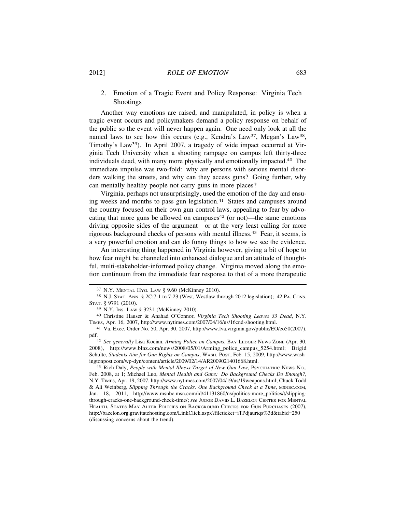#### 2012] *ROLE OF EMOTION* 683

# 2. Emotion of a Tragic Event and Policy Response: Virginia Tech Shootings

Another way emotions are raised, and manipulated, in policy is when a tragic event occurs and policymakers demand a policy response on behalf of the public so the event will never happen again. One need only look at all the named laws to see how this occurs (e.g., Kendra's Law<sup>37</sup>, Megan's Law<sup>38</sup>, Timothy's Law39). In April 2007, a tragedy of wide impact occurred at Virginia Tech University when a shooting rampage on campus left thirty-three individuals dead, with many more physically and emotionally impacted.<sup>40</sup> The immediate impulse was two-fold: why are persons with serious mental disorders walking the streets, and why can they access guns? Going further, why can mentally healthy people not carry guns in more places?

Virginia, perhaps not unsurprisingly, used the emotion of the day and ensuing weeks and months to pass gun legislation.<sup>41</sup> States and campuses around the country focused on their own gun control laws, appealing to fear by advocating that more guns be allowed on campuses<sup>42</sup> (or not)—the same emotions driving opposite sides of the argument—or at the very least calling for more rigorous background checks of persons with mental illness.43 Fear, it seems, is a very powerful emotion and can do funny things to how we see the evidence.

An interesting thing happened in Virginia however, giving a bit of hope to how fear might be channeled into enhanced dialogue and an attitude of thoughtful, multi-stakeholder-informed policy change. Virginia moved along the emotion continuum from the immediate fear response to that of a more therapeutic

<sup>37</sup> N.Y. MENTAL HYG. LAW § 9.60 (McKinney 2010).

<sup>38</sup> N.J. STAT. ANN. § 2C:7-1 to 7-23 (West, Westlaw through 2012 legislation); 42 PA. CONS. STAT. § 9791 (2010).

<sup>39</sup> N.Y. INS. LAW § 3231 (McKinney 2010).

<sup>40</sup> Christine Hauser & Anahad O'Connor, *Virginia Tech Shooting Leaves 33 Dead*, N.Y. TIMES, Apr. 16, 2007, http://www.nytimes.com/2007/04/16/us/16cnd-shooting.html.

<sup>41</sup> Va. Exec. Order No. 50, Apr. 30, 2007, http://www.lva.virginia.gov/public/EO/eo50(2007).

pdf.42 *See generally* Lisa Kocian, *Arming Police on Campus*, BAY LEDGER NEWS ZONE (Apr. 30, 2008), http://www.blnz.com/news/2008/05/01/Arming\_police\_campus\_5254.html; Brigid Schulte, *Students Aim for Gun Rights on Campus*, WASH. POST, Feb. 15, 2009, http://www.washingtonpost.com/wp-dyn/content/article/2009/02/14/AR2009021401668.html.

<sup>43</sup> Rich Daly, *People with Mental Illness Target of New Gun Law*, PSYCHIATRIC NEWS NO., Feb. 2008, at 1; Michael Luo, *Mental Health and Guns: Do Background Checks Do Enough?*, N.Y. TIMES, Apr. 19, 2007, http://www.nytimes.com/2007/04/19/us/19weapons.html; Chuck Todd & Ali Weinberg, *Slipping Through the Cracks, One Background Check at a Time*, MSNBC.COM, Jan. 18, 2011, http://www.msnbc.msn.com/id/41131860/ns/politics-more\_politics/t/slippingthrough-cracks-one-background-check-time/; *see* JUDGE DAVID L. BAZELON CENTER FOR MENTAL HEALTH, STATES MAY ALTER POLICIES ON BACKGROUND CHECKS FOR GUN PURCHASES (2007), http://bazelon.org.gravitatehosting.com/LinkClick.aspx?fileticket=iTPdjaurtqs%3d&tabid=250 (discussing concerns about the trend).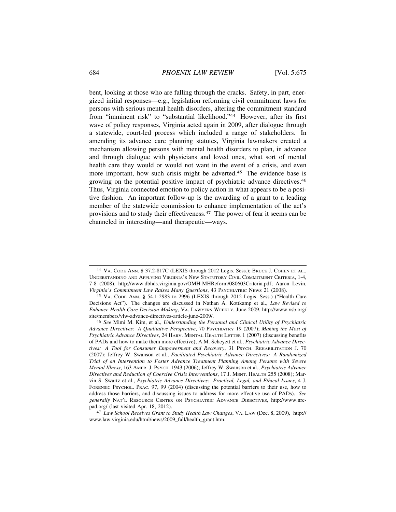bent, looking at those who are falling through the cracks. Safety, in part, energized initial responses—e.g., legislation reforming civil commitment laws for persons with serious mental health disorders, altering the commitment standard from "imminent risk" to "substantial likelihood."44 However, after its first wave of policy responses, Virginia acted again in 2009, after dialogue through a statewide, court-led process which included a range of stakeholders. In amending its advance care planning statutes, Virginia lawmakers created a mechanism allowing persons with mental health disorders to plan, in advance and through dialogue with physicians and loved ones, what sort of mental health care they would or would not want in the event of a crisis, and even more important, how such crisis might be adverted.<sup>45</sup> The evidence base is growing on the potential positive impact of psychiatric advance directives.<sup>46</sup> Thus, Virginia connected emotion to policy action in what appears to be a positive fashion. An important follow-up is the awarding of a grant to a leading member of the statewide commission to enhance implementation of the act's provisions and to study their effectiveness.47 The power of fear it seems can be channeled in interesting—and therapeutic—ways.

47 *Law School Receives Grant to Study Health Law Changes*, VA. LAW (Dec. 8, 2009), http:// www.law.virginia.edu/html/news/2009\_fall/health\_grant.htm.

<sup>44</sup> VA. CODE ANN. § 37.2-817C (LEXIS through 2012 Legis. Sess.); BRUCE J. COHEN ET AL., UNDERSTANDING AND APPLYING VIRGINIA'S NEW STATUTORY CIVIL COMMITMENT CRITERIA, 1-4, 7-8 (2008), http://www.dbhds.virginia.gov/OMH-MHReform/080603Criteria.pdf; Aaron Levin, *Virginia's Commitment Law Raises Many Questions*, 43 PSYCHIATRIC NEWS 21 (2008).

<sup>45</sup> VA. CODE ANN. § 54.1-2983 to 2996 (LEXIS through 2012 Legis. Sess.) ("Health Care Decisions Act"). The changes are discussed in Nathan A. Kottkamp et al., *Law Revised to Enhance Health Care Decision-Making*, VA. LAWYERS WEEKLY, June 2009, http://www.vsb.org/ site/members/vlw-advance-directives-article-june-2009/.

<sup>46</sup> *See* Mimi M. Kim, et al., *Understanding the Personal and Clinical Utility of Psychiatric Advance Directives: A Qualitative Perspective*, 70 PSYCHIATRY 19 (2007); *Making the Most of Psychiatric Advance Directives*, 24 HARV. MENTAL HEALTH LETTER 1 (2007) (discussing benefits of PADs and how to make them more effective); A.M. Scheyett et al., *Psychiatric Advance Directives: A Tool for Consumer Empowerment and Recovery*, 31 PSYCH. REHABILITATION J. 70 (2007); Jeffrey W. Swanson et al., *Facilitated Psychiatric Advance Directives: A Randomized Trial of an Intervention to Foster Advance Treatment Planning Among Persons with Severe Mental Illness*, 163 AMER. J. PSYCH. 1943 (2006); Jeffrey W. Swanson et al., *Psychiatric Advance Directives and Reduction of Coercive Crisis Interventions*, 17 J. MENT. HEALTH 255 (2008); Marvin S. Swartz et al., *Psychiatric Advance Directives: Practical, Legal, and Ethical Issues*, 4 J. FORENSIC PSYCHOL. PRAC. 97, 99 (2004) (discussing the potential barriers to their use, how to address those barriers, and discussing issues to address for more effective use of PADs). *See generally* NAT'L RESOURCE CENTER ON PSYCHIATRIC ADVANCE DIRECTIVES, http://www.nrcpad.org/ (last visited Apr. 18, 2012).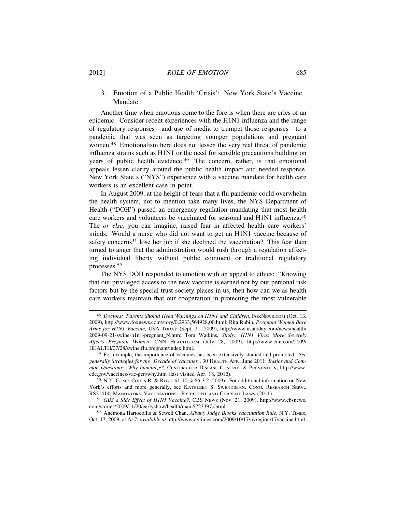#### 2012] *ROLE OF EMOTION* 685

## 3. Emotion of a Public Health 'Crisis': New York State's Vaccine Mandate

Another time when emotions come to the fore is when there are cries of an epidemic. Consider recent experiences with the H1N1 influenza and the range of regulatory responses—and use of media to trumpet those responses—to a pandemic that was seen as targeting younger populations and pregnant women.48 Emotionalism here does not lessen the very real threat of pandemic influenza strains such as H1N1 or the need for sensible precautions building on years of public health evidence.<sup>49</sup> The concern, rather, is that emotional appeals lessen clarity around the public health impact and needed response. New York State's ("NYS") experience with a vaccine mandate for health care workers is an excellent case in point.

In August 2009, at the height of fears that a flu pandemic could overwhelm the health system, not to mention take many lives, the NYS Department of Health ("DOH") passed an emergency regulation mandating that most health care workers and volunteers be vaccinated for seasonal and H1N1 influenza.<sup>50</sup> The *or else*, you can imagine, raised fear in affected health care workers' minds. Would a nurse who did not want to get an H1N1 vaccine because of safety concerns<sup>51</sup> lose her job if she declined the vaccination? This fear then turned to anger that the administration would rush through a regulation affecting individual liberty without public comment or traditional regulatory processes.<sup>52</sup>

The NYS DOH responded to emotion with an appeal to ethics: "Knowing that our privileged access to the new vaccine is earned not by our personal risk factors but by the special trust society places in us, then how can we as health care workers maintain that our cooperation in protecting the most vulnerable

<sup>48</sup> *Doctors: Parents Should Heed Warnings on H1N1 and Children*, FOXNEWS.COM (Oct. 13, 2009), http://www.foxnews.com/story/0,2933,564928,00.html; Rita Rubin, *Pregnant Women Bare Arms for H1N1 Vaccine*, USA TODAY (Sept. 21, 2009), http://www.usatoday.com/news/health/ 2009-09-21-swine-h1n1-pregnant\_N.htm; Tom Watkins, *Study: H1N1 Virus More Severely Affects Pregnant Women*, CNN HEALTH.COM (July 28, 2009), http://www.cnn.com/2009/ HEALTH/07/28/swine.flu.pregnant/index.html.

<sup>49</sup> For example, the importance of vaccines has been extensively studied and promoted. *See generally Strategies for the 'Decade of Vaccines'*, 30 HEALTH AFF., June 2011; *Basics and Common Questions: Why Immunize?*, CENTERS FOR DISEASE CONTROL & PREVENTION, http://www. cdc.gov/vaccines/vac-gen/why.htm (last visited Apr. 18, 2012).

 $50$  N.Y. COMP. CODES R. & REGS. tit. 10, § 66-3.2 (2009). For additional information on New York's efforts and more generally, see KATHLEEN S. SWENDIMAN, CONG. RESEARCH SERV., RS21414, MANDATORY VACCINATIONS: PRECEDENT AND CURRENT LAWS (2011).

<sup>51</sup> *GBS a Side Effect of H1N1 Vaccine?*, CBS NEWS (Nov. 21, 2009), http://www.cbsnews. com/stories/2009/11/20/earlyshow/health/main5723397.shtml.

<sup>52</sup> Anemona Hartocollis & Sewell Chan, *Albany Judge Blocks Vaccination Rule*, N.Y. TIMES, Oct. 17, 2009, at A17, *available at* http://www.nytimes.com/2009/10/17/nyregion/17vaccine.html.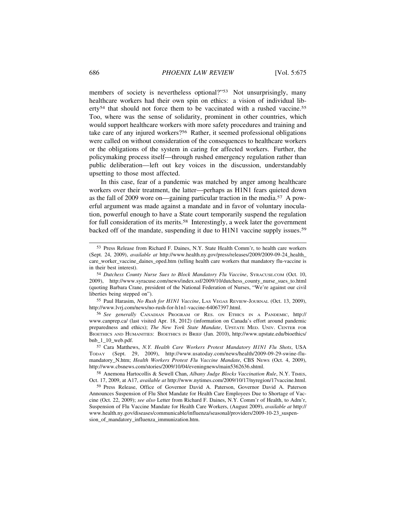members of society is nevertheless optional?"<sup>53</sup> Not unsurprisingly, many healthcare workers had their own spin on ethics: a vision of individual liberty<sup>54</sup> that should not force them to be vaccinated with a rushed vaccine.<sup>55</sup> Too, where was the sense of solidarity, prominent in other countries, which would support healthcare workers with more safety procedures and training and take care of any injured workers?56 Rather, it seemed professional obligations were called on without consideration of the consequences to healthcare workers or the obligations of the system in caring for affected workers. Further, the policymaking process itself—through rushed emergency regulation rather than public deliberation—left out key voices in the discussion, understandably upsetting to those most affected.

In this case, fear of a pandemic was matched by anger among healthcare workers over their treatment, the latter—perhaps as H1N1 fears quieted down as the fall of 2009 wore on—gaining particular traction in the media.57 A powerful argument was made against a mandate and in favor of voluntary inoculation, powerful enough to have a State court temporarily suspend the regulation for full consideration of its merits.<sup>58</sup> Interestingly, a week later the government backed off of the mandate, suspending it due to H1N1 vaccine supply issues.<sup>59</sup>

55 Paul Harasim, *No Rush for H1N1 Vaccine*, LAS VEGAS REVIEW-JOURNAL (Oct. 13, 2009), http://www.lvrj.com/news/no-rush-for-h1n1-vaccine-64067397.html.

56 *See generally* CANADIAN PROGRAM OF RES. ON ETHICS IN A PANDEMIC, http:// www.canprep.ca/ (last visited Apr. 18, 2012) (information on Canada's effort around pandemic preparedness and ethics); *The New York State Mandate*, UPSTATE MED. UNIV. CENTER FOR BIOETHICS AND HUMANITIES: BIOETHICS IN BRIEF (Jan. 2010), http://www.upstate.edu/bioethics/ bnb\_1\_10\_web.pdf.

<sup>53</sup> Press Release from Richard F. Daines, N.Y. State Health Comm'r, to health care workers (Sept. 24, 2009), *available at* http://www.health.ny.gov/press/releases/2009/2009-09-24\_health\_ care worker vaccine daines oped.htm (telling health care workers that mandatory flu-vaccine is in their best interest).

<sup>54</sup> *Dutchess County Nurse Sues to Block Mandatory Flu Vaccine*, SYRACUSE.COM (Oct. 10, 2009), http://www.syracuse.com/news/index.ssf/2009/10/dutchess\_county\_nurse\_sues\_to.html (quoting Barbara Crane, president of the National Federation of Nurses, "We're against our civil liberties being stepped on").

<sup>57</sup> Cara Matthews, *N.Y. Health Care Workers Protest Mandatory H1N1 Flu Shots*, USA TODAY (Sept. 29, 2009), http://www.usatoday.com/news/health/2009-09-29-swine-flumandatory\_N.htm; *Health Workers Protest Flu Vaccine Mandate*, CBS NEWS (Oct. 4, 2009), http://www.cbsnews.com/stories/2009/10/04/eveningnews/main5362636.shtml.

<sup>58</sup> Anemona Hartocollis & Sewell Chan, *Albany Judge Blocks Vaccination Rule*, N.Y. TIMES, Oct. 17, 2009, at A17, *available at* http://www.nytimes.com/2009/10/17/nyregion/17vaccine.html.

<sup>59</sup> Press Release, Office of Governor David A. Paterson, Governor David A. Paterson Announces Suspension of Flu Shot Mandate for Health Care Employees Due to Shortage of Vaccine (Oct. 22, 2009); *see also* Letter from Richard F. Daines, N.Y. Comm'r of Health, to Adm'r, Suspension of Flu Vaccine Mandate for Health Care Workers, (August 2009), *available at* http:// www.health.ny.gov/diseases/communicable/influenza/seasonal/providers/2009-10-23\_suspension\_of\_mandatory\_influenza\_immunization.htm.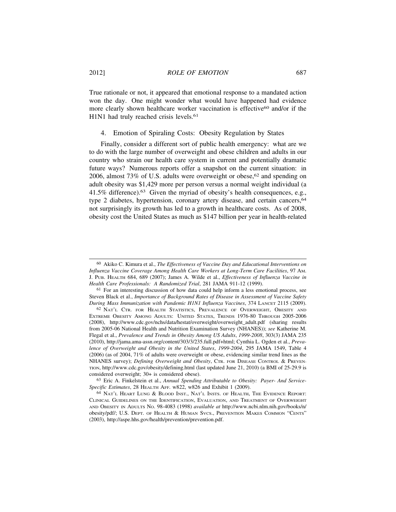True rationale or not, it appeared that emotional response to a mandated action won the day. One might wonder what would have happened had evidence more clearly shown healthcare worker vaccination is effective<sup>60</sup> and/or if the H1N1 had truly reached crisis levels.<sup>61</sup>

#### 4. Emotion of Spiraling Costs: Obesity Regulation by States

Finally, consider a different sort of public health emergency: what are we to do with the large number of overweight and obese children and adults in our country who strain our health care system in current and potentially dramatic future ways? Numerous reports offer a snapshot on the current situation: in 2006, almost 73% of U.S. adults were overweight or obese,<sup>62</sup> and spending on adult obesity was \$1,429 more per person versus a normal weight individual (a 41.5% difference).63 Given the myriad of obesity's health consequences, e.g., type 2 diabetes, hypertension, coronary artery disease, and certain cancers, <sup>64</sup> not surprisingly its growth has led to a growth in healthcare costs. As of 2008, obesity cost the United States as much as \$147 billion per year in health-related

<sup>60</sup> Akiko C. Kimura et al., *The Effectiveness of Vaccine Day and Educational Interventions on Influenza Vaccine Coverage Among Health Care Workers at Long-Term Care Facilities*, 97 AM. J. PUB. HEALTH 684, 689 (2007); James A. Wilde et al., *Effectiveness of Influenza Vaccine in Health Care Professionals: A Randomized Trial*, 281 JAMA 911-12 (1999).

<sup>61</sup> For an interesting discussion of how data could help inform a less emotional process, see Steven Black et al., *Importance of Background Rates of Disease in Assessment of Vaccine Safety During Mass Immunization with Pandemic H1N1 Influenza Vaccines*, 374 LANCET 2115 (2009).

<sup>62</sup> NAT'L CTR. FOR HEALTH STATISTICS, PREVALENCE OF OVERWEIGHT, OBESITY AND EXTREME OBESITY AMONG ADULTS: UNITED STATES, TRENDS 1976-80 THROUGH 2005-2006 (2008), http://www.cdc.gov/nchs/data/hestat/overweight/overweight\_adult.pdf (sharing results from 2005-06 National Health and Nutrition Examination Survey (NHANES)); *see* Katherine M. Flegal et al., *Prevalence and Trends in Obesity Among US Adults*, *1999-2008*, 303(3) JAMA 235 (2010), http://jama.ama-assn.org/content/303/3/235.full.pdf+html; Cynthia L. Ogden et al., *Prevalence of Overweight and Obesity in the United States*, *1999-2004*, 295 JAMA 1549, Table 4 (2006) (as of 2004, 71% of adults were overweight or obese, evidencing similar trend lines as the NHANES survey); *Defining Overweight and Obesity*, CTR. FOR DISEASE CONTROL & PREVEN-TION, http://www.cdc.gov/obesity/defining.html (last updated June 21, 2010) (a BMI of 25-29.9 is considered overweight; 30+ is considered obese).

<sup>63</sup> Eric A. Finkelstein et al., *Annual Spending Attributable to Obesity: Payer- And Service-Specific Estimates*, 28 HEALTH AFF. w822, w826 and Exhibit 1 (2009).

<sup>64</sup> NAT'L HEART LUNG & BLOOD INST., NAT'L INSTS. OF HEALTH, THE EVIDENCE REPORT: CLINICAL GUIDELINES ON THE IDENTIFICATION, EVALUATION, AND TREATMENT OF OVERWEIGHT AND OBESITY IN ADULTS NO. 98-4083 (1998) *available at* http://www.ncbi.nlm.nih.gov/books/n/ obesity/pdf/; U.S. DEPT. OF HEALTH & HUMAN SVCS., PREVENTION MAKES COMMON "CENTS" (2003), http://aspe.hhs.gov/health/prevention/prevention.pdf.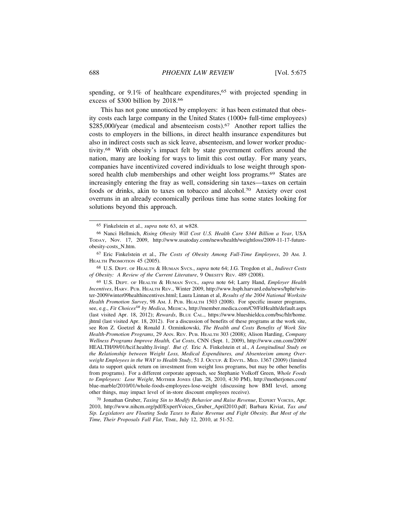spending, or 9.1% of healthcare expenditures,<sup>65</sup> with projected spending in excess of \$300 billion by 2018.<sup>66</sup>

This has not gone unnoticed by employers: it has been estimated that obesity costs each large company in the United States (1000+ full-time employees) \$285,000/year (medical and absenteeism costs).<sup>67</sup> Another report tallies the costs to employers in the billions, in direct health insurance expenditures but also in indirect costs such as sick leave, absenteeism, and lower worker productivity.68 With obesity's impact felt by state government coffers around the nation, many are looking for ways to limit this cost outlay. For many years, companies have incentivized covered individuals to lose weight through sponsored health club memberships and other weight loss programs.<sup>69</sup> States are increasingly entering the fray as well, considering sin taxes—taxes on certain foods or drinks, akin to taxes on tobacco and alcohol.70 Anxiety over cost overruns in an already economically perilous time has some states looking for solutions beyond this approach.

68 U.S. DEPT. OF HEALTH & HUMAN SVCS., *supra* note 64; J.G. Trogdon et al., *Indirect Costs of Obesity: A Review of the Current Literature*, 9 OBESITY REV. 489 (2008).

69 U.S. DEPT. OF HEALTH & HUMAN SVCS.*, supra* note 64; Larry Hand, *Employer Health Incentives*, HARV. PUB. HEALTH REV., Winter 2009, http://www.hsph.harvard.edu/news/hphr/winter-2009/winter09healthincentives.html; Laura Linnan et al, *Results of the 2004 National Worksite Health Promotion Survey*, 98 AM. J. PUB. HEALTH 1503 (2008). For specific insurer programs, see, e.g., *Fit Choices<sup>SM</sup> by Medica*, MEDICA, http://member.medica.com/C9/FitHealth/default.aspx (last visited Apr. 18, 2012); *Rewards*, BLUE CAL., https://www.blueshieldca.com/bsc/hlr/home. jhtml (last visited Apr. 18, 2012). For a discussion of benefits of these programs at the work site, see Ron Z. Goetzel & Ronald J. Ozminkowski, *The Health and Costs Benefits of Work Site Health-Promotion Programs*, 29 ANN. REV. PUB. HEALTH 303 (2008); Alison Harding, *Company Wellness Programs Improve Health, Cut Costs*, CNN (Sept. 1, 2009), http://www.cnn.com/2009/ HEALTH/09/01/hcif.healthy.living/. *But cf*. Eric A. Finkelstein et al., *A Longitudinal Study on the Relationship between Weight Loss, Medical Expenditures, and Absenteeism among Overweight Employees in the WAY to Health Study*, 51 J. OCCUP. & ENVTL. MED. 1367 (2009) (limited data to support quick return on investment from weight loss programs, but may be other benefits from programs). For a different corporate approach, see Stephanie Volkoff Green, *Whole Foods to Employees: Lose Weight*, MOTHER JONES (Jan. 28, 2010, 4:30 PM), http://motherjones.com/ blue-marble/2010/01/whole-foods-employees-lose-weight (discussing how BMI level, among other things, may impact level of in-store discount employees receive).

70 Jonathan Gruber, *Taxing Sin to Modify Behavior and Raise Revenue*, EXPERT VOICES, Apr. 2010, http://www.nihcm.org/pdf/ExpertVoices\_Gruber\_April2010.pdf; Barbara Kiviat, *Tax and Sip. Legislators are Floating Soda Taxes to Raise Revenue and Fight Obesity. But Most of the Time, Their Proposals Fall Flat*, TIME, July 12, 2010, at 51-52.

<sup>65</sup> Finkelstein et al., *supra* note 63, at w828.

<sup>66</sup> Nanci Hellmich, *Rising Obesity Will Cost U.S. Health Care \$344 Billion a Year*, USA TODAY, Nov. 17, 2009, http://www.usatoday.com/news/health/weightloss/2009-11-17-futureobesity-costs\_N.htm.

<sup>67</sup> Eric Finkelstein et al., *The Costs of Obesity Among Full-Time Employees*, 20 AM. J. HEALTH PROMOTION 45 (2005).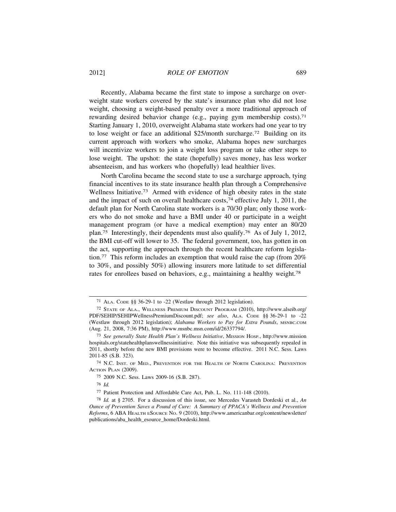Recently, Alabama became the first state to impose a surcharge on overweight state workers covered by the state's insurance plan who did not lose weight, choosing a weight-based penalty over a more traditional approach of rewarding desired behavior change (e.g., paying gym membership costs).<sup>71</sup> Starting January 1, 2010, overweight Alabama state workers had one year to try to lose weight or face an additional \$25/month surcharge.72 Building on its current approach with workers who smoke, Alabama hopes new surcharges will incentivize workers to join a weight loss program or take other steps to lose weight. The upshot: the state (hopefully) saves money, has less worker absenteeism, and has workers who (hopefully) lead healthier lives.

North Carolina became the second state to use a surcharge approach, tying financial incentives to its state insurance health plan through a Comprehensive Wellness Initiative.<sup>73</sup> Armed with evidence of high obesity rates in the state and the impact of such on overall healthcare costs,<sup>74</sup> effective July 1, 2011, the default plan for North Carolina state workers is a 70/30 plan; only those workers who do not smoke and have a BMI under 40 or participate in a weight management program (or have a medical exemption) may enter an 80/20 plan.75 Interestingly, their dependents must also qualify.76 As of July 1, 2012, the BMI cut-off will lower to 35. The federal government, too, has gotten in on the act, supporting the approach through the recent healthcare reform legislation.77 This reform includes an exemption that would raise the cap (from 20% to 30%, and possibly 50%) allowing insurers more latitude to set differential rates for enrollees based on behaviors, e.g., maintaining a healthy weight.<sup>78</sup>

<sup>71</sup> ALA. CODE §§ 36-29-1 to -22 (Westlaw through 2012 legislation).

<sup>72</sup> STATE OF ALA., WELLNESS PREMIUM DISCOUNT PROGRAM (2010), http://www.alseib.org/ PDF/SEHIP/SEHIPWellnessPremiumDiscount.pdf; *see also*, ALA. CODE §§ 36-29-1 to -22 (Westlaw through 2012 legislation); *Alabama Workers to Pay for Extra Pounds*, MSNBC.COM (Aug. 21, 2008, 7:36 PM), http://www.msnbc.msn.com/id/26337794/.

<sup>73</sup> *See generally State Health Plan's Wellness Initiative*, MISSION HOSP., http://www.mission hospitals.org/statehealthplanswellnessinitiative. Note this initiative was subsequently repealed in 2011, shortly before the new BMI provisions were to become effective. 2011 N.C. Sess. Laws 2011-85 (S.B. 323).

<sup>74</sup> N.C. INST. OF MED., PREVENTION FOR THE HEALTH OF NORTH CAROLINA: PREVENTION ACTION PLAN (2009).

<sup>75</sup> 2009 N.C. Sess. Laws 2009-16 (S.B. 287).

<sup>76</sup> *Id.*

<sup>77</sup> Patient Protection and Affordable Care Act, Pub. L. No. 111-148 (2010).

<sup>78</sup> *Id.* at § 2705. For a discussion of this issue, see Mercedes Varasteh Dordeski et al., *An Ounce of Prevention Saves a Pound of Cure: A Summary of PPACA's Wellness and Prevention Reforms*, 6 ABA HEALTH ESOURCE NO. 9 (2010), http://www.americanbar.org/content/newsletter/ publications/aba\_health\_esource\_home/Dordeski.html.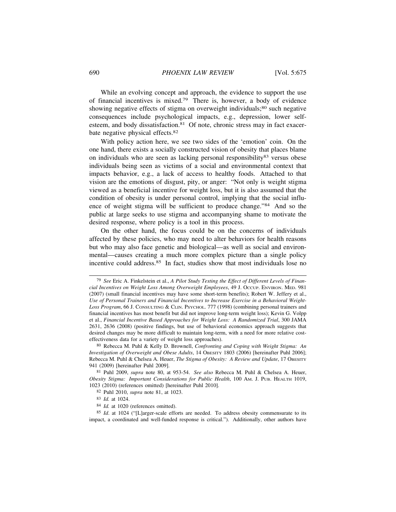While an evolving concept and approach, the evidence to support the use of financial incentives is mixed.79 There is, however, a body of evidence showing negative effects of stigma on overweight individuals;<sup>80</sup> such negative consequences include psychological impacts, e.g., depression, lower selfesteem, and body dissatisfaction.<sup>81</sup> Of note, chronic stress may in fact exacerbate negative physical effects.<sup>82</sup>

With policy action here, we see two sides of the 'emotion' coin. On the one hand, there exists a socially constructed vision of obesity that places blame on individuals who are seen as lacking personal responsibility<sup>83</sup> versus obese individuals being seen as victims of a social and environmental context that impacts behavior, e.g., a lack of access to healthy foods. Attached to that vision are the emotions of disgust, pity, or anger: "Not only is weight stigma viewed as a beneficial incentive for weight loss, but it is also assumed that the condition of obesity is under personal control, implying that the social influence of weight stigma will be sufficient to produce change."84 And so the public at large seeks to use stigma and accompanying shame to motivate the desired response, where policy is a tool in this process.

On the other hand, the focus could be on the concerns of individuals affected by these policies, who may need to alter behaviors for health reasons but who may also face genetic and biological—as well as social and environmental—causes creating a much more complex picture than a single policy incentive could address.<sup>85</sup> In fact, studies show that most individuals lose no

80 Rebecca M. Puhl & Kelly D. Brownell, *Confronting and Coping with Weight Stigma: An Investigation of Overweight and Obese Adults*, 14 OBESITY 1803 (2006) [hereinafter Puhl 2006]; Rebecca M. Puhl & Chelsea A. Heuer, *The Stigma of Obesity: A Review and Update*, 17 OBESITY 941 (2009) [hereinafter Puhl 2009].

81 Puhl 2009, *supra* note 80, at 953-54. *See also* Rebecca M. Puhl & Chelsea A. Heuer, *Obesity Stigma: Important Considerations for Public Health*, 100 AM. J. PUB. HEALTH 1019, 1023 (2010) (references omitted) [hereinafter Puhl 2010].

- 82 Puhl 2010, *supra* note 81, at 1023.
- 83 *Id.* at 1024.
- <sup>84</sup> *Id.* at 1020 (references omitted).

85 *Id*. at 1024 ("[L]arger-scale efforts are needed. To address obesity commensurate to its impact, a coordinated and well-funded response is critical."). Additionally, other authors have

<sup>79</sup> *See* Eric A. Finkelstein et al., *A Pilot Study Testing the Effect of Different Levels of Financial Incentives on Weight Loss Among Overweight Employees*, 49 J. OCCUP. ENVIRON. MED. 981 (2007) (small financial incentives may have some short-term benefits); Robert W. Jeffery et al., *Use of Personal Trainers and Financial Incentives to Increase Exercise in a Behavioral Weight-Loss Program*, 66 J. CONSULTING & CLIN. PSYCHOL. 777 (1998) (combining personal trainers and financial incentives has most benefit but did not improve long-term weight loss); Kevin G. Volpp et al., *Financial Incentive Based Approaches for Weight Loss: A Randomized Trial*, 300 JAMA 2631, 2636 (2008) (positive findings, but use of behavioral economics approach suggests that desired changes may be more difficult to maintain long-term, with a need for more relative costeffectiveness data for a variety of weight loss approaches).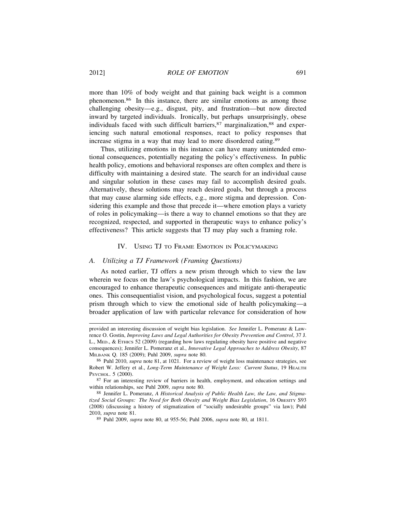more than 10% of body weight and that gaining back weight is a common phenomenon.86 In this instance, there are similar emotions as among those challenging obesity—e.g., disgust, pity, and frustration—but now directed inward by targeted individuals. Ironically, but perhaps unsurprisingly, obese individuals faced with such difficult barriers, <sup>87</sup> marginalization, <sup>88</sup> and experiencing such natural emotional responses, react to policy responses that increase stigma in a way that may lead to more disordered eating.<sup>89</sup>

Thus, utilizing emotions in this instance can have many unintended emotional consequences, potentially negating the policy's effectiveness. In public health policy, emotions and behavioral responses are often complex and there is difficulty with maintaining a desired state. The search for an individual cause and singular solution in these cases may fail to accomplish desired goals. Alternatively, these solutions may reach desired goals, but through a process that may cause alarming side effects, e.g., more stigma and depression. Considering this example and those that precede it—where emotion plays a variety of roles in policymaking—is there a way to channel emotions so that they are recognized, respected, and supported in therapeutic ways to enhance policy's effectiveness? This article suggests that TJ may play such a framing role.

#### IV. USING TJ TO FRAME EMOTION IN POLICYMAKING

#### *A. Utilizing a TJ Framework (Framing Questions)*

As noted earlier, TJ offers a new prism through which to view the law wherein we focus on the law's psychological impacts. In this fashion, we are encouraged to enhance therapeutic consequences and mitigate anti-therapeutic ones. This consequentialist vision, and psychological focus, suggest a potential prism through which to view the emotional side of health policymaking—a broader application of law with particular relevance for consideration of how

provided an interesting discussion of weight bias legislation. *See* Jennifer L. Pomeranz & Lawrence O. Gostin, *Improving Laws and Legal Authorities for Obesity Prevention and Control*, 37 J. L., MED., & ETHICS 52 (2009) (regarding how laws regulating obesity have positive and negative consequences); Jennifer L. Pomeranz et al., *Innovative Legal Approaches to Address Obesity*, 87 MILBANK Q. 185 (2009); Puhl 2009, *supra* note 80.

<sup>86</sup> Puhl 2010, *supra* note 81, at 1021. For a review of weight loss maintenance strategies, see Robert W. Jeffery et al., *Long-Term Maintenance of Weight Loss: Current Status*, 19 HEALTH PSYCHOL. 5 (2000).

<sup>87</sup> For an interesting review of barriers in health, employment, and education settings and within relationships, see Puhl 2009, *supra* note 80.

<sup>88</sup> Jennifer L. Pomeranz, *A Historical Analysis of Public Health Law, the Law, and Stigmatized Social Groups: The Need for Both Obesity and Weight Bias Legislation*, 16 OBESITY S93 (2008) (discussing a history of stigmatization of "socially undesirable groups" via law); Puhl 2010, *supra* note 81.

<sup>89</sup> Puhl 2009, *supra* note 80, at 955-56; Puhl 2006, *supra* note 80, at 1811.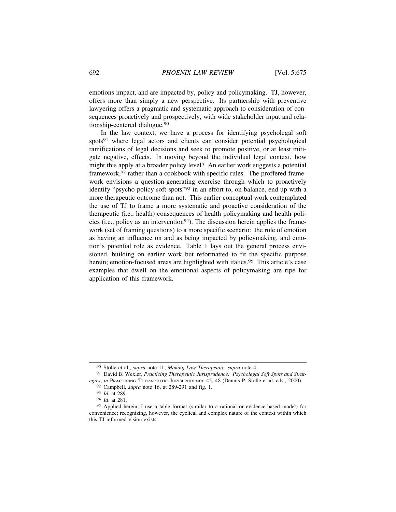emotions impact, and are impacted by, policy and policymaking. TJ, however, offers more than simply a new perspective. Its partnership with preventive lawyering offers a pragmatic and systematic approach to consideration of consequences proactively and prospectively, with wide stakeholder input and relationship-centered dialogue.<sup>90</sup>

In the law context, we have a process for identifying psycholegal soft spots<sup>91</sup> where legal actors and clients can consider potential psychological ramifications of legal decisions and seek to promote positive, or at least mitigate negative, effects. In moving beyond the individual legal context, how might this apply at a broader policy level? An earlier work suggests a potential framework,<sup>92</sup> rather than a cookbook with specific rules. The proffered framework envisions a question-generating exercise through which to proactively identify "psycho-policy soft spots"93 in an effort to, on balance, end up with a more therapeutic outcome than not. This earlier conceptual work contemplated the use of TJ to frame a more systematic and proactive consideration of the therapeutic (i.e., health) consequences of health policymaking and health policies (i.e., policy as an intervention<sup>94</sup>). The discussion herein applies the framework (set of framing questions) to a more specific scenario: the role of emotion as having an influence on and as being impacted by policymaking, and emotion's potential role as evidence. Table 1 lays out the general process envisioned, building on earlier work but reformatted to fit the specific purpose herein; emotion-focused areas are highlighted with italics.<sup>95</sup> This article's case examples that dwell on the emotional aspects of policymaking are ripe for application of this framework.

<sup>90</sup> Stolle et al., *supra* note 11; *Making Law Therapeutic*, *supra* note 4.

<sup>91</sup> David B. Wexler, *Practicing Therapeutic Jurisprudence: Psycholegal Soft Spots and Strategies*, *in* PRACTICING THERAPEUTIC JURISPRUDENCE 45, 48 (Dennis P. Stolle et al. eds., 2000).

<sup>92</sup> Campbell, *supra* note 16, at 289-291 and fig. 1.

<sup>93</sup> *Id*. at 289.

<sup>94</sup> *Id*. at 281.

<sup>95</sup> Applied herein, I use a table format (similar to a rational or evidence-based model) for convenience; recognizing, however, the cyclical and complex nature of the context within which this TJ-informed vision exists.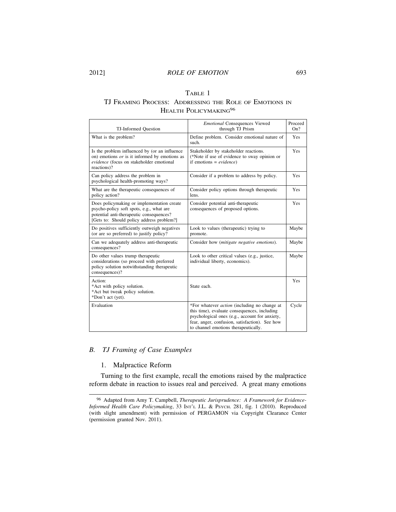## TABLE 1 TJ FRAMING PROCESS: ADDRESSING THE ROLE OF EMOTIONS IN HEALTH POLICYMAKING<sup>96</sup>

| TJ-Informed Question                                                                                                                                                            | <b>Emotional Consequences Viewed</b><br>through TJ Prism                                                                                                                                                                                        | Proceed<br>On? |
|---------------------------------------------------------------------------------------------------------------------------------------------------------------------------------|-------------------------------------------------------------------------------------------------------------------------------------------------------------------------------------------------------------------------------------------------|----------------|
| What is the problem?                                                                                                                                                            | Define problem. Consider emotional nature of<br>such.                                                                                                                                                                                           | Yes            |
| Is the problem influenced by (or an influence<br>on) emotions <i>or</i> is it informed by emotions as<br>evidence (focus on stakeholder emotional<br>reactions)?                | Stakeholder by stakeholder reactions.<br>(*Note if use of evidence to sway opinion or<br>if emotions = $evidence$ )                                                                                                                             | Yes            |
| Can policy address the problem in<br>psychological health-promoting ways?                                                                                                       | Consider if a problem to address by policy.                                                                                                                                                                                                     | Yes            |
| What are the therapeutic consequences of<br>policy action?                                                                                                                      | Consider policy options through therapeutic<br>lens.                                                                                                                                                                                            | Yes            |
| Does policymaking or implementation create<br>psycho-policy soft spots, e.g., what are<br>potential anti-therapeutic consequences?<br>[Gets to: Should policy address problem?] | Consider potential anti-therapeutic<br>consequences of proposed options.                                                                                                                                                                        | Yes            |
| Do positives sufficiently outweigh negatives<br>(or are so preferred) to justify policy?                                                                                        | Look to values (therapeutic) trying to<br>promote.                                                                                                                                                                                              | Maybe          |
| Can we adequately address anti-therapeutic<br>consequences?                                                                                                                     | Consider how (mitigate negative emotions).                                                                                                                                                                                                      | Maybe          |
| Do other values trump therapeutic<br>considerations (so proceed with preferred<br>policy solution notwithstanding therapeutic<br>consequences)?                                 | Look to other critical values (e.g., justice,<br>individual liberty, economics).                                                                                                                                                                | Maybe          |
| Action:<br>*Act with policy solution.<br>*Act but tweak policy solution.<br>*Don't act (yet).                                                                                   | State each.                                                                                                                                                                                                                                     | Yes            |
| Evaluation                                                                                                                                                                      | *For whatever <i>action</i> (including no change at<br>this time), evaluate consequences, including<br>psychological ones (e.g., account for anxiety,<br>fear, anger, confusion, satisfaction). See how<br>to channel emotions therapeutically. | Cycle          |

## *B. TJ Framing of Case Examples*

## 1. Malpractice Reform

Turning to the first example, recall the emotions raised by the malpractice reform debate in reaction to issues real and perceived. A great many emotions

<sup>96</sup> Adapted from Amy T. Campbell, *Therapeutic Jurisprudence: A Framework for Evidence-Informed Health Care Policymaking*, 33 INT'L J.L. & PSYCH. 281, fig. 1 (2010). Reproduced (with slight amendment) with permission of PERGAMON via Copyright Clearance Center (permission granted Nov. 2011).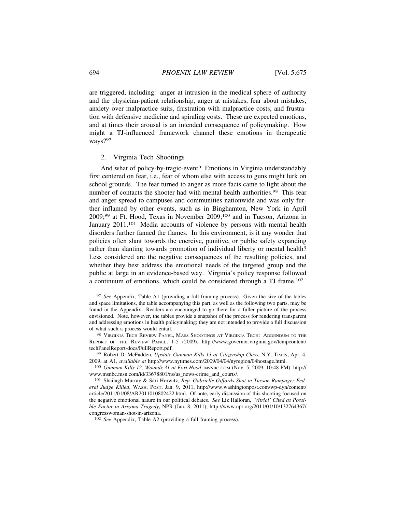are triggered, including: anger at intrusion in the medical sphere of authority and the physician-patient relationship, anger at mistakes, fear about mistakes, anxiety over malpractice suits, frustration with malpractice costs, and frustration with defensive medicine and spiraling costs. These are expected emotions, and at times their arousal is an intended consequence of policymaking. How might a TJ-influenced framework channel these emotions in therapeutic ways?97

### 2. Virginia Tech Shootings

And what of policy-by-tragic-event? Emotions in Virginia understandably first centered on fear, i.e., fear of whom else with access to guns might lurk on school grounds. The fear turned to anger as more facts came to light about the number of contacts the shooter had with mental health authorities.<sup>98</sup> This fear and anger spread to campuses and communities nationwide and was only further inflamed by other events, such as in Binghamton, New York in April 2009;99 at Ft. Hood, Texas in November 2009;100 and in Tucson, Arizona in January 2011.<sup>101</sup> Media accounts of violence by persons with mental health disorders further fanned the flames. In this environment, is it any wonder that policies often slant towards the coercive, punitive, or public safety expanding rather than slanting towards promotion of individual liberty or mental health? Less considered are the negative consequences of the resulting policies, and whether they best address the emotional needs of the targeted group and the public at large in an evidence-based way. Virginia's policy response followed a continuum of emotions, which could be considered through a TJ frame.<sup>102</sup>

<sup>97</sup> *See* Appendix, Table A1 (providing a full framing process). Given the size of the tables and space limitations, the table accompanying this part, as well as the following two parts, may be found in the Appendix. Readers are encouraged to go there for a fuller picture of the process envisioned. Note, however, the tables provide a snapshot of the process for rendering transparent and addressing emotions in health policymaking; they are not intended to provide a full discussion of what such a process would entail.

<sup>98</sup> VIRGINIA TECH REVIEW PANEL, MASS SHOOTINGS AT VIRGINIA TECH: ADDENDUM TO THE REPORT OF THE REVIEW PANEL, 1-5 (2009), http://www.governor.virginia.gov/tempcontent/ techPanelReport-docs/FullReport.pdf.

<sup>99</sup> Robert D. McFadden, *Upstate Gunman Kills 13 at Citizenship Class*, N.Y. TIMES, Apr. 4, 2009, at A1, *available at* http://www.nytimes.com/2009/04/04/nyregion/04hostage.html.

<sup>100</sup> *Gunman Kills 12, Wounds 31 at Fort Hood*, MSNBC.COM (Nov. 5, 2009, 10:48 PM), http:// www.msnbc.msn.com/id/33678801/ns/us\_news-crime\_and\_courts/.

<sup>101</sup> Shailagh Murray & Sari Horwitz, *Rep. Gabrielle Giffords Shot in Tucson Rampage; Federal Judge Killed*, WASH. POST, Jan. 9, 2011, http://www.washingtonpost.com/wp-dyn/content/ article/2011/01/08/AR2011010802422.html. Of note, early discussion of this shooting focused on the negative emotional nature in our political debates. *See* Liz Halloran, *'Vitriol' Cited as Possible Factor in Arizona Tragedy*, NPR (Jan. 8, 2011), http://www.npr.org/2011/01/10/132764367/ congresswoman-shot-in-arizona.

<sup>102</sup> *See* Appendix, Table A2 (providing a full framing process).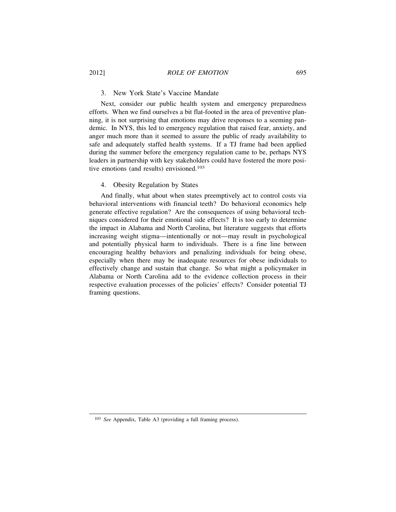## 2012] *ROLE OF EMOTION* 695

## 3. New York State's Vaccine Mandate

Next, consider our public health system and emergency preparedness efforts. When we find ourselves a bit flat-footed in the area of preventive planning, it is not surprising that emotions may drive responses to a seeming pandemic. In NYS, this led to emergency regulation that raised fear, anxiety, and anger much more than it seemed to assure the public of ready availability to safe and adequately staffed health systems. If a TJ frame had been applied during the summer before the emergency regulation came to be, perhaps NYS leaders in partnership with key stakeholders could have fostered the more positive emotions (and results) envisioned.<sup>103</sup>

## 4. Obesity Regulation by States

And finally, what about when states preemptively act to control costs via behavioral interventions with financial teeth? Do behavioral economics help generate effective regulation? Are the consequences of using behavioral techniques considered for their emotional side effects? It is too early to determine the impact in Alabama and North Carolina, but literature suggests that efforts increasing weight stigma—intentionally or not—may result in psychological and potentially physical harm to individuals. There is a fine line between encouraging healthy behaviors and penalizing individuals for being obese, especially when there may be inadequate resources for obese individuals to effectively change and sustain that change. So what might a policymaker in Alabama or North Carolina add to the evidence collection process in their respective evaluation processes of the policies' effects? Consider potential TJ framing questions.

<sup>103</sup> *See* Appendix, Table A3 (providing a full framing process).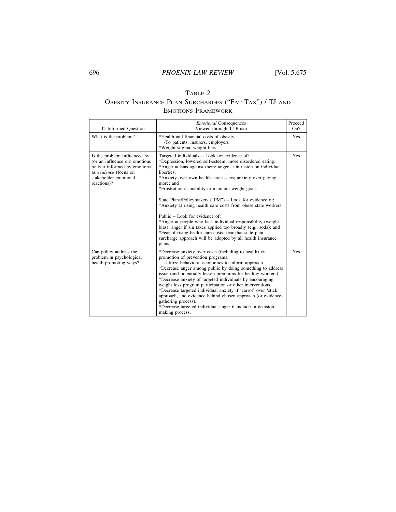## TABLE 2 OBESITY INSURANCE PLAN SURCHARGES ("FAT TAX") / TJ AND EMOTIONS FRAMEWORK

| TJ-Informed Question                                                                                                                                            | <b>Emotional Consequences</b><br>Viewed through TJ Prism                                                                                                                                                                                                                                                                                                                                                                                                                                                                                                                                                                                                                                                                                                       | Proceed<br>On? |
|-----------------------------------------------------------------------------------------------------------------------------------------------------------------|----------------------------------------------------------------------------------------------------------------------------------------------------------------------------------------------------------------------------------------------------------------------------------------------------------------------------------------------------------------------------------------------------------------------------------------------------------------------------------------------------------------------------------------------------------------------------------------------------------------------------------------------------------------------------------------------------------------------------------------------------------------|----------------|
| What is the problem?                                                                                                                                            | *Health and financial costs of obesity<br>-To patients, insurers, employers<br>*Weight stigma, weight bias                                                                                                                                                                                                                                                                                                                                                                                                                                                                                                                                                                                                                                                     | <b>Yes</b>     |
| Is the problem influenced by<br>(or an influence on) emotions<br>or is it informed by emotions<br>as evidence (focus on<br>stakeholder emotional<br>reactions)? | Targeted individuals - Look for evidence of:<br>*Depression, lowered self-esteem; more disordered eating;<br>*Anger at bias against them; anger at intrusion on individual<br>liberties:<br>*Anxiety over own health care issues; anxiety over paying<br>more; and<br>*Frustration at inability to maintain weight goals.<br>State Plans/Policymakers ("PM") – Look for evidence of:<br>*Anxiety at rising health care costs from obese state workers.<br>Public – Look for evidence of:<br>*Anger at people who lack individual responsibility (weight)<br>bias); anger if sin taxes applied too broadly (e.g., soda); and<br>*Fear of rising health care costs; fear that state plan<br>surcharge approach will be adopted by all health insurance<br>plans. | Yes            |
| Can policy address the<br>problem in psychological<br>health-promoting ways?                                                                                    | *Decrease anxiety over costs (including to health) via<br>promotion of prevention programs.<br>-Utilize behavioral economics to inform approach.<br>*Decrease anger among public by doing something to address<br>issue (and potentially lessen premiums for healthy workers).<br>*Decrease anxiety of targeted individuals by encouraging<br>weight loss program participation or other interventions.<br>*Decrease targeted individual anxiety if 'carrot' over 'stick'<br>approach, and evidence behind chosen approach (or evidence-<br>gathering process).<br>*Decrease targeted individual anger if include in decision-<br>making process.                                                                                                              | <b>Yes</b>     |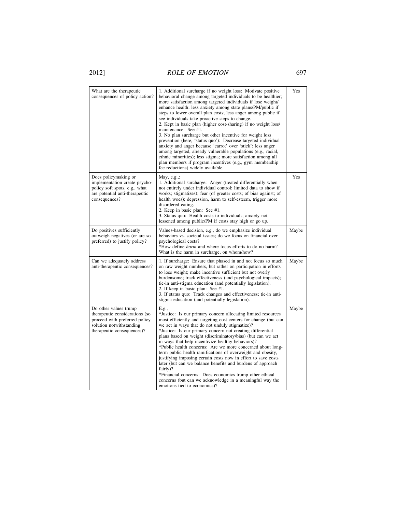# 2012] *ROLE OF EMOTION* 697

| What are the therapeutic<br>consequences of policy action?                                                                                         | 1. Additional surcharge if no weight loss: Motivate positive<br>behavioral change among targeted individuals to be healthier;<br>more satisfaction among targeted individuals if lose weight/<br>enhance health; less anxiety among state plans/PM/public if<br>steps to lower overall plan costs; less anger among public if<br>see individuals take proactive steps to change.<br>2. Kept in basic plan (higher cost-sharing) if no weight loss/<br>maintenance: See #1.<br>3. No plan surcharge but other incentive for weight loss<br>prevention (here, 'status quo'): Decrease targeted individual<br>anxiety and anger because 'carrot' over 'stick'; less anger<br>among targeted, already vulnerable populations (e.g., racial,<br>ethnic minorities); less stigma; more satisfaction among all<br>plan members if program incentives (e.g., gym membership<br>fee reductions) widely available. | Yes   |
|----------------------------------------------------------------------------------------------------------------------------------------------------|----------------------------------------------------------------------------------------------------------------------------------------------------------------------------------------------------------------------------------------------------------------------------------------------------------------------------------------------------------------------------------------------------------------------------------------------------------------------------------------------------------------------------------------------------------------------------------------------------------------------------------------------------------------------------------------------------------------------------------------------------------------------------------------------------------------------------------------------------------------------------------------------------------|-------|
| Does policymaking or<br>implementation create psycho-<br>policy soft spots, e.g., what<br>are potential anti-therapeutic<br>consequences?          | May, $e.g.,:$<br>1. Additional surcharge: Anger (treated differentially when<br>not entirely under individual control; limited data to show if<br>works; stigmatizes); fear (of greater costs; of bias against; of<br>health woes); depression, harm to self-esteem, trigger more<br>disordered eating.<br>2. Keep in basic plan: See #1.<br>3. Status quo: Health costs to individuals; anxiety not<br>lessened among public/PM if costs stay high or go up.                                                                                                                                                                                                                                                                                                                                                                                                                                            | Yes   |
| Do positives sufficiently<br>outweigh negatives (or are so<br>preferred) to justify policy?                                                        | Values-based decision, e.g., do we emphasize individual<br>behaviors vs. societal issues; do we focus on financial over<br>psychological costs?<br>*How define <i>harm</i> and where focus efforts to do no harm?<br>What is the harm in surcharge, on whom/how?                                                                                                                                                                                                                                                                                                                                                                                                                                                                                                                                                                                                                                         | Maybe |
| Can we adequately address<br>anti-therapeutic consequences?                                                                                        | 1. If surcharge: Ensure that phased in and not focus so much<br>on raw weight numbers, but rather on participation in efforts<br>to lose weight; make incentive sufficient but not overly<br>burdensome; track effectiveness (and psychological impacts);<br>tie-in anti-stigma education (and potentially legislation).<br>2. If keep in basic plan: See #1.<br>3. If status quo: Track changes and effectiveness; tie-in anti-<br>stigma education (and potentially legislation).                                                                                                                                                                                                                                                                                                                                                                                                                      | Maybe |
| Do other values trump<br>therapeutic considerations (so<br>proceed with preferred policy<br>solution notwithstanding<br>therapeutic consequences)? | E.g.,<br>*Justice: Is our primary concern allocating limited resources<br>most efficiently and targeting cost centers for change (but can<br>we act in ways that do not unduly stigmatize)?<br>*Justice: Is our primary concern not creating differential<br>plans based on weight (discriminatory/bias) (but can we act<br>in ways that help incentivize healthy behaviors)?<br>*Public health concerns: Are we more concerned about long-<br>term public health ramifications of overweight and obesity,<br>justifying imposing certain costs now in effort to save costs<br>later (but can we balance benefits and burdens of approach<br>fairly)?<br>*Financial concerns: Does economics trump other ethical<br>concerns (but can we acknowledge in a meaningful way the<br>emotions tied to economics)?                                                                                             | Maybe |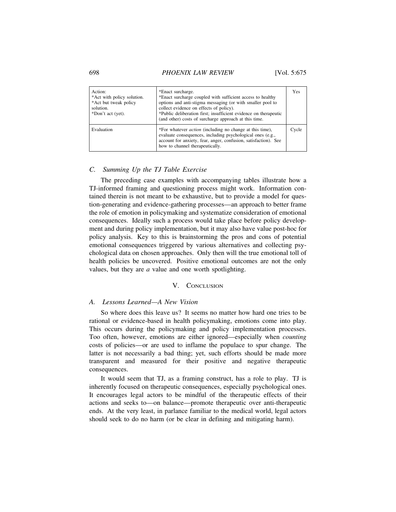#### 698 *PHOENIX LAW REVIEW* [Vol. 5:675

| Action:<br>*Act with policy solution.<br>*Act but tweak policy<br>solution.<br>*Don't act (yet). | *Enact surcharge.<br>*Enact surcharge coupled with sufficient access to healthy<br>options and anti-stigma messaging (or with smaller pool to<br>collect evidence on effects of policy).<br>*Public deliberation first; insufficient evidence on therapeutic<br>(and other) costs of surcharge approach at this time. | Yes   |
|--------------------------------------------------------------------------------------------------|-----------------------------------------------------------------------------------------------------------------------------------------------------------------------------------------------------------------------------------------------------------------------------------------------------------------------|-------|
| Evaluation                                                                                       | *For whatever <i>action</i> (including no change at this time),<br>evaluate consequences, including psychological ones (e.g.,<br>account for anxiety, fear, anger, confusion, satisfaction). See<br>how to channel therapeutically.                                                                                   | Cycle |

## *C. Summing Up the TJ Table Exercise*

The preceding case examples with accompanying tables illustrate how a TJ-informed framing and questioning process might work. Information contained therein is not meant to be exhaustive, but to provide a model for question-generating and evidence-gathering processes—an approach to better frame the role of emotion in policymaking and systematize consideration of emotional consequences. Ideally such a process would take place before policy development and during policy implementation, but it may also have value post-hoc for policy analysis. Key to this is brainstorming the pros and cons of potential emotional consequences triggered by various alternatives and collecting psychological data on chosen approaches. Only then will the true emotional toll of health policies be uncovered. Positive emotional outcomes are not the only values, but they are *a* value and one worth spotlighting.

#### V. CONCLUSION

## *A. Lessons Learned—A New Vision*

So where does this leave us? It seems no matter how hard one tries to be rational or evidence-based in health policymaking, emotions come into play. This occurs during the policymaking and policy implementation processes. Too often, however, emotions are either ignored—especially when *counting* costs of policies—or are used to inflame the populace to spur change. The latter is not necessarily a bad thing; yet, such efforts should be made more transparent and measured for their positive and negative therapeutic consequences.

It would seem that TJ, as a framing construct, has a role to play. TJ is inherently focused on therapeutic consequences, especially psychological ones. It encourages legal actors to be mindful of the therapeutic effects of their actions and seeks to—on balance—promote therapeutic over anti-therapeutic ends. At the very least, in parlance familiar to the medical world, legal actors should seek to do no harm (or be clear in defining and mitigating harm).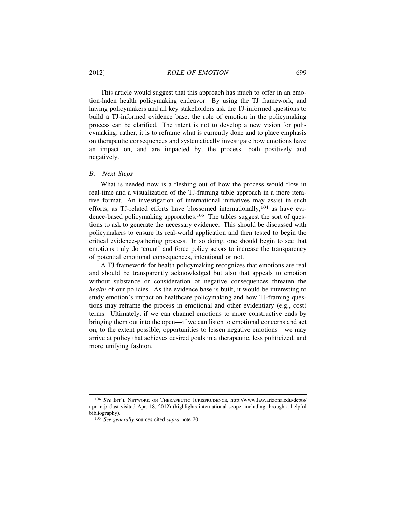This article would suggest that this approach has much to offer in an emotion-laden health policymaking endeavor. By using the TJ framework, and having policymakers and all key stakeholders ask the TJ-informed questions to build a TJ-informed evidence base, the role of emotion in the policymaking process can be clarified. The intent is not to develop a new vision for policymaking; rather, it is to reframe what is currently done and to place emphasis on therapeutic consequences and systematically investigate how emotions have an impact on, and are impacted by, the process—both positively and negatively.

## *B. Next Steps*

What is needed now is a fleshing out of how the process would flow in real-time and a visualization of the TJ-framing table approach in a more iterative format. An investigation of international initiatives may assist in such efforts, as TJ-related efforts have blossomed internationally,<sup>104</sup> as have evidence-based policymaking approaches.<sup>105</sup> The tables suggest the sort of questions to ask to generate the necessary evidence. This should be discussed with policymakers to ensure its real-world application and then tested to begin the critical evidence-gathering process. In so doing, one should begin to see that emotions truly do 'count' and force policy actors to increase the transparency of potential emotional consequences, intentional or not.

A TJ framework for health policymaking recognizes that emotions are real and should be transparently acknowledged but also that appeals to emotion without substance or consideration of negative consequences threaten the *health* of our policies. As the evidence base is built, it would be interesting to study emotion's impact on healthcare policymaking and how TJ-framing questions may reframe the process in emotional and other evidentiary (e.g., cost) terms. Ultimately, if we can channel emotions to more constructive ends by bringing them out into the open—if we can listen to emotional concerns and act on, to the extent possible, opportunities to lessen negative emotions—we may arrive at policy that achieves desired goals in a therapeutic, less politicized, and more unifying fashion.

<sup>104</sup> *See* INT'L NETWORK ON THERAPEUTIC JURISPRUDENCE, http://www.law.arizona.edu/depts/ upr-intj/ (last visited Apr. 18, 2012) (highlights international scope, including through a helpful bibliography).

<sup>105</sup> *See generally* sources cited *supra* note 20.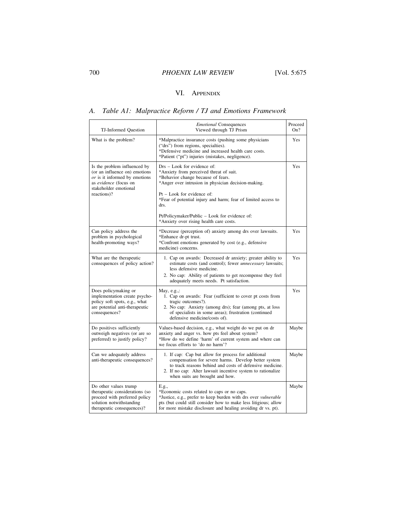## VI. APPENDIX

## *A. Table A1: Malpractice Reform / TJ and Emotions Framework*

| TJ-Informed Question                                                                                                                                            | <i>Emotional</i> Consequences<br>Viewed through TJ Prism                                                                                                                                                                                                                                                                                                                 | Proceed<br>On? |  |  |
|-----------------------------------------------------------------------------------------------------------------------------------------------------------------|--------------------------------------------------------------------------------------------------------------------------------------------------------------------------------------------------------------------------------------------------------------------------------------------------------------------------------------------------------------------------|----------------|--|--|
| What is the problem?                                                                                                                                            | *Malpractice insurance costs (pushing some physicians<br>("drs") from regions, specialties).<br>*Defensive medicine and increased health care costs.<br>*Patient ("pt") injuries (mistakes, negligence).                                                                                                                                                                 | Yes            |  |  |
| Is the problem influenced by<br>(or an influence on) emotions<br>or is it informed by emotions<br>as evidence (focus on<br>stakeholder emotional<br>reactions)? | Drs - Look for evidence of:<br>*Anxiety from perceived threat of suit.<br>*Behavior change because of fears.<br>*Anger over intrusion in physician decision-making.<br>$Pt - Look$ for evidence of:<br>*Fear of potential injury and harm; fear of limited access to<br>drs.<br>Pt/Policymaker/Public – Look for evidence of:<br>*Anxiety over rising health care costs. | Yes            |  |  |
| Can policy address the<br>problem in psychological<br>health-promoting ways?                                                                                    | *Decrease (perception of) anxiety among drs over lawsuits.<br>*Enhance dr-pt trust.<br>*Confront emotions generated by cost (e.g., defensive<br>medicine) concerns.                                                                                                                                                                                                      | Yes            |  |  |
| What are the therapeutic<br>consequences of policy action?                                                                                                      | 1. Cap on awards: Decreased dr anxiety; greater ability to<br>estimate costs (and control); fewer <i>unnecessary</i> lawsuits;<br>less defensive medicine.<br>2. No cap: Ability of patients to get recompense they feel<br>adequately meets needs. Pt satisfaction.                                                                                                     | Yes            |  |  |
| Does policymaking or<br>implementation create psycho-<br>policy soft spots, e.g., what<br>are potential anti-therapeutic<br>consequences?                       | May, $e.g.,$<br>1. Cap on awards: Fear (sufficient to cover pt costs from<br>tragic outcomes?).<br>2. No cap: Anxiety (among drs); fear (among pts, at loss<br>of specialists in some areas); frustration (continued<br>defensive medicine/costs of).                                                                                                                    | Yes            |  |  |
| Do positives sufficiently<br>outweigh negatives (or are so<br>preferred) to justify policy?                                                                     | Values-based decision, e.g., what weight do we put on dr<br>anxiety and anger vs. how pts feel about system?<br>*How do we define 'harm' of current system and where can<br>we focus efforts to 'do no harm'?                                                                                                                                                            | Maybe          |  |  |
| Can we adequately address<br>anti-therapeutic consequences?                                                                                                     | 1. If cap: Cap but allow for process for additional<br>compensation for severe harms. Develop better system<br>to track reasons behind and costs of defensive medicine.<br>2. If no cap: Alter lawsuit incentive system to rationalize<br>when suits are brought and how.                                                                                                | Maybe          |  |  |
| Do other values trump<br>therapeutic considerations (so<br>proceed with preferred policy<br>solution notwithstanding<br>therapeutic consequences)?              | E.g.,<br>*Economic costs related to caps or no caps.<br>*Justice, e.g., prefer to keep burden with drs over vulnerable<br>pts (but could still consider how to make less litigious; allow<br>for more mistake disclosure and healing avoiding dr vs. pt).                                                                                                                | Maybe          |  |  |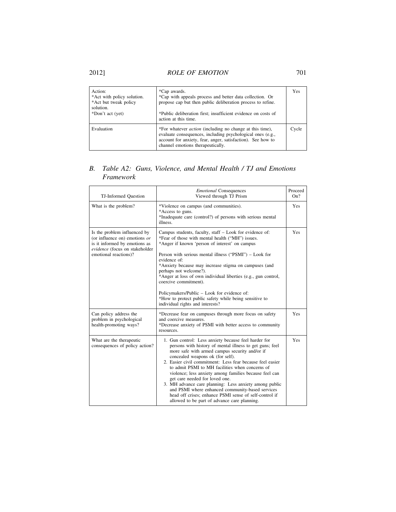# 2012] *ROLE OF EMOTION* 701

| Action:<br>*Act with policy solution.<br>*Act but tweak policy<br>solution.<br>*Don't act (yet) | *Cap awards.<br>*Cap with appeals process and better data collection. Or<br>propose cap but then public deliberation process to refine.<br>*Public deliberation first; insufficient evidence on costs of<br>action at this time.  | Yes   |
|-------------------------------------------------------------------------------------------------|-----------------------------------------------------------------------------------------------------------------------------------------------------------------------------------------------------------------------------------|-------|
| Evaluation                                                                                      | *For whatever <i>action</i> (including no change at this time),<br>evaluate consequences, including psychological ones (e.g.,<br>account for anxiety, fear, anger, satisfaction). See how to<br>channel emotions therapeutically. | Cycle |

## *B. Table A2: Guns, Violence, and Mental Health / TJ and Emotions Framework*

| TJ-Informed Question                                                                                                                                        | <b>Emotional Consequences</b><br>Viewed through TJ Prism                                                                                                                                                                                                                                                                                                                                                                                                                                                                                                                                                                                   | Proceed<br>On? |
|-------------------------------------------------------------------------------------------------------------------------------------------------------------|--------------------------------------------------------------------------------------------------------------------------------------------------------------------------------------------------------------------------------------------------------------------------------------------------------------------------------------------------------------------------------------------------------------------------------------------------------------------------------------------------------------------------------------------------------------------------------------------------------------------------------------------|----------------|
| What is the problem?                                                                                                                                        | *Violence on campus (and communities).<br>*Access to guns.<br>*Inadequate care (control?) of persons with serious mental<br>illness.                                                                                                                                                                                                                                                                                                                                                                                                                                                                                                       | Yes            |
| Is the problem influenced by<br>(or influence on) emotions $or$<br>is it informed by emotions as<br>evidence (focus on stakeholder<br>emotional reactions)? | Campus students, faculty, staff - Look for evidence of:<br>*Fear of those with mental health ("MH") issues.<br>*Anger if known 'person of interest' on campus<br>Person with serious mental illness ("PSMI") – Look for<br>evidence of:<br>*Anxiety because may increase stigma on campuses (and<br>perhaps not welcome?).<br>*Anger at loss of own individual liberties (e.g., gun control,<br>coercive commitment).<br>Policymakers/Public - Look for evidence of:<br>*How to protect public safety while being sensitive to<br>individual rights and interests?                                                                         | <b>Yes</b>     |
| Can policy address the<br>problem in psychological<br>health-promoting ways?                                                                                | *Decrease fear on campuses through more focus on safety<br>and coercive measures.<br>*Decrease anxiety of PSMI with better access to community<br>resources.                                                                                                                                                                                                                                                                                                                                                                                                                                                                               | Yes            |
| What are the therapeutic<br>consequences of policy action?                                                                                                  | 1. Gun control: Less anxiety because feel harder for<br>persons with history of mental illness to get guns; feel<br>more safe with armed campus security and/or if<br>concealed weapons ok (for self).<br>2. Easier civil commitment: Less fear because feel easier<br>to admit PSMI to MH facilities when concerns of<br>violence; less anxiety among families because feel can<br>get care needed for loved one.<br>3. MH advance care planning: Less anxiety among public<br>and PSMI where enhanced community-based services<br>head off crises; enhance PSMI sense of self-control if<br>allowed to be part of advance care planning. | Yes            |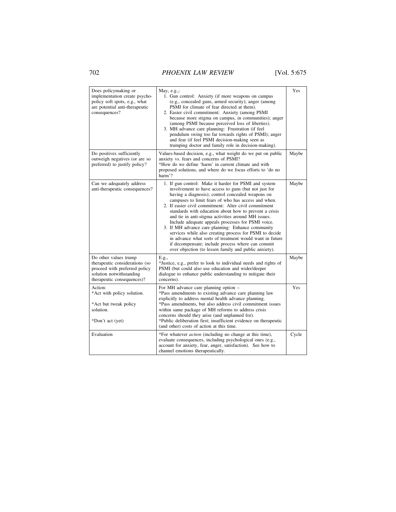702 *PHOENIX LAW REVIEW* [Vol. 5:675

| Does policymaking or<br>implementation create psycho-<br>policy soft spots, e.g., what<br>are potential anti-therapeutic<br>consequences?          | May, $e.g.,:$<br>1. Gun control: Anxiety (if more weapons on campus<br>(e.g., concealed guns, armed security); anger (among<br>PSMI for climate of fear directed at them).<br>2. Easier civil commitment: Anxiety (among PSMI<br>because more stigma on campus, in communities); anger<br>(among PSMI because perceived loss of liberties).<br>3. MH advance care planning: Frustration (if feel<br>pendulum swing too far towards rights of PSMI); anger<br>and fear (if feel PSMI decision-making seen as<br>trumping doctor and family role in decision-making).                                                                                                                                                                                | Yes   |
|----------------------------------------------------------------------------------------------------------------------------------------------------|----------------------------------------------------------------------------------------------------------------------------------------------------------------------------------------------------------------------------------------------------------------------------------------------------------------------------------------------------------------------------------------------------------------------------------------------------------------------------------------------------------------------------------------------------------------------------------------------------------------------------------------------------------------------------------------------------------------------------------------------------|-------|
| Do positives sufficiently<br>outweigh negatives (or are so<br>preferred) to justify policy?                                                        | Values-based decision, e.g., what weight do we put on public<br>anxiety vs. fears and concerns of PSMI?<br>*How do we define 'harm' in current climate and with<br>proposed solutions, and where do we focus efforts to 'do no<br>harm'?                                                                                                                                                                                                                                                                                                                                                                                                                                                                                                           | Maybe |
| Can we adequately address<br>anti-therapeutic consequences?                                                                                        | 1. If gun control: Make it harder for PSMI and system<br>involvement to have access to guns (but not just for<br>having a diagnosis); control concealed weapons on<br>campuses to limit fears of who has access and when.<br>2. If easier civil commitment: Alter civil commitment<br>standards with education about how to prevent a crisis<br>and tie in anti-stigma activities around MH issues.<br>Include adequate appeals processes for PSMI voice.<br>3. If MH advance care planning: Enhance community<br>services while also creating process for PSMI to decide<br>in advance what sorts of treatment would want in future<br>if decompensate; include process where can commit<br>over objection (to lessen family and public anxiety). | Maybe |
| Do other values trump<br>therapeutic considerations (so<br>proceed with preferred policy<br>solution notwithstanding<br>therapeutic consequences)? | E.g.,<br>*Justice, e.g., prefer to look to individual needs and rights of<br>PSMI (but could also use education and wider/deeper<br>dialogue to enhance public understanding to mitigate their<br>concerns).                                                                                                                                                                                                                                                                                                                                                                                                                                                                                                                                       | Maybe |
| Action:<br>*Act with policy solution.<br>*Act but tweak policy<br>solution.<br>*Don't act (yet)                                                    | For MH advance care planning option -<br>*Pass amendments to existing advance care planning law<br>explicitly to address mental health advance planning.<br>*Pass amendments, but also address civil commitment issues<br>within same package of MH reforms to address crisis<br>concerns should they arise (and unplanned for).<br>*Public deliberation first; insufficient evidence on therapeutic<br>(and other) costs of action at this time.                                                                                                                                                                                                                                                                                                  | Yes   |
| Evaluation                                                                                                                                         | *For whatever <i>action</i> (including no change at this time),<br>evaluate consequences, including psychological ones (e.g.,<br>account for anxiety, fear, anger, satisfaction). See how to<br>channel emotions therapeutically.                                                                                                                                                                                                                                                                                                                                                                                                                                                                                                                  | Cycle |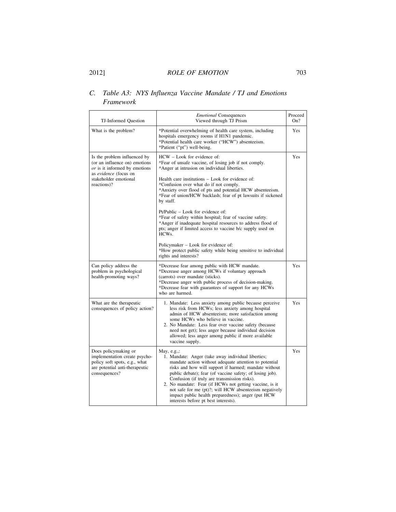## *C. Table A3: NYS Influenza Vaccine Mandate / TJ and Emotions Framework*

| TJ-Informed Question                                                                                                                                              | <b>Emotional Consequences</b><br>Viewed through TJ Prism                                                                                                                                                                                                                                                                                                                                                                                                                                                                                                                                                                                                                                                                                  | Proceed<br>On? |  |  |
|-------------------------------------------------------------------------------------------------------------------------------------------------------------------|-------------------------------------------------------------------------------------------------------------------------------------------------------------------------------------------------------------------------------------------------------------------------------------------------------------------------------------------------------------------------------------------------------------------------------------------------------------------------------------------------------------------------------------------------------------------------------------------------------------------------------------------------------------------------------------------------------------------------------------------|----------------|--|--|
| What is the problem?                                                                                                                                              | *Potential overwhelming of health care system, including<br>hospitals emergency rooms if H1N1 pandemic.<br>*Potential health care worker ("HCW") absenteeism.<br>*Patient ("pt") well-being.                                                                                                                                                                                                                                                                                                                                                                                                                                                                                                                                              | Yes            |  |  |
| Is the problem influenced by<br>(or an influence on) emotions<br>$or$ is it informed by emotions<br>as evidence (focus on<br>stakeholder emotional<br>reactions)? | HCW - Look for evidence of:<br>*Fear of unsafe vaccine, of losing job if not comply.<br>*Anger at intrusion on individual liberties.<br>Health care institutions – Look for evidence of:<br>*Confusion over what do if not comply.<br>*Anxiety over flood of pts and potential HCW absenteeism.<br>*Fear of union/HCW backlash; fear of pt lawsuits if sickened<br>by staff.<br>Pt/Public – Look for evidence of:<br>*Fear of safety within hospital; fear of vaccine safety.<br>*Anger if inadequate hospital resources to address flood of<br>pts; anger if limited access to vaccine b/c supply used on<br>HCW <sub>s</sub> .<br>Policymaker – Look for evidence of:<br>*How protect public safety while being sensitive to individual | Yes            |  |  |
| Can policy address the<br>problem in psychological<br>health-promoting ways?                                                                                      | rights and interests?<br>*Decrease fear among public with HCW mandate.<br>*Decrease anger among HCWs if voluntary approach<br>(carrots) over mandate (sticks).<br>*Decrease anger with public process of decision-making.                                                                                                                                                                                                                                                                                                                                                                                                                                                                                                                 | Yes            |  |  |
|                                                                                                                                                                   | *Decrease fear with guarantees of support for any HCWs<br>who are harmed.                                                                                                                                                                                                                                                                                                                                                                                                                                                                                                                                                                                                                                                                 |                |  |  |
| What are the therapeutic<br>consequences of policy action?                                                                                                        | 1. Mandate: Less anxiety among public because perceive<br>less risk from HCWs; less anxiety among hospital<br>admin of HCW absenteeism; more satisfaction among<br>some HCWs who believe in vaccine.<br>2. No Mandate: Less fear over vaccine safety (because<br>need not get); less anger because individual decision<br>allowed; less anger among public if more available<br>vaccine supply.                                                                                                                                                                                                                                                                                                                                           | Yes            |  |  |
| Does policymaking or<br>implementation create psycho-<br>policy soft spots, e.g., what<br>are potential anti-therapeutic<br>consequences?                         | May, $e.g.,:$<br>1. Mandate: Anger (take away individual liberties;<br>mandate action without adequate attention to potential<br>risks and how will support if harmed; mandate without<br>public debate); fear (of vaccine safety; of losing job).<br>Confusion (if truly are transmission risks).<br>2. No mandate: Fear (if HCWs not getting vaccine, is it<br>not safe for me (pt)?; will HCW absenteeism negatively<br>impact public health preparedness); anger (put HCW)<br>interests before pt best interests).                                                                                                                                                                                                                    | Yes            |  |  |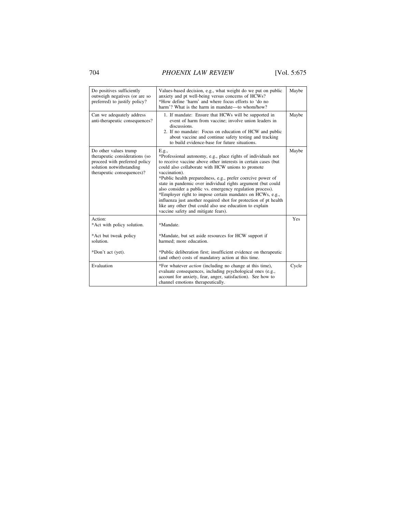# 704 *PHOENIX LAW REVIEW* [Vol. 5:675

| Do positives sufficiently<br>outweigh negatives (or are so<br>preferred) to justify policy?                                                        | Values-based decision, e.g., what weight do we put on public<br>anxiety and pt well-being versus concerns of HCWs?<br>*How define 'harm' and where focus efforts to 'do no<br>harm'? What is the harm in mandate—to whom/how?                                                                                                                                                                                                                                                                                                                                                                                                                 | Maybe |
|----------------------------------------------------------------------------------------------------------------------------------------------------|-----------------------------------------------------------------------------------------------------------------------------------------------------------------------------------------------------------------------------------------------------------------------------------------------------------------------------------------------------------------------------------------------------------------------------------------------------------------------------------------------------------------------------------------------------------------------------------------------------------------------------------------------|-------|
| Can we adequately address<br>anti-therapeutic consequences?                                                                                        | 1. If mandate: Ensure that HCWs will be supported in<br>event of harm from vaccine; involve union leaders in<br>discussions.<br>2. If no mandate: Focus on education of HCW and public<br>about vaccine and continue safety testing and tracking<br>to build evidence-base for future situations.                                                                                                                                                                                                                                                                                                                                             | Maybe |
| Do other values trump<br>therapeutic considerations (so<br>proceed with preferred policy<br>solution notwithstanding<br>therapeutic consequences)? | E.g.,<br>*Professional autonomy, e.g., place rights of individuals not<br>to receive vaccine above other interests in certain cases (but<br>could also collaborate with HCW unions to promote<br>vaccination).<br>*Public health preparedness, e.g., prefer coercive power of<br>state in pandemic over individual rights argument (but could<br>also consider a public vs. emergency regulation process).<br>*Employer right to impose certain mandates on HCWs, e.g.,<br>influenza just another required shot for protection of pt health<br>like any other (but could also use education to explain<br>vaccine safety and mitigate fears). | Maybe |
| Action:<br>*Act with policy solution.<br>*Act but tweak policy<br>solution.                                                                        | *Mandate.<br>*Mandate, but set aside resources for HCW support if<br>harmed: more education.                                                                                                                                                                                                                                                                                                                                                                                                                                                                                                                                                  | Yes   |
| *Don't act (yet).                                                                                                                                  | *Public deliberation first; insufficient evidence on therapeutic<br>(and other) costs of mandatory action at this time.                                                                                                                                                                                                                                                                                                                                                                                                                                                                                                                       |       |
| Evaluation                                                                                                                                         | *For whatever <i>action</i> (including no change at this time),<br>evaluate consequences, including psychological ones (e.g.,<br>account for anxiety, fear, anger, satisfaction). See how to<br>channel emotions therapeutically.                                                                                                                                                                                                                                                                                                                                                                                                             | Cycle |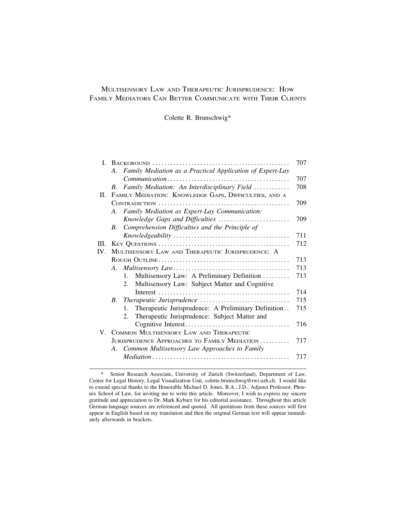## MULTISENSORY LAW AND THERAPEUTIC JURISPRUDENCE: HOW FAMILY MEDIATORS CAN BETTER COMMUNICATE WITH THEIR CLIENTS

Colette R. Brunschwig\*

| L    |                                                                 | 707 |
|------|-----------------------------------------------------------------|-----|
|      | Family Mediation as a Practical Application of Expert-Lay<br>A. |     |
|      |                                                                 | 707 |
|      | Family Mediation: An Interdisciplinary Field<br>B.              | 708 |
| П.   | FAMILY MEDIATION: KNOWLEDGE GAPS, DIFFICULTIES, AND A           |     |
|      |                                                                 | 709 |
|      | A. Family Mediation as Expert-Lay Communication:                |     |
|      | Knowledge Gaps and Difficulties                                 | 709 |
|      | Comprehension Difficulties and the Principle of<br>В.           |     |
|      |                                                                 | 711 |
| III. |                                                                 | 712 |
| IV.  | MULTISENSORY LAW AND THERAPEUTIC JURISPRUDENCE: A               |     |
|      |                                                                 | 713 |
|      |                                                                 | 713 |
|      | Multisensory Law: A Preliminary Definition<br>$1_{-}$           | 713 |
|      | Multisensory Law: Subject Matter and Cognitive<br>2.            |     |
|      |                                                                 | 714 |
|      |                                                                 | 715 |
|      | Therapeutic Jurisprudence: A Preliminary Definition<br>$1_{-}$  | 715 |
|      | Therapeutic Jurisprudence: Subject Matter and<br>2.             |     |
|      |                                                                 | 716 |
|      | V. COMMON MULTISENSORY LAW AND THERAPEUTIC                      |     |
|      | JURISPRUDENCE APPROACHES TO FAMILY MEDIATION                    | 717 |
|      | Common Multisensory Law Approaches to Family<br>A.              |     |
|      |                                                                 | 717 |
|      |                                                                 |     |

<sup>\*</sup> Senior Research Associate, University of Zurich (Switzerland), Department of Law, Center for Legal History, Legal Visualization Unit, colette.brunschwig@rwi.uzh.ch. I would like to extend special thanks to the Honorable Michael D. Jones, B.A., J.D., Adjunct Professor, Phoenix School of Law, for inviting me to write this article. Moreover, I wish to express my sincere gratitude and appreciation to Dr. Mark Kyburz for his editorial assistance. Throughout this article German-language sources are referenced and quoted. All quotations from these sources will first appear in English based on my translation and then the original German text will appear immediately afterwards in brackets.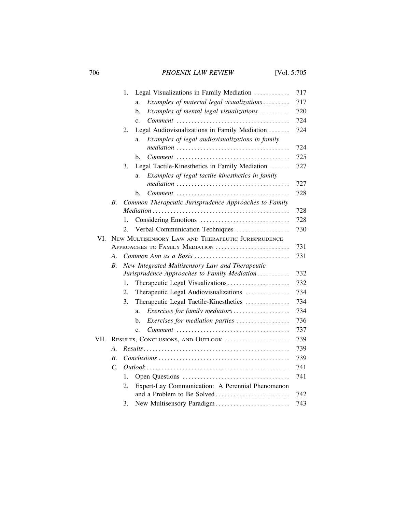# 706 *PHOENIX LAW REVIEW* [Vol. 5:705

|      |                                                       | 1. | Legal Visualizations in Family Mediation                                                      | 717 |
|------|-------------------------------------------------------|----|-----------------------------------------------------------------------------------------------|-----|
|      |                                                       |    | Examples of material legal visualizations<br>a.                                               | 717 |
|      |                                                       |    | Examples of mental legal visualizations<br>b.                                                 | 720 |
|      |                                                       |    | $\mathbf{c}$ .                                                                                | 724 |
|      |                                                       | 2. | Legal Audiovisualizations in Family Mediation                                                 | 724 |
|      |                                                       |    | Examples of legal audiovisualizations in family<br>a.                                         |     |
|      |                                                       |    |                                                                                               | 724 |
|      |                                                       |    | $Comment \dots \dots \dots \dots \dots \dots \dots \dots \dots \dots \dots \dots \dots$<br>b. | 725 |
|      |                                                       | 3. | Legal Tactile-Kinesthetics in Family Mediation                                                | 727 |
|      |                                                       |    | Examples of legal tactile-kinesthetics in family<br>a.                                        |     |
|      |                                                       |    |                                                                                               | 727 |
|      |                                                       |    | $Comment \dots \dots \dots \dots \dots \dots \dots \dots \dots \dots \dots \dots \dots$<br>b. | 728 |
|      | B.                                                    |    | Common Therapeutic Jurisprudence Approaches to Family                                         |     |
|      |                                                       |    |                                                                                               | 728 |
|      |                                                       | 1. |                                                                                               | 728 |
|      |                                                       | 2. | Verbal Communication Techniques                                                               | 730 |
| VI.  | NEW MULTISENSORY LAW AND THERAPEUTIC JURISPRUDENCE    |    |                                                                                               |     |
|      |                                                       |    | APPROACHES TO FAMILY MEDIATION                                                                | 731 |
|      | А.                                                    |    |                                                                                               | 731 |
|      | New Integrated Multisensory Law and Therapeutic<br>В. |    |                                                                                               |     |
|      |                                                       |    | Jurisprudence Approaches to Family Mediation                                                  | 732 |
|      |                                                       | 1. | Therapeutic Legal Visualizations                                                              | 732 |
|      |                                                       | 2. | Therapeutic Legal Audiovisualizations                                                         | 734 |
|      |                                                       | 3. | Therapeutic Legal Tactile-Kinesthetics                                                        | 734 |
|      |                                                       |    | Exercises for family mediators<br>a.                                                          | 734 |
|      |                                                       |    | Exercises for mediation parties<br>b.                                                         | 736 |
|      |                                                       |    | c.                                                                                            | 737 |
| VII. |                                                       |    | RESULTS, CONCLUSIONS, AND OUTLOOK                                                             | 739 |
|      | A.                                                    |    |                                                                                               | 739 |
|      | B.                                                    |    |                                                                                               | 739 |
|      | $\mathcal{C}$ .                                       |    |                                                                                               | 741 |
|      |                                                       | 1. |                                                                                               | 741 |
|      |                                                       | 2. | Expert-Lay Communication: A Perennial Phenomenon                                              |     |
|      |                                                       |    |                                                                                               | 742 |
|      |                                                       | 3. | New Multisensory Paradigm                                                                     | 743 |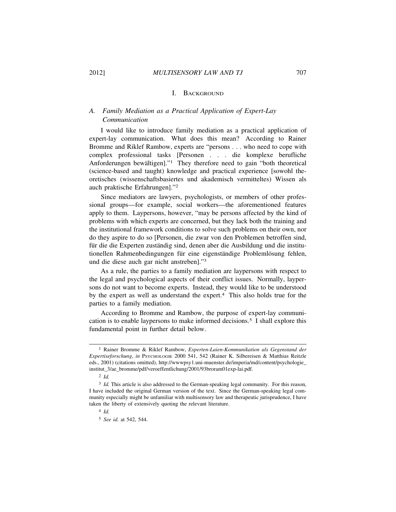### I. BACKGROUND

## *A. Family Mediation as a Practical Application of Expert-Lay Communication*

I would like to introduce family mediation as a practical application of expert-lay communication. What does this mean? According to Rainer Bromme and Riklef Rambow, experts are "persons . . . who need to cope with complex professional tasks [Personen . . . die komplexe berufliche Anforderungen bewältigen]." $\frac{1}{1}$  They therefore need to gain "both theoretical (science-based and taught) knowledge and practical experience [sowohl theoretisches (wissenschaftsbasiertes und akademisch vermitteltes) Wissen als auch praktische Erfahrungen]."<sup>2</sup>

Since mediators are lawyers, psychologists, or members of other professional groups—for example, social workers—the aforementioned features apply to them. Laypersons, however, "may be persons affected by the kind of problems with which experts are concerned, but they lack both the training and the institutional framework conditions to solve such problems on their own, nor do they aspire to do so [Personen, die zwar von den Problemen betroffen sind, für die die Experten zuständig sind, denen aber die Ausbildung und die institutionellen Rahmenbedingungen für eine eigenständige Problemlösung fehlen, und die diese auch gar nicht anstreben]."3

As a rule, the parties to a family mediation are laypersons with respect to the legal and psychological aspects of their conflict issues. Normally, laypersons do not want to become experts. Instead, they would like to be understood by the expert as well as understand the expert.4 This also holds true for the parties to a family mediation.

According to Bromme and Rambow, the purpose of expert-lay communication is to enable laypersons to make informed decisions.5 I shall explore this fundamental point in further detail below.

<sup>1</sup> Rainer Bromme & Riklef Rambow, *Experten-Laien-Kommunikation als Gegenstand der Expertiseforschung*, *in* PSYCHOLOGIE 2000 541, 542 (Rainer K. Silbereisen & Matthias Reitzle eds., 2001) (citations omitted), http://wwwpsy1.uni-muenster.de/imperia/md/content/psychologie\_ institut\_3/ae\_bromme/pdf/veroeffentlichung/2001/93broram01exp-lai.pdf.

<sup>2</sup> *Id.*

<sup>&</sup>lt;sup>3</sup> *Id.* This article is also addressed to the German-speaking legal community. For this reason, I have included the original German version of the text. Since the German-speaking legal community especially might be unfamiliar with multisensory law and therapeutic jurisprudence, I have taken the liberty of extensively quoting the relevant literature.

<sup>4</sup> *Id.*

<sup>5</sup> *See id.* at 542, 544.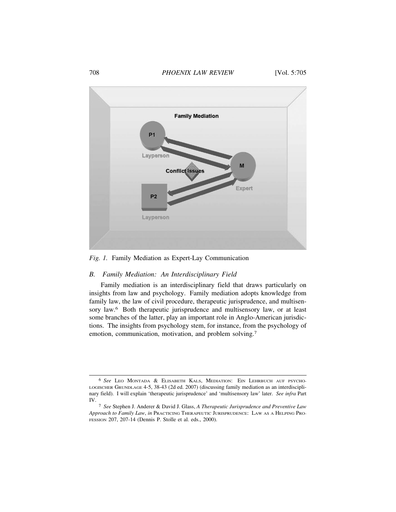### 708 *PHOENIX LAW REVIEW* [Vol. 5:705



*Fig. 1.* Family Mediation as Expert-Lay Communication

### *B. Family Mediation: An Interdisciplinary Field*

Family mediation is an interdisciplinary field that draws particularly on insights from law and psychology. Family mediation adopts knowledge from family law, the law of civil procedure, therapeutic jurisprudence, and multisensory law.<sup>6</sup> Both therapeutic jurisprudence and multisensory law, or at least some branches of the latter, play an important role in Anglo-American jurisdictions. The insights from psychology stem, for instance, from the psychology of emotion, communication, motivation, and problem solving.<sup>7</sup>

<sup>6</sup> *See* LEO MONTADA & ELISABETH KALS, MEDIATION: EIN LEHRBUCH AUF PSYCHO-LOGISCHER GRUNDLAGE 4-5, 38-43 (2d ed. 2007) (discussing family mediation as an interdisciplinary field). I will explain 'therapeutic jurisprudence' and 'multisensory law' later. *See infra* Part IV.

<sup>7</sup> *See* Stephen J. Anderer & David J. Glass, *A Therapeutic Jurisprudence and Preventive Law Approach to Family Law*, *in* PRACTICING THERAPEUTIC JURISPRUDENCE: LAW AS A HELPING PRO-FESSION 207, 207-14 (Dennis P. Stolle et al. eds., 2000).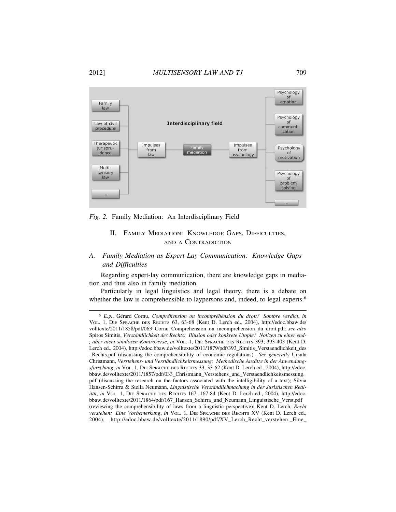#### 2012] *MULTISENSORY LAW AND TJ* 709



*Fig. 2.* Family Mediation: An Interdisciplinary Field

## II. FAMILY MEDIATION: KNOWLEDGE GAPS, DIFFICULTIES, AND A CONTRADICTION

## *A. Family Mediation as Expert-Lay Communication: Knowledge Gaps and Difficulties*

Regarding expert-lay communication, there are knowledge gaps in mediation and thus also in family mediation.

Particularly in legal linguistics and legal theory, there is a debate on whether the law is comprehensible to laypersons and, indeed, to legal experts.<sup>8</sup>

<sup>8</sup> *E.g.*, Gérard Cornu, *Compréhension ou incompréhension du droit? Sombre verdict, in* VOL. 1, DIE SPRACHE DES RECHTS 63, 63-68 (Kent D. Lerch ed., 2004), http://edoc.bbaw.de/ volltexte/2011/1858/pdf/063\_Cornu\_Comprehension\_ou\_incomprehension\_du\_droit.pdf; *see also* Spiros Simitis, Verständlichkeit des Rechts: Illusion oder konkrete Utopie? Notizen zu einer end-*, aber nicht sinnlosen Kontroverse*, *in* VOL. 1, DIE SPRACHE DES RECHTS 393, 393-403 (Kent D. Lerch ed., 2004), http://edoc.bbaw.de/volltexte/2011/1879/pdf/393\_Simitis\_Verstaendlichkeit\_des \_Rechts.pdf (discussing the comprehensibility of economic regulations). *See generally* Ursula Christmann, Verstehens- und Verständlichkeitsmessung: Methodische Ansätze in der Anwendung*sforschung*, *in* VOL. 1, DIE SPRACHE DES RECHTS 33, 33-62 (Kent D. Lerch ed., 2004), http://edoc. bbaw.de/volltexte/2011/1857/pdf/033\_Christmann\_Verstehens\_und\_Verstaendlichkeitsmessung. pdf (discussing the research on the factors associated with the intelligibility of a text); Silvia Hansen-Schirra & Stella Neumann, *Linguistische Verständlichmachung in der Juristischen Realität*, *in* VOL. 1, DIE SPRACHE DES RECHTS 167, 167-84 (Kent D. Lerch ed., 2004), http://edoc. bbaw.de/volltexte/2011/1864/pdf/167\_Hansen\_Schirra\_und\_Neumann\_Linguistische\_Verst.pdf (reviewing the comprehensibility of laws from a linguistic perspective); Kent D. Lerch, *Recht verstehen: Eine Vorbemerkung*, *in* VOL. 1, DIE SPRACHE DES RECHTS XV (Kent D. Lerch ed., 2004), http://edoc.bbaw.de/volltexte/2011/1890/pdf/XV\_Lerch\_Recht\_verstehen.\_Eine\_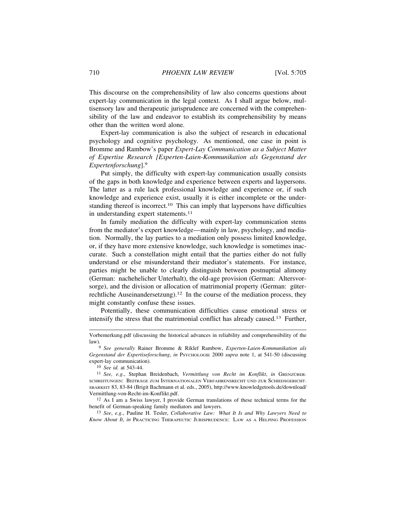This discourse on the comprehensibility of law also concerns questions about expert-lay communication in the legal context. As I shall argue below, multisensory law and therapeutic jurisprudence are concerned with the comprehensibility of the law and endeavor to establish its comprehensibility by means other than the written word alone.

Expert-lay communication is also the subject of research in educational psychology and cognitive psychology. As mentioned, one case in point is Bromme and Rambow's paper *Expert-Lay Communication as a Subject Matter of Expertise Research [Experten-Laien-Kommunikation als Gegenstand der Expertenforschung*].<sup>9</sup>

Put simply, the difficulty with expert-lay communication usually consists of the gaps in both knowledge and experience between experts and laypersons. The latter as a rule lack professional knowledge and experience or, if such knowledge and experience exist, usually it is either incomplete or the understanding thereof is incorrect.<sup>10</sup> This can imply that laypersons have difficulties in understanding expert statements.<sup>11</sup>

In family mediation the difficulty with expert-lay communication stems from the mediator's expert knowledge—mainly in law, psychology, and mediation. Normally, the lay parties to a mediation only possess limited knowledge, or, if they have more extensive knowledge, such knowledge is sometimes inaccurate. Such a constellation might entail that the parties either do not fully understand or else misunderstand their mediator's statements. For instance, parties might be unable to clearly distinguish between postnuptial alimony (German: nachehelicher Unterhalt), the old-age provision (German: Altersvorsorge), and the division or allocation of matrimonial property (German: güterrechtliche Auseinandersetzung).12 In the course of the mediation process, they might constantly confuse these issues.

Potentially, these communication difficulties cause emotional stress or intensify the stress that the matrimonial conflict has already caused.13 Further,

13 *See*, *e.g.*, Pauline H. Tesler, *Collaborative Law: What It Is and Why Lawyers Need to Know About It*, *in* PRACTICING THERAPEUTIC JURISPRUDENCE: LAW AS A HELPING PROFESSION

Vorbemerkung.pdf (discussing the historical advances in reliability and comprehensibility of the law).

<sup>9</sup> *See generally* Rainer Bromme & Riklef Rambow, *Experten-Laien-Kommunikation als Gegenstand der Expertiseforschung*, *in* PSYCHOLOGIE 2000 *supra* note 1, at 541-50 (discussing expert-lay communication).

<sup>10</sup> *See id.* at 543-44.

<sup>&</sup>lt;sup>11</sup> *See*, e.g., Stephan Breidenbach, *Vermittlung von Recht im Konflikt*, *in* GRENZÜBER-SCHREITUNGEN: BEITRÄGE ZUM INTERNATIONALEN VERFAHRENSRECHT UND ZUR SCHIEDSGERICHT-SBARKEIT 83, 83-84 (Brigit Bachmann et al. eds., 2005), http://www.knowledgetools.de/download/ Vermittlung-von-Recht-im-Konflikt.pdf.

<sup>12</sup> As I am a Swiss lawyer, I provide German translations of these technical terms for the benefit of German-speaking family mediators and lawyers.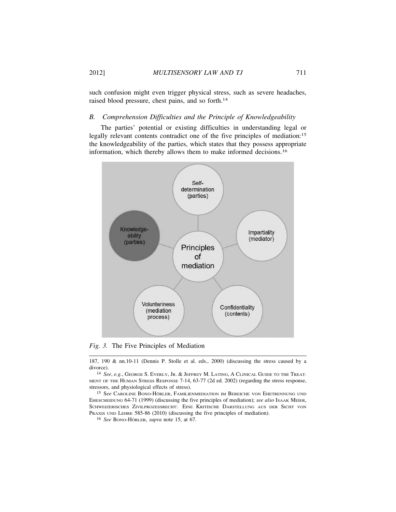such confusion might even trigger physical stress, such as severe headaches, raised blood pressure, chest pains, and so forth.<sup>14</sup>

## *B. Comprehension Difficulties and the Principle of Knowledgeability*

The parties' potential or existing difficulties in understanding legal or legally relevant contents contradict one of the five principles of mediation:<sup>15</sup> the knowledgeability of the parties, which states that they possess appropriate information, which thereby allows them to make informed decisions.<sup>16</sup>



*Fig. 3.* The Five Principles of Mediation

187, 190 & nn.10-11 (Dennis P. Stolle et al. eds., 2000) (discussing the stress caused by a divorce).

14 *See*, *e.g.*, GEORGE S. EVERLY, JR. & JEFFREY M. LATING, A CLINICAL GUIDE TO THE TREAT-MENT OF THE HUMAN STRESS RESPONSE 7-14, 63-77 (2d ed. 2002) (regarding the stress response, stressors, and physiological effects of stress).

<sup>15</sup> See Caroline Bono-Hörler, Familienmediation im Bereiche von Ehetrennung und EHESCHEIDUNG 64-71 (1999) (discussing the five principles of mediation); *see also* ISAAK MEIER, SCHWEIZERISCHES ZIVILPROZESSRECHT: EINE KRITISCHE DARSTELLUNG AUS DER SICHT VON PRAXIS UND LEHRE 585-86 (2010) (discussing the five principles of mediation).

<sup>16</sup> See BONO-HÖRLER, *supra* note 15, at 67.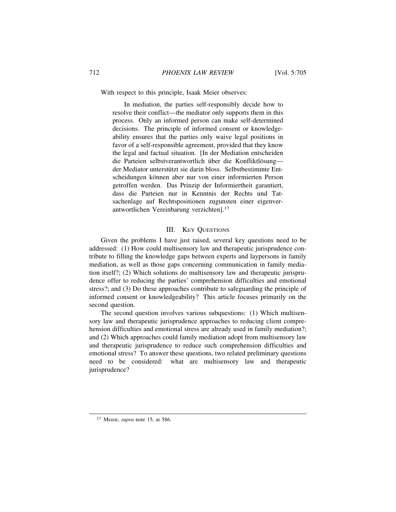With respect to this principle, Isaak Meier observes:

In mediation, the parties self-responsibly decide how to resolve their conflict—the mediator only supports them in this process. Only an informed person can make self-determined decisions. The principle of informed consent or knowledgeability ensures that the parties only waive legal positions in favor of a self-responsible agreement, provided that they know the legal and factual situation. [In der Mediation entscheiden die Parteien selbstverantwortlich über die Konfliktlösungder Mediator unterstützt sie darin bloss. Selbstbestimmte Entscheidungen können aber nur von einer informierten Person getroffen werden. Das Prinzip der Informiertheit garantiert, dass die Parteien nur in Kenntnis der Rechts und Tatsachenlage auf Rechtspositionen zugunsten einer eigenverantwortlichen Vereinbarung verzichten].<sup>17</sup>

### III. KEY QUESTIONS

Given the problems I have just raised, several key questions need to be addressed: (1) How could multisensory law and therapeutic jurisprudence contribute to filling the knowledge gaps between experts and laypersons in family mediation, as well as those gaps concerning communication in family mediation itself?; (2) Which solutions do multisensory law and therapeutic jurisprudence offer to reducing the parties' comprehension difficulties and emotional stress?; and (3) Do these approaches contribute to safeguarding the principle of informed consent or knowledgeability? This article focuses primarily on the second question.

The second question involves various subquestions: (1) Which multisensory law and therapeutic jurisprudence approaches to reducing client comprehension difficulties and emotional stress are already used in family mediation?; and (2) Which approaches could family mediation adopt from multisensory law and therapeutic jurisprudence to reduce such comprehension difficulties and emotional stress? To answer these questions, two related preliminary questions need to be considered: what are multisensory law and therapeutic jurisprudence?

<sup>17</sup> MEIER, *supra* note 15, at 586.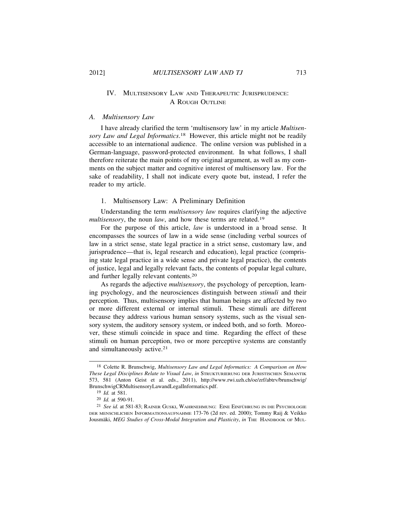## IV. MULTISENSORY LAW AND THERAPEUTIC JURISPRUDENCE: A ROUGH OUTLINE

### *A. Multisensory Law*

I have already clarified the term 'multisensory law' in my article *Multisensory Law and Legal Informatics*. 18 However, this article might not be readily accessible to an international audience. The online version was published in a German-language, password-protected environment. In what follows, I shall therefore reiterate the main points of my original argument, as well as my comments on the subject matter and cognitive interest of multisensory law. For the sake of readability, I shall not indicate every quote but, instead, I refer the reader to my article.

### 1. Multisensory Law: A Preliminary Definition

Understanding the term *multisensory law* requires clarifying the adjective *multisensory*, the noun *law*, and how these terms are related.<sup>19</sup>

For the purpose of this article, *law* is understood in a broad sense. It encompasses the sources of law in a wide sense (including verbal sources of law in a strict sense, state legal practice in a strict sense, customary law, and jurisprudence—that is, legal research and education), legal practice (comprising state legal practice in a wide sense and private legal practice), the contents of justice, legal and legally relevant facts, the contents of popular legal culture, and further legally relevant contents.<sup>20</sup>

As regards the adjective *multisensory*, the psychology of perception, learning psychology, and the neurosciences distinguish between *stimuli* and their perception. Thus, multisensory implies that human beings are affected by two or more different external or internal stimuli. These stimuli are different because they address various human sensory systems, such as the visual sensory system, the auditory sensory system, or indeed both, and so forth. Moreover, these stimuli coincide in space and time. Regarding the effect of these stimuli on human perception, two or more perceptive systems are constantly and simultaneously active.<sup>21</sup>

<sup>18</sup> Colette R. Brunschwig, *Multisensory Law and Legal Informatics: A Comparison on How These Legal Disciplines Relate to Visual Law*, *in* STRUKTURIERUNG DER JURISTISCHEN SEMANTIK 573, 581 (Anton Geist et al. eds., 2011), http://www.rwi.uzh.ch/oe/zrf/abtrv/brunschwig/ BrunschwigCRMultisensoryLawandLegalInformatics.pdf.

<sup>19</sup> *Id.* at 581.

<sup>20</sup> *Id.* at 590-91.

<sup>&</sup>lt;sup>21</sup> See id. at 581-83; RAINER GUSKI, WAHRNEHMUNG: EINE EINFÜHRUNG IN DIE PSYCHOLOGIE DER MENSCHLICHEN INFORMATIONSAUFNAHME 173-76 (2d rev. ed. 2000); Tommy Raij & Veikko Jousmäki, *MEG Studies of Cross-Modal Integration and Plasticity*, *in* THE HANDBOOK OF MUL-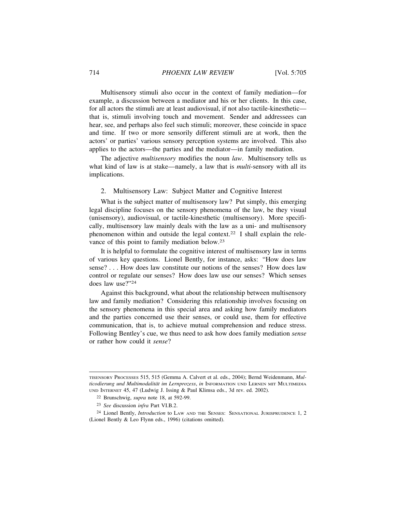Multisensory stimuli also occur in the context of family mediation—for example, a discussion between a mediator and his or her clients. In this case, for all actors the stimuli are at least audiovisual, if not also tactile-kinesthetic that is, stimuli involving touch and movement. Sender and addressees can hear, see, and perhaps also feel such stimuli; moreover, these coincide in space and time. If two or more sensorily different stimuli are at work, then the actors' or parties' various sensory perception systems are involved. This also applies to the actors—the parties and the mediator—in family mediation.

The adjective *multisensory* modifies the noun *law*. Multisensory tells us what kind of law is at stake—namely, a law that is *multi*-sensory with all its implications.

#### 2. Multisensory Law: Subject Matter and Cognitive Interest

What is the subject matter of multisensory law? Put simply, this emerging legal discipline focuses on the sensory phenomena of the law, be they visual (unisensory), audiovisual, or tactile-kinesthetic (multisensory). More specifically, multisensory law mainly deals with the law as a uni- and multisensory phenomenon within and outside the legal context.22 I shall explain the relevance of this point to family mediation below.<sup>23</sup>

It is helpful to formulate the cognitive interest of multisensory law in terms of various key questions. Lionel Bently, for instance, asks: "How does law sense? . . . How does law constitute our notions of the senses? How does law control or regulate our senses? How does law use our senses? Which senses does law use?"<sup>24</sup>

Against this background, what about the relationship between multisensory law and family mediation? Considering this relationship involves focusing on the sensory phenomena in this special area and asking how family mediators and the parties concerned use their senses, or could use, them for effective communication, that is, to achieve mutual comprehension and reduce stress. Following Bentley's cue, we thus need to ask how does family mediation *sense* or rather how could it *sense*?

TISENSORY PROCESSES 515, 515 (Gemma A. Calvert et al. eds., 2004); Bernd Weidenmann, *Multicodierung und Multimodalität im Lernprozess*, *in* INFORMATION UND LERNEN MIT MULTIMEDIA UND INTERNET 45, 47 (Ludwig J. Issing & Paul Klimsa eds., 3d rev. ed. 2002).

<sup>22</sup> Brunschwig, *supra* note 18, at 592-99.

<sup>23</sup> *See* discussion *infra* Part VI.B.2.

<sup>24</sup> Lionel Bently, *Introduction* to LAW AND THE SENSES: SENSATIONAL JURISPRUDENCE 1, 2 (Lionel Bently & Leo Flynn eds., 1996) (citations omitted).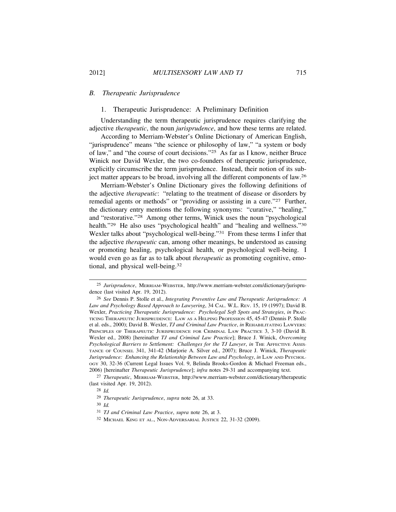## *B. Therapeutic Jurisprudence*

## 1. Therapeutic Jurisprudence: A Preliminary Definition

Understanding the term therapeutic jurisprudence requires clarifying the adjective *therapeutic*, the noun *jurisprudence*, and how these terms are related.

According to Merriam-Webster's Online Dictionary of American English, "jurisprudence" means "the science or philosophy of law," "a system or body of law," and "the course of court decisions."25 As far as I know, neither Bruce Winick nor David Wexler, the two co-founders of therapeutic jurisprudence, explicitly circumscribe the term jurisprudence. Instead, their notion of its subject matter appears to be broad, involving all the different components of law.<sup>26</sup>

Merriam-Webster's Online Dictionary gives the following definitions of the adjective *therapeutic*: "relating to the treatment of disease or disorders by remedial agents or methods" or "providing or assisting in a cure."27 Further, the dictionary entry mentions the following synonyms: "curative," "healing," and "restorative."28 Among other terms, Winick uses the noun "psychological health."<sup>29</sup> He also uses "psychological health" and "healing and wellness."<sup>30</sup> Wexler talks about "psychological well-being."<sup>31</sup> From these terms I infer that the adjective *therapeutic* can, among other meanings, be understood as causing or promoting healing, psychological health, or psychological well-being. I would even go as far as to talk about *therapeutic* as promoting cognitive, emotional, and physical well-being.<sup>32</sup>

<sup>25</sup> *Jurisprudence*, MERRIAM-WEBSTER, http://www.merriam-webster.com/dictionary/jurisprudence (last visited Apr. 19, 2012).

<sup>26</sup> *See* Dennis P. Stolle et al., *Integrating Preventive Law and Therapeutic Jurisprudence: A Law and Psychology Based Approach to Lawyering*, 34 CAL. W.L. REV. 15, 19 (1997); David B. Wexler, *Practicing Therapeutic Jurisprudence: Psycholegal Soft Spots and Strategies*, *in* PRAC-TICING THERAPEUTIC JURISPRUDENCE: LAW AS A HELPING PROFESSION 45, 45-47 (Dennis P. Stolle et al. eds., 2000); David B. Wexler, *TJ and Criminal Law Practice*, *in* REHABILITATING LAWYERS: PRINCIPLES OF THERAPEUTIC JURISPRUDENCE FOR CRIMINAL LAW PRACTICE 3, 3-10 (David B. Wexler ed., 2008) [hereinafter *TJ and Criminal Law Practice*]; Bruce J. Winick, *Overcoming Psychological Barriers to Settlement: Challenges for the TJ Lawyer*, *in* THE AFFECTIVE ASSIS-TANCE OF COUNSEL 341, 341-42 (Marjorie A. Silver ed., 2007); Bruce J. Winick, *Therapeutic Jurisprudence: Enhancing the Relationship Between Law and Psychology*, *in* LAW AND PSYCHOL-OGY 30, 32-36 (Current Legal Issues Vol. 9, Belinda Brooks-Gordon & Michael Freeman eds., 2006) [hereinafter *Therapeutic Jurisprudence*]; *infra* notes 29-31 and accompanying text.

<sup>27</sup> *Therapeutic*, MERRIAM-WEBSTER, http://www.merriam-webster.com/dictionary/therapeutic (last visited Apr. 19, 2012).

<sup>28</sup> *Id.*

<sup>29</sup> *Therapeutic Jurisprudence*, *supra* note 26, at 33.

<sup>30</sup> *Id.*

<sup>31</sup> *TJ and Criminal Law Practice*, *supra* note 26, at 3.

<sup>32</sup> MICHAEL KING ET AL., NON-ADVERSARIAL JUSTICE 22, 31-32 (2009).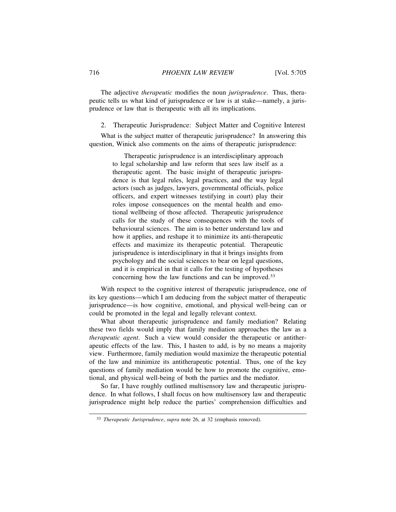The adjective *therapeutic* modifies the noun *jurisprudence*. Thus, therapeutic tells us what kind of jurisprudence or law is at stake—namely, a jurisprudence or law that is therapeutic with all its implications.

2. Therapeutic Jurisprudence: Subject Matter and Cognitive Interest

What is the subject matter of therapeutic jurisprudence? In answering this question, Winick also comments on the aims of therapeutic jurisprudence:

> Therapeutic jurisprudence is an interdisciplinary approach to legal scholarship and law reform that sees law itself as a therapeutic agent. The basic insight of therapeutic jurisprudence is that legal rules, legal practices, and the way legal actors (such as judges, lawyers, governmental officials, police officers, and expert witnesses testifying in court) play their roles impose consequences on the mental health and emotional wellbeing of those affected. Therapeutic jurisprudence calls for the study of these consequences with the tools of behavioural sciences. The aim is to better understand law and how it applies, and reshape it to minimize its anti-therapeutic effects and maximize its therapeutic potential. Therapeutic jurisprudence is interdisciplinary in that it brings insights from psychology and the social sciences to bear on legal questions, and it is empirical in that it calls for the testing of hypotheses concerning how the law functions and can be improved.<sup>33</sup>

With respect to the cognitive interest of therapeutic jurisprudence, one of its key questions—which I am deducing from the subject matter of therapeutic jurisprudence—is how cognitive, emotional, and physical well-being can or could be promoted in the legal and legally relevant context.

What about therapeutic jurisprudence and family mediation? Relating these two fields would imply that family mediation approaches the law as a *therapeutic agent*. Such a view would consider the therapeutic or antitherapeutic effects of the law. This, I hasten to add, is by no means a majority view. Furthermore, family mediation would maximize the therapeutic potential of the law and minimize its antitherapeutic potential. Thus, one of the key questions of family mediation would be how to promote the cognitive, emotional, and physical well-being of both the parties and the mediator.

So far, I have roughly outlined multisensory law and therapeutic jurisprudence. In what follows, I shall focus on how multisensory law and therapeutic jurisprudence might help reduce the parties' comprehension difficulties and

<sup>33</sup> *Therapeutic Jurisprudence*, *supra* note 26, at 32 (emphasis removed).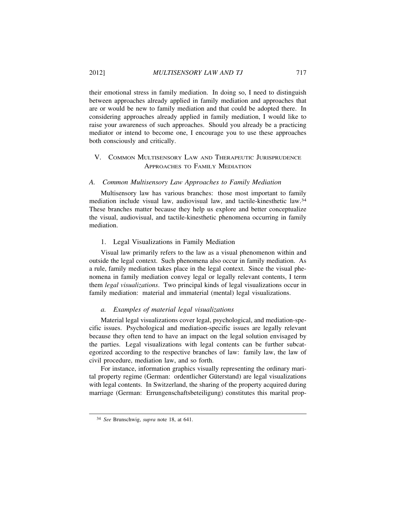their emotional stress in family mediation. In doing so, I need to distinguish between approaches already applied in family mediation and approaches that are or would be new to family mediation and that could be adopted there. In considering approaches already applied in family mediation, I would like to raise your awareness of such approaches. Should you already be a practicing mediator or intend to become one, I encourage you to use these approaches both consciously and critically.

## V. COMMON MULTISENSORY LAW AND THERAPEUTIC JURISPRUDENCE APPROACHES TO FAMILY MEDIATION

#### *A. Common Multisensory Law Approaches to Family Mediation*

Multisensory law has various branches: those most important to family mediation include visual law, audiovisual law, and tactile-kinesthetic law.<sup>34</sup> These branches matter because they help us explore and better conceptualize the visual, audiovisual, and tactile-kinesthetic phenomena occurring in family mediation.

## 1. Legal Visualizations in Family Mediation

Visual law primarily refers to the law as a visual phenomenon within and outside the legal context. Such phenomena also occur in family mediation. As a rule, family mediation takes place in the legal context. Since the visual phenomena in family mediation convey legal or legally relevant contents, I term them *legal visualizations*. Two principal kinds of legal visualizations occur in family mediation: material and immaterial (mental) legal visualizations.

## *a. Examples of material legal visualizations*

Material legal visualizations cover legal, psychological, and mediation-specific issues. Psychological and mediation-specific issues are legally relevant because they often tend to have an impact on the legal solution envisaged by the parties. Legal visualizations with legal contents can be further subcategorized according to the respective branches of law: family law, the law of civil procedure, mediation law, and so forth.

For instance, information graphics visually representing the ordinary marital property regime (German: ordentlicher Güterstand) are legal visualizations with legal contents. In Switzerland, the sharing of the property acquired during marriage (German: Errungenschaftsbeteiligung) constitutes this marital prop-

<sup>34</sup> *See* Brunschwig, *supra* note 18, at 641.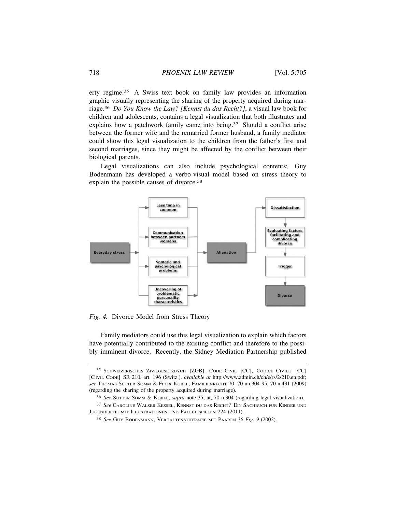erty regime.35 A Swiss text book on family law provides an information graphic visually representing the sharing of the property acquired during marriage.36 *Do You Know the Law? [Kennst du das Recht?]*, a visual law book for children and adolescents, contains a legal visualization that both illustrates and explains how a patchwork family came into being.<sup>37</sup> Should a conflict arise between the former wife and the remarried former husband, a family mediator could show this legal visualization to the children from the father's first and second marriages, since they might be affected by the conflict between their biological parents.

Legal visualizations can also include psychological contents; Guy Bodenmann has developed a verbo-visual model based on stress theory to explain the possible causes of divorce.<sup>38</sup>



*Fig. 4.* Divorce Model from Stress Theory

Family mediators could use this legal visualization to explain which factors have potentially contributed to the existing conflict and therefore to the possibly imminent divorce. Recently, the Sidney Mediation Partnership published

<sup>35</sup> SCHWEIZERISCHES ZIVILGESETZBYCH [ZGB], CODE CIVIL [CC], CODICE CIVILE [CC] [CIVIL CODE] SR 210, art. 196 (Switz.), *available at* http://www.admin.ch/ch/e/rs/2/210.en.pdf; *see* THOMAS SUTTER-SOMM & FELIX KOBEL, FAMILIENRECHT 70, 70 nn.304-95, 70 n.431 (2009) (regarding the sharing of the property acquired during marriage).

<sup>36</sup> *See* SUTTER-SOMM & KOBEL, *supra* note 35, at, 70 n.304 (regarding legal visualization).

<sup>37</sup> See CAROLINE WALSER KESSEL, KENNST DU DAS RECHT? EIN SACHBUCH FÜR KINDER UND JUGENDLICHE MIT ILLUSTRATIONEN UND FALLBEISPIELEN 224 (2011).

<sup>38</sup> *See* GUY BODENMANN, VERHALTENSTHERAPIE MIT PAAREN 36 *Fig. 9* (2002).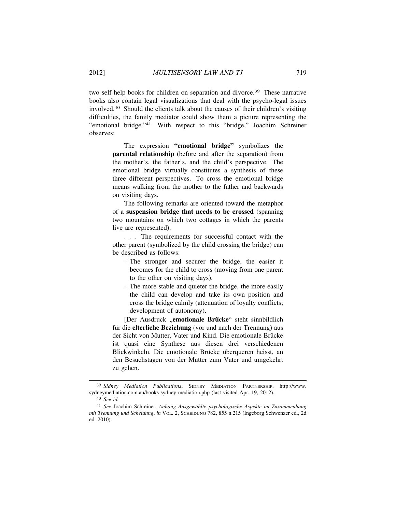two self-help books for children on separation and divorce.<sup>39</sup> These narrative books also contain legal visualizations that deal with the psycho-legal issues involved.40 Should the clients talk about the causes of their children's visiting difficulties, the family mediator could show them a picture representing the "emotional bridge."41 With respect to this "bridge," Joachim Schreiner observes:

> The expression **"emotional bridge"** symbolizes the **parental relationship** (before and after the separation) from the mother's, the father's, and the child's perspective. The emotional bridge virtually constitutes a synthesis of these three different perspectives. To cross the emotional bridge means walking from the mother to the father and backwards on visiting days.

> The following remarks are oriented toward the metaphor of a **suspension bridge that needs to be crossed** (spanning two mountains on which two cottages in which the parents live are represented).

> . . . The requirements for successful contact with the other parent (symbolized by the child crossing the bridge) can be described as follows:

- The stronger and securer the bridge, the easier it becomes for the child to cross (moving from one parent to the other on visiting days).
- The more stable and quieter the bridge, the more easily the child can develop and take its own position and cross the bridge calmly (attenuation of loyalty conflicts; development of autonomy).

[Der Ausdruck "emotionale Brücke" steht sinnbildlich für die **elterliche Beziehung** (vor und nach der Trennung) aus der Sicht von Mutter, Vater und Kind. Die emotionale Brücke ist quasi eine Synthese aus diesen drei verschiedenen Blickwinkeln. Die emotionale Brücke überqueren heisst, an den Besuchstagen von der Mutter zum Vater und umgekehrt zu gehen.

<sup>39</sup> *Sidney Mediation Publications*, SIDNEY MEDIATION PARTNERSHIP, http://www. sydneymediation.com.au/books-sydney-mediation.php (last visited Apr. 19, 2012).

<sup>40</sup> *See id.*

<sup>41</sup> *See* Joachim Schreiner, *Anhang Ausgew¨ahlte psychologische Aspekte im Zusammenhang mit Trennung und Scheidung*, *in* VOL. 2, SCHEIDUNG 782, 855 n.215 (Ingeborg Schwenzer ed., 2d ed. 2010).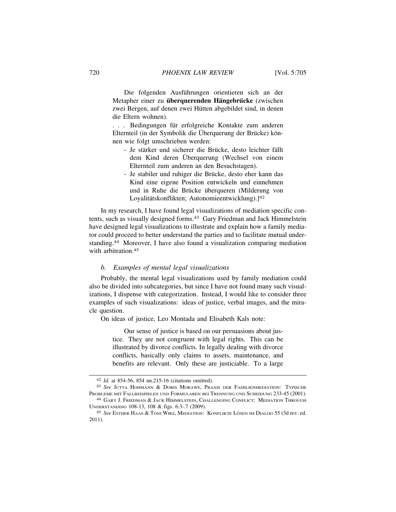Die folgenden Ausführungen orientieren sich an der **Metapher einer zu überquerenden Hängebrücke** (zwischen zwei Bergen, auf denen zwei Hütten abgebildet sind, in denen die Eltern wohnen).

... Bedingungen für erfolgreiche Kontakte zum anderen Elternteil (in der Symbolik die Überquerung der Brücke) können wie folgt umschrieben werden:

- Je stärker und sicherer die Brücke, desto leichter fällt dem Kind deren Überquerung (Wechsel von einem Elternteil zum anderen an den Besuchstagen).
- Je stabiler und ruhiger die Brücke, desto eher kann das Kind eine eigene Position entwickeln und einnehmen und in Ruhe die Brücke überqueren (Milderung von Loyalitätskonflikten; Autonomieentwicklung).]<sup>42</sup>

In my research, I have found legal visualizations of mediation specific contents, such as visually designed forms.<sup>43</sup> Gary Friedman and Jack Himmelstein have designed legal visualizations to illustrate and explain how a family mediator could proceed to better understand the parties and to facilitate mutual understanding.44 Moreover, I have also found a visualization comparing mediation with arbitration.<sup>45</sup>

### *b. Examples of mental legal visualizations*

Probably, the mental legal visualizations used by family mediation could also be divided into subcategories, but since I have not found many such visualizations, I dispense with categorization. Instead, I would like to consider three examples of such visualizations: ideas of justice, verbal images, and the miracle question.

On ideas of justice, Leo Montada and Elisabeth Kals note:

Our sense of justice is based on our persuasions about justice. They are not congruent with legal rights. This can be illustrated by divorce conflicts. In legally dealing with divorce conflicts, basically only claims to assets, maintenance, and benefits are relevant. Only these are justiciable. To a large

<sup>42</sup> *Id.* at 854-56, 854 nn.215-16 (citations omitted).

<sup>43</sup> *See* JUTTA HOHMANN & DORIS MORAWE, PRAXIS DER FAMILIENMEDIATION: TYPISCHE PROBLEME MIT FALLBEISPIELEN UND FORMULAREN BEI TRENNUNG UND SCHEIDUNG 233-45 (2001).

<sup>44</sup> GARY J. FRIEDMAN & JACK HIMMELSTEIN, CHALLENGING CONFLICT: MEDIATION THROUGH UNDERSTANDING 108-13, 108 & figs. 6.3-.7 (2009).

<sup>&</sup>lt;sup>45</sup> See ESTHER HAAS & TONI WIRZ, MEDIATION: KONFLIKTE LÖSEN IM DIALOG 55 (3d rev. ed. 2011).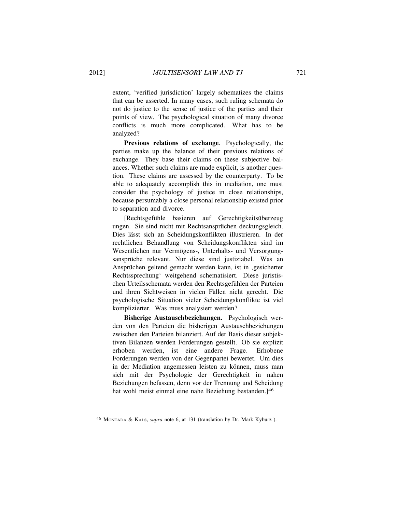extent, 'verified jurisdiction' largely schematizes the claims that can be asserted. In many cases, such ruling schemata do not do justice to the sense of justice of the parties and their points of view. The psychological situation of many divorce conflicts is much more complicated. What has to be analyzed?

**Previous relations of exchange**. Psychologically, the parties make up the balance of their previous relations of exchange. They base their claims on these subjective balances. Whether such claims are made explicit, is another question. These claims are assessed by the counterparty. To be able to adequately accomplish this in mediation, one must consider the psychology of justice in close relationships, because persumably a close personal relationship existed prior to separation and divorce.

[Rechtsgefühle basieren auf Gerechtigkeitsüberzeug] ungen. Sie sind nicht mit Rechtsansprüchen deckungsgleich. Dies lässt sich an Scheidungskonflikten illustrieren. In der rechtlichen Behandlung von Scheidungskonflikten sind im Wesentlichen nur Vermögens-, Unterhalts- und Versorgungsansprüche relevant. Nur diese sind justiziabel. Was an Ansprüchen geltend gemacht werden kann, ist in , gesicherter Rechtssprechung' weitgehend schematisiert. Diese juristischen Urteilsschemata werden den Rechtsgefühlen der Parteien und ihren Sichtweisen in vielen Fällen nicht gerecht. Die psychologische Situation vieler Scheidungskonflikte ist viel komplizierter. Was muss analysiert werden?

**Bisherige Austauschbeziehungen.** Psychologisch werden von den Parteien die bisherigen Austauschbeziehungen zwischen den Parteien bilanziert. Auf der Basis dieser subjektiven Bilanzen werden Forderungen gestellt. Ob sie explizit erhoben werden, ist eine andere Frage. Erhobene Forderungen werden von der Gegenpartei bewertet. Um dies in der Mediation angemessen leisten zu können, muss man sich mit der Psychologie der Gerechtigkeit in nahen Beziehungen befassen, denn vor der Trennung und Scheidung hat wohl meist einmal eine nahe Beziehung bestanden.]<sup>46</sup>

<sup>46</sup> MONTADA & KALS, *supra* note 6, at 131 (translation by Dr. Mark Kyburz ).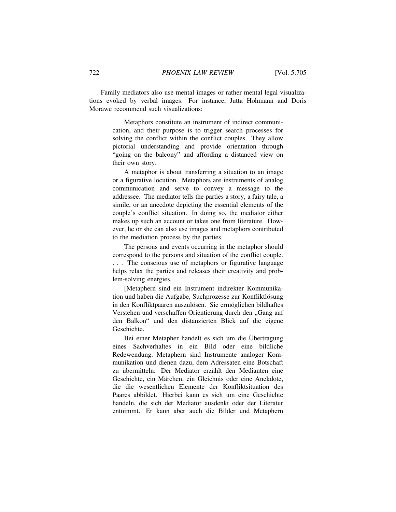Family mediators also use mental images or rather mental legal visualizations evoked by verbal images. For instance, Jutta Hohmann and Doris Morawe recommend such visualizations:

> Metaphors constitute an instrument of indirect communication, and their purpose is to trigger search processes for solving the conflict within the conflict couples. They allow pictorial understanding and provide orientation through "going on the balcony" and affording a distanced view on their own story.

> A metaphor is about transferring a situation to an image or a figurative locution. Metaphors are instruments of analog communication and serve to convey a message to the addressee. The mediator tells the parties a story, a fairy tale, a simile, or an anecdote depicting the essential elements of the couple's conflict situation. In doing so, the mediator either makes up such an account or takes one from literature. However, he or she can also use images and metaphors contributed to the mediation process by the parties.

> The persons and events occurring in the metaphor should correspond to the persons and situation of the conflict couple. . . . The conscious use of metaphors or figurative language helps relax the parties and releases their creativity and problem-solving energies.

> [Metaphern sind ein Instrument indirekter Kommunikation und haben die Aufgabe, Suchprozesse zur Konfliktlösung in den Konfliktpaaren auszulösen. Sie ermöglichen bildhaftes Verstehen und verschaffen Orientierung durch den "Gang auf den Balkon" und den distanzierten Blick auf die eigene Geschichte.

> Bei einer Metapher handelt es sich um die Übertragung eines Sachverhaltes in ein Bild oder eine bildliche Redewendung. Metaphern sind Instrumente analoger Kommunikation und dienen dazu, dem Adressaten eine Botschaft zu übermitteln. Der Mediator erzählt den Medianten eine Geschichte, ein Märchen, ein Gleichnis oder eine Anekdote, die die wesentlichen Elemente der Konfliktsituation des Paares abbildet. Hierbei kann es sich um eine Geschichte handeln, die sich der Mediator ausdenkt oder der Literatur entnimmt. Er kann aber auch die Bilder und Metaphern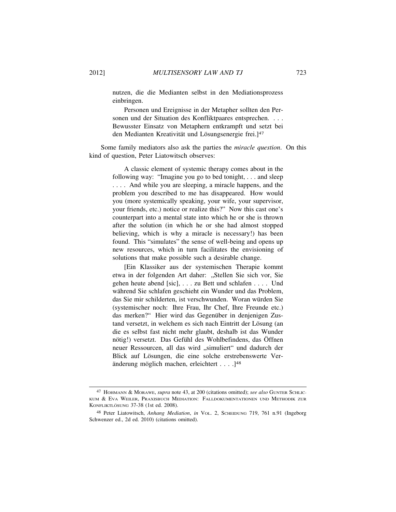nutzen, die die Medianten selbst in den Mediationsprozess einbringen.

Personen und Ereignisse in der Metapher sollten den Personen und der Situation des Konfliktpaares entsprechen. . . . Bewusster Einsatz von Metaphern entkrampft und setzt bei den Medianten Kreativität und Lösungsenergie frei.]<sup>47</sup>

Some family mediators also ask the parties the *miracle question*. On this kind of question, Peter Liatowitsch observes:

> A classic element of systemic therapy comes about in the following way: "Imagine you go to bed tonight, . . . and sleep . . . . And while you are sleeping, a miracle happens, and the problem you described to me has disappeared. How would you (more systemically speaking, your wife, your supervisor, your friends, etc.) notice or realize this?" Now this cast one's counterpart into a mental state into which he or she is thrown after the solution (in which he or she had almost stopped believing, which is why a miracle is necessary!) has been found. This "simulates" the sense of well-being and opens up new resources, which in turn facilitates the envisioning of solutions that make possible such a desirable change.

> [Ein Klassiker aus der systemischen Therapie kommt etwa in der folgenden Art daher: "Stellen Sie sich vor, Sie gehen heute abend [sic], . . . zu Bett und schlafen . . . . Und während Sie schlafen geschieht ein Wunder und das Problem, das Sie mir schilderten, ist verschwunden. Woran würden Sie (systemischer noch: Ihre Frau, Ihr Chef, Ihre Freunde etc.) das merken?" Hier wird das Gegenüber in denjenigen Zustand versetzt, in welchem es sich nach Eintritt der Lösung (an die es selbst fast nicht mehr glaubt, deshalb ist das Wunder nötig!) versetzt. Das Gefühl des Wohlbefindens, das Öffnen neuer Ressourcen, all das wird "simuliert" und dadurch der Blick auf Lösungen, die eine solche erstrebenswerte Veränderung möglich machen, erleichtert  $\dots$ .  $]^{48}$

<sup>47</sup> HOHMANN & MORAWE, *supra* note 43, at 200 (citations omitted); *see also* GUNTER SCHLIC-KUM &EVA WEILER, PRAXISBUCH MEDIATION: FALLDOKUMENTATIONEN UND METHODIK ZUR KONFLIKTLÖSUNG 37-38 (1st ed. 2008).

<sup>48</sup> Peter Liatowitsch, *Anhang Mediation*, *in* VOL. 2, SCHEIDUNG 719, 761 n.91 (Ingeborg Schwenzer ed., 2d ed. 2010) (citations omitted).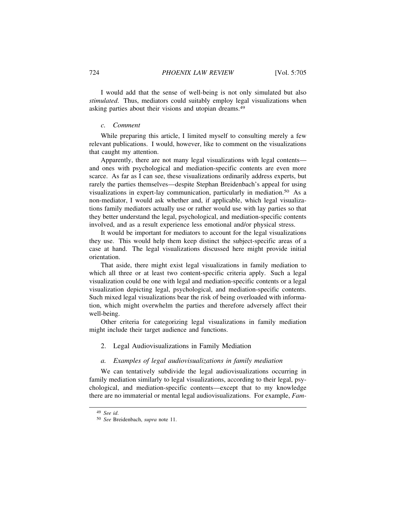I would add that the sense of well-being is not only simulated but also *stimulated*. Thus, mediators could suitably employ legal visualizations when asking parties about their visions and utopian dreams.<sup>49</sup>

## *c. Comment*

While preparing this article, I limited myself to consulting merely a few relevant publications. I would, however, like to comment on the visualizations that caught my attention.

Apparently, there are not many legal visualizations with legal contents and ones with psychological and mediation-specific contents are even more scarce. As far as I can see, these visualizations ordinarily address experts, but rarely the parties themselves—despite Stephan Breidenbach's appeal for using visualizations in expert-lay communication, particularly in mediation.50 As a non-mediator, I would ask whether and, if applicable, which legal visualizations family mediators actually use or rather would use with lay parties so that they better understand the legal, psychological, and mediation-specific contents involved, and as a result experience less emotional and/or physical stress.

It would be important for mediators to account for the legal visualizations they use. This would help them keep distinct the subject-specific areas of a case at hand. The legal visualizations discussed here might provide initial orientation.

That aside, there might exist legal visualizations in family mediation to which all three or at least two content-specific criteria apply. Such a legal visualization could be one with legal and mediation-specific contents or a legal visualization depicting legal, psychological, and mediation-specific contents. Such mixed legal visualizations bear the risk of being overloaded with information, which might overwhelm the parties and therefore adversely affect their well-being.

Other criteria for categorizing legal visualizations in family mediation might include their target audience and functions.

### 2. Legal Audiovisualizations in Family Mediation

#### *a. Examples of legal audiovisualizations in family mediation*

We can tentatively subdivide the legal audiovisualizations occurring in family mediation similarly to legal visualizations, according to their legal, psychological, and mediation-specific contents—except that to my knowledge there are no immaterial or mental legal audiovisualizations. For example, *Fam-*

<sup>49</sup> *See id*.

<sup>50</sup> *See* Breidenbach, *supra* note 11.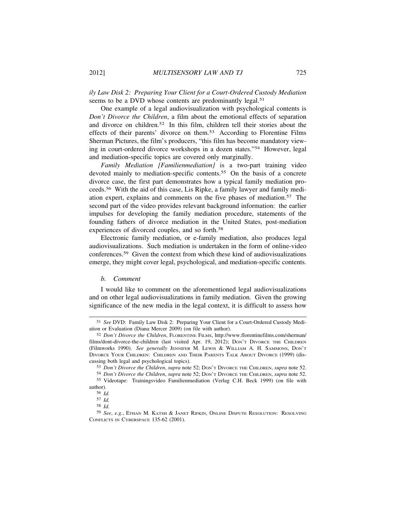*ily Law Disk 2: Preparing Your Client for a Court-Ordered Custody Mediation* seems to be a DVD whose contents are predominantly legal.<sup>51</sup>

One example of a legal audiovisualization with psychological contents is *Don't Divorce the Children*, a film about the emotional effects of separation and divorce on children.52 In this film, children tell their stories about the effects of their parents' divorce on them.53 According to Florentine Films Sherman Pictures, the film's producers, "this film has become mandatory viewing in court-ordered divorce workshops in a dozen states."54 However, legal and mediation-specific topics are covered only marginally.

*Family Mediation [Familienmediation]* is a two-part training video devoted mainly to mediation-specific contents.<sup>55</sup> On the basis of a concrete divorce case, the first part demonstrates how a typical family mediation proceeds.56 With the aid of this case, Lis Ripke, a family lawyer and family mediation expert, explains and comments on the five phases of mediation.57 The second part of the video provides relevant background information: the earlier impulses for developing the family mediation procedure, statements of the founding fathers of divorce mediation in the United States, post-mediation experiences of divorced couples, and so forth.<sup>58</sup>

Electronic family mediation, or e-family mediation, also produces legal audiovisualizations. Such mediation is undertaken in the form of online-video conferences.59 Given the context from which these kind of audiovisualizations emerge, they might cover legal, psychological, and mediation-specific contents.

## *b. Comment*

I would like to comment on the aforementioned legal audiovisualizations and on other legal audiovisualizations in family mediation. Given the growing significance of the new media in the legal context, it is difficult to assess how

<sup>51</sup> *See* DVD: Family Law Disk 2: Preparing Your Client for a Court-Ordered Custody Mediation or Evaluation (Diana Mercer 2009) (on file with author).

<sup>52</sup> *Don't Divorce the Children*, FLORENTINE FILMS, http://www.florentinefilms.com/sherman/ films/dont-divorce-the-children (last visited Apr. 19, 2012); Don't DIVORCE THE CHILDREN (Filmworks 1990). *See generally* JENNIFER M. LEWIS & WILLIAM A. H. SAMMONS, DON'T DIVORCE YOUR CHILDREN: CHILDREN AND THEIR PARENTS TALK ABOUT DIVORCE (1999) (discussing both legal and psychological topics).

<sup>53</sup> *Don't Divorce the Children*, *supra* note 52; DON'T DIVORCE THE CHILDREN, *supra* note 52.

<sup>54</sup> *Don't Divorce the Children*, *supra* note 52; DON'T DIVORCE THE CHILDREN, *supra* note 52. 55 Videotape: Trainingsvideo Familienmediation (Verlag C.H. Beck 1999) (on file with

author).

<sup>56</sup> *Id.* 57 *Id.*

<sup>58</sup> *Id.*

<sup>59</sup> *See*, *e.g.*, ETHAN M. KATSH & JANET RIFKIN, ONLINE DISPUTE RESOLUTION: RESOLVING CONFLICTS IN CYBERSPACE 135-62 (2001).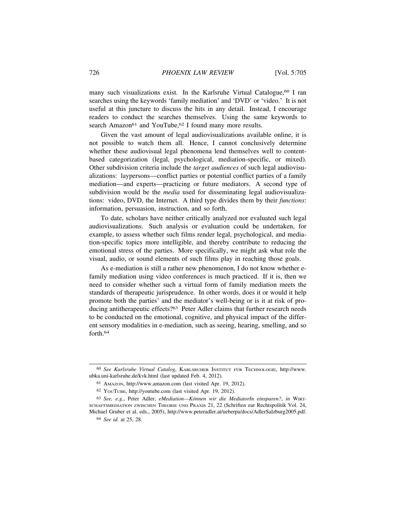many such visualizations exist. In the Karlsruhe Virtual Catalogue,<sup>60</sup> I ran searches using the keywords 'family mediation' and 'DVD' or 'video.' It is not useful at this juncture to discuss the hits in any detail. Instead, I encourage readers to conduct the searches themselves. Using the same keywords to search Amazon<sup>61</sup> and YouTube, <sup>62</sup> I found many more results.

Given the vast amount of legal audiovisualizations available online, it is not possible to watch them all. Hence, I cannot conclusively determine whether these audiovisual legal phenomena lend themselves well to contentbased categorization (legal, psychological, mediation-specific, or mixed). Other subdivision criteria include the *target audiences* of such legal audiovisualizations: laypersons—conflict parties or potential conflict parties of a family mediation—and experts—practicing or future mediators. A second type of subdivision would be the *media* used for disseminating legal audiovisualizations: video, DVD, the Internet. A third type divides them by their *functions*: information, persuasion, instruction, and so forth.

To date, scholars have neither critically analyzed nor evaluated such legal audiovisualizations. Such analysis or evaluation could be undertaken, for example, to assess whether such films render legal, psychological, and mediation-specific topics more intelligible, and thereby contribute to reducing the emotional stress of the parties. More specifically, we might ask what role the visual, audio, or sound elements of such films play in reaching those goals.

As e-mediation is still a rather new phenomenon, I do not know whether efamily mediation using video conferences is much practiced. If it is, then we need to consider whether such a virtual form of family mediation meets the standards of therapeutic jurisprudence. In other words, does it or would it help promote both the parties' and the mediator's well-being or is it at risk of producing antitherapeutic effects?63 Peter Adler claims that further research needs to be conducted on the emotional, cognitive, and physical impact of the different sensory modalities in e-mediation, such as seeing, hearing, smelling, and so forth.<sup>64</sup>

<sup>60</sup> *See Karlsruhe Virtual Catalog*, KARLSRUHER INSTITUT FUR¨ TECHNOLOGIE, http://www. ubka.uni-karlsruhe.de/kvk.html (last updated Feb. 4, 2012).

<sup>61</sup> AMAZON, http://www.amazon.com (last visited Apr. 19, 2012).

<sup>62</sup> YOUTUBE, http://youtube.com (last visited Apr. 19, 2012).

<sup>63</sup> *See, e.g.*, Peter Adler, *eMediation—K¨onnen wir die MediatorIn einsparen?*, *in* WIRT-SCHAFTSMEDIATION ZWISCHEN THEORIE UND PRAXIS 21, 22 (Schriften zur Rechtspolitik Vol. 24, Michael Gruber et al. eds., 2005), http://www.peteradler.at/ueberpa/docs/AdlerSalzburg2005.pdf.

<sup>64</sup> *See id.* at 25, 28.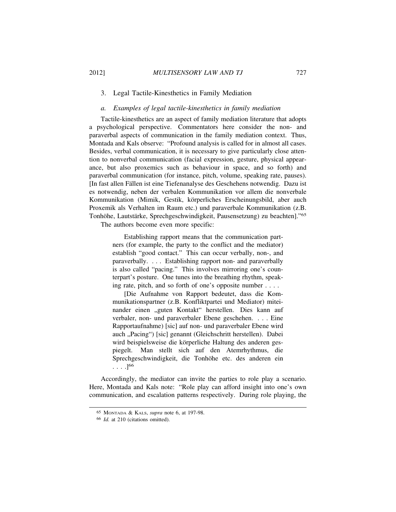### 3. Legal Tactile-Kinesthetics in Family Mediation

## *a. Examples of legal tactile-kinesthetics in family mediation*

Tactile-kinesthetics are an aspect of family mediation literature that adopts a psychological perspective. Commentators here consider the non- and paraverbal aspects of communication in the family mediation context. Thus, Montada and Kals observe: "Profound analysis is called for in almost all cases. Besides, verbal communication, it is necessary to give particularly close attention to nonverbal communication (facial expression, gesture, physical appearance, but also proxemics such as behaviour in space, and so forth) and paraverbal communication (for instance, pitch, volume, speaking rate, pauses). [In fast allen Fällen ist eine Tiefenanalyse des Geschehens notwendig. Dazu ist es notwendig, neben der verbalen Kommunikation vor allem die nonverbale Kommunikation (Mimik, Gestik, körperliches Erscheinungsbild, aber auch Proxemik als Verhalten im Raum etc.) und paraverbale Kommunikation (z.B. Tonhöhe, Lautstärke, Sprechgeschwindigkeit, Pausensetzung) zu beachten]."65

The authors become even more specific:

Establishing rapport means that the communication partners (for example, the party to the conflict and the mediator) establish "good contact." This can occur verbally, non-, and paraverbally. . . . Establishing rapport non- and paraverbally is also called "pacing." This involves mirroring one's counterpart's posture. One tunes into the breathing rhythm, speaking rate, pitch, and so forth of one's opposite number . . . .

[Die Aufnahme von Rapport bedeutet, dass die Kommunikationspartner (z.B. Konfliktpartei und Mediator) miteinander einen "guten Kontakt" herstellen. Dies kann auf verbaler, non- und paraverbaler Ebene geschehen. . . . Eine Rapportaufnahme) [sic] auf non- und paraverbaler Ebene wird auch "Pacing") [sic] genannt (Gleichschritt herstellen). Dabei wird beispielsweise die körperliche Haltung des anderen gespiegelt. Man stellt sich auf den Atemrhythmus, die Sprechgeschwindigkeit, die Tonhöhe etc. des anderen ein  $\ldots$ .  $]^{66}$ 

Accordingly, the mediator can invite the parties to role play a scenario. Here, Montada and Kals note: "Role play can afford insight into one's own communication, and escalation patterns respectively. During role playing, the

<sup>65</sup> MONTADA & KALS, *supra* note 6, at 197-98.

<sup>66</sup> *Id.* at 210 (citations omitted).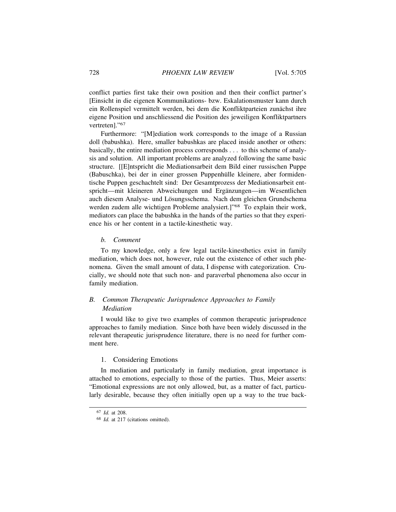conflict parties first take their own position and then their conflict partner's [Einsicht in die eigenen Kommunikations- bzw. Eskalationsmuster kann durch ein Rollenspiel vermittelt werden, bei dem die Konfliktparteien zunächst ihre eigene Position und anschliessend die Position des jeweiligen Konfliktpartners vertreten]."<sup>67</sup>

Furthermore: "[M]ediation work corresponds to the image of a Russian doll (babushka). Here, smaller babushkas are placed inside another or others: basically, the entire mediation process corresponds . . . to this scheme of analysis and solution. All important problems are analyzed following the same basic structure. [[E]ntspricht die Mediationsarbeit dem Bild einer russischen Puppe (Babuschka), bei der in einer grossen Puppenhülle kleinere, aber formidentische Puppen geschachtelt sind: Der Gesamtprozess der Mediationsarbeit entspricht—mit kleineren Abweichungen und Ergänzungen—im Wesentlichen auch diesem Analyse- und Lösungsschema. Nach dem gleichen Grundschema werden zudem alle wichtigen Probleme analysiert.]"<sup>68</sup> To explain their work, mediators can place the babushka in the hands of the parties so that they experience his or her content in a tactile-kinesthetic way.

#### *b. Comment*

To my knowledge, only a few legal tactile-kinesthetics exist in family mediation, which does not, however, rule out the existence of other such phenomena. Given the small amount of data, I dispense with categorization. Crucially, we should note that such non- and paraverbal phenomena also occur in family mediation.

## *B. Common Therapeutic Jurisprudence Approaches to Family Mediation*

I would like to give two examples of common therapeutic jurisprudence approaches to family mediation. Since both have been widely discussed in the relevant therapeutic jurisprudence literature, there is no need for further comment here.

## 1. Considering Emotions

In mediation and particularly in family mediation, great importance is attached to emotions, especially to those of the parties. Thus, Meier asserts: "Emotional expressions are not only allowed, but, as a matter of fact, particularly desirable, because they often initially open up a way to the true back-

<sup>67</sup> *Id.* at 208.

<sup>68</sup> *Id.* at 217 (citations omitted).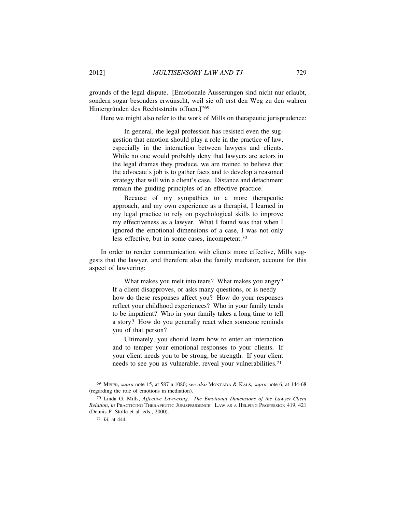grounds of the legal dispute. [Emotionale Äusserungen sind nicht nur erlaubt, sondern sogar besonders erwünscht, weil sie oft erst den Weg zu den wahren Hintergründen des Rechtsstreits öffnen.]"<sup>69</sup>

Here we might also refer to the work of Mills on therapeutic jurisprudence:

In general, the legal profession has resisted even the suggestion that emotion should play a role in the practice of law, especially in the interaction between lawyers and clients. While no one would probably deny that lawyers are actors in the legal dramas they produce, we are trained to believe that the advocate's job is to gather facts and to develop a reasoned strategy that will win a client's case. Distance and detachment remain the guiding principles of an effective practice.

Because of my sympathies to a more therapeutic approach, and my own experience as a therapist, I learned in my legal practice to rely on psychological skills to improve my effectiveness as a lawyer. What I found was that when I ignored the emotional dimensions of a case, I was not only less effective, but in some cases, incompetent.<sup>70</sup>

In order to render communication with clients more effective, Mills suggests that the lawyer, and therefore also the family mediator, account for this aspect of lawyering:

> What makes you melt into tears? What makes you angry? If a client disapproves, or asks many questions, or is needy how do these responses affect you? How do your responses reflect your childhood experiences? Who in your family tends to be impatient? Who in your family takes a long time to tell a story? How do you generally react when someone reminds you of that person?

> Ultimately, you should learn how to enter an interaction and to temper your emotional responses to your clients. If your client needs you to be strong, be strength. If your client needs to see you as vulnerable, reveal your vulnerabilities.<sup>71</sup>

<sup>69</sup> MEIER, *supra* note 15, at 587 n.1080; *see also* MONTADA & KALS, *supra* note 6, at 144-68 (regarding the role of emotions in mediation).

<sup>70</sup> Linda G. Mills, *Affective Lawyering: The Emotional Dimensions of the Lawyer-Client Relation*, *in* PRACTICING THERAPEUTIC JURISPRUDENCE: LAW AS A HELPING PROFESSION 419, 421 (Dennis P. Stolle et al. eds., 2000).

<sup>71</sup> *Id.* at 444.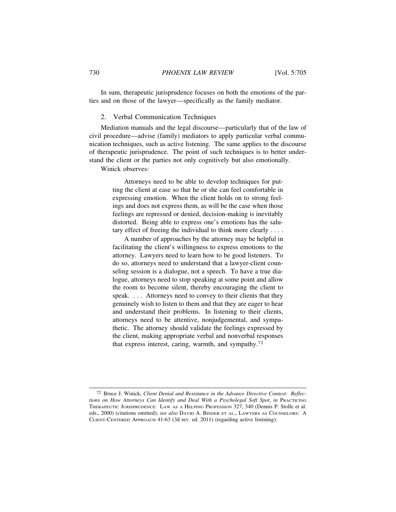In sum, therapeutic jurisprudence focuses on both the emotions of the parties and on those of the lawyer—specifically as the family mediator.

## 2. Verbal Communication Techniques

Mediation manuals and the legal discourse—particularly that of the law of civil procedure—advise (family) mediators to apply particular verbal communication techniques, such as active listening. The same applies to the discourse of therapeutic jurisprudence. The point of such techniques is to better understand the client or the parties not only cognitively but also emotionally.

Winick observes:

Attorneys need to be able to develop techniques for putting the client at ease so that he or she can feel comfortable in expressing emotion. When the client holds on to strong feelings and does not express them, as will be the case when those feelings are repressed or denied, decision-making is inevitably distorted. Being able to express one's emotions has the salutary effect of freeing the individual to think more clearly . . . .

A number of approaches by the attorney may be helpful in facilitating the client's willingness to express emotions to the attorney. Lawyers need to learn how to be good listeners. To do so, attorneys need to understand that a lawyer-client counseling session is a dialogue, not a speech. To have a true dialogue, attorneys need to stop speaking at some point and allow the room to become silent, thereby encouraging the client to speak. . . . Attorneys need to convey to their clients that they genuinely wish to listen to them and that they are eager to hear and understand their problems. In listening to their clients, attorneys need to be attentive, nonjudgemental, and sympathetic. The attorney should validate the feelings expressed by the client, making appropriate verbal and nonverbal responses that express interest, caring, warmth, and sympathy.<sup>72</sup>

<sup>72</sup> Bruce J. Winick, *Client Denial and Resistance in the Advance Directive Context: Reflections on How Attorneys Can Identify and Deal With a Psycholegal Soft Spot*, *in* PRACTICING THERAPEUTIC JURISPRUDENCE: LAW AS A HELPING PROFESSION 327, 340 (Dennis P. Stolle et al. eds., 2000) (citations omitted); *see also* DAVID A. BINDER ET AL., LAWYERS AS COUNSELORS: A CLIENT-CENTERED APPROACH 41-63 (3d rev. ed. 2011) (regarding active listening).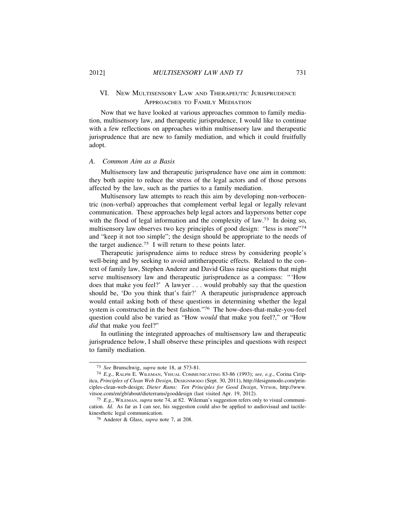# VI. NEW MULTISENSORY LAW AND THERAPEUTIC JURISPRUDENCE APPROACHES TO FAMILY MEDIATION

Now that we have looked at various approaches common to family mediation, multisensory law, and therapeutic jurisprudence, I would like to continue with a few reflections on approaches within multisensory law and therapeutic jurisprudence that are new to family mediation, and which it could fruitfully adopt.

## *A. Common Aim as a Basis*

Multisensory law and therapeutic jurisprudence have one aim in common: they both aspire to reduce the stress of the legal actors and of those persons affected by the law, such as the parties to a family mediation.

Multisensory law attempts to reach this aim by developing non-verbocentric (non-verbal) approaches that complement verbal legal or legally relevant communication. These approaches help legal actors and laypersons better cope with the flood of legal information and the complexity of law.<sup>73</sup> In doing so, multisensory law observes two key principles of good design: "less is more"<sup>74</sup> and "keep it not too simple"; the design should be appropriate to the needs of the target audience.75 I will return to these points later.

Therapeutic jurisprudence aims to reduce stress by considering people's well-being and by seeking to avoid antitherapeutic effects. Related to the context of family law, Stephen Anderer and David Glass raise questions that might serve multisensory law and therapeutic jurisprudence as a compass: "'How does that make you feel?' A lawyer . . . would probably say that the question should be, 'Do you think that's fair?' A therapeutic jurisprudence approach would entail asking both of these questions in determining whether the legal system is constructed in the best fashion."76 The how-does-that-make-you-feel question could also be varied as "How *would* that make you feel?," or "How *did* that make you feel?"

In outlining the integrated approaches of multisensory law and therapeutic jurisprudence below, I shall observe these principles and questions with respect to family mediation.

<sup>73</sup> *See* Brunschwig, *supra* note 18, at 573-81.

<sup>74</sup> *E.g.*, RALPH E. WILEMAN, VISUAL COMMUNICATING 83-86 (1993); *see, e.g.*, Corina Ciripitca, *Principles of Clean Web Design*, DESIGNMODO (Sept. 30, 2011), http://designmodo.com/principles-clean-web-design; *Dieter Rams: Ten Principles for Good Design*, VITSOE, http://www. vitsoe.com/en/gb/about/dieterrams/gooddesign (last visited Apr. 19, 2012).

<sup>75</sup> *E.g.*, WILEMAN, *supra* note 74, at 82. Wileman's suggestion refers only to visual communication. *Id.* As far as I can see, his suggestion could also be applied to audiovisual and tactilekinesthetic legal communication.

<sup>76</sup> Anderer & Glass, *supra* note 7, at 208.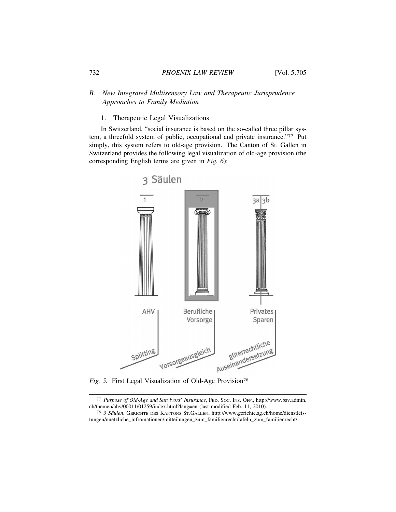## 732 *PHOENIX LAW REVIEW* [Vol. 5:705

# *B. New Integrated Multisensory Law and Therapeutic Jurisprudence Approaches to Family Mediation*

## 1. Therapeutic Legal Visualizations

In Switzerland, "social insurance is based on the so-called three pillar system, a threefold system of public, occupational and private insurance."77 Put simply, this system refers to old-age provision. The Canton of St. Gallen in Switzerland provides the following legal visualization of old-age provision (the corresponding English terms are given in *Fig. 6*):



*Fig. 5.* First Legal Visualization of Old-Age Provision<sup>78</sup>

<sup>77</sup> *Purpose of Old-Age and Survivors*' *Insurance*, FED. SOC. INS. OFF., http://www.bsv.admin. ch/themen/ahv/00011/01259/index.html?lang=en (last modified Feb. 11, 2010).

<sup>78</sup> *3 S¨aulen*, GERICHTE DES KANTONS ST.GALLEN, http://www.gerichte.sg.ch/home/dienstleistungen/nuetzliche\_infromationen/mitteilungen\_zum\_familienrecht/tafeln\_zum\_familienrecht/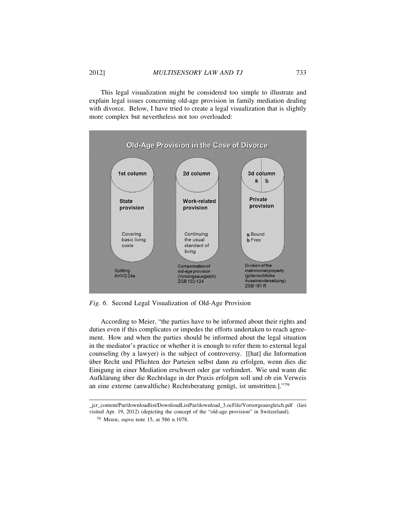This legal visualization might be considered too simple to illustrate and explain legal issues concerning old-age provision in family mediation dealing with divorce. Below, I have tried to create a legal visualization that is slightly more complex but nevertheless not too overloaded:



*Fig. 6*. Second Legal Visualization of Old-Age Provision

According to Meier, "the parties have to be informed about their rights and duties even if this complicates or impedes the efforts undertaken to reach agreement. How and when the parties should be informed about the legal situation in the mediator's practice or whether it is enough to refer them to external legal counseling (by a lawyer) is the subject of controversy. [[hat] die Information über Recht und Pflichten der Parteien selbst dann zu erfolgen, wenn dies die Einigung in einer Mediation erschwert oder gar verhindert. Wie und wann die Aufklärung über die Rechtslage in der Praxis erfolgen soll und ob ein Verweis an eine externe (anwaltliche) Rechtsberatung genügt, ist umstritten.]."79

\_jcr\_content/Par/downloadlist/DownloadListPar/download\_3.ocFile/Vorsorgeausgleich.pdf (last visited Apr. 19, 2012) (depicting the concept of the "old-age provision" in Switzerland).

<sup>79</sup> MEIER, *supra* note 15, at 586 n.1078.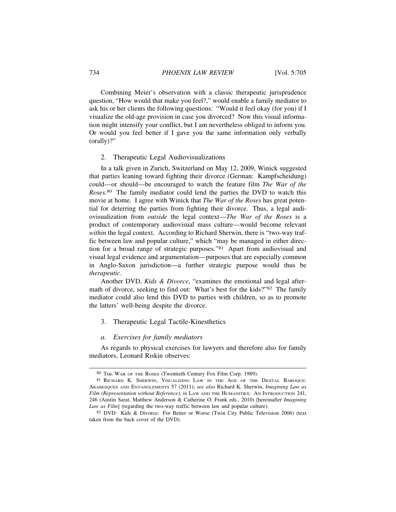Combining Meier's observation with a classic therapeutic jurisprudence question, "How would that make you feel?," would enable a family mediator to ask his or her clients the following questions: "Would it feel okay (for you) if I visualize the old-age provision in case you divorced? Now this visual information might intensify your conflict, but I am nevertheless obliged to inform you. Or would you feel better if I gave you the same information only verbally (orally)?"

## 2. Therapeutic Legal Audiovisualizations

In a talk given in Zurich, Switzerland on May 12, 2009, Winick suggested that parties leaning toward fighting their divorce (German: Kampfscheidung) could—or should—be encouraged to watch the feature film *The War of the Roses*. 80 The family mediator could lend the parties the DVD to watch this movie at home. I agree with Winick that *The War of the Roses* has great potential for deterring the parties from fighting their divorce. Thus, a legal audiovisualization from *outside* the legal context—*The War of the Roses* is a product of contemporary audiovisual mass culture—would become relevant *within* the legal context. According to Richard Sherwin, there is "two-way traffic between law and popular culture," which "may be managed in either direction for a broad range of strategic purposes."81 Apart from audiovisual and visual legal evidence and argumentation—purposes that are especially common in Anglo-Saxon jurisdiction—a further strategic purpose would thus be *therapeutic*.

Another DVD, *Kids & Divorce*, "examines the emotional and legal aftermath of divorce, seeking to find out: What's best for the kids?"82 The family mediator could also lend this DVD to parties with children, so as to promote the latters' well-being despite the divorce.

#### 3. Therapeutic Legal Tactile-Kinesthetics

## *a. Exercises for family mediators*

As regards to physical exercises for lawyers and therefore also for family mediators, Leonard Riskin observes:

<sup>80</sup> THE WAR OF THE ROSES (Twentieth Century Fox Film Corp. 1989).

<sup>81</sup> RICHARD K. SHERWIN, VISUALIZING LAW IN THE AGE OF THE DIGITAL BAROQUE: ARABESQUES AND ENTANGLEMENTS 57 (2011); *see also* Richard K. Sherwin, *Imagining Law as Film (Representation without Reference)*, *in* LAW AND THE HUMANITIES: AN INTRODUCTION 241, 246 (Austin Sarat, Matthew Anderson & Catherine O. Frank eds., 2010) [hereinafter *Imagining Law as Film*] (regarding the two-way traffic between law and popular culture).

<sup>82</sup> DVD: Kids & Divorce: For Better or Worse (Twin City Public Television 2006) (text taken from the back cover of the DVD).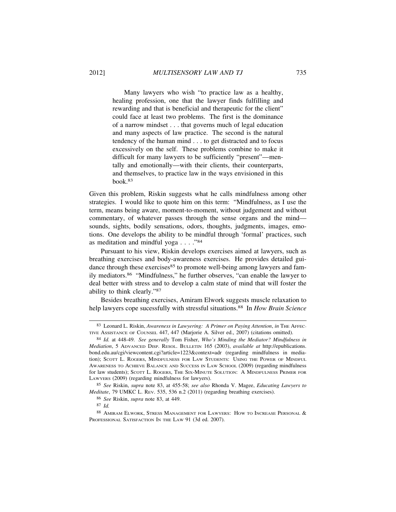Many lawyers who wish "to practice law as a healthy, healing profession, one that the lawyer finds fulfilling and rewarding and that is beneficial and therapeutic for the client" could face at least two problems. The first is the dominance of a narrow mindset . . . that governs much of legal education and many aspects of law practice. The second is the natural tendency of the human mind . . . to get distracted and to focus excessively on the self. These problems combine to make it difficult for many lawyers to be sufficiently "present"—mentally and emotionally—with their clients, their counterparts, and themselves, to practice law in the ways envisioned in this book.83

Given this problem, Riskin suggests what he calls mindfulness among other strategies. I would like to quote him on this term: "Mindfulness, as I use the term, means being aware, moment-to-moment, without judgement and without commentary, of whatever passes through the sense organs and the mind sounds, sights, bodily sensations, odors, thoughts, judgments, images, emotions. One develops the ability to be mindful through 'formal' practices, such as meditation and mindful yoga . . . ."<sup>84</sup>

Pursuant to his view, Riskin develops exercises aimed at lawyers, such as breathing exercises and body-awareness exercises. He provides detailed guidance through these exercises<sup>85</sup> to promote well-being among lawyers and family mediators.86 "Mindfulness," he further observes, "can enable the lawyer to deal better with stress and to develop a calm state of mind that will foster the ability to think clearly."<sup>87</sup>

Besides breathing exercises, Amiram Elwork suggests muscle relaxation to help lawyers cope sucessfully with stressful situations.88 In *How Brain Science*

<sup>83</sup> Leonard L. Riskin, *Awareness in Lawyering: A Primer on Paying Attention*, *in* THE AFFEC-TIVE ASSISTANCE OF COUNSEL 447, 447 (Marjorie A. Silver ed., 2007) (citations omitted).

<sup>84</sup> *Id.* at 448-49. *See generally* Tom Fisher, *Who's Minding the Mediator? Mindfulness in Mediation*, 5 ADVANCED DISP. RESOL. BULLETIN 165 (2003), *available at* http://epublications. bond.edu.au/cgi/viewcontent.cgi?article=1223&context=adr (regarding mindfulness in mediation); SCOTT L. ROGERS, MINDFULNESS FOR LAW STUDENTS: USING THE POWER OF MINDFUL AWARENESS TO ACHIEVE BALANCE AND SUCCESS IN LAW SCHOOL (2009) (regarding mindfulness for law students); SCOTT L. ROGERS, THE SIX-MINUTE SOLUTION: A MINDFULNESS PRIMER FOR LAWYERS (2009) (regarding mindfulness for lawyers).

<sup>85</sup> *See* Riskin, *supra* note 83, at 455-58; *see also* Rhonda V. Magee, *Educating Lawyers to Meditate*, 79 UMKC L. REV. 535, 536 n.2 (2011) (regarding breathing exercises).

<sup>86</sup> *See* Riskin, *supra* note 83, at 449.

<sup>87</sup> *Id.*

<sup>88</sup> AMIRAM ELWORK, STRESS MANAGEMENT FOR LAWYERS: HOW TO INCREASE PERSONAL & PROFESSIONAL SATISFACTION IN THE LAW 91 (3d ed. 2007).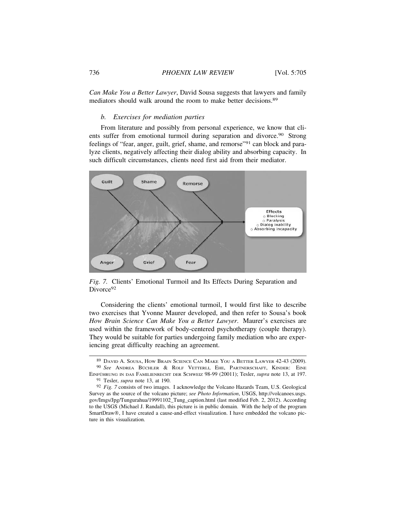*Can Make You a Better Lawyer*, David Sousa suggests that lawyers and family mediators should walk around the room to make better decisions.<sup>89</sup>

## *b. Exercises for mediation parties*

From literature and possibly from personal experience, we know that clients suffer from emotional turmoil during separation and divorce.<sup>90</sup> Strong feelings of "fear, anger, guilt, grief, shame, and remorse"<sup>91</sup> can block and paralyze clients, negatively affecting their dialog ability and absorbing capacity. In such difficult circumstances, clients need first aid from their mediator.



*Fig. 7.* Clients' Emotional Turmoil and Its Effects During Separation and Divorce<sup>92</sup>

Considering the clients' emotional turmoil, I would first like to describe two exercises that Yvonne Maurer developed, and then refer to Sousa's book *How Brain Science Can Make You a Better Lawyer*. Maurer's exercises are used within the framework of body-centered psychotherapy (couple therapy). They would be suitable for parties undergoing family mediation who are experiencing great difficulty reaching an agreement.

<sup>89</sup> DAVID A. SOUSA, HOW BRAIN SCIENCE CAN MAKE YOU A BETTER LAWYER 42-43 (2009). <sup>90</sup> See ANDREA BÜCHLER & ROLF VETTERLI, EHE, PARTNERSCHAFT, KINDER: EINE EINFÜHRUNG IN DAS FAMILIENRECHT DER SCHWEIZ 98-99 (20011); Tesler, *supra* note 13, at 197.

<sup>91</sup> Tesler, *supra* note 13, at 190.

<sup>92</sup> *Fig. 7* consists of two images. I acknowledge the Volcano Hazards Team, U.S. Geological Survey as the source of the volcano picture; *see Photo Information*, USGS, http://volcanoes.usgs. gov/Imgs/Jpg/Tungurahua/19991102\_Tung\_caption.html (last modified Feb. 2, 2012). According to the USGS (Michael J. Randall), this picture is in public domain. With the help of the program SmartDraw®, I have created a cause-and-effect visualization. I have embedded the volcano picture in this visualization.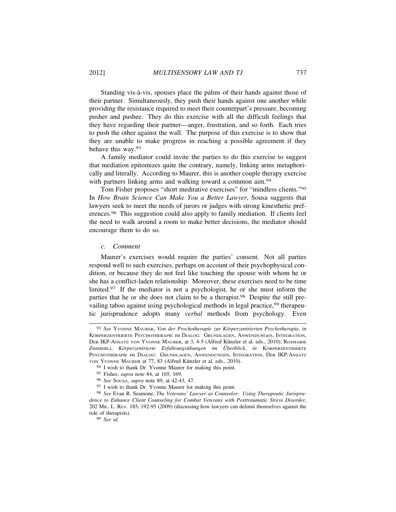Standing vis-à-vis, spouses place the palms of their hands against those of their partner. Simultaneously, they push their hands against one another while providing the resistance required to meet their counterpart's pressure, becoming pusher and pushee. They do this exercise with all the difficult feelings that they have regarding their partner—anger, frustration, and so forth. Each tries to push the other against the wall. The purpose of this exercise is to show that they are unable to make progress in reaching a possible agreement if they behave this way.<sup>93</sup>

A family mediator could invite the parties to do this exercise to suggest that mediation epitomizes quite the contrary, namely, linking arms metaphorically and literally. According to Maurer, this is another couple therapy exercise with partners linking arms and walking toward a common aim.<sup>94</sup>

Tom Fisher proposes "short meditative exercises" for "mindless clients."<sup>95</sup> In *How Brain Science Can Make You a Better Lawyer*, Sousa suggests that lawyers seek to meet the needs of jurors or judges with strong kinesthetic preferences.96 This suggestion could also apply to family mediation. If clients feel the need to walk around a room to make better decisions, the mediator should encourage them to do so.

## *c. Comment*

Maurer's exercises would require the parties' consent. Not all parties respond well to such exercises, perhaps on account of their psychophysical condition, or because they do not feel like touching the spouse with whom he or she has a conflict-laden relationship. Moreover, these exercises need to be time limited.97 If the mediator is not a psychologist, he or she must inform the parties that he or she does not claim to be a therapist.98 Despite the still prevailing taboo against using psychological methods in legal practice,<sup>99</sup> therapeutic jurisprudence adopts many *verbal* methods from psychology. Even

<sup>93</sup> See Yvonne MAURER, Von der Psychotherapie zur Körperzentrierten Psychotherapie, in KÖRPERZENTRIERTE PSYCHOTHERAPIE IM DIALOG: GRUNDLAGEN, ANWENDUNGEN, INTEGRATION, DER IKP-ANSATZ VON YVONNE MAURER, at 3, 4-5 (Alfred Künzler et al. eds., 2010); ROSMARIE ZIMMERLI, Körperzentrierte Erfahrungsübungen im Überblick, in KÖRPERZENTRIERTE PSYCHOTHERAPIE IM DIALOG: GRUNDLAGEN, ANWENDUNGEN, INTEGRATION, DER IKP-ANSATZ VON YVONNE MAURER at 77, 83 (Alfred Künzler et al. eds., 2010).

<sup>94</sup> I wish to thank Dr. Yvonne Maurer for making this point.

<sup>95</sup> Fisher, *supra* note 84, at 165, 169.

<sup>96</sup> *See* SOUSA, *supra* note 89, at 42-43, 47.

<sup>97</sup> I wish to thank Dr. Yvonne Maurer for making this point.

<sup>98</sup> *See* Evan R. Seamone, *The Veterans' Lawyer as Counselor: Using Therapeutic Jurisprudence to Enhance Client Counseling for Combat Veterans with Posttraumatic Stress Disorder*, 202 MIL. L. REV. 185, 192-95 (2009) (discussing how lawyers can delimit themselves against the role of therapists).

<sup>99</sup> *See id.*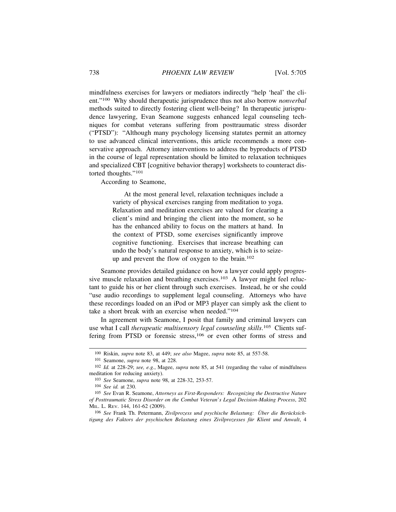mindfulness exercises for lawyers or mediators indirectly "help 'heal' the client."100 Why should therapeutic jurisprudence thus not also borrow *nonverbal* methods suited to directly fostering client well-being? In therapeutic jurisprudence lawyering, Evan Seamone suggests enhanced legal counseling techniques for combat veterans suffering from posttraumatic stress disorder ("PTSD"): "Although many psychology licensing statutes permit an attorney to use advanced clinical interventions, this article recommends a more conservative approach. Attorney interventions to address the byproducts of PTSD in the course of legal representation should be limited to relaxation techniques and specialized CBT [cognitive behavior therapy] worksheets to counteract distorted thoughts."<sup>101</sup>

According to Seamone,

At the most general level, relaxation techniques include a variety of physical exercises ranging from meditation to yoga. Relaxation and meditation exercises are valued for clearing a client's mind and bringing the client into the moment, so he has the enhanced ability to focus on the matters at hand. In the context of PTSD, some exercises significantly improve cognitive functioning. Exercises that increase breathing can undo the body's natural response to anxiety, which is to seizeup and prevent the flow of oxygen to the brain.<sup>102</sup>

Seamone provides detailed guidance on how a lawyer could apply progressive muscle relaxation and breathing exercises.<sup>103</sup> A lawyer might feel reluctant to guide his or her client through such exercises. Instead, he or she could "use audio recordings to supplement legal counseling. Attorneys who have these recordings loaded on an iPod or MP3 player can simply ask the client to take a short break with an exercise when needed."<sup>104</sup>

In agreement with Seamone, I posit that family and criminal lawyers can use what I call *therapeutic multisensory legal counseling skills*. 105 Clients suffering from PTSD or forensic stress,<sup>106</sup> or even other forms of stress and

106 See Frank Th. Petermann, Zivilprozess und psychische Belastung: Über die Berücksichtigung des Faktors der psychischen Belastung eines Zivilprozesses für Klient und Anwalt, 4

<sup>100</sup> Riskin, *supra* note 83, at 449; *see also* Magee, *supra* note 85, at 557-58.

<sup>101</sup> Seamone, *supra* note 98, at 228.

<sup>102</sup> *Id.* at 228-29; *see, e.g.*, Magee, *supra* note 85, at 541 (regarding the value of mindfulness meditation for reducing anxiety).

<sup>103</sup> *See* Seamone, *supra* note 98, at 228-32, 253-57.

<sup>104</sup> *See id.* at 230.

<sup>105</sup> *See* Evan R. Seamone, *Attorneys as First-Responders: Recognizing the Destructive Nature of Posttraumatic Stress Disorder on the Combat Veteran*'*s Legal Decision-Making Process*, 202 MIL. L. REV. 144, 161-62 (2009).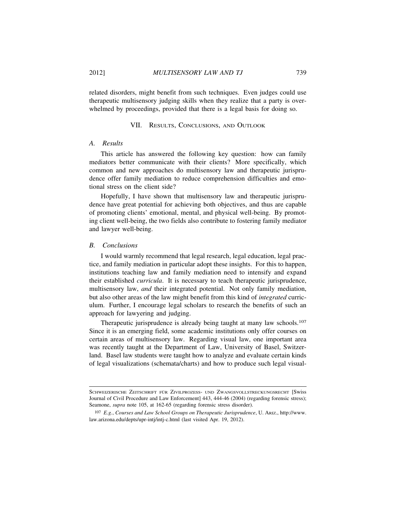related disorders, might benefit from such techniques. Even judges could use therapeutic multisensory judging skills when they realize that a party is overwhelmed by proceedings, provided that there is a legal basis for doing so.

## VII. RESULTS, CONCLUSIONS, AND OUTLOOK

## *A. Results*

This article has answered the following key question: how can family mediators better communicate with their clients? More specifically, which common and new approaches do multisensory law and therapeutic jurisprudence offer family mediation to reduce comprehension difficulties and emotional stress on the client side?

Hopefully, I have shown that multisensory law and therapeutic jurisprudence have great potential for achieving both objectives, and thus are capable of promoting clients' emotional, mental, and physical well-being. By promoting client well-being, the two fields also contribute to fostering family mediator and lawyer well-being.

## *B. Conclusions*

I would warmly recommend that legal research, legal education, legal practice, and family mediation in particular adopt these insights. For this to happen, institutions teaching law and family mediation need to intensify and expand their established *curricula*. It is necessary to teach therapeutic jurisprudence, multisensory law, *and* their integrated potential. Not only family mediation, but also other areas of the law might benefit from this kind of *integrated* curriculum. Further, I encourage legal scholars to research the benefits of such an approach for lawyering and judging.

Therapeutic jurisprudence is already being taught at many law schools.<sup>107</sup> Since it is an emerging field, some academic institutions only offer courses on certain areas of multisensory law. Regarding visual law, one important area was recently taught at the Department of Law, University of Basel, Switzerland. Basel law students were taught how to analyze and evaluate certain kinds of legal visualizations (schemata/charts) and how to produce such legal visual-

SCHWEIZERISCHE ZEITSCHRIFT FÜR ZIVILPROZESS- UND ZWANGSVOLLSTRECKUNGSRECHT [Swiss Journal of Civil Procedure and Law Enforcement] 443, 444-46 (2004) (regarding forensic stress); Seamone, *supra* note 105, at 162-65 (regarding forensic stress disorder).

<sup>107</sup> *E.g.*, *Courses and Law School Groups on Therapeutic Jurisprudence*, U. ARIZ., http://www. law.arizona.edu/depts/upr-intj/intj-c.html (last visited Apr. 19, 2012).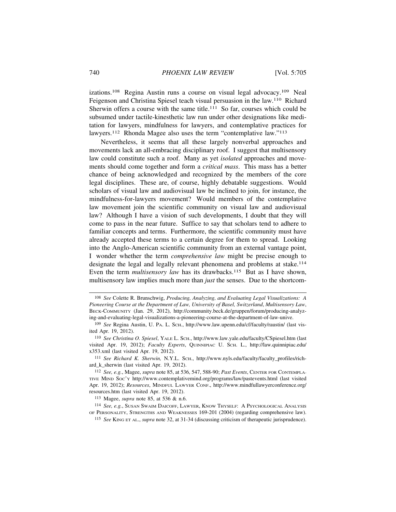izations.108 Regina Austin runs a course on visual legal advocacy.109 Neal Feigenson and Christina Spiesel teach visual persuasion in the law.110 Richard Sherwin offers a course with the same title.<sup>111</sup> So far, courses which could be subsumed under tactile-kinesthetic law run under other designations like meditation for lawyers, mindfulness for lawyers, and contemplative practices for lawyers.<sup>112</sup> Rhonda Magee also uses the term "contemplative law."<sup>113</sup>

Nevertheless, it seems that all these largely nonverbal approaches and movements lack an all-embracing disciplinary roof. I suggest that multisensory law could constitute such a roof. Many as yet *isolated* approaches and movements should come together and form a *critical mass*. This mass has a better chance of being acknowledged and recognized by the members of the core legal disciplines. These are, of course, highly debatable suggestions. Would scholars of visual law and audiovisual law be inclined to join, for instance, the mindfulness-for-lawyers movement? Would members of the contemplative law movement join the scientific community on visual law and audiovisual law? Although I have a vision of such developments, I doubt that they will come to pass in the near future. Suffice to say that scholars tend to adhere to familiar concepts and terms. Furthermore, the scientific community must have already accepted these terms to a certain degree for them to spread. Looking into the Anglo-American scientific community from an external vantage point, I wonder whether the term *comprehensive law* might be precise enough to designate the legal and legally relevant phenomena and problems at stake.<sup>114</sup> Even the term *multisensory law* has its drawbacks.<sup>115</sup> But as I have shown, multisensory law implies much more than *just* the senses. Due to the shortcom-

111 *See Richard K. Sherwin,* N.Y.L. SCH., http://www.nyls.edu/faculty/faculty\_profiles/richard k sherwin (last visited Apr. 19, 2012).

113 Magee, *supra* note 85, at 536 & n.6.

114 *See, e.g.*, SUSAN SWAIM DAICOFF, LAWYER, KNOW THYSELF: A PSYCHOLOGICAL ANALYSIS OF PERSONALITY, STRENGTHS AND WEAKNESSES 169-201 (2004) (regarding comprehensive law).

115 *See* KING ET AL., *supra* note 32, at 31-34 (discussing criticism of therapeutic jurisprudence).

<sup>108</sup> *See* Colette R. Brunschwig, *Producing, Analyzing, and Evaluating Legal Visualizations: A Pioneering Course at the Department of Law, University of Basel, Switzerland*, *Multisensory Law*, BECK-COMMUNITY (Jan. 29, 2012), http://community.beck.de/gruppen/forum/producing-analyzing-and-evaluating-legal-visualizations-a-pioneering-course-at-the-department-of-law-unive.

<sup>109</sup> *See* Regina Austin, U. PA. L. SCH., http://www.law.upenn.edu/cf/faculty/raustin/ (last visited Apr. 19, 2012).

<sup>110</sup> *See Christina O. Spiesel*, YALE L. SCH., http://www.law.yale.edu/faculty/CSpiesel.htm (last visited Apr. 19, 2012); *Faculty Experts*, QUINNIPIAC U. SCH. L., http://law.quinnipiac.edu/ x353.xml (last visited Apr. 19, 2012).

<sup>112</sup> *See, e.g.*, Magee, *supra* note 85, at 536, 547, 588-90; *Past Events*, CENTER FOR CONTEMPLA-TIVE MIND SOC'Y http://www.contemplativemind.org/programs/law/pastevents.html (last visited Apr. 19, 2012); *Resources*, MINDFUL LAWYER CONF., http://www.mindfullawyerconference.org/ resources.htm (last visited Apr. 19, 2012).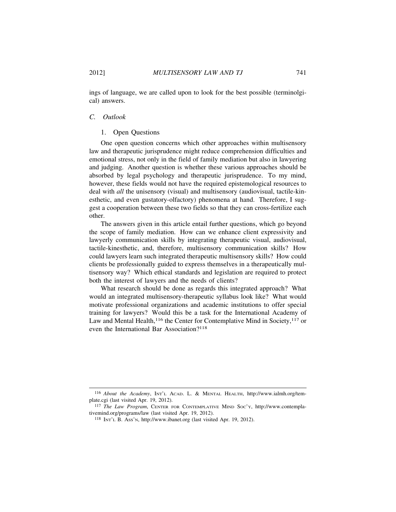ings of language, we are called upon to look for the best possible (terminolgical) answers.

## *C. Outlook*

#### 1. Open Questions

One open question concerns which other approaches within multisensory law and therapeutic jurisprudence might reduce comprehension difficulties and emotional stress, not only in the field of family mediation but also in lawyering and judging. Another question is whether these various approaches should be absorbed by legal psychology and therapeutic jurisprudence. To my mind, however, these fields would not have the required epistemological resources to deal with *all* the unisensory (visual) and multisensory (audiovisual, tactile-kinesthetic, and even gustatory-olfactory) phenomena at hand. Therefore, I suggest a cooperation between these two fields so that they can cross-fertilize each other.

The answers given in this article entail further questions, which go beyond the scope of family mediation. How can we enhance client expressivity and lawyerly communication skills by integrating therapeutic visual, audiovisual, tactile-kinesthetic, and, therefore, multisensory communication skills? How could lawyers learn such integrated therapeutic multisensory skills? How could clients be professionally guided to express themselves in a therapeutically multisensory way? Which ethical standards and legislation are required to protect both the interest of lawyers and the needs of clients?

What research should be done as regards this integrated approach? What would an integrated multisensory-therapeutic syllabus look like? What would motivate professional organizations and academic institutions to offer special training for lawyers? Would this be a task for the International Academy of Law and Mental Health,<sup>116</sup> the Center for Contemplative Mind in Society,<sup>117</sup> or even the International Bar Association?<sup>118</sup>

<sup>116</sup> *About the Academy*, INT'L ACAD. L. & MENTAL HEALTH, http://www.ialmh.org/template.cgi (last visited Apr. 19, 2012).

<sup>117</sup> *The Law Program*, CENTER FOR CONTEMPLATIVE MIND SOC'Y, http://www.contemplativemind.org/programs/law (last visited Apr. 19, 2012).

<sup>118</sup> INT'L B. ASS'N, http://www.ibanet.org (last visited Apr. 19, 2012).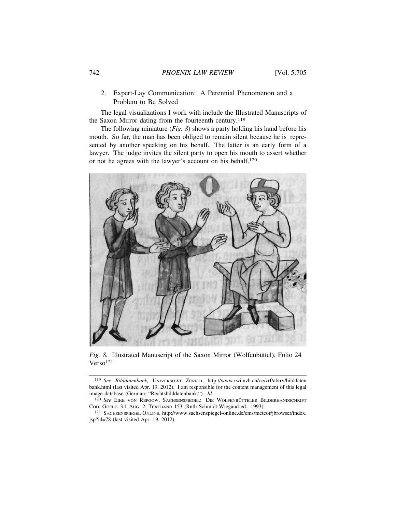## 742 *PHOENIX LAW REVIEW* [Vol. 5:705

## 2. Expert-Lay Communication: A Perennial Phenomenon and a Problem to Be Solved

The legal visualizations I work with include the Illustrated Manuscripts of the Saxon Mirror dating from the fourteenth century.<sup>119</sup>

The following miniature (*Fig. 8*) shows a party holding his hand before his mouth. So far, the man has been obliged to remain silent because he is represented by another speaking on his behalf. The latter is an early form of a lawyer. The judge invites the silent party to open his mouth to assert whether or not he agrees with the lawyer's account on his behalf.<sup>120</sup>



Fig. 8. Illustrated Manuscript of the Saxon Mirror (Wolfenbüttel), Folio 24 Verso<sup>121</sup>

119 See Bilddatenbank, UNIVERSITÄT ZÜRICH, http://www.rwi.uzh.ch/oe/zrf/abtrv/bilddaten bank.html (last visited Apr. 19, 2012). I am responsible for the content management of this legal image database (German: "Rechtsbilddatenbank."). *Id.*

<sup>&</sup>lt;sup>120</sup> See EIKE VON REPGOW, SACHSENSPIEGEL: DIE WOLFENBÜTTELER BILDERHANDSCHRIFT COD. GUELF. 3.1 AUG. 2, TEXTBAND 153 (Ruth Schmidt-Wiegand ed., 1993).

<sup>121</sup> SACHSENSPIEGEL ONLINE, http://www.sachsenspiegel-online.de/cms/meteor/jbrowser/index. jsp?id=78 (last visited Apr. 19, 2012).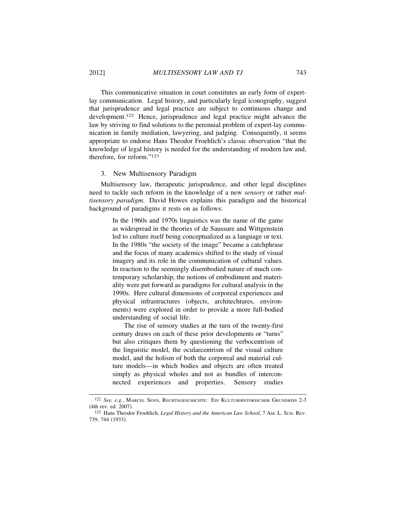This communicative situation in court constitutes an early form of expertlay communication. Legal history, and particularly legal iconography, suggest that jurisprudence and legal practice are subject to continuous change and development.122 Hence, jurisprudence and legal practice might advance the law by striving to find solutions to the perennial problem of expert-lay communication in family mediation, lawyering, and judging. Consequently, it seems appropriate to endorse Hans Theodor Froehlich's classic observation "that the knowledge of legal history is needed for the understanding of modern law and, therefore, for reform."<sup>123</sup>

## 3. New Multisensory Paradigm

Multisensory law, therapeutic jurisprudence, and other legal disciplines need to tackle such reform in the knowledge of a new *sensory* or rather *multisensory paradigm*. David Howes explains this paradigm and the historical background of paradigms it rests on as follows:

> In the 1960s and 1970s linguistics was the name of the game as widespread in the theories of de Saussure and Wittgenstein led to culture itself being conceptualized as a language or text. In the 1980s "the society of the image" became a catchphrase and the focus of many academics shifted to the study of visual imagery and its role in the communication of cultural values. In reaction to the seemingly disembodied nature of much contemporary scholarship, the notions of embodiment and materiality were put forward as paradigms for cultural analysis in the 1990s. Here cultural dimensions of corporeal experiences and physical infrastructures (objects, architechtures, environments) were explored in order to provide a more full-bodied understanding of social life.

> The rise of sensory studies at the turn of the twenty-first century draws on each of these prior developments or "turns" but also critiques them by questioning the verbocentrism of the linguistic model, the ocularcentrism of the visual culture model, and the holism of both the corporeal and material culture models—in which bodies and objects are often treated simply as physical wholes and not as bundles of interconnected experiences and properties. Sensory studies

<sup>122</sup> *See, e.g.*, MARCEL SENN, RECHTSGESCHICHTE: EIN KULTURHISTORISCHER GRUNDRISS 2-3 (4th rev. ed. 2007).

<sup>123</sup> Hans Theodor Froehlich, *Legal History and the American Law School*, 7 Am. L. SCH. REV. 739, 744 (1933).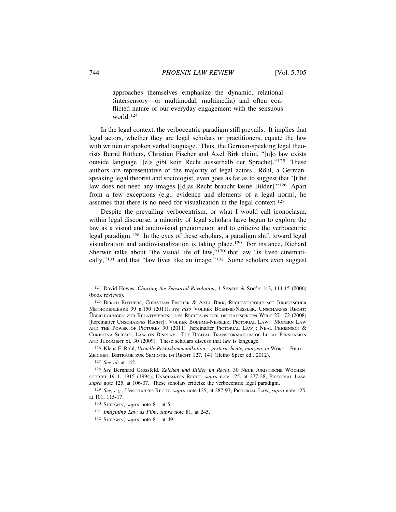approaches themselves emphasize the dynamic, relational (intersensory—or multimodal, multimedia) and often conflicted nature of our everyday engagement with the sensuous world.124

In the legal context, the verbocentric paradigm still prevails. It implies that legal actors, whether they are legal scholars or practitioners, equate the law with written or spoken verbal language. Thus, the German-speaking legal theorists Bernd Rüthers, Christian Fischer and Axel Birk claim, "[n]o law exists outside language [[e]s gibt kein Recht ausserhalb der Sprache]."125 These authors are representative of the majority of legal actors. Röhl, a Germanspeaking legal theorist and sociologist, even goes as far as to suggest that "[t]he law does not need any images [[d]as Recht braucht keine Bilder]."126 Apart from a few exceptions (e.g., evidence and elements of a legal norm), he assumes that there is no need for visualization in the legal context.<sup>127</sup>

Despite the prevailing verbocentrism, or what I would call iconoclasm, within legal discourse, a minority of legal scholars have begun to explore the law as a visual and audiovisual phenomenon and to criticize the verbocentric legal paradigm.128 In the eyes of these scholars, a paradigm shift toward legal visualization and audiovisualization is taking place.129 For instance, Richard Sherwin talks about "the visual life of law,"130 that law "is lived cinematically,"131 and that "law lives like an image."132 Some scholars even suggest

<sup>124</sup> David Howes, *Charting the Sensorial Revolution*, 1 SENSES & SOC'Y 113, 114-15 (2006) (book reviews).

<sup>&</sup>lt;sup>125</sup> BERND RÜTHERS, CHRISTIAN FISCHER & AXEL BIRK, RECHTSTHEORIE MIT JURISTISCHER METHODENLEHRE 99 n.150 (2011); *see also* VOLKER BOEHME-NESSLER, UNSCHARFES RECHT: ÜBERLEGUNGEN ZUR RELATIVIERUNG DES RECHTS IN DER DIGITALISIERTEN WELT 271-72 (2008) [hereinafter UNSCHARFES RECHT] ; VOLKER BOEHME-NESSLER, PICTORIAL LAW: MODERN LAW AND THE POWER OF PICTURES 90 (2011) [hereinafter PICTORIAL LAW]; NEAL FEIGENSON  $&$ CHRISTINA SPIESEL, LAW ON DISPLAY: THE DIGITAL TRANSFORMATION OF LEGAL PERSUASION AND JUDGMENT xi, 30 (2009). These scholars discuss that law is language.

<sup>&</sup>lt;sup>126</sup> Klaus F. Röhl, *Visuelle Rechtskommunikation* – *gestern, heute, morgen, in* WORT-BILD-ZEICHEN, BEITRÄGE ZUR SEMIOTIK IM RECHT 127, 141 (Heino Speer ed., 2012).

<sup>127</sup> *See id.* at 142.

<sup>128</sup> *See* Bernhard Grossfeld*, Zeichen und Bilder im Recht*, 30 NEUE JURISTISCHE WOCHEN-SCHRIFT 1911, 1915 (1994); UNSCHARFES RECHT, *supra* note 125, at 277-28; PICTORIAL LAW, *supra* note 125, at 106-07. These scholars criticize the verbocentric legal paradigm.

<sup>129</sup> *See, e.g.*, UNSCHARFES RECHT, *supra* note 125, at 287-97; PICTORIAL LAW, *supra* note 125, at 101, 115-17.

<sup>130</sup> SHERWIN, *supra* note 81, at 5.

<sup>131</sup> *Imagining Law as Film*, *supra* note 81, at 245.

<sup>132</sup> SHERWIN, *supra* note 81, at 49.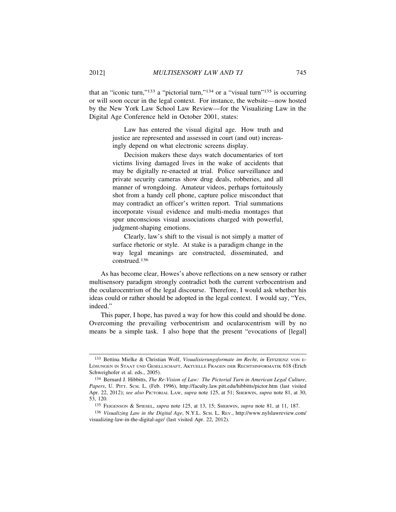that an "iconic turn,"<sup>133</sup> a "pictorial turn,"<sup>134</sup> or a "visual turn"<sup>135</sup> is occurring or will soon occur in the legal context. For instance, the website—now hosted by the New York Law School Law Review—for the Visualizing Law in the Digital Age Conference held in October 2001, states:

> Law has entered the visual digital age. How truth and justice are represented and assessed in court (and out) increasingly depend on what electronic screens display.

> Decision makers these days watch documentaries of tort victims living damaged lives in the wake of accidents that may be digitally re-enacted at trial. Police surveillance and private security cameras show drug deals, robberies, and all manner of wrongdoing. Amateur videos, perhaps fortuitously shot from a handy cell phone, capture police misconduct that may contradict an officer's written report. Trial summations incorporate visual evidence and multi-media montages that spur unconscious visual associations charged with powerful, judgment-shaping emotions.

> Clearly, law's shift to the visual is not simply a matter of surface rhetoric or style. At stake is a paradigm change in the way legal meanings are constructed, disseminated, and construed.136

As has become clear, Howes's above reflections on a new sensory or rather multisensory paradigm strongly contradict both the current verbocentrism and the ocularocentrism of the legal discourse. Therefore, I would ask whether his ideas could or rather should be adopted in the legal context. I would say, "Yes, indeed."

This paper, I hope, has paved a way for how this could and should be done. Overcoming the prevailing verbocentrism and ocularocentrism will by no means be a simple task. I also hope that the present "evocations of [legal]

<sup>133</sup> Bettina Mielke & Christian Wolf, *Visualisierungsformate im Recht*, *in* EFFIZIENZ VON E-LÖSUNGEN IN STAAT UND GESELLSCHAFT, AKTUELLE FRAGEN DER RECHTSINFORMATIK 618 (Erich Schweighofer et al. eds., 2005).

<sup>134</sup> Bernard J. Hibbitts, *The Re-Vision of Law: The Pictorial Turn in American Legal Culture*, *Papers*, U. PITT. SCH. L. (Feb. 1996), http://faculty.law.pitt.edu/hibbitts/pictor.htm (last visited Apr. 22, 2012); *see also* PICTORIAL LAW, *supra* note 125, at 51; SHERWIN, *supra* note 81, at 30, 53, 120.

<sup>135</sup> FEIGENSON & SPIESEL, *supra* note 125, at 13, 15; SHERWIN, *supra* note 81, at 11, 187.

<sup>136</sup> *Visualizing Law in the Digital Age*, N.Y.L. SCH. L. REV., http://www.nylslawreview.com/ visualizing-law-in-the-digital-age/ (last visited Apr. 22, 2012).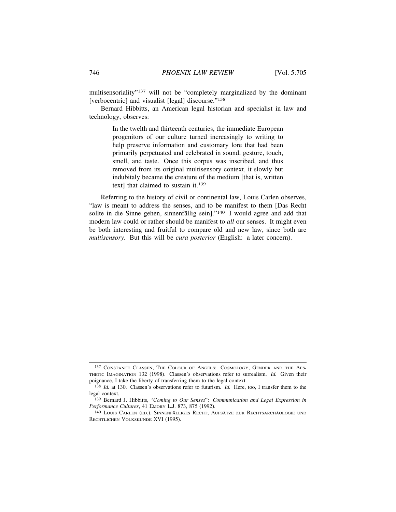multisensoriality"137 will not be "completely marginalized by the dominant [verbocentric] and visualist [legal] discourse."<sup>138</sup>

Bernard Hibbitts, an American legal historian and specialist in law and technology, observes:

> In the twelth and thirteenth centuries, the immediate European progenitors of our culture turned increasingly to writing to help preserve information and customary lore that had been primarily perpetuated and celebrated in sound, gesture, touch, smell, and taste. Once this corpus was inscribed, and thus removed from its original multisensory context, it slowly but indubitaly became the creature of the medium [that is, written text] that claimed to sustain it.<sup>139</sup>

Referring to the history of civil or continental law, Louis Carlen observes, "law is meant to address the senses, and to be manifest to them [Das Recht sollte in die Sinne gehen, sinnenfällig sein]."<sup>140</sup> I would agree and add that modern law could or rather should be manifest to *all* our senses. It might even be both interesting and fruitful to compare old and new law, since both are *multisensory*. But this will be *cura posterior* (English: a later concern).

<sup>137</sup> CONSTANCE CLASSEN, THE COLOUR OF ANGELS: COSMOLOGY, GENDER AND THE AES-THETIC IMAGINATION 132 (1998). Classen's observations refer to surrealism. *Id.* Given their poignance, I take the liberty of transferring them to the legal context.

<sup>138</sup> *Id.* at 130. Classen's observations refer to futurism. *Id.* Here, too, I transfer them to the legal context.

<sup>139</sup> Bernard J. Hibbitts, "*Coming to Our Senses*": *Communication and Legal Expression in Performance Cultures*, 41 EMORY L.J. 873, 875 (1992).

<sup>&</sup>lt;sup>140</sup> LOUIS CARLEN (ED.), SINNENFÄLLIGES RECHT, AUFSÄTZE ZUR RECHTSARCHÄOLOGIE UND RECHTLICHEN VOLKSKUNDE XVI (1995).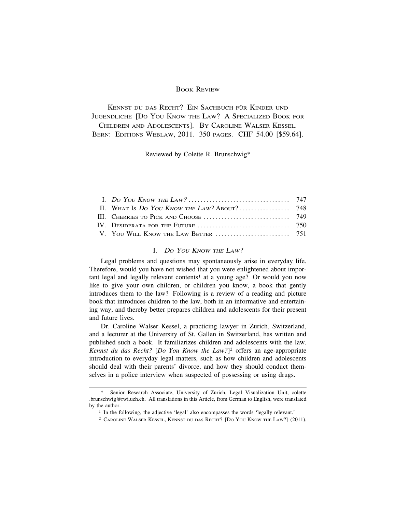## BOOK REVIEW

KENNST DU DAS RECHT? EIN SACHBUCH FÜR KINDER UND JUGENDLICHE [DO YOU KNOW THE LAW? A SPECIALIZED BOOK FOR CHILDREN AND ADOLESCENTS]. BY CAROLINE WALSER KESSEL. BERN: EDITIONS WEBLAW, 2011. 350 PAGES. CHF 54.00 [\$59.64].

Reviewed by Colette R. Brunschwig\*

## I. <sup>D</sup>O YOU KNOW THE LAW?

Legal problems and questions may spontaneously arise in everyday life. Therefore, would you have not wished that you were enlightened about important legal and legally relevant contents<sup>1</sup> at a young age? Or would you now like to give your own children, or children you know, a book that gently introduces them to the law? Following is a review of a reading and picture book that introduces children to the law, both in an informative and entertaining way, and thereby better prepares children and adolescents for their present and future lives.

Dr. Caroline Walser Kessel, a practicing lawyer in Zurich, Switzerland, and a lecturer at the University of St. Gallen in Switzerland, has written and published such a book. It familiarizes children and adolescents with the law. *Kennst du das Recht?* [*Do You Know the Law?*]2 offers an age-appropriate introduction to everyday legal matters, such as how children and adolescents should deal with their parents' divorce, and how they should conduct themselves in a police interview when suspected of possessing or using drugs.

Senior Research Associate, University of Zurich, Legal Visualization Unit, colette .brunschwig@rwi.uzh.ch. All translations in this Article, from German to English, were translated by the author.

<sup>1</sup> In the following, the adjective 'legal' also encompasses the words 'legally relevant.'

<sup>2</sup> CAROLINE WALSER KESSEL, KENNST DU DAS RECHT? [DO YOU KNOW THE LAW?] (2011).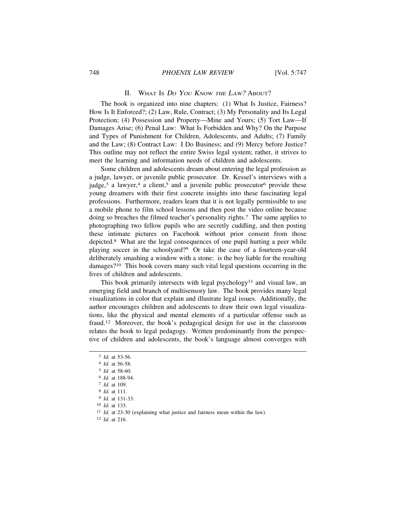#### II. WHAT IS <sup>D</sup>O YOU KNOW THE LAW? ABOUT?

The book is organized into nine chapters: (1) What Is Justice, Fairness? How Is It Enforced?; (2) Law, Rule, Contract; (3) My Personality and Its Legal Protection; (4) Possession and Property—Mine and Yours; (5) Tort Law—If Damages Arise; (6) Penal Law: What Is Forbidden and Why? On the Purpose and Types of Punishment for Children, Adolescents, and Adults; (7) Family and the Law; (8) Contract Law: I Do Business; and (9) Mercy before Justice? This outline may not reflect the entire Swiss legal system; rather, it strives to meet the learning and information needs of children and adolescents.

Some children and adolescents dream about entering the legal profession as a judge, lawyer, or juvenile public prosecutor. Dr. Kessel's interviews with a judge,<sup>3</sup> a lawyer,<sup>4</sup> a client,<sup>5</sup> and a juvenile public prosecutor<sup>6</sup> provide these young dreamers with their first concrete insights into these fascinating legal professions. Furthermore, readers learn that it is not legally permissible to use a mobile phone to film school lessons and then post the video online because doing so breaches the filmed teacher's personality rights.7 The same applies to photographing two fellow pupils who are secretly cuddling, and then posting these intimate pictures on Facebook without prior consent from those depicted.8 What are the legal consequences of one pupil hurting a peer while playing soccer in the schoolyard?9 Or take the case of a fourteen-year-old deliberately smashing a window with a stone: is the boy liable for the resulting damages?10 This book covers many such vital legal questions occurring in the lives of children and adolescents.

This book primarily intersects with legal psychology<sup>11</sup> and visual law, an emerging field and branch of multisensory law. The book provides many legal visualizations in color that explain and illustrate legal issues. Additionally, the author encourages children and adolescents to draw their own legal visualizations, like the physical and mental elements of a particular offense such as fraud.12 Moreover, the book's pedagogical design for use in the classroom relates the book to legal pedagogy. Written predominantly from the perspective of children and adolescents, the book's language almost converges with

- 9 *Id.* at 131-33.
- 10 *Id.* at 133.

12 *Id.* at 216.

<sup>3</sup> *Id.* at 53-56.

<sup>4</sup> *Id.* at 56-58.

<sup>5</sup> *Id.* at 58-60.

<sup>6</sup> *Id.* at 188-94.

<sup>7</sup> *Id.* at 109.

<sup>8</sup> *Id.* at 111.

<sup>11</sup> *Id.* at 23-30 (explaining what justice and fairness mean within the law).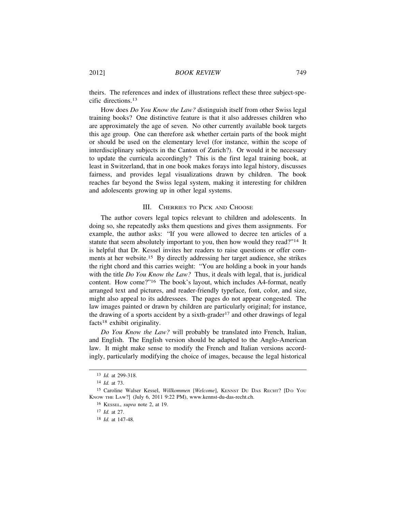theirs. The references and index of illustrations reflect these three subject-specific directions.<sup>13</sup>

How does *Do You Know the Law?* distinguish itself from other Swiss legal training books? One distinctive feature is that it also addresses children who are approximately the age of seven. No other currently available book targets this age group. One can therefore ask whether certain parts of the book might or should be used on the elementary level (for instance, within the scope of interdisciplinary subjects in the Canton of Zurich?). Or would it be necessary to update the curricula accordingly? This is the first legal training book, at least in Switzerland, that in one book makes forays into legal history, discusses fairness, and provides legal visualizations drawn by children. The book reaches far beyond the Swiss legal system, making it interesting for children and adolescents growing up in other legal systems.

### III. CHERRIES TO PICK AND CHOOSE

The author covers legal topics relevant to children and adolescents. In doing so, she repeatedly asks them questions and gives them assignments. For example, the author asks: "If you were allowed to decree ten articles of a statute that seem absolutely important to you, then how would they read?"<sup>14</sup> It is helpful that Dr. Kessel invites her readers to raise questions or offer comments at her website.15 By directly addressing her target audience, she strikes the right chord and this carries weight: "You are holding a book in your hands with the title *Do You Know the Law?* Thus, it deals with legal, that is, juridical content. How come?"16 The book's layout, which includes A4-format, neatly arranged text and pictures, and reader-friendly typeface, font, color, and size, might also appeal to its addressees. The pages do not appear congested. The law images painted or drawn by children are particularly original; for instance, the drawing of a sports accident by a sixth-grader<sup>17</sup> and other drawings of legal facts18 exhibit originality.

*Do You Know the Law?* will probably be translated into French, Italian, and English. The English version should be adapted to the Anglo-American law. It might make sense to modify the French and Italian versions accordingly, particularly modifying the choice of images, because the legal historical

<sup>13</sup> *Id.* at 299-318.

<sup>14</sup> *Id.* at 73.

<sup>15</sup> Caroline Walser Kessel, *Willkommen* [Welcome], KENNST DU DAS RECHT? [DO YOU KNOW THE LAW?] (July 6, 2011 9:22 PM), www.kennst-du-das-recht.ch.

<sup>16</sup> KESSEL, *supra* note 2, at 19.

<sup>17</sup> *Id.* at 27.

<sup>18</sup> *Id.* at 147-48.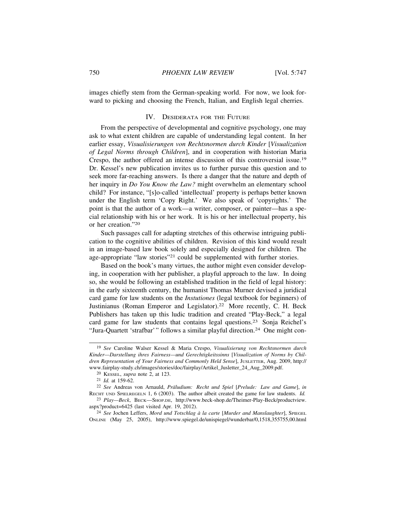images chiefly stem from the German-speaking world. For now, we look forward to picking and choosing the French, Italian, and English legal cherries.

## IV. DESIDERATA FOR THE FUTURE

From the perspective of developmental and cognitive psychology, one may ask to what extent children are capable of understanding legal content. In her earlier essay, *Visualisierungen von Rechtsnormen durch Kinder* [*Visualization of Legal Norms through Children*], and in cooperation with historian Maria Crespo, the author offered an intense discussion of this controversial issue.<sup>19</sup> Dr. Kessel's new publication invites us to further pursue this question and to seek more far-reaching answers. Is there a danger that the nature and depth of her inquiry in *Do You Know the Law?* might overwhelm an elementary school child? For instance, "[s]o-called 'intellectual' property is perhaps better known under the English term 'Copy Right.' We also speak of 'copyrights.' The point is that the author of a work—a writer, composer, or painter—has a special relationship with his or her work. It is his or her intellectual property, his or her creation."<sup>20</sup>

Such passages call for adapting stretches of this otherwise intriguing publication to the cognitive abilities of children. Revision of this kind would result in an image-based law book solely and especially designed for children. The age-appropriate "law stories"21 could be supplemented with further stories.

Based on the book's many virtues, the author might even consider developing, in cooperation with her publisher, a playful approach to the law. In doing so, she would be following an established tradition in the field of legal history: in the early sixteenth century, the humanist Thomas Murner devised a juridical card game for law students on the *Instutiones* (legal textbook for beginners) of Justinianus (Roman Emperor and Legislator).<sup>22</sup> More recently, C. H. Beck Publishers has taken up this ludic tradition and created "Play-Beck," a legal card game for law students that contains legal questions.23 Sonja Reichel's "Jura-Quartett 'strafbar'" follows a similar playful direction.<sup>24</sup> One might con-

<sup>24</sup> See Jochen Leffers, *Mord und Totschlag à la carte* [*Murder and Manslaughter*], SPIEGEL ONLINE (May 25, 2005), http://www.spiegel.de/unispiegel/wunderbar/0,1518,355755,00.html

<sup>19</sup> *See* Caroline Walser Kessel & Maria Crespo, *Visualisierung von Rechtsnormen durch Kinder—Darstellung ihres Fairness—und Gerechtigkeitssinns* [*Visualization of Norms by Children Representation of Your Fairness and Commonly Held Sense*], JUSLETTER, Aug. 2009, http:// www.fairplay-study.ch/images/stories/doc/fairplay/Artikel\_Jusletter\_24\_Aug\_2009.pdf.

<sup>20</sup> KESSEL, *supra* note 2, at 123.

<sup>21</sup> *Id.* at 159-62.

<sup>&</sup>lt;sup>22</sup> See Andreas von Arnauld, *Präludium: Recht und Spiel* [*Prelude: Law and Game*], *in* RECHT UND SPIELREGELN 1, 6 (2003). The author albeit created the game for law students. *Id.*

<sup>23</sup> *Play—Beck*, BECK—SHOP.DE, http://www.beck-shop.de/Theimer-Play-Beck/productview. aspx?product=6425 (last visited Apr. 19, 2012).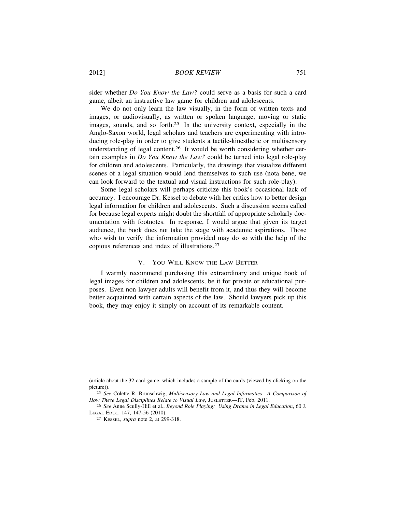2012] *BOOK REVIEW* 751

sider whether *Do You Know the Law?* could serve as a basis for such a card game, albeit an instructive law game for children and adolescents.

We do not only learn the law visually, in the form of written texts and images, or audiovisually, as written or spoken language, moving or static images, sounds, and so forth.<sup>25</sup> In the university context, especially in the Anglo-Saxon world, legal scholars and teachers are experimenting with introducing role-play in order to give students a tactile-kinesthetic or multisensory understanding of legal content.26 It would be worth considering whether certain examples in *Do You Know the Law?* could be turned into legal role-play for children and adolescents. Particularly, the drawings that visualize different scenes of a legal situation would lend themselves to such use (nota bene, we can look forward to the textual and visual instructions for such role-play).

Some legal scholars will perhaps criticize this book's occasional lack of accuracy. I encourage Dr. Kessel to debate with her critics how to better design legal information for children and adolescents. Such a discussion seems called for because legal experts might doubt the shortfall of appropriate scholarly documentation with footnotes. In response, I would argue that given its target audience, the book does not take the stage with academic aspirations. Those who wish to verify the information provided may do so with the help of the copious references and index of illustrations.<sup>27</sup>

### V. YOU WILL KNOW THE LAW BETTER

I warmly recommend purchasing this extraordinary and unique book of legal images for children and adolescents, be it for private or educational purposes. Even non-lawyer adults will benefit from it, and thus they will become better acquainted with certain aspects of the law. Should lawyers pick up this book, they may enjoy it simply on account of its remarkable content.

<sup>(</sup>article about the 32-card game, which includes a sample of the cards (viewed by clicking on the picture)).

<sup>25</sup> *See* Colette R. Brunschwig, *Multisensory Law and Legal Informatics—A Comparison of How These Legal Disciplines Relate to Visual Law*, JUSLETTER—IT, Feb. 2011.

<sup>26</sup> *See* Anne Scully-Hill et al., *Beyond Role Playing: Using Drama in Legal Education*, 60 J. LEGAL EDUC. 147, 147-56 (2010).

<sup>27</sup> KESSEL, *supra* note 2, at 299-318.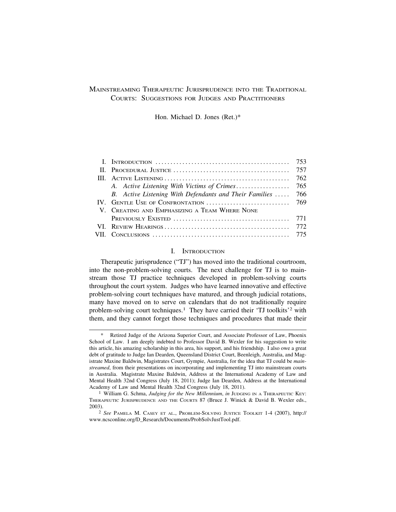# MAINSTREAMING THERAPEUTIC JURISPRUDENCE INTO THE TRADITIONAL COURTS: SUGGESTIONS FOR JUDGES AND PRACTITIONERS

Hon. Michael D. Jones (Ret.)\*

| B. Active Listening With Defendants and Their Families  766 |  |
|-------------------------------------------------------------|--|
|                                                             |  |
| V. CREATING AND EMPHASIZING A TEAM WHERE NONE               |  |
|                                                             |  |
|                                                             |  |
|                                                             |  |

#### I. INTRODUCTION

Therapeutic jurisprudence ("TJ") has moved into the traditional courtroom, into the non-problem-solving courts. The next challenge for TJ is to mainstream those TJ practice techniques developed in problem-solving courts throughout the court system. Judges who have learned innovative and effective problem-solving court techniques have matured, and through judicial rotations, many have moved on to serve on calendars that do not traditionally require problem-solving court techniques.<sup>1</sup> They have carried their 'TJ toolkits'<sup>2</sup> with them, and they cannot forget those techniques and procedures that made their

Retired Judge of the Arizona Superior Court, and Associate Professor of Law, Phoenix School of Law. I am deeply indebted to Professor David B. Wexler for his suggestion to write this article, his amazing scholarship in this area, his support, and his friendship. I also owe a great debt of gratitude to Judge Ian Dearden, Queensland District Court, Beenleigh, Australia, and Magistrate Maxine Baldwin, Magistrates Court, Gympie, Australia, for the idea that TJ could be *mainstreamed*, from their presentations on incorporating and implementing TJ into mainstream courts in Australia. Magistrate Maxine Baldwin, Address at the International Academy of Law and Mental Health 32nd Congress (July 18, 2011); Judge Ian Dearden, Address at the International Academy of Law and Mental Health 32nd Congress (July 18, 2011).

<sup>1</sup> William G. Schma, *Judging for the New Millennium*, *in* JUDGING IN A THERAPEUTIC KEY: THERAPEUTIC JURISPRUDENCE AND THE COURTS 87 (Bruce J. Winick & David B. Wexler eds., 2003).

<sup>2</sup> *See* PAMELA M. CASEY ET AL., PROBLEM-SOLVING JUSTICE TOOLKIT 1-4 (2007), http:// www.ncsconline.org/D\_Research/Documents/ProbSolvJustTool.pdf.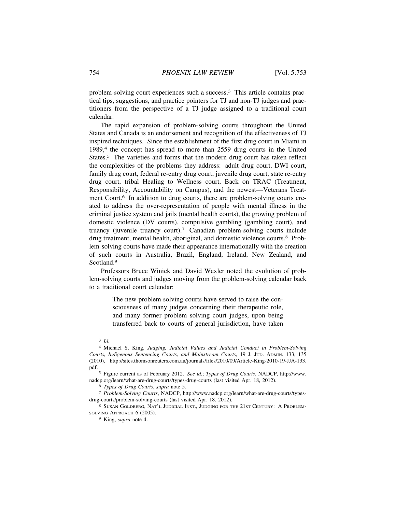problem-solving court experiences such a success.3 This article contains practical tips, suggestions, and practice pointers for TJ and non-TJ judges and practitioners from the perspective of a TJ judge assigned to a traditional court calendar.

The rapid expansion of problem-solving courts throughout the United States and Canada is an endorsement and recognition of the effectiveness of TJ inspired techniques. Since the establishment of the first drug court in Miami in 1989,<sup>4</sup> the concept has spread to more than 2559 drug courts in the United States.<sup>5</sup> The varieties and forms that the modern drug court has taken reflect the complexities of the problems they address: adult drug court, DWI court, family drug court, federal re-entry drug court, juvenile drug court, state re-entry drug court, tribal Healing to Wellness court, Back on TRAC (Treatment, Responsibility, Accountability on Campus), and the newest—Veterans Treatment Court.<sup>6</sup> In addition to drug courts, there are problem-solving courts created to address the over-representation of people with mental illness in the criminal justice system and jails (mental health courts), the growing problem of domestic violence (DV courts), compulsive gambling (gambling court), and truancy (juvenile truancy court).7 Canadian problem-solving courts include drug treatment, mental health, aboriginal, and domestic violence courts.8 Problem-solving courts have made their appearance internationally with the creation of such courts in Australia, Brazil, England, Ireland, New Zealand, and Scotland.<sup>9</sup>

Professors Bruce Winick and David Wexler noted the evolution of problem-solving courts and judges moving from the problem-solving calendar back to a traditional court calendar:

> The new problem solving courts have served to raise the consciousness of many judges concerning their therapeutic role, and many former problem solving court judges, upon being transferred back to courts of general jurisdiction, have taken

<sup>3</sup> *Id.*

<sup>4</sup> Michael S. King, *Judging, Judicial Values and Judicial Conduct in Problem-Solving Courts, Indigenous Sentencing Courts, and Mainstream Courts*, 19 J. JUD. ADMIN. 133, 135 (2010), http://sites.thomsonreuters.com.au/journals/files/2010/09/Article-King-2010-19-JJA-133. pdf.

<sup>5</sup> Figure current as of February 2012. *See id.*; *Types of Drug Courts*, NADCP, http://www. nadcp.org/learn/what-are-drug-courts/types-drug-courts (last visited Apr. 18, 2012).

<sup>6</sup> *Types of Drug Courts*, *supra* note 5*.*

<sup>7</sup> *Problem-Solving Courts*, NADCP, http://www.nadcp.org/learn/what-are-drug-courts/typesdrug-courts/problem-solving-courts (last visited Apr. 18, 2012).

<sup>8</sup> SUSAN GOLDBERG, NAT'L JUDICIAL INST., JUDGING FOR THE 21ST CENTURY: A PROBLEM-SOLVING APPROACH 6 (2005).

<sup>9</sup> King, *supra* note 4.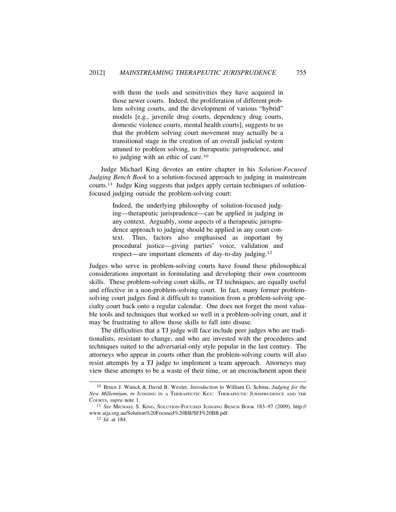with them the tools and sensitivities they have acquired in those newer courts. Indeed, the proliferation of different problem solving courts, and the development of various "hybrid" models [e.g., juvenile drug courts, dependency drug courts, domestic violence courts, mental health courts], suggests to us that the problem solving court movement may actually be a transitional stage in the creation of an overall judicial system attuned to problem solving, to therapeutic jurisprudence, and to judging with an ethic of care.<sup>10</sup>

Judge Michael King devotes an entire chapter in his *Solution-Focused Judging Bench Book* to a solution-focused approach to judging in mainstream courts.11 Judge King suggests that judges apply certain techniques of solutionfocused judging outside the problem-solving court:

> Indeed, the underlying philosophy of solution-focused judging—therapeutic jurisprudence—can be applied in judging in any context. Arguably, some aspects of a therapeutic jurisprudence approach to judging should be applied in any court context. Thus, factors also emphasised as important by procedural justice—giving parties' voice, validation and respect—are important elements of day-to-day judging.<sup>12</sup>

Judges who serve in problem-solving courts have found these philosophical considerations important in formulating and developing their own courtroom skills. These problem-solving court skills, or TJ techniques, are equally useful and effective in a non-problem-solving court. In fact, many former problemsolving court judges find it difficult to transition from a problem-solving specialty court back onto a regular calendar. One does not forget the most valuable tools and techniques that worked so well in a problem-solving court, and it may be frustrating to allow those skills to fall into disuse.

The difficulties that a TJ judge will face include peer judges who are traditionalists, resistant to change, and who are invested with the procedures and techniques suited to the adversarial-only style popular in the last century. The attorneys who appear in courts other than the problem-solving courts will also resist attempts by a TJ judge to implement a team approach. Attorneys may view these attempts to be a waste of their time, or an encroachment upon their

<sup>10</sup> Bruce J. Winick & David B. Wexler, *Introduction* to William G. Schma, *Judging for the New Millennium*, *in* JUDGING IN A THERAPEUTIC KEY: THERAPEUTIC JURISPRUDENCE AND THE COURTS, *supra* note 1.

<sup>11</sup> *See* MICHAEL S. KING, SOLUTION-FOCUSED JUDGING BENCH BOOK 183–97 (2009), http:// www.aija.org.au/Solution%20Focused%20BB/SFJ%20BB.pdf.

<sup>12</sup> *Id.* at 184.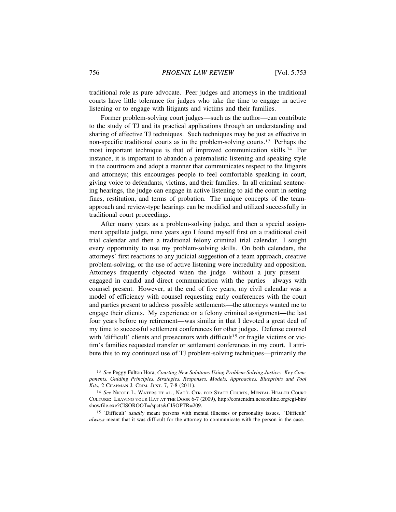traditional role as pure advocate. Peer judges and attorneys in the traditional courts have little tolerance for judges who take the time to engage in active listening or to engage with litigants and victims and their families.

Former problem-solving court judges—such as the author—can contribute to the study of TJ and its practical applications through an understanding and sharing of effective TJ techniques. Such techniques may be just as effective in non-specific traditional courts as in the problem-solving courts.13 Perhaps the most important technique is that of improved communication skills.14 For instance, it is important to abandon a paternalistic listening and speaking style in the courtroom and adopt a manner that communicates respect to the litigants and attorneys; this encourages people to feel comfortable speaking in court, giving voice to defendants, victims, and their families. In all criminal sentencing hearings, the judge can engage in active listening to aid the court in setting fines, restitution, and terms of probation. The unique concepts of the teamapproach and review-type hearings can be modified and utilized successfully in traditional court proceedings.

After many years as a problem-solving judge, and then a special assignment appellate judge, nine years ago I found myself first on a traditional civil trial calendar and then a traditional felony criminal trial calendar. I sought every opportunity to use my problem-solving skills. On both calendars, the attorneys' first reactions to any judicial suggestion of a team approach, creative problem-solving, or the use of active listening were incredulity and opposition. Attorneys frequently objected when the judge—without a jury present engaged in candid and direct communication with the parties—always with counsel present. However, at the end of five years, my civil calendar was a model of efficiency with counsel requesting early conferences with the court and parties present to address possible settlements—the attorneys wanted me to engage their clients. My experience on a felony criminal assignment—the last four years before my retirement—was similar in that I devoted a great deal of my time to successful settlement conferences for other judges. Defense counsel with 'difficult' clients and prosecutors with difficult<sup>15</sup> or fragile victims or victim's families requested transfer or settlement conferences in my court. I attribute this to my continued use of TJ problem-solving techniques—primarily the

<sup>13</sup> *See* Peggy Fulton Hora, *Courting New Solutions Using Problem-Solving Justice: Key Components, Guiding Principles, Strategies, Responses, Models, Approaches, Blueprints and Tool Kits*, 2 CHAPMAN J. CRIM. JUST. 7, 7-8 (2011).

<sup>14</sup> *See* NICOLE L. WATERS ET AL., NAT'L CTR. FOR STATE COURTS, MENTAL HEALTH COURT CULTURE: LEAVING YOUR HAT AT THE DOOR 6-7 (2009), http://contentdm.ncsconline.org/cgi-bin/ showfile.exe?CISOROOT=/spcts&CISOPTR=209.

<sup>15</sup> 'Difficult' *usually* meant persons with mental illnesses or personality issues. 'Difficult' *always* meant that it was difficult for the attorney to communicate with the person in the case.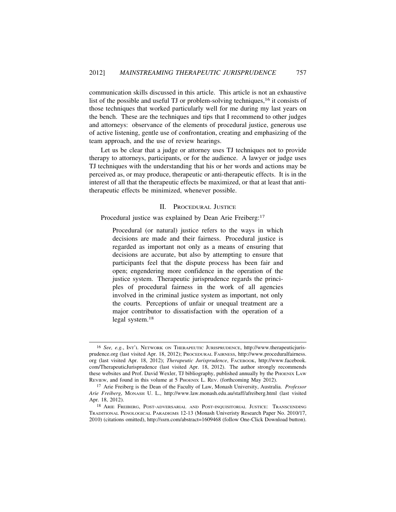communication skills discussed in this article. This article is not an exhaustive list of the possible and useful TJ or problem-solving techniques,16 it consists of those techniques that worked particularly well for me during my last years on the bench. These are the techniques and tips that I recommend to other judges and attorneys: observance of the elements of procedural justice, generous use of active listening, gentle use of confrontation, creating and emphasizing of the team approach, and the use of review hearings.

Let us be clear that a judge or attorney uses TJ techniques not to provide therapy to attorneys, participants, or for the audience. A lawyer or judge uses TJ techniques with the understanding that his or her words and actions may be perceived as, or may produce, therapeutic or anti-therapeutic effects. It is in the interest of all that the therapeutic effects be maximized, or that at least that antitherapeutic effects be minimized, whenever possible.

## II. PROCEDURAL JUSTICE

Procedural justice was explained by Dean Arie Freiberg:<sup>17</sup>

Procedural (or natural) justice refers to the ways in which decisions are made and their fairness. Procedural justice is regarded as important not only as a means of ensuring that decisions are accurate, but also by attempting to ensure that participants feel that the dispute process has been fair and open; engendering more confidence in the operation of the justice system. Therapeutic jurisprudence regards the principles of procedural fairness in the work of all agencies involved in the criminal justice system as important, not only the courts. Perceptions of unfair or unequal treatment are a major contributor to dissatisfaction with the operation of a legal system.<sup>18</sup>

<sup>16</sup> *See, e.g.*, INT'L NETWORK ON THERAPEUTIC JURISPRUDENCE, http://www.therapeuticjurisprudence.org (last visited Apr. 18, 2012); PROCEDURAL FAIRNESS, http://www.proceduralfairness. org (last visited Apr. 18, 2012); *Therapeutic Jurisprudence*, FACEBOOK, http://www.facebook. com/TherapeuticJurisprudence (last visited Apr. 18, 2012). The author strongly recommends these websites and Prof. David Wexler, TJ bibliography, published annually by the PHOENIX LAW REVIEW, and found in this volume at 5 PHOENIX L. REV. (forthcoming May 2012).

<sup>17</sup> Arie Freiberg is the Dean of the Faculty of Law, Monash University, Australia. *Professor Arie Freiberg*, MONASH U. L., http://www.law.monash.edu.au/staff/afreiberg.html (last visited Apr. 18, 2012).

<sup>18</sup> ARIE FREIBERG, POST-ADVERSARIAL AND POST-INQUISITORIAL JUSTICE: TRANSCENDING TRADITIONAL PENOLOGICAL PARADIGMS 12-13 (Monash Univeristy Research Paper No. 2010/17, 2010) (citations omitted), http://ssrn.com/abstract=1609468 (follow One-Click Download button).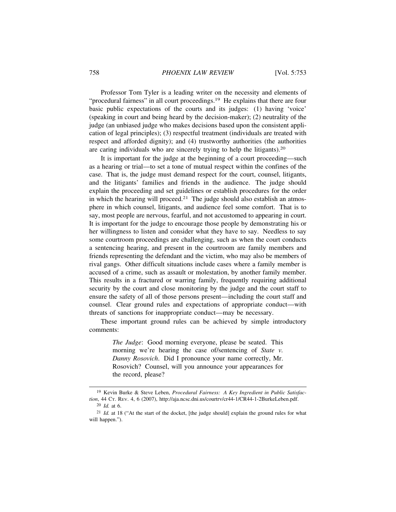Professor Tom Tyler is a leading writer on the necessity and elements of "procedural fairness" in all court proceedings.<sup>19</sup> He explains that there are four basic public expectations of the courts and its judges: (1) having 'voice' (speaking in court and being heard by the decision-maker); (2) neutrality of the judge (an unbiased judge who makes decisions based upon the consistent application of legal principles); (3) respectful treatment (individuals are treated with respect and afforded dignity); and (4) trustworthy authorities (the authorities are caring individuals who are sincerely trying to help the litigants).<sup>20</sup>

It is important for the judge at the beginning of a court proceeding—such as a hearing or trial—to set a tone of mutual respect within the confines of the case. That is, the judge must demand respect for the court, counsel, litigants, and the litigants' families and friends in the audience. The judge should explain the proceeding and set guidelines or establish procedures for the order in which the hearing will proceed.<sup>21</sup> The judge should also establish an atmosphere in which counsel, litigants, and audience feel some comfort. That is to say, most people are nervous, fearful, and not accustomed to appearing in court. It is important for the judge to encourage those people by demonstrating his or her willingness to listen and consider what they have to say. Needless to say some courtroom proceedings are challenging, such as when the court conducts a sentencing hearing, and present in the courtroom are family members and friends representing the defendant and the victim, who may also be members of rival gangs. Other difficult situations include cases where a family member is accused of a crime, such as assault or molestation, by another family member. This results in a fractured or warring family, frequently requiring additional security by the court and close monitoring by the judge and the court staff to ensure the safety of all of those persons present—including the court staff and counsel. Clear ground rules and expectations of appropriate conduct—with threats of sanctions for inappropriate conduct—may be necessary.

These important ground rules can be achieved by simple introductory comments:

> *The Judge*: Good morning everyone, please be seated. This morning we're hearing the case of/sentencing of *State v. Danny Rosovich*. Did I pronounce your name correctly, Mr. Rosovich? Counsel, will you announce your appearances for the record, please?

<sup>19</sup> Kevin Burke & Steve Leben, *Procedural Fairness: A Key Ingredient in Public Satisfaction*, 44 CT. REV. 4, 6 (2007), http://aja.ncsc.dni.us/courtrv/cr44-1/CR44-1-2BurkeLeben.pdf. 20 *Id.* at 6.

<sup>&</sup>lt;sup>21</sup> *Id.* at 18 ("At the start of the docket, [the judge should] explain the ground rules for what will happen.").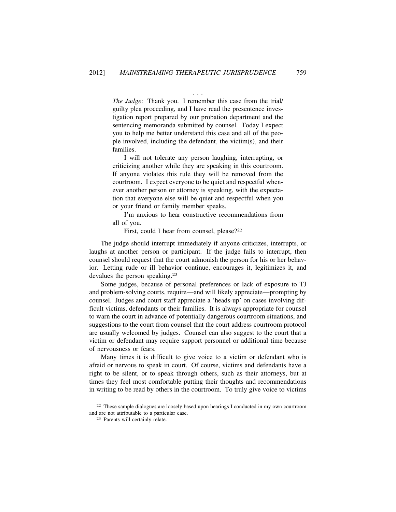. . .

*The Judge*: Thank you. I remember this case from the trial/ guilty plea proceeding, and I have read the presentence investigation report prepared by our probation department and the sentencing memoranda submitted by counsel. Today I expect you to help me better understand this case and all of the people involved, including the defendant, the victim(s), and their families.

I will not tolerate any person laughing, interrupting, or criticizing another while they are speaking in this courtroom. If anyone violates this rule they will be removed from the courtroom. I expect everyone to be quiet and respectful whenever another person or attorney is speaking, with the expectation that everyone else will be quiet and respectful when you or your friend or family member speaks.

I'm anxious to hear constructive recommendations from all of you.

First, could I hear from counsel, please?<sup>22</sup>

The judge should interrupt immediately if anyone criticizes, interrupts, or laughs at another person or participant. If the judge fails to interrupt, then counsel should request that the court admonish the person for his or her behavior. Letting rude or ill behavior continue, encourages it, legitimizes it, and devalues the person speaking.<sup>23</sup>

Some judges, because of personal preferences or lack of exposure to TJ and problem-solving courts, require—and will likely appreciate—prompting by counsel. Judges and court staff appreciate a 'heads-up' on cases involving difficult victims, defendants or their families. It is always appropriate for counsel to warn the court in advance of potentially dangerous courtroom situations, and suggestions to the court from counsel that the court address courtroom protocol are usually welcomed by judges. Counsel can also suggest to the court that a victim or defendant may require support personnel or additional time because of nervousness or fears.

Many times it is difficult to give voice to a victim or defendant who is afraid or nervous to speak in court. Of course, victims and defendants have a right to be silent, or to speak through others, such as their attorneys, but at times they feel most comfortable putting their thoughts and recommendations in writing to be read by others in the courtroom. To truly give voice to victims

<sup>22</sup> These sample dialogues are loosely based upon hearings I conducted in my own courtroom and are not attributable to a particular case.

<sup>23</sup> Parents will certainly relate.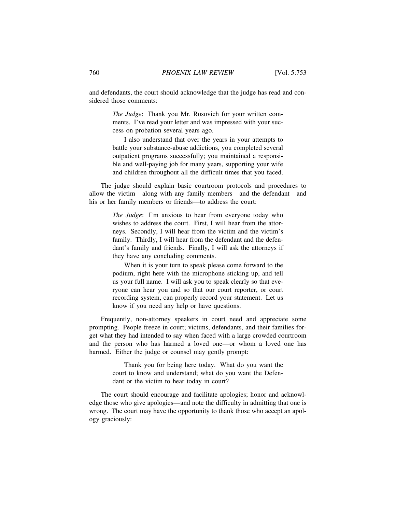and defendants, the court should acknowledge that the judge has read and considered those comments:

> *The Judge*: Thank you Mr. Rosovich for your written comments. I've read your letter and was impressed with your success on probation several years ago.

> I also understand that over the years in your attempts to battle your substance-abuse addictions, you completed several outpatient programs successfully; you maintained a responsible and well-paying job for many years, supporting your wife and children throughout all the difficult times that you faced.

The judge should explain basic courtroom protocols and procedures to allow the victim—along with any family members—and the defendant—and his or her family members or friends—to address the court:

> *The Judge*: I'm anxious to hear from everyone today who wishes to address the court. First, I will hear from the attorneys. Secondly, I will hear from the victim and the victim's family. Thirdly, I will hear from the defendant and the defendant's family and friends. Finally, I will ask the attorneys if they have any concluding comments.

> When it is your turn to speak please come forward to the podium, right here with the microphone sticking up, and tell us your full name. I will ask you to speak clearly so that everyone can hear you and so that our court reporter, or court recording system, can properly record your statement. Let us know if you need any help or have questions.

Frequently, non-attorney speakers in court need and appreciate some prompting. People freeze in court; victims, defendants, and their families forget what they had intended to say when faced with a large crowded courtroom and the person who has harmed a loved one—or whom a loved one has harmed. Either the judge or counsel may gently prompt:

> Thank you for being here today. What do you want the court to know and understand; what do you want the Defendant or the victim to hear today in court?

The court should encourage and facilitate apologies; honor and acknowledge those who give apologies—and note the difficulty in admitting that one is wrong. The court may have the opportunity to thank those who accept an apology graciously: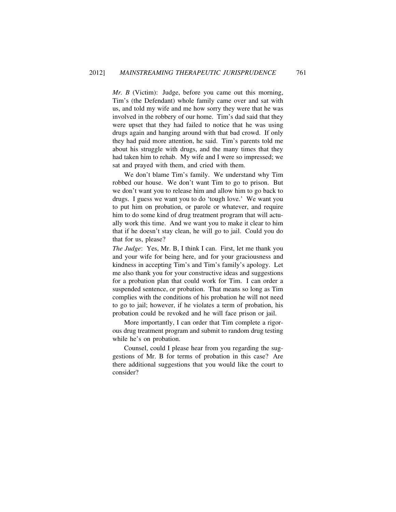*Mr. B* (Victim): Judge, before you came out this morning, Tim's (the Defendant) whole family came over and sat with us, and told my wife and me how sorry they were that he was involved in the robbery of our home. Tim's dad said that they were upset that they had failed to notice that he was using drugs again and hanging around with that bad crowd. If only they had paid more attention, he said. Tim's parents told me about his struggle with drugs, and the many times that they had taken him to rehab. My wife and I were so impressed; we sat and prayed with them, and cried with them.

We don't blame Tim's family. We understand why Tim robbed our house. We don't want Tim to go to prison. But we don't want you to release him and allow him to go back to drugs. I guess we want you to do 'tough love.' We want you to put him on probation, or parole or whatever, and require him to do some kind of drug treatment program that will actually work this time. And we want you to make it clear to him that if he doesn't stay clean, he will go to jail. Could you do that for us, please?

*The Judge*: Yes, Mr. B, I think I can. First, let me thank you and your wife for being here, and for your graciousness and kindness in accepting Tim's and Tim's family's apology. Let me also thank you for your constructive ideas and suggestions for a probation plan that could work for Tim. I can order a suspended sentence, or probation. That means so long as Tim complies with the conditions of his probation he will not need to go to jail; however, if he violates a term of probation, his probation could be revoked and he will face prison or jail.

More importantly, I can order that Tim complete a rigorous drug treatment program and submit to random drug testing while he's on probation.

Counsel, could I please hear from you regarding the suggestions of Mr. B for terms of probation in this case? Are there additional suggestions that you would like the court to consider?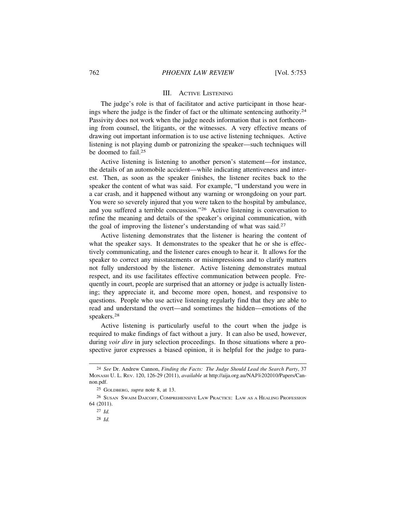#### III. ACTIVE LISTENING

The judge's role is that of facilitator and active participant in those hearings where the judge is the finder of fact or the ultimate sentencing authority.<sup>24</sup> Passivity does not work when the judge needs information that is not forthcoming from counsel, the litigants, or the witnesses. A very effective means of drawing out important information is to use active listening techniques. Active listening is not playing dumb or patronizing the speaker—such techniques will be doomed to fail.<sup>25</sup>

Active listening is listening to another person's statement—for instance, the details of an automobile accident—while indicating attentiveness and interest. Then, as soon as the speaker finishes, the listener recites back to the speaker the content of what was said. For example, "I understand you were in a car crash, and it happened without any warning or wrongdoing on your part. You were so severely injured that you were taken to the hospital by ambulance, and you suffered a terrible concussion."26 Active listening is conversation to refine the meaning and details of the speaker's original communication, with the goal of improving the listener's understanding of what was said.<sup>27</sup>

Active listening demonstrates that the listener is hearing the content of what the speaker says. It demonstrates to the speaker that he or she is effectively communicating, and the listener cares enough to hear it. It allows for the speaker to correct any misstatements or misimpressions and to clarify matters not fully understood by the listener. Active listening demonstrates mutual respect, and its use facilitates effective communication between people. Frequently in court, people are surprised that an attorney or judge is actually listening; they appreciate it, and become more open, honest, and responsive to questions. People who use active listening regularly find that they are able to read and understand the overt—and sometimes the hidden—emotions of the speakers.<sup>28</sup>

Active listening is particularly useful to the court when the judge is required to make findings of fact without a jury. It can also be used, however, during *voir dire* in jury selection proceedings. In those situations where a prospective juror expresses a biased opinion, it is helpful for the judge to para-

<sup>24</sup> *See* Dr. Andrew Cannon, *Finding the Facts: The Judge Should Lead the Search Party*, 37 MONASH U. L. REV. 120, 126-29 (2011), *available* at http://aija.org.au/NAJ%202010/Papers/Cannon.pdf.

<sup>25</sup> GOLDBERG, *supra* note 8, at 13.

<sup>26</sup> SUSAN SWAIM DAICOFF, COMPREHENSIVE LAW PRACTICE: LAW AS A HEALING PROFESSION 64 (2011).

<sup>27</sup> *Id.*

<sup>28</sup> *Id.*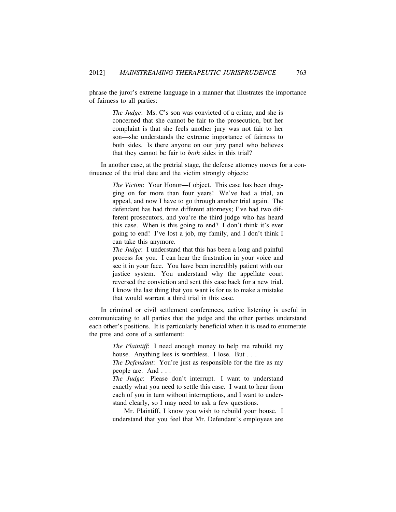phrase the juror's extreme language in a manner that illustrates the importance of fairness to all parties:

> *The Judge*: Ms. C's son was convicted of a crime, and she is concerned that she cannot be fair to the prosecution, but her complaint is that she feels another jury was not fair to her son—she understands the extreme importance of fairness to both sides. Is there anyone on our jury panel who believes that they cannot be fair to *both* sides in this trial?

In another case, at the pretrial stage, the defense attorney moves for a continuance of the trial date and the victim strongly objects:

> *The Victim*: Your Honor—I object. This case has been dragging on for more than four years! We've had a trial, an appeal, and now I have to go through another trial again. The defendant has had three different attorneys; I've had two different prosecutors, and you're the third judge who has heard this case. When is this going to end? I don't think it's ever going to end! I've lost a job, my family, and I don't think I can take this anymore.

> *The Judge*: I understand that this has been a long and painful process for you. I can hear the frustration in your voice and see it in your face. You have been incredibly patient with our justice system. You understand why the appellate court reversed the conviction and sent this case back for a new trial. I know the last thing that you want is for us to make a mistake that would warrant a third trial in this case.

In criminal or civil settlement conferences, active listening is useful in communicating to all parties that the judge and the other parties understand each other's positions. It is particularly beneficial when it is used to enumerate the pros and cons of a settlement:

> *The Plaintiff*: I need enough money to help me rebuild my house. Anything less is worthless. I lose. But . . .

> *The Defendant*: You're just as responsible for the fire as my people are. And . . .

> *The Judge*: Please don't interrupt. I want to understand exactly what you need to settle this case. I want to hear from each of you in turn without interruptions, and I want to understand clearly, so I may need to ask a few questions.

> Mr. Plaintiff, I know you wish to rebuild your house. I understand that you feel that Mr. Defendant's employees are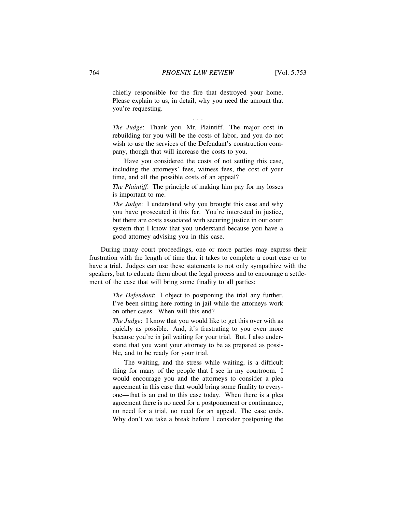chiefly responsible for the fire that destroyed your home. Please explain to us, in detail, why you need the amount that you're requesting.

. . .

*The Judge*: Thank you, Mr. Plaintiff. The major cost in rebuilding for you will be the costs of labor, and you do not wish to use the services of the Defendant's construction company, though that will increase the costs to you.

Have you considered the costs of not settling this case, including the attorneys' fees, witness fees, the cost of your time, and all the possible costs of an appeal?

*The Plaintiff*: The principle of making him pay for my losses is important to me.

*The Judge*: I understand why you brought this case and why you have prosecuted it this far. You're interested in justice, but there are costs associated with securing justice in our court system that I know that you understand because you have a good attorney advising you in this case.

During many court proceedings, one or more parties may express their frustration with the length of time that it takes to complete a court case or to have a trial. Judges can use these statements to not only sympathize with the speakers, but to educate them about the legal process and to encourage a settlement of the case that will bring some finality to all parties:

> *The Defendant*: I object to postponing the trial any further. I've been sitting here rotting in jail while the attorneys work on other cases. When will this end?

> *The Judge*: I know that you would like to get this over with as quickly as possible. And, it's frustrating to you even more because you're in jail waiting for your trial. But, I also understand that you want your attorney to be as prepared as possible, and to be ready for your trial.

> The waiting, and the stress while waiting, is a difficult thing for many of the people that I see in my courtroom. I would encourage you and the attorneys to consider a plea agreement in this case that would bring some finality to everyone—that is an end to this case today. When there is a plea agreement there is no need for a postponement or continuance, no need for a trial, no need for an appeal. The case ends. Why don't we take a break before I consider postponing the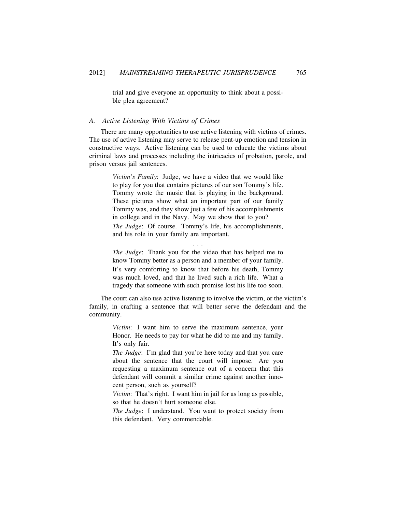trial and give everyone an opportunity to think about a possible plea agreement?

## *A. Active Listening With Victims of Crimes*

There are many opportunities to use active listening with victims of crimes. The use of active listening may serve to release pent-up emotion and tension in constructive ways. Active listening can be used to educate the victims about criminal laws and processes including the intricacies of probation, parole, and prison versus jail sentences.

> *Victim's Family*: Judge, we have a video that we would like to play for you that contains pictures of our son Tommy's life. Tommy wrote the music that is playing in the background. These pictures show what an important part of our family Tommy was, and they show just a few of his accomplishments in college and in the Navy. May we show that to you? *The Judge*: Of course. Tommy's life, his accomplishments, and his role in your family are important.

> *The Judge*: Thank you for the video that has helped me to know Tommy better as a person and a member of your family. It's very comforting to know that before his death, Tommy was much loved, and that he lived such a rich life. What a tragedy that someone with such promise lost his life too soon.

. . .

The court can also use active listening to involve the victim, or the victim's family, in crafting a sentence that will better serve the defendant and the community.

> *Victim*: I want him to serve the maximum sentence, your Honor. He needs to pay for what he did to me and my family. It's only fair.

> *The Judge*: I'm glad that you're here today and that you care about the sentence that the court will impose. Are you requesting a maximum sentence out of a concern that this defendant will commit a similar crime against another innocent person, such as yourself?

> *Victim*: That's right. I want him in jail for as long as possible, so that he doesn't hurt someone else.

> *The Judge*: I understand. You want to protect society from this defendant. Very commendable.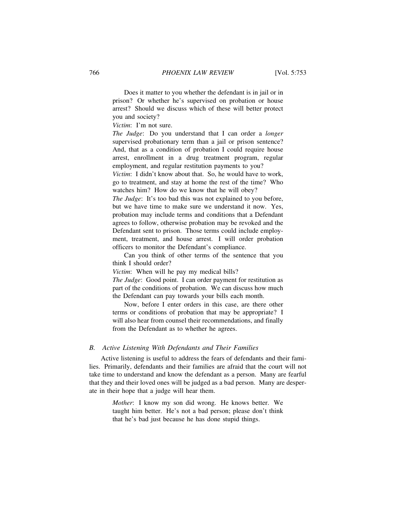Does it matter to you whether the defendant is in jail or in prison? Or whether he's supervised on probation or house arrest? Should we discuss which of these will better protect you and society?

*Victim*: I'm not sure.

*The Judge*: Do you understand that I can order a *longer* supervised probationary term than a jail or prison sentence? And, that as a condition of probation I could require house arrest, enrollment in a drug treatment program, regular employment, and regular restitution payments to you?

*Victim*: I didn't know about that. So, he would have to work, go to treatment, and stay at home the rest of the time? Who watches him? How do we know that he will obey?

*The Judge*: It's too bad this was not explained to you before, but we have time to make sure we understand it now. Yes, probation may include terms and conditions that a Defendant agrees to follow, otherwise probation may be revoked and the Defendant sent to prison. Those terms could include employment, treatment, and house arrest. I will order probation officers to monitor the Defendant's compliance.

Can you think of other terms of the sentence that you think I should order?

*Victim*: When will he pay my medical bills?

*The Judge*: Good point. I can order payment for restitution as part of the conditions of probation. We can discuss how much the Defendant can pay towards your bills each month.

Now, before I enter orders in this case, are there other terms or conditions of probation that may be appropriate? I will also hear from counsel their recommendations, and finally from the Defendant as to whether he agrees.

#### *B. Active Listening With Defendants and Their Families*

Active listening is useful to address the fears of defendants and their families. Primarily, defendants and their families are afraid that the court will not take time to understand and know the defendant as a person. Many are fearful that they and their loved ones will be judged as a bad person. Many are desperate in their hope that a judge will hear them.

> *Mother*: I know my son did wrong. He knows better. We taught him better. He's not a bad person; please don't think that he's bad just because he has done stupid things.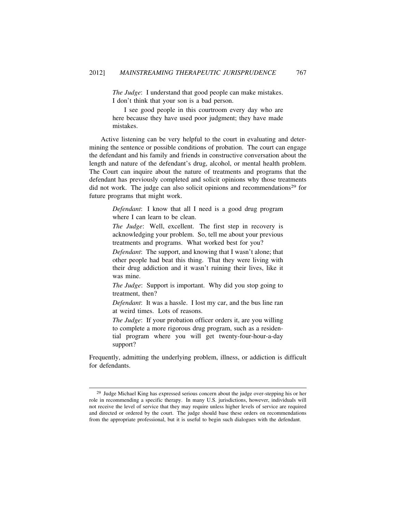*The Judge*: I understand that good people can make mistakes. I don't think that your son is a bad person.

I see good people in this courtroom every day who are here because they have used poor judgment; they have made mistakes.

Active listening can be very helpful to the court in evaluating and determining the sentence or possible conditions of probation. The court can engage the defendant and his family and friends in constructive conversation about the length and nature of the defendant's drug, alcohol, or mental health problem. The Court can inquire about the nature of treatments and programs that the defendant has previously completed and solicit opinions why those treatments did not work. The judge can also solicit opinions and recommendations<sup>29</sup> for future programs that might work.

> *Defendant*: I know that all I need is a good drug program where I can learn to be clean.

> *The Judge*: Well, excellent. The first step in recovery is acknowledging your problem. So, tell me about your previous treatments and programs. What worked best for you?

> *Defendant*: The support, and knowing that I wasn't alone; that other people had beat this thing. That they were living with their drug addiction and it wasn't ruining their lives, like it was mine.

> *The Judge*: Support is important. Why did you stop going to treatment, then?

> *Defendant*: It was a hassle. I lost my car, and the bus line ran at weird times. Lots of reasons.

> *The Judge*: If your probation officer orders it, are you willing to complete a more rigorous drug program, such as a residential program where you will get twenty-four-hour-a-day support?

Frequently, admitting the underlying problem, illness, or addiction is difficult for defendants.

<sup>29</sup> Judge Michael King has expressed serious concern about the judge over-stepping his or her role in recommending a specific therapy. In many U.S. jurisdictions, however, individuals will not receive the level of service that they may require unless higher levels of service are required and directed or ordered by the court. The judge should base these orders on recommendations from the appropriate professional, but it is useful to begin such dialogues with the defendant.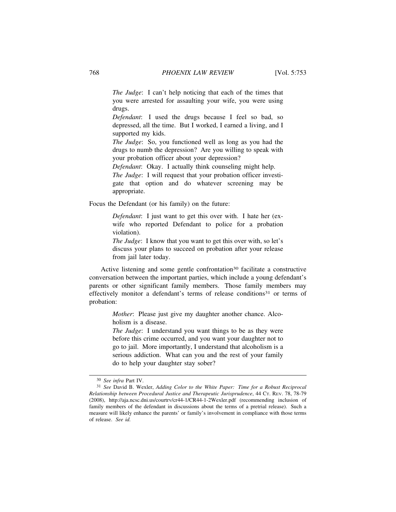*The Judge*: I can't help noticing that each of the times that you were arrested for assaulting your wife, you were using drugs.

*Defendant*: I used the drugs because I feel so bad, so depressed, all the time. But I worked, I earned a living, and I supported my kids.

*The Judge*: So, you functioned well as long as you had the drugs to numb the depression? Are you willing to speak with your probation officer about your depression?

*Defendant*: Okay. I actually think counseling might help.

*The Judge*: I will request that your probation officer investigate that option and do whatever screening may be appropriate.

Focus the Defendant (or his family) on the future:

*Defendant*: I just want to get this over with. I hate her (exwife who reported Defendant to police for a probation violation).

*The Judge*: I know that you want to get this over with, so let's discuss your plans to succeed on probation after your release from jail later today.

Active listening and some gentle confrontation<sup>30</sup> facilitate a constructive conversation between the important parties, which include a young defendant's parents or other significant family members. Those family members may effectively monitor a defendant's terms of release conditions<sup>31</sup> or terms of probation:

> *Mother*: Please just give my daughter another chance. Alcoholism is a disease.

> *The Judge*: I understand you want things to be as they were before this crime occurred, and you want your daughter not to go to jail. More importantly, I understand that alcoholism is a serious addiction. What can you and the rest of your family do to help your daughter stay sober?

<sup>30</sup> *See infra* Part IV.

<sup>31</sup> *See* David B. Wexler, *Adding Color to the White Paper: Time for a Robust Reciprocal Relationship between Procedural Justice and Therapeutic Jurisprudence*, 44 CT. REV. 78, 78-79 (2008), http://aja.ncsc.dni.us/courtrv/cr44-1/CR44-1-2Wexler.pdf (recommending inclusion of family members of the defendant in discussions about the terms of a pretrial release). Such a measure will likely enhance the parents' or family's involvement in compliance with those terms of release. *See id.*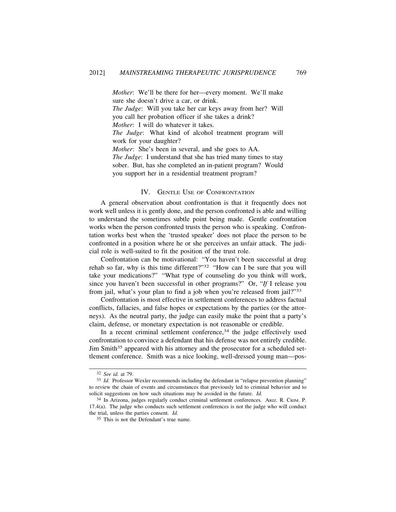*Mother*: We'll be there for her—every moment. We'll make sure she doesn't drive a car, or drink.

*The Judge*: Will you take her car keys away from her? Will you call her probation officer if she takes a drink?

*Mother*: I will do whatever it takes.

*The Judge*: What kind of alcohol treatment program will work for your daughter?

*Mother*: She's been in several, and she goes to AA. *The Judge*: I understand that she has tried many times to stay sober. But, has she completed an in-patient program? Would you support her in a residential treatment program?

### IV. GENTLE USE OF CONFRONTATION

A general observation about confrontation is that it frequently does not work well unless it is gently done, and the person confronted is able and willing to understand the sometimes subtle point being made. Gentle confrontation works when the person confronted trusts the person who is speaking. Confrontation works best when the 'trusted speaker' does not place the person to be confronted in a position where he or she perceives an unfair attack. The judicial role is well-suited to fit the position of the trust role.

Confrontation can be motivational: "You haven't been successful at drug rehab so far, why is this time different?"32 "How can I be sure that you will take your medications?" "What type of counseling do you think will work, since you haven't been successful in other programs?" Or, "*If* I release you from jail, what's your plan to find a job when you're released from jail?"<sup>33</sup>

Confrontation is most effective in settlement conferences to address factual conflicts, fallacies, and false hopes or expectations by the parties (or the attorneys). As the neutral party, the judge can easily make the point that a party's claim, defense, or monetary expectation is not reasonable or credible.

In a recent criminal settlement conference, $34$  the judge effectively used confrontation to convince a defendant that his defense was not entirely credible. Jim Smith<sup>35</sup> appeared with his attorney and the prosecutor for a scheduled settlement conference. Smith was a nice looking, well-dressed young man—pos-

<sup>32</sup> *See id.* at 79.

<sup>33</sup> *Id.* Professor Wexler recommends including the defendant in "relapse prevention planning" to review the chain of events and circumstances that previously led to criminal behavior and to solicit suggestions on how such situations may be avoided in the future. *Id.*

<sup>34</sup> In Arizona, judges regularly conduct criminal settlement conferences. ARIZ. R. CRIM. P. 17.4(a). The judge who conducts such settlement conferences is not the judge who will conduct the trial, unless the parties consent. *Id.*

<sup>35</sup> This is not the Defendant's true name.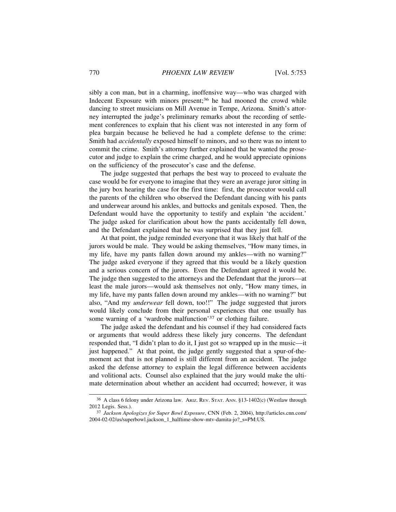sibly a con man, but in a charming, inoffensive way—who was charged with Indecent Exposure with minors present:<sup>36</sup> he had mooned the crowd while dancing to street musicians on Mill Avenue in Tempe, Arizona. Smith's attorney interrupted the judge's preliminary remarks about the recording of settlement conferences to explain that his client was not interested in any form of plea bargain because he believed he had a complete defense to the crime: Smith had *accidentally* exposed himself to minors, and so there was no intent to commit the crime. Smith's attorney further explained that he wanted the prosecutor and judge to explain the crime charged, and he would appreciate opinions on the sufficiency of the prosecutor's case and the defense.

The judge suggested that perhaps the best way to proceed to evaluate the case would be for everyone to imagine that they were an average juror sitting in the jury box hearing the case for the first time: first, the prosecutor would call the parents of the children who observed the Defendant dancing with his pants and underwear around his ankles, and buttocks and genitals exposed. Then, the Defendant would have the opportunity to testify and explain 'the accident.' The judge asked for clarification about how the pants accidentally fell down, and the Defendant explained that he was surprised that they just fell.

At that point, the judge reminded everyone that it was likely that half of the jurors would be male. They would be asking themselves, "How many times, in my life, have my pants fallen down around my ankles—with no warning?" The judge asked everyone if they agreed that this would be a likely question and a serious concern of the jurors. Even the Defendant agreed it would be. The judge then suggested to the attorneys and the Defendant that the jurors—at least the male jurors—would ask themselves not only, "How many times, in my life, have my pants fallen down around my ankles—with no warning?" but also, "And my *underwear* fell down, too!!" The judge suggested that jurors would likely conclude from their personal experiences that one usually has some warning of a 'wardrobe malfunction'37 or clothing failure.

The judge asked the defendant and his counsel if they had considered facts or arguments that would address these likely jury concerns. The defendant responded that, "I didn't plan to do it, I just got so wrapped up in the music—it just happened." At that point, the judge gently suggested that a spur-of-themoment act that is not planned is still different from an accident. The judge asked the defense attorney to explain the legal difference between accidents and volitional acts. Counsel also explained that the jury would make the ultimate determination about whether an accident had occurred; however, it was

<sup>36</sup> A class 6 felony under Arizona law. ARIZ. REV. STAT. ANN. §13-1402(c) (Westlaw through 2012 Legis. Sess.).

<sup>37</sup> *Jackson Apologizes for Super Bowl Exposure*, CNN (Feb. 2, 2004), http://articles.cnn.com/ 2004-02-02/us/superbowl.jackson\_1\_halftime-show-mtv-damita-jo?\_s=PM:US.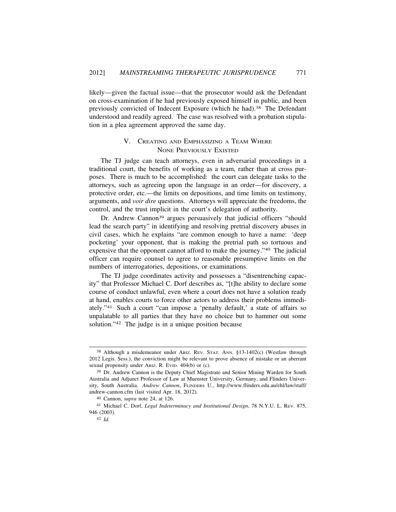likely—given the factual issue—that the prosecutor would ask the Defendant on cross-examination if he had previously exposed himself in public, and been previously convicted of Indecent Exposure (which he had).<sup>38</sup> The Defendant understood and readily agreed. The case was resolved with a probation stipulation in a plea agreement approved the same day.

# V. CREATING AND EMPHASIZING A TEAM WHERE NONE PREVIOUSLY EXISTED

The TJ judge can teach attorneys, even in adversarial proceedings in a traditional court, the benefits of working as a team, rather than at cross purposes. There is much to be accomplished: the court can delegate tasks to the attorneys, such as agreeing upon the language in an order—for discovery, a protective order, etc.—the limits on depositions, and time limits on testimony, arguments, and *voir dire* questions. Attorneys will appreciate the freedoms, the control, and the trust implicit in the court's delegation of authority.

Dr. Andrew Cannon<sup>39</sup> argues persuasively that judicial officers "should" lead the search party" in identifying and resolving pretrial discovery abuses in civil cases, which he explains "are common enough to have a name: 'deep pocketing' your opponent, that is making the pretrial path so tortuous and expensive that the opponent cannot afford to make the journey."40 The judicial officer can require counsel to agree to reasonable presumptive limits on the numbers of interrogatories, depositions, or examinations.

The TJ judge coordinates activity and possesses a "disentrenching capacity" that Professor Michael C. Dorf describes as, "[t]he ability to declare some course of conduct unlawful, even where a court does not have a solution ready at hand, enables courts to force other actors to address their problems immediately."41 Such a court "can impose a 'penalty default,' a state of affairs so unpalatable to all parties that they have no choice but to hammer out some solution."42 The judge is in a unique position because

<sup>38</sup> Although a misdemeanor under ARIZ. REV. STAT. ANN. §13-1402(c) (Westlaw through 2012 Legis. Sess.), the conviction might be relevant to prove absence of mistake or an aberrant sexual propensity under ARIZ. R. EVID. 404(b) or (c).

<sup>&</sup>lt;sup>39</sup> Dr. Andrew Cannon is the Deputy Chief Magistrate and Senior Mining Warden for South Australia and Adjunct Professor of Law at Muenster University, Germany, and Flinders University, South Australia. *Andrew Cannon*, FLINDERS U., http://www.flinders.edu.au/ehl/law/staff/ andrew-cannon.cfm (last visited Apr. 18, 2012).

<sup>40</sup> Cannon, *supra* note 24, at 126.

<sup>41</sup> Michael C. Dorf, *Legal Indeterminacy and Institutional Design*, 78 N.Y.U. L. REV. 875, 946 (2003).

<sup>42</sup> *Id.*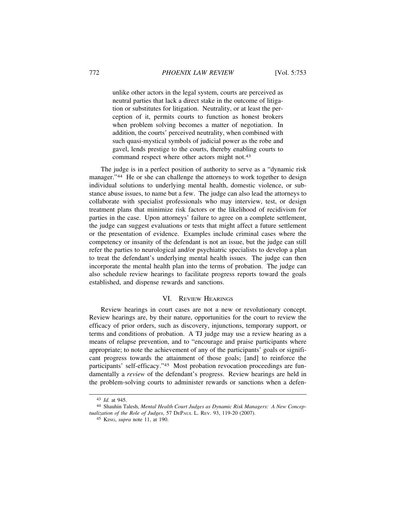unlike other actors in the legal system, courts are perceived as neutral parties that lack a direct stake in the outcome of litigation or substitutes for litigation. Neutrality, or at least the perception of it, permits courts to function as honest brokers when problem solving becomes a matter of negotiation. In addition, the courts' perceived neutrality, when combined with such quasi-mystical symbols of judicial power as the robe and gavel, lends prestige to the courts, thereby enabling courts to command respect where other actors might not.<sup>43</sup>

The judge is in a perfect position of authority to serve as a "dynamic risk manager."<sup>44</sup> He or she can challenge the attorneys to work together to design individual solutions to underlying mental health, domestic violence, or substance abuse issues, to name but a few. The judge can also lead the attorneys to collaborate with specialist professionals who may interview, test, or design treatment plans that minimize risk factors or the likelihood of recidivism for parties in the case. Upon attorneys' failure to agree on a complete settlement, the judge can suggest evaluations or tests that might affect a future settlement or the presentation of evidence. Examples include criminal cases where the competency or insanity of the defendant is not an issue, but the judge can still refer the parties to neurological and/or psychiatric specialists to develop a plan to treat the defendant's underlying mental health issues. The judge can then incorporate the mental health plan into the terms of probation. The judge can also schedule review hearings to facilitate progress reports toward the goals established, and dispense rewards and sanctions.

#### VI. REVIEW HEARINGS

Review hearings in court cases are not a new or revolutionary concept. Review hearings are, by their nature, opportunities for the court to review the efficacy of prior orders, such as discovery, injunctions, temporary support, or terms and conditions of probation. A TJ judge may use a review hearing as a means of relapse prevention, and to "encourage and praise participants where appropriate; to note the achievement of any of the participants' goals or significant progress towards the attainment of those goals; [and] to reinforce the participants' self-efficacy."45 Most probation revocation proceedings are fundamentally a *review* of the defendant's progress. Review hearings are held in the problem-solving courts to administer rewards or sanctions when a defen-

<sup>43</sup> *Id.* at 945.

<sup>44</sup> Shauhin Talesh, *Mental Health Court Judges as Dynamic Risk Managers: A New Conceptualization of the Role of Judges*, 57 DEPAUL L. REV. 93, 119-20 (2007).

<sup>45</sup> KING, *supra* note 11, at 190.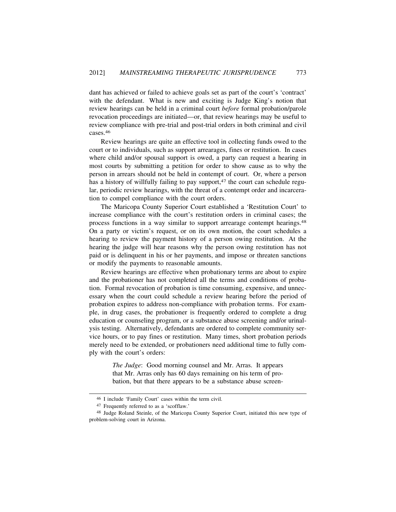dant has achieved or failed to achieve goals set as part of the court's 'contract' with the defendant. What is new and exciting is Judge King's notion that review hearings can be held in a criminal court *before* formal probation/parole revocation proceedings are initiated—or, that review hearings may be useful to review compliance with pre-trial and post-trial orders in both criminal and civil cases.<sup>46</sup>

Review hearings are quite an effective tool in collecting funds owed to the court or to individuals, such as support arrearages, fines or restitution. In cases where child and/or spousal support is owed, a party can request a hearing in most courts by submitting a petition for order to show cause as to why the person in arrears should not be held in contempt of court. Or, where a person has a history of willfully failing to pay support, $47$  the court can schedule regular, periodic review hearings, with the threat of a contempt order and incarceration to compel compliance with the court orders.

The Maricopa County Superior Court established a 'Restitution Court' to increase compliance with the court's restitution orders in criminal cases; the process functions in a way similar to support arrearage contempt hearings.<sup>48</sup> On a party or victim's request, or on its own motion, the court schedules a hearing to review the payment history of a person owing restitution. At the hearing the judge will hear reasons why the person owing restitution has not paid or is delinquent in his or her payments, and impose or threaten sanctions or modify the payments to reasonable amounts.

Review hearings are effective when probationary terms are about to expire and the probationer has not completed all the terms and conditions of probation. Formal revocation of probation is time consuming, expensive, and unnecessary when the court could schedule a review hearing before the period of probation expires to address non-compliance with probation terms. For example, in drug cases, the probationer is frequently ordered to complete a drug education or counseling program, or a substance abuse screening and/or urinalysis testing. Alternatively, defendants are ordered to complete community service hours, or to pay fines or restitution. Many times, short probation periods merely need to be extended, or probationers need additional time to fully comply with the court's orders:

> *The Judge*: Good morning counsel and Mr. Arras. It appears that Mr. Arras only has 60 days remaining on his term of probation, but that there appears to be a substance abuse screen-

<sup>46</sup> I include 'Family Court' cases within the term civil.

<sup>47</sup> Frequently referred to as a 'scofflaw.'

<sup>48</sup> Judge Roland Steinle, of the Maricopa County Superior Court, initiated this new type of problem-solving court in Arizona.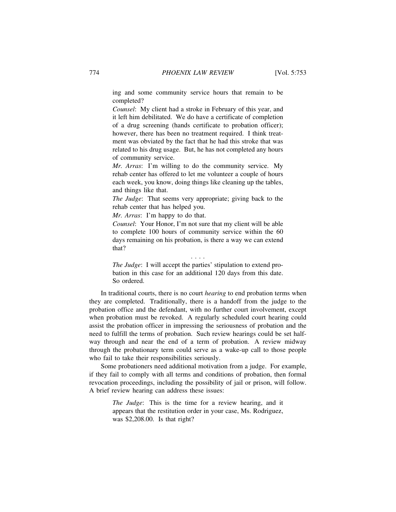ing and some community service hours that remain to be completed?

*Counsel*: My client had a stroke in February of this year, and it left him debilitated. We do have a certificate of completion of a drug screening (hands certificate to probation officer); however, there has been no treatment required. I think treatment was obviated by the fact that he had this stroke that was related to his drug usage. But, he has not completed any hours of community service.

*Mr. Arras*: I'm willing to do the community service. My rehab center has offered to let me volunteer a couple of hours each week, you know, doing things like cleaning up the tables, and things like that.

*The Judge*: That seems very appropriate; giving back to the rehab center that has helped you.

*Mr. Arras*: I'm happy to do that.

*Counsel*: Your Honor, I'm not sure that my client will be able to complete 100 hours of community service within the 60 days remaining on his probation, is there a way we can extend that?

*The Judge*: I will accept the parties' stipulation to extend probation in this case for an additional 120 days from this date. So ordered.

. . . .

In traditional courts, there is no court *hearing* to end probation terms when they are completed. Traditionally, there is a handoff from the judge to the probation office and the defendant, with no further court involvement, except when probation must be revoked. A regularly scheduled court hearing could assist the probation officer in impressing the seriousness of probation and the need to fulfill the terms of probation. Such review hearings could be set halfway through and near the end of a term of probation. A review midway through the probationary term could serve as a wake-up call to those people who fail to take their responsibilities seriously.

Some probationers need additional motivation from a judge. For example, if they fail to comply with all terms and conditions of probation, then formal revocation proceedings, including the possibility of jail or prison, will follow. A brief review hearing can address these issues:

> *The Judge*: This is the time for a review hearing, and it appears that the restitution order in your case, Ms. Rodriguez, was \$2,208.00. Is that right?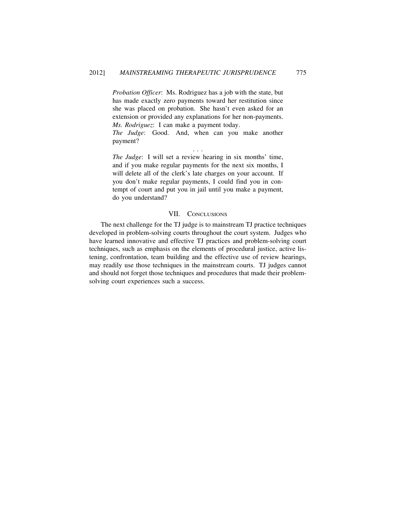*Probation Officer*: Ms. Rodriguez has a job with the state, but has made exactly zero payments toward her restitution since she was placed on probation. She hasn't even asked for an extension or provided any explanations for her non-payments. *Ms. Rodriguez*: I can make a payment today.

*The Judge*: Good. And, when can you make another payment? . . .

*The Judge*: I will set a review hearing in six months' time, and if you make regular payments for the next six months, I will delete all of the clerk's late charges on your account. If you don't make regular payments, I could find you in contempt of court and put you in jail until you make a payment, do you understand?

# VII. CONCLUSIONS

The next challenge for the TJ judge is to mainstream TJ practice techniques developed in problem-solving courts throughout the court system. Judges who have learned innovative and effective TJ practices and problem-solving court techniques, such as emphasis on the elements of procedural justice, active listening, confrontation, team building and the effective use of review hearings, may readily use those techniques in the mainstream courts. TJ judges cannot and should not forget those techniques and procedures that made their problemsolving court experiences such a success.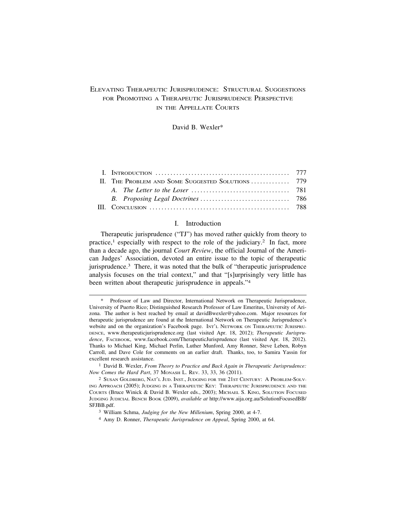# ELEVATING THERAPEUTIC JURISPRUDENCE: STRUCTURAL SUGGESTIONS FOR PROMOTING A THERAPEUTIC JURISPRUDENCE PERSPECTIVE IN THE APPELLATE COURTS

David B. Wexler\*

| II. THE PROBLEM AND SOME SUGGESTED SOLUTIONS  779 |  |
|---------------------------------------------------|--|
|                                                   |  |
|                                                   |  |
|                                                   |  |

## I. Introduction

Therapeutic jurisprudence ("TJ") has moved rather quickly from theory to practice,<sup>1</sup> especially with respect to the role of the judiciary.<sup>2</sup> In fact, more than a decade ago, the journal *Court Review*, the official Journal of the American Judges' Association, devoted an entire issue to the topic of therapeutic jurisprudence.3 There, it was noted that the bulk of "therapeutic jurisprudence analysis focuses on the trial context," and that "[s]urprisingly very little has been written about therapeutic jurisprudence in appeals."<sup>4</sup>

<sup>\*</sup> Professor of Law and Director, International Network on Therapeutic Jurisprudence, University of Puerto Rico; Distinguished Research Professor of Law Emeritus, University of Arizona. The author is best reached by email at davidBwexler@yahoo.com. Major resources for therapeutic jurisprudence are found at the International Network on Therapeutic Jurisprudence's website and on the organization's Facebook page. INT'L NETWORK ON THERAPEUTIC JURISPRU-DENCE, www.therapeuticjurisprudence.org (last visited Apr. 18, 2012); *Therapeutic Jurisprudence*, FACEBOOK, www.facebook.com/TherapeuticJurisprudence (last visited Apr. 18, 2012). Thanks to Michael King, Michael Perlin, Luther Munford, Amy Ronner, Steve Leben, Robyn Carroll, and Dave Cole for comments on an earlier draft. Thanks, too, to Samira Yassin for excellent research assistance.

<sup>1</sup> David B. Wexler, *From Theory to Practice and Back Again in Therapeutic Jurisprudence: Now Comes the Hard Part*, 37 MONASH L. REV. 33, 33, 36 (2011).

<sup>2</sup> SUSAN GOLDBERG, NAT'L JUD. INST., JUDGING FOR THE 21ST CENTURY: A PROBLEM-SOLV-ING APPROACH (2005); JUDGING IN A THERAPEUTIC KEY: THERAPEUTIC JURISPRUDENCE AND THE COURTS (Bruce Winick & David B. Wexler eds., 2003); MICHAEL S. KING, SOLUTION FOCUSED JUDGING JUDICIAL BENCH BOOK (2009), *available at* http://www.aija.org.au/SolutionFocusedBB/ SFJBB.pdf.

<sup>3</sup> William Schma, *Judging for the New Millenium*, Spring 2000, at 4-7.

<sup>4</sup> Amy D. Ronner, *Therapeutic Jurisprudence on Appeal*, Spring 2000, at 64.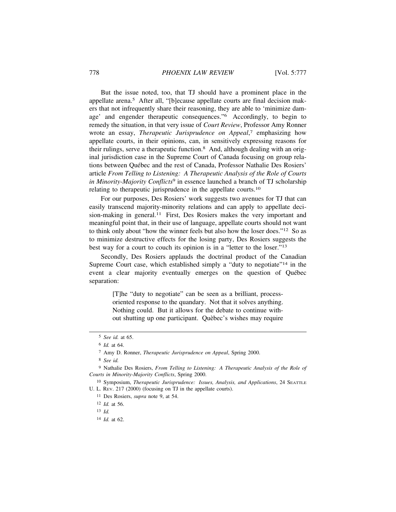But the issue noted, too, that TJ should have a prominent place in the appellate arena.5 After all, "[b]ecause appellate courts are final decision makers that not infrequently share their reasoning, they are able to 'minimize damage' and engender therapeutic consequences."6 Accordingly, to begin to remedy the situation, in that very issue of *Court Review*, Professor Amy Ronner wrote an essay, *Therapeutic Jurisprudence on Appeal*, 7 emphasizing how appellate courts, in their opinions, can, in sensitively expressing reasons for their rulings, serve a therapeutic function.8 And, although dealing with an original jurisdiction case in the Supreme Court of Canada focusing on group relations between Québec and the rest of Canada, Professor Nathalie Des Rosiers' article *From Telling to Listening: A Therapeutic Analysis of the Role of Courts in Minority-Majority Conflicts*9 in essence launched a branch of TJ scholarship relating to therapeutic jurisprudence in the appellate courts.<sup>10</sup>

For our purposes, Des Rosiers' work suggests two avenues for TJ that can easily transcend majority-minority relations and can apply to appellate decision-making in general.<sup>11</sup> First, Des Rosiers makes the very important and meaningful point that, in their use of language, appellate courts should not want to think only about "how the winner feels but also how the loser does."12 So as to minimize destructive effects for the losing party, Des Rosiers suggests the best way for a court to couch its opinion is in a "letter to the loser."<sup>13</sup>

Secondly, Des Rosiers applauds the doctrinal product of the Canadian Supreme Court case, which established simply a "duty to negotiate"<sup>14</sup> in the event a clear majority eventually emerges on the question of Québec separation:

> [T]he "duty to negotiate" can be seen as a brilliant, processoriented response to the quandary. Not that it solves anything. Nothing could. But it allows for the debate to continue without shutting up one participant. Quèbec's wishes may require

8 *See id.*

12 *Id.* at 56.

13 *Id.*

<sup>5</sup> *See id.* at 65.

<sup>6</sup> *Id.* at 64.

<sup>7</sup> Amy D. Ronner, *Therapeutic Jurisprudence on Appeal*, Spring 2000.

<sup>9</sup> Nathalie Des Rosiers, *From Telling to Listening: A Therapeutic Analysis of the Role of Courts in Minority-Majority Conflicts*, Spring 2000.

<sup>10</sup> Symposium, *Therapeutic Jurisprudence: Issues, Analysis, and Applications*, 24 SEATTLE U. L. REV. 217 (2000) (focusing on TJ in the appellate courts).

<sup>11</sup> Des Rosiers, *supra* note 9, at 54.

<sup>14</sup> *Id.* at 62.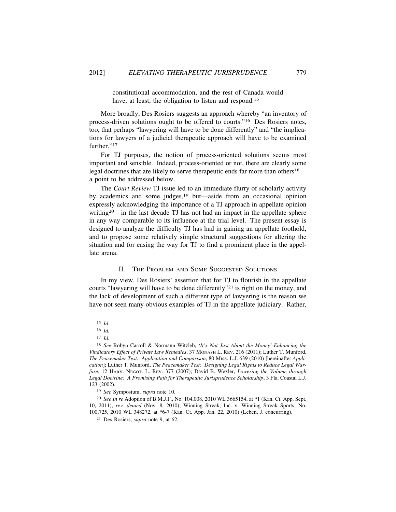constitutional accommodation, and the rest of Canada would have, at least, the obligation to listen and respond.<sup>15</sup>

More broadly, Des Rosiers suggests an approach whereby "an inventory of process-driven solutions ought to be offered to courts."16 Des Rosiers notes, too, that perhaps "lawyering will have to be done differently" and "the implications for lawyers of a judicial therapeutic approach will have to be examined further."<sup>17</sup>

For TJ purposes, the notion of process-oriented solutions seems most important and sensible. Indeed, process-oriented or not, there are clearly some legal doctrines that are likely to serve therapeutic ends far more than others<sup>18</sup> a point to be addressed below.

The *Court Review* TJ issue led to an immediate flurry of scholarly activity by academics and some judges,19 but—aside from an occasional opinion expressly acknowledging the importance of a TJ approach in appellate opinion writing<sup>20</sup>—in the last decade TJ has not had an impact in the appellate sphere in any way comparable to its influence at the trial level. The present essay is designed to analyze the difficulty TJ has had in gaining an appellate foothold, and to propose some relatively simple structural suggestions for altering the situation and for easing the way for TJ to find a prominent place in the appellate arena.

### II. THE PROBLEM AND SOME SUGGESTED SOLUTIONS

In my view, Des Rosiers' assertion that for TJ to flourish in the appellate courts "lawyering will have to be done differently"21 is right on the money, and the lack of development of such a different type of lawyering is the reason we have not seen many obvious examples of TJ in the appellate judiciary. Rather,

<sup>15</sup> *Id.*

<sup>16</sup> *Id.*

<sup>17</sup> *Id.*

<sup>18</sup> *See* Robyn Carroll & Normann Witzleb, *'It's Not Just About the Money'-Enhancing the Vindicatory Effect of Private Law Remedies*, 37 MONASH L. REV. 216 (2011); Luther T. Munford, *The Peacemaker Test: Application and Comparison*, 80 MISS. L.J. 639 (2010) [hereinafter *Application*]; Luther T. Munford, *The Peacemaker Test: Designing Legal Rights to Reduce Legal Warfare*, 12 HARV. NEGOT. L. REV. 377 (2007); David B. Wexler, *Lowering the Volume through Legal Doctrine: A Promising Path for Therapeutic Jurisprudence Scholarship*, 3 Fla. Coastal L.J. 123 (2002).

<sup>19</sup> *See* Symposium, *supra* note 10.

<sup>20</sup> *See In re* Adoption of B.M.J.F., No. 104,008, 2010 WL 3665154, at \*1 (Kan. Ct. App. Sept. 10, 2011), *rev. denied* (Nov. 8, 2010); Winning Streak, Inc. v. Winning Streak Sports, No. 100,725, 2010 WL 348272, at \*6-7 (Kan. Ct. App. Jan. 22, 2010) (Leben, J. concurring).

<sup>21</sup> Des Rosiers, *supra* note 9, at 62.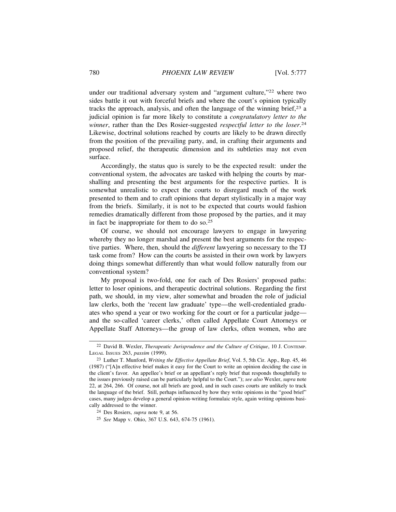under our traditional adversary system and "argument culture,"<sup>22</sup> where two sides battle it out with forceful briefs and where the court's opinion typically tracks the approach, analysis, and often the language of the winning brief, $2<sup>3</sup>$  a judicial opinion is far more likely to constitute a *congratulatory letter to the winner*, rather than the Des Rosier-suggested *respectful letter to the loser*. 24 Likewise, doctrinal solutions reached by courts are likely to be drawn directly from the position of the prevailing party, and, in crafting their arguments and proposed relief, the therapeutic dimension and its subtleties may not even surface.

Accordingly, the status quo is surely to be the expected result: under the conventional system, the advocates are tasked with helping the courts by marshalling and presenting the best arguments for the respective parties. It is somewhat unrealistic to expect the courts to disregard much of the work presented to them and to craft opinions that depart stylistically in a major way from the briefs. Similarly, it is not to be expected that courts would fashion remedies dramatically different from those proposed by the parties, and it may in fact be inappropriate for them to do so.<sup>25</sup>

Of course, we should not encourage lawyers to engage in lawyering whereby they no longer marshal and present the best arguments for the respective parties. Where, then, should the *different* lawyering so necessary to the TJ task come from? How can the courts be assisted in their own work by lawyers doing things somewhat differently than what would follow naturally from our conventional system?

My proposal is two-fold, one for each of Des Rosiers' proposed paths: letter to loser opinions, and therapeutic doctrinal solutions. Regarding the first path, we should, in my view, alter somewhat and broaden the role of judicial law clerks, both the 'recent law graduate' type—the well-credentialed graduates who spend a year or two working for the court or for a particular judge and the so-called 'career clerks,' often called Appellate Court Attorneys or Appellate Staff Attorneys—the group of law clerks, often women, who are

<sup>22</sup> David B. Wexler, *Therapeutic Jurisprudence and the Culture of Critique*, 10 J. CONTEMP. LEGAL ISSUES 263, *passim* (1999).

<sup>23</sup> Luther T. Munford, *Writing the Effective Appellate Brief*, Vol. 5, 5th Cir. App., Rep. 45, 46 (1987) ("[A]n effective brief makes it easy for the Court to write an opinion deciding the case in the client's favor. An appellee's brief or an appellant's reply brief that responds thoughtfully to the issues previously raised can be particularly helpful to the Court."); *see also* Wexler, *supra* note 22, at 264, 266. Of course, not all briefs are good, and in such cases courts are unlikely to track the language of the brief. Still, perhaps influenced by how they write opinions in the "good brief" cases, many judges develop a general opinion-writing formulaic style, again writing opinions basically addressed to the winner.

<sup>24</sup> Des Rosiers, *supra* note 9, at 56.

<sup>25</sup> *See* Mapp v. Ohio, 367 U.S. 643, 674-75 (1961).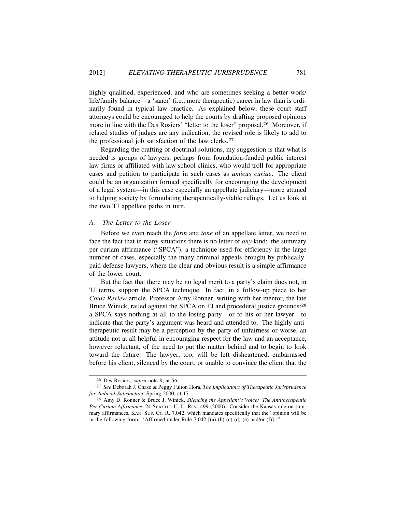highly qualified, experienced, and who are sometimes seeking a better work/ life/family balance—a 'saner' (i.e., more therapeutic) career in law than is ordinarily found in typical law practice. As explained below, these court staff attorneys could be encouraged to help the courts by drafting proposed opinions more in line with the Des Rosiers' "letter to the loser" proposal.26 Moreover, if related studies of judges are any indication, the revised role is likely to add to the professional job satisfaction of the law clerks.<sup>27</sup>

Regarding the crafting of doctrinal solutions, my suggestion is that what is needed is groups of lawyers, perhaps from foundation-funded public interest law firms or affiliated with law school clinics, who would troll for appropriate cases and petition to participate in such cases as *amicus curiae*. The client could be an organization formed specifically for encouraging the development of a legal system—in this case especially an appellate judiciary—more attuned to helping society by formulating therapeutically-viable rulings. Let us look at the two TJ appellate paths in turn.

### *A. The Letter to the Loser*

Before we even reach the *form* and *tone* of an appellate letter, we need to face the fact that in many situations there is no letter of *any* kind: the summary per curiam affirmance ("SPCA"), a technique used for efficiency in the large number of cases, especially the many criminal appeals brought by publicallypaid defense lawyers, where the clear and obvious result is a simple affirmance of the lower court.

But the fact that there may be no legal merit to a party's claim does not, in TJ terms, support the SPCA technique. In fact, in a follow-up piece to her *Court Review* article, Professor Amy Ronner, writing with her mentor, the late Bruce Winick, railed against the SPCA on TJ and procedural justice grounds:<sup>28</sup> a SPCA says nothing at all to the losing party—or to his or her lawyer—to indicate that the party's argument was heard and attended to. The highly antitherapeutic result may be a perception by the party of unfairness or worse, an attitude not at all helpful in encouraging respect for the law and an acceptance, however reluctant, of the need to put the matter behind and to begin to look toward the future. The lawyer, too, will be left disheartened, embarrassed before his client, silenced by the court, or unable to convince the client that the

<sup>26</sup> Des Rosiers, *supra* note 9, at 56.

<sup>27</sup> *See* Deborah J. Chase & Peggy Fulton Hora, *The Implications of Therapeutic Jurisprudence for Judicial Satisfaction*, Spring 2000, at 17.

<sup>28</sup> Amy D. Ronner & Bruce J. Winick, *Silencing the Appellant's Voice: The Antitherapeutic Per Curiam Affirmance*, 24 SEATTLE U. L. REV. 499 (2000). Consider the Kansas rule on summary affirmances, KAN. SUP. CT. R. 7.042, which mandates specifically that the "opinion will be in the following form: 'Affirmed under Rule 7.042 [(a) (b) (c) (d) (e) and/or (f)].'"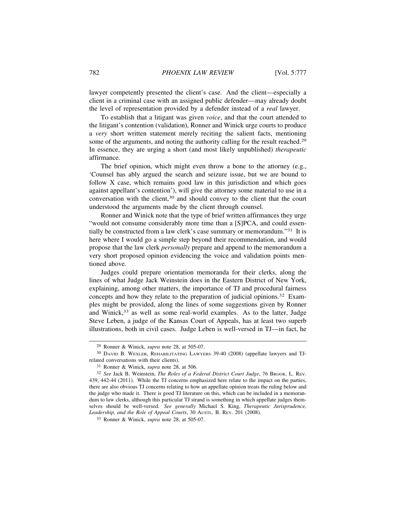lawyer competently presented the client's case. And the client—especially a client in a criminal case with an assigned public defender—may already doubt the level of representation provided by a defender instead of a *real* lawyer.

To establish that a litigant was given *voice*, and that the court attended to the litigant's contention (validation), Ronner and Winick urge courts to produce a *very* short written statement merely reciting the salient facts, mentioning some of the arguments, and noting the authority calling for the result reached.<sup>29</sup> In essence, they are urging a short (and most likely unpublished) *therapeutic* affirmance.

The brief opinion, which might even throw a bone to the attorney (e.g., 'Counsel has ably argued the search and seizure issue, but we are bound to follow X case, which remains good law in this jurisdiction and which goes against appellant's contention'), will give the attorney some material to use in a conversation with the client,30 and should convey to the client that the court understood the arguments made by the client through counsel.

Ronner and Winick note that the type of brief written affirmances they urge "would not consume considerably more time than a [S]PCA, and could essentially be constructed from a law clerk's case summary or memorandum."31 It is here where I would go a simple step beyond their recommendation, and would propose that the law clerk *personally* prepare and append to the memorandum a very short proposed opinion evidencing the voice and validation points mentioned above.

Judges could prepare orientation memoranda for their clerks, along the lines of what Judge Jack Weinstein does in the Eastern District of New York, explaining, among other matters, the importance of TJ and procedural fairness concepts and how they relate to the preparation of judicial opinions.32 Examples might be provided, along the lines of some suggestions given by Ronner and Winick,<sup>33</sup> as well as some real-world examples. As to the latter, Judge Steve Leben, a judge of the Kansas Court of Appeals, has at least two superb illustrations, both in civil cases. Judge Leben is well-versed in TJ—in fact, he

<sup>29</sup> Ronner & Winick, *supra* note 28, at 505-07.

<sup>30</sup> DAVID B. WEXLER, REHABILITATING LAWYERS 39-40 (2008) (appellate lawyers and TJrelated conversations with their clients).

<sup>31</sup> Ronner & Winick, *supra* note 28, at 506.

<sup>32</sup> *See* Jack B. Weinstein, *The Roles of a Federal District Court Judge*, 76 BROOK. L. REV. 439, 442-44 (2011). While the TJ concerns emphasized here relate to the impact on the parties, there are also obvious TJ concerns relating to how an appellate opinion treats the ruling below and the judge who made it. There is good TJ literature on this, which can be included in a memorandum to law clerks, although this particular TJ strand is something in which appellate judges themselves should be well-versed. *See generally* Michael S. King, *Therapeutic Jurisprudence, Leadership, and the Role of Appeal Courts*, 30 AUSTL. B. REV. 201 (2008).

<sup>33</sup> Ronner & Winick, *supra* note 28, at 505-07.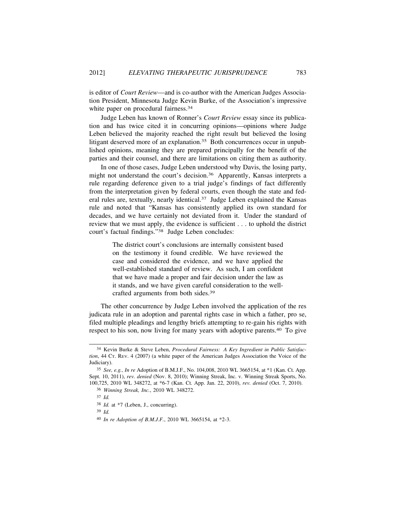is editor of *Court Review*—and is co-author with the American Judges Association President, Minnesota Judge Kevin Burke, of the Association's impressive white paper on procedural fairness.<sup>34</sup>

Judge Leben has known of Ronner's *Court Review* essay since its publication and has twice cited it in concurring opinions—opinions where Judge Leben believed the majority reached the right result but believed the losing litigant deserved more of an explanation.<sup>35</sup> Both concurrences occur in unpublished opinions, meaning they are prepared principally for the benefit of the parties and their counsel, and there are limitations on citing them as authority.

In one of those cases, Judge Leben understood why Davis, the losing party, might not understand the court's decision.36 Apparently, Kansas interprets a rule regarding deference given to a trial judge's findings of fact differently from the interpretation given by federal courts, even though the state and federal rules are, textually, nearly identical.37 Judge Leben explained the Kansas rule and noted that "Kansas has consistently applied its own standard for decades, and we have certainly not deviated from it. Under the standard of review that we must apply, the evidence is sufficient . . . to uphold the district court's factual findings."38 Judge Leben concludes:

> The district court's conclusions are internally consistent based on the testimony it found credible. We have reviewed the case and considered the evidence, and we have applied the well-established standard of review. As such, I am confident that we have made a proper and fair decision under the law as it stands, and we have given careful consideration to the wellcrafted arguments from both sides.<sup>39</sup>

The other concurrence by Judge Leben involved the application of the res judicata rule in an adoption and parental rights case in which a father, pro se, filed multiple pleadings and lengthy briefs attempting to re-gain his rights with respect to his son, now living for many years with adoptive parents.40 To give

39 *Id.*

<sup>34</sup> Kevin Burke & Steve Leben, *Procedural Fairness: A Key Ingredient in Public Satisfaction*, 44 CT. REV. 4 (2007) (a white paper of the American Judges Association the Voice of the Judiciary).

<sup>35</sup> *See, e.g., In re* Adoption of B.M.J.F., No. 104,008, 2010 WL 3665154, at \*1 (Kan. Ct. App. Sept. 10, 2011), *rev. denied* (Nov. 8, 2010); Winning Streak, Inc. v. Winning Streak Sports, No. 100,725, 2010 WL 348272, at \*6-7 (Kan. Ct. App. Jan. 22, 2010), *rev. denied* (Oct. 7, 2010).

<sup>36</sup> *Winning Streak, Inc.*, 2010 WL 348272.

<sup>37</sup> *Id.*

<sup>38</sup> *Id.* at \*7 (Leben, J., concurring).

<sup>40</sup> *In re Adoption of B.M.J.F.*, 2010 WL 3665154, at \*2-3.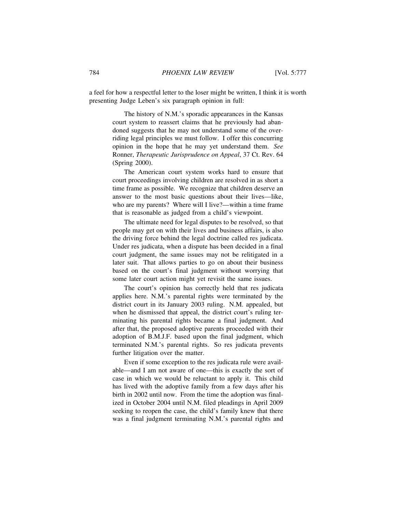a feel for how a respectful letter to the loser might be written, I think it is worth presenting Judge Leben's six paragraph opinion in full:

> The history of N.M.'s sporadic appearances in the Kansas court system to reassert claims that he previously had abandoned suggests that he may not understand some of the overriding legal principles we must follow. I offer this concurring opinion in the hope that he may yet understand them. *See* Ronner, *Therapeutic Jurisprudence on Appeal*, 37 Ct. Rev. 64 (Spring 2000).

> The American court system works hard to ensure that court proceedings involving children are resolved in as short a time frame as possible. We recognize that children deserve an answer to the most basic questions about their lives—like, who are my parents? Where will I live?—within a time frame that is reasonable as judged from a child's viewpoint.

> The ultimate need for legal disputes to be resolved, so that people may get on with their lives and business affairs, is also the driving force behind the legal doctrine called res judicata. Under res judicata, when a dispute has been decided in a final court judgment, the same issues may not be relitigated in a later suit. That allows parties to go on about their business based on the court's final judgment without worrying that some later court action might yet revisit the same issues.

> The court's opinion has correctly held that res judicata applies here. N.M.'s parental rights were terminated by the district court in its January 2003 ruling. N.M. appealed, but when he dismissed that appeal, the district court's ruling terminating his parental rights became a final judgment. And after that, the proposed adoptive parents proceeded with their adoption of B.M.J.F. based upon the final judgment, which terminated N.M.'s parental rights. So res judicata prevents further litigation over the matter.

> Even if some exception to the res judicata rule were available—and I am not aware of one—this is exactly the sort of case in which we would be reluctant to apply it. This child has lived with the adoptive family from a few days after his birth in 2002 until now. From the time the adoption was finalized in October 2004 until N.M. filed pleadings in April 2009 seeking to reopen the case, the child's family knew that there was a final judgment terminating N.M.'s parental rights and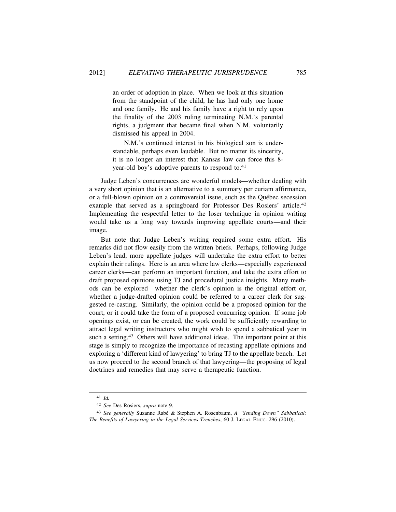an order of adoption in place. When we look at this situation from the standpoint of the child, he has had only one home and one family. He and his family have a right to rely upon the finality of the 2003 ruling terminating N.M.'s parental rights, a judgment that became final when N.M. voluntarily dismissed his appeal in 2004.

N.M.'s continued interest in his biological son is understandable, perhaps even laudable. But no matter its sincerity, it is no longer an interest that Kansas law can force this 8 year-old boy's adoptive parents to respond to.<sup>41</sup>

Judge Leben's concurrences are wonderful models—whether dealing with a very short opinion that is an alternative to a summary per curiam affirmance, or a full-blown opinion on a controversial issue, such as the Québec secession example that served as a springboard for Professor Des Rosiers' article.<sup>42</sup> Implementing the respectful letter to the loser technique in opinion writing would take us a long way towards improving appellate courts—and their image.

But note that Judge Leben's writing required some extra effort. His remarks did not flow easily from the written briefs. Perhaps, following Judge Leben's lead, more appellate judges will undertake the extra effort to better explain their rulings. Here is an area where law clerks—especially experienced career clerks—can perform an important function, and take the extra effort to draft proposed opinions using TJ and procedural justice insights. Many methods can be explored—whether the clerk's opinion is the original effort or, whether a judge-drafted opinion could be referred to a career clerk for suggested re-casting. Similarly, the opinion could be a proposed opinion for the court, or it could take the form of a proposed concurring opinion. If some job openings exist, or can be created, the work could be sufficiently rewarding to attract legal writing instructors who might wish to spend a sabbatical year in such a setting.<sup>43</sup> Others will have additional ideas. The important point at this stage is simply to recognize the importance of recasting appellate opinions and exploring a 'different kind of lawyering' to bring TJ to the appellate bench. Let us now proceed to the second branch of that lawyering—the proposing of legal doctrines and remedies that may serve a therapeutic function.

<sup>41</sup> *Id.*

<sup>42</sup> *See* Des Rosiers, *supra* note 9.

<sup>&</sup>lt;sup>43</sup> See generally Suzanne Rabé & Stephen A. Rosenbaum, *A "Sending Down" Sabbatical: The Benefits of Lawyering in the Legal Services Trenches*, 60 J. LEGAL EDUC. 296 (2010).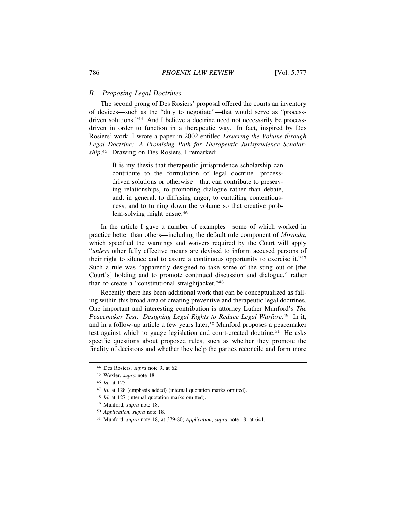### *B. Proposing Legal Doctrines*

The second prong of Des Rosiers' proposal offered the courts an inventory of devices—such as the "duty to negotiate"—that would serve as "processdriven solutions."44 And I believe a doctrine need not necessarily be processdriven in order to function in a therapeutic way. In fact, inspired by Des Rosiers' work, I wrote a paper in 2002 entitled *Lowering the Volume through Legal Doctrine: A Promising Path for Therapeutic Jurisprudence Scholarship*. 45 Drawing on Des Rosiers, I remarked:

> It is my thesis that therapeutic jurisprudence scholarship can contribute to the formulation of legal doctrine—processdriven solutions or otherwise—that can contribute to preserving relationships, to promoting dialogue rather than debate, and, in general, to diffusing anger, to curtailing contentiousness, and to turning down the volume so that creative problem-solving might ensue.<sup>46</sup>

In the article I gave a number of examples—some of which worked in practice better than others—including the default rule component of *Miranda*, which specified the warnings and waivers required by the Court will apply "*unless* other fully effective means are devised to inform accused persons of their right to silence and to assure a continuous opportunity to exercise it."<sup>47</sup> Such a rule was "apparently designed to take some of the sting out of [the Court's] holding and to promote continued discussion and dialogue," rather than to create a "constitutional straightjacket."<sup>48</sup>

Recently there has been additional work that can be conceptualized as falling within this broad area of creating preventive and therapeutic legal doctrines. One important and interesting contribution is attorney Luther Munford's *The Peacemaker Test: Designing Legal Rights to Reduce Legal Warfare*. 49 In it, and in a follow-up article a few years later,<sup>50</sup> Munford proposes a peacemaker test against which to gauge legislation and court-created doctrine.51 He asks specific questions about proposed rules, such as whether they promote the finality of decisions and whether they help the parties reconcile and form more

<sup>44</sup> Des Rosiers, *supra* note 9, at 62.

<sup>45</sup> Wexler, *supra* note 18.

<sup>46</sup> *Id.* at 125.

<sup>47</sup> *Id.* at 128 (emphasis added) (internal quotation marks omitted).

<sup>48</sup> *Id.* at 127 (internal quotation marks omitted).

<sup>49</sup> Munford, *supra* note 18.

<sup>50</sup> *Application*, *supra* note 18.

<sup>51</sup> Munford, *supra* note 18, at 379-80; *Application*, *supra* note 18, at 641.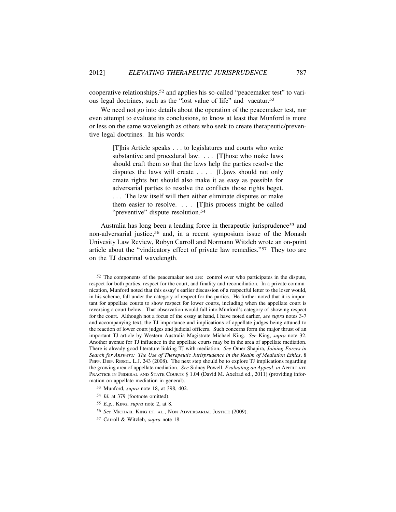cooperative relationships,<sup>52</sup> and applies his so-called "peacemaker test" to various legal doctrines, such as the "lost value of life" and vacatur.<sup>53</sup>

We need not go into details about the operation of the peacemaker test, nor even attempt to evaluate its conclusions, to know at least that Munford is more or less on the same wavelength as others who seek to create therapeutic/preventive legal doctrines. In his words:

> [T]his Article speaks . . . to legislatures and courts who write substantive and procedural law. . . . [T]hose who make laws should craft them so that the laws help the parties resolve the disputes the laws will create . . . . [L]aws should not only create rights but should also make it as easy as possible for adversarial parties to resolve the conflicts those rights beget. . . . The law itself will then either eliminate disputes or make them easier to resolve. . . . [T]his process might be called "preventive" dispute resolution.<sup>54</sup>

Australia has long been a leading force in therapeutic jurisprudence<sup>55</sup> and non-adversarial justice,56 and, in a recent symposium issue of the Monash Univesity Law Review, Robyn Carroll and Normann Witzleb wrote an on-point article about the "vindicatory effect of private law remedies."57 They too are on the TJ doctrinal wavelength.

<sup>52</sup> The components of the peacemaker test are: control over who participates in the dispute, respect for both parties, respect for the court, and finality and reconciliation. In a private communication, Munford noted that this essay's earlier discussion of a respectful letter to the loser would, in his scheme, fall under the category of respect for the parties. He further noted that it is important for appellate courts to show respect for lower courts, including when the appellate court is reversing a court below. That observation would fall into Munford's category of showing respect for the court. Although not a focus of the essay at hand, I have noted earlier, *see supra* notes 3-7 and accompanying text, the TJ importance and implications of appellate judges being attuned to the reaction of lower court judges and judicial officers. Such concerns form the major thrust of an important TJ article by Western Australia Magistrate Michael King. *See* King, *supra* note 32. Another avenue for TJ influence in the appellate courts may be in the area of appellate mediation. There is already good literature linking TJ with mediation. *See* Omer Shapira, *Joining Forces in Search for Answers: The Use of Therapeutic Jurisprudence in the Realm of Mediation Ethics*, 8 PEPP. DISP. RESOL. L.J. 243 (2008). The next step should be to explore TJ implications regarding the growing area of appellate mediation. *See* Sidney Powell, *Evaluating an Appeal*, *in* APPELLATE PRACTICE IN FEDERAL AND STATE COURTS § 1.04 (David M. Axelrad ed., 2011) (providing information on appellate mediation in general).

<sup>53</sup> Munford, *supra* note 18, at 398, 402.

<sup>54</sup> *Id.* at 379 (footnote omitted).

<sup>55</sup> *E.g.*, KING, *supra* note 2, at 8.

<sup>56</sup> *See* MICHAEL KING ET. AL., NON-ADVERSARIAL JUSTICE (2009).

<sup>57</sup> Carroll & Witzleb, *supra* note 18.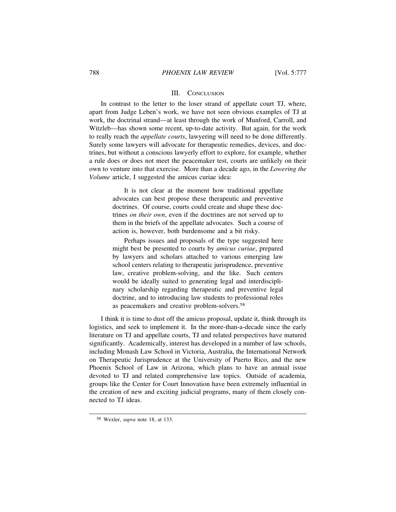#### III. CONCLUSION

In contrast to the letter to the loser strand of appellate court TJ, where, apart from Judge Leben's work, we have not seen obvious examples of TJ at work, the doctrinal strand—at least through the work of Munford, Carroll, and Witzleb—has shown some recent, up-to-date activity. But again, for the work to really reach the *appellate courts*, lawyering will need to be done differently. Surely some lawyers will advocate for therapeutic remedies, devices, and doctrines, but without a conscious lawyerly effort to explore, for example, whether a rule does or does not meet the peacemaker test, courts are unlikely on their own to venture into that exercise. More than a decade ago, in the *Lowering the Volume* article, I suggested the amicus curiae idea:

> It is not clear at the moment how traditional appellate advocates can best propose these therapeutic and preventive doctrines. Of course, courts could create and shape these doctrines *on their own*, even if the doctrines are not served up to them in the briefs of the appellate advocates. Such a course of action is, however, both burdensome and a bit risky.

> Perhaps issues and proposals of the type suggested here might best be presented to courts by *amicus curiae*, prepared by lawyers and scholars attached to various emerging law school centers relating to therapeutic jurisprudence, preventive law, creative problem-solving, and the like. Such centers would be ideally suited to generating legal and interdisciplinary scholarship regarding therapeutic and preventive legal doctrine, and to introducing law students to professional roles as peacemakers and creative problem-solvers.<sup>58</sup>

I think it is time to dust off the amicus proposal, update it, think through its logistics, and seek to implement it. In the more-than-a-decade since the early literature on TJ and appellate courts, TJ and related perspectives have matured significantly. Academically, interest has developed in a number of law schools, including Monash Law School in Victoria, Australia, the International Network on Therapeutic Jurisprudence at the University of Puerto Rico, and the new Phoenix School of Law in Arizona, which plans to have an annual issue devoted to TJ and related comprehensive law topics. Outside of academia, groups like the Center for Court Innovation have been extremely influential in the creation of new and exciting judicial programs, many of them closely connected to TJ ideas.

<sup>58</sup> Wexler, *supra* note 18, at 133.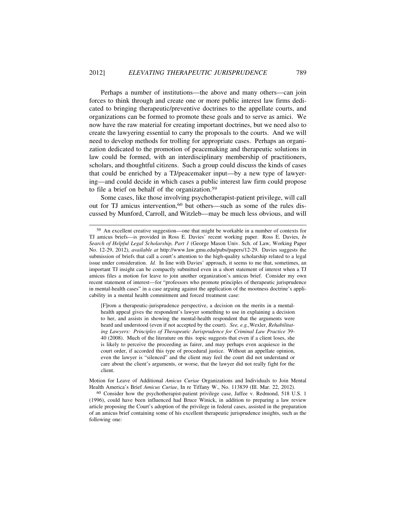Perhaps a number of institutions—the above and many others—can join forces to think through and create one or more public interest law firms dedicated to bringing therapeutic/preventive doctrines to the appellate courts, and organizations can be formed to promote these goals and to serve as amici. We now have the raw material for creating important doctrines, but we need also to create the lawyering essential to carry the proposals to the courts. And we will need to develop methods for trolling for appropriate cases. Perhaps an organization dedicated to the promotion of peacemaking and therapeutic solutions in law could be formed, with an interdisciplinary membership of practitioners, scholars, and thoughtful citizens. Such a group could discuss the kinds of cases that could be enriched by a TJ/peacemaker input—by a new type of lawyering—and could decide in which cases a public interest law firm could propose to file a brief on behalf of the organization.<sup>59</sup>

Some cases, like those involving psychotherapist-patient privilege, will call out for TJ amicus intervention,<sup>60</sup> but others—such as some of the rules discussed by Munford, Carroll, and Witzleb—may be much less obvious, and will

<sup>59</sup> An excellent creative suggestion—one that might be workable in a number of contexts for TJ amicus briefs—is provided in Ross E. Davies' recent working paper. Ross E. Davies, *In Search of Helpful Legal Scholarship, Part 1* (George Mason Univ. Sch. of Law, Working Paper No. 12-29, 2012), *available at* http://www.law.gmu.edu/pubs/papers/12-29. Davies suggests the submission of briefs that call a court's attention to the high-quality scholarship related to a legal issue under consideration. *Id.* In line with Davies' approach, it seems to me that, sometimes, an important TJ insight can be compactly submitted even in a short statement of interest when a TJ amicus files a motion for leave to join another organization's amicus brief. Consider my own recent statement of interest—for "professors who promote principles of therapeutic jurisprudence in mental-health cases" in a case arguing against the application of the mootness doctrine's applicability in a mental health commitment and forced treatment case:

<sup>[</sup>F]rom a therapeutic-jurisprudence perspective, a decision on the merits in a mentalhealth appeal gives the respondent's lawyer something to use in explaining a decision to her, and assists in showing the mental-health respondent that the arguments were heard and understood (even if not accepted by the court). *See, e.g.,*Wexler, *Rehabilitating Lawyers: Principles of Therapeutic Jurisprudence for Criminal Law Practice* 39- 40 (2008). Much of the literature on this topic suggests that even if a client loses, she is likely to perceive the proceeding as fairer, and may perhaps even acquiesce in the court order, if accorded this type of procedural justice. Without an appellate opinion, even the lawyer is "silenced" and the client may feel the court did not understand or care about the client's arguments, or worse, that the lawyer did not really fight for the client.

Motion for Leave of Additional *Amicus Curiae* Organizations and Individuals to Join Mental Health America's Brief *Amicus Curiae*, In re Tiffany W., No. 113839 (Ill. Mar. 22, 2012).

<sup>60</sup> Consider how the psychotherapist-patient privilege case, Jaffee v. Redmond, 518 U.S. 1 (1996), could have been influenced had Bruce Winick, in addition to preparing a law review article proposing the Court's adoption of the privilege in federal cases, assisted in the preparation of an amicus brief containing some of his excellent therapeutic jurisprudence insights, such as the following one: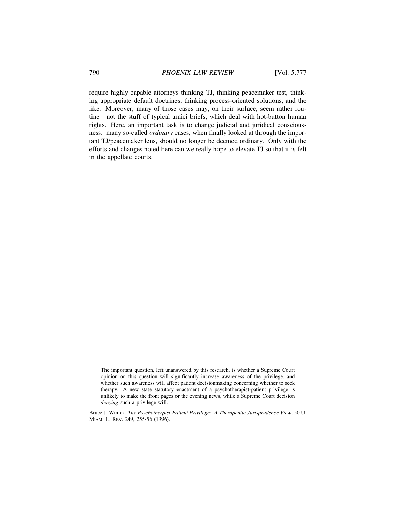require highly capable attorneys thinking TJ, thinking peacemaker test, thinking appropriate default doctrines, thinking process-oriented solutions, and the like. Moreover, many of those cases may, on their surface, seem rather routine—not the stuff of typical amici briefs, which deal with hot-button human rights. Here, an important task is to change judicial and juridical consciousness: many so-called *ordinary* cases, when finally looked at through the important TJ/peacemaker lens, should no longer be deemed ordinary. Only with the efforts and changes noted here can we really hope to elevate TJ so that it is felt in the appellate courts.

The important question, left unanswered by this research, is whether a Supreme Court opinion on this question will significantly increase awareness of the privilege, and whether such awareness will affect patient decisionmaking concerning whether to seek therapy. A new state statutory enactment of a psychotherapist-patient privilege is unlikely to make the front pages or the evening news, while a Supreme Court decision *denying* such a privilege will.

Bruce J. Winick, *The Psychotherpist-Patient Privilege: A Therapeutic Jurisprudence View*, 50 U. MIAMI L. REV. 249, 255-56 (1996).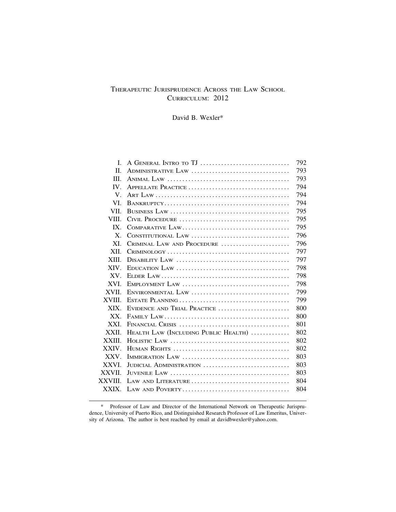# THERAPEUTIC JURISPRUDENCE ACROSS THE LAW SCHOOL CURRICULUM: 2012

David B. Wexler\*

| L           |                                                                                                   | 792 |
|-------------|---------------------------------------------------------------------------------------------------|-----|
| П.          | ADMINISTRATIVE LAW                                                                                | 793 |
| III.        |                                                                                                   | 793 |
| IV.         | APPELLATE PRACTICE                                                                                | 794 |
| $V_{\cdot}$ |                                                                                                   | 794 |
| VL.         |                                                                                                   | 794 |
| VII.        |                                                                                                   | 795 |
| VIII.       |                                                                                                   | 795 |
| $IX_{-}$    |                                                                                                   | 795 |
| X.          |                                                                                                   | 796 |
| XI.         | CRIMINAL LAW AND PROCEDURE                                                                        | 796 |
| XII.        | $CRIMINOLOGY \ldots \ldots \ldots \ldots \ldots \ldots \ldots \ldots \ldots \ldots \ldots \ldots$ | 797 |
| XIII.       |                                                                                                   | 797 |
| XIV.        |                                                                                                   | 798 |
| $XV_{-}$    |                                                                                                   | 798 |
| XVI.        |                                                                                                   | 798 |
| XVII.       |                                                                                                   | 799 |
| XVIII.      |                                                                                                   | 799 |
| XIX.        | EVIDENCE AND TRIAL PRACTICE                                                                       | 800 |
| $XX_{-}$    |                                                                                                   | 800 |
| XXI.        |                                                                                                   | 801 |
| XXII.       | HEALTH LAW (INCLUDING PUBLIC HEALTH)                                                              | 802 |
| XXIII.      | HOLISTIC LAW $\ldots \ldots \ldots \ldots \ldots \ldots \ldots \ldots \ldots \ldots \ldots$       | 802 |
| XXIV.       |                                                                                                   | 802 |
| XXV.        |                                                                                                   | 803 |
| XXVI.       | JUDICIAL ADMINISTRATION                                                                           | 803 |
| XXVII.      |                                                                                                   | 803 |
| XXVIII.     | LAW AND LITERATURE                                                                                | 804 |
| XXIX.       |                                                                                                   | 804 |
|             |                                                                                                   |     |

<sup>\*</sup> Professor of Law and Director of the International Network on Therapeutic Jurisprudence, University of Puerto Rico, and Distinguished Research Professor of Law Emeritus, University of Arizona. The author is best reached by email at davidbwexler@yahoo.com.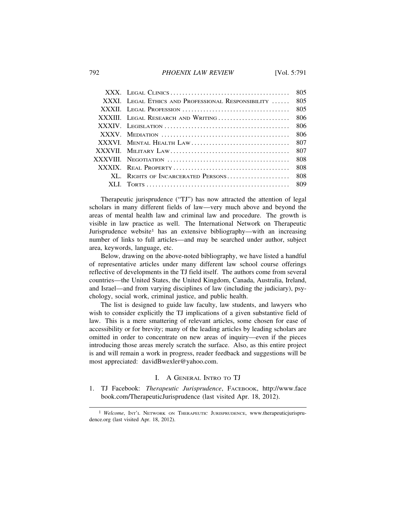#### 792 *PHOENIX LAW REVIEW* [Vol. 5:791

|                                                    | 805   |
|----------------------------------------------------|-------|
| XXXI. LEGAL ETHICS AND PROFESSIONAL RESPONSIBILITY | 805   |
|                                                    | 805   |
| XXXIII. LEGAL RESEARCH AND WRITING                 | 806   |
|                                                    | 806   |
|                                                    | 806   |
|                                                    | 807   |
|                                                    | 807   |
|                                                    | 808   |
|                                                    | 808   |
| XL. RIGHTS OF INCARCERATED PERSONS                 | - 808 |
|                                                    |       |
|                                                    |       |

Therapeutic jurisprudence ("TJ") has now attracted the attention of legal scholars in many different fields of law—very much above and beyond the areas of mental health law and criminal law and procedure. The growth is visible in law practice as well. The International Network on Therapeutic Jurisprudence website<sup>1</sup> has an extensive bibliography—with an increasing number of links to full articles—and may be searched under author, subject area, keywords, language, etc.

Below, drawing on the above-noted bibliography, we have listed a handful of representative articles under many different law school course offerings reflective of developments in the TJ field itself. The authors come from several countries—the United States, the United Kingdom, Canada, Australia, Ireland, and Israel—and from varying disciplines of law (including the judiciary), psychology, social work, criminal justice, and public health.

The list is designed to guide law faculty, law students, and lawyers who wish to consider explicitly the TJ implications of a given substantive field of law. This is a mere smattering of relevant articles, some chosen for ease of accessibility or for brevity; many of the leading articles by leading scholars are omitted in order to concentrate on new areas of inquiry—even if the pieces introducing those areas merely scratch the surface. Also, as this entire project is and will remain a work in progress, reader feedback and suggestions will be most appreciated: davidBwexler@yahoo.com.

# I. A GENERAL INTRO TO TJ

1. TJ Facebook: *Therapeutic Jurisprudence*, FACEBOOK, http://www.face book.com/TherapeuticJurisprudence (last visited Apr. 18, 2012).

<sup>&</sup>lt;sup>1</sup> *Welcome*, INT'L NETWORK ON THERAPEUTIC JURISPRUDENCE, www.therapeuticjurisprudence.org (last visited Apr. 18, 2012).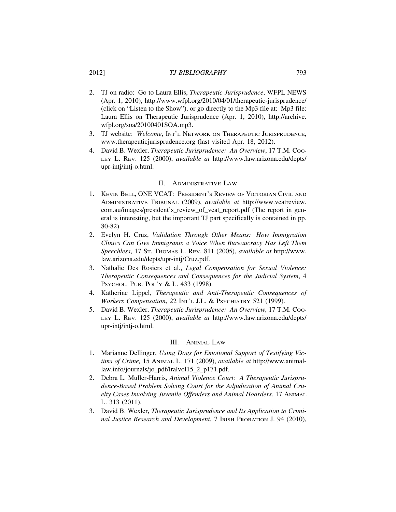### 2012] *TJ BIBLIOGRAPHY* 793

- 2. TJ on radio: Go to Laura Ellis, *Therapeutic Jurisprudence*, WFPL NEWS (Apr. 1, 2010), http://www.wfpl.org/2010/04/01/therapeutic-jurisprudence/ (click on "Listen to the Show"), or go directly to the Mp3 file at: Mp3 file: Laura Ellis on Therapeutic Jurisprudence (Apr. 1, 2010), http://archive. wfpl.org/soa/20100401SOA.mp3.
- 3. TJ website: Welcome, INT'L NETWORK ON THERAPEUTIC JURISPRUDENCE, www.therapeuticjurisprudence.org (last visited Apr. 18, 2012).
- 4. David B. Wexler, *Therapeutic Jurisprudence: An Overview*, 17 T.M. Coo-LEY L. REV. 125 (2000), *available at* http://www.law.arizona.edu/depts/ upr-intj/intj-o.html.

#### II. ADMINISTRATIVE LAW

- 1. KEVIN BELL, ONE VCAT: PRESIDENT'S REVIEW OF VICTORIAN CIVIL AND ADMINISTRATIVE TRIBUNAL (2009), *available at* http://www.vcatreview. com.au/images/president's\_review\_of\_vcat\_report.pdf (The report in general is interesting, but the important TJ part specifically is contained in pp. 80-82).
- 2. Evelyn H. Cruz, *Validation Through Other Means: How Immigration Clinics Can Give Immigrants a Voice When Bureaucracy Has Left Them Speechless*, 17 ST. THOMAS L. REV. 811 (2005), *available at* http://www. law.arizona.edu/depts/upr-intj/Cruz.pdf.
- 3. Nathalie Des Rosiers et al., *Legal Compensation for Sexual Violence: Therapeutic Consequences and Consequences for the Judicial System*, 4 PSYCHOL. PUB. POL'Y & L. 433 (1998).
- 4. Katherine Lippel, *Therapeutic and Anti-Therapeutic Consequences of Workers Compensation*, 22 INT'L J.L. & PSYCHIATRY 521 (1999).
- 5. David B. Wexler, *Therapeutic Jurisprudence: An Overview,* 17 T.M. COO-LEY L. REV. 125 (2000), *available at* http://www.law.arizona.edu/depts/ upr-intj/intj-o.html.

#### III. ANIMAL LAW

- 1. Marianne Dellinger, *Using Dogs for Emotional Support of Testifying Victims of Crime,* 15 ANIMAL L. 171 (2009), *available at* http://www.animallaw.info/journals/jo\_pdf/lralvol15\_2\_p171.pdf.
- 2. Debra L. Muller-Harris, *Animal Violence Court: A Therapeutic Jurisprudence-Based Problem Solving Court for the Adjudication of Animal Cruelty Cases Involving Juvenile Offenders and Animal Hoarders*, 17 ANIMAL L. 313 (2011).
- 3. David B. Wexler, *Therapeutic Jurisprudence and Its Application to Criminal Justice Research and Development*, 7 IRISH PROBATION J. 94 (2010),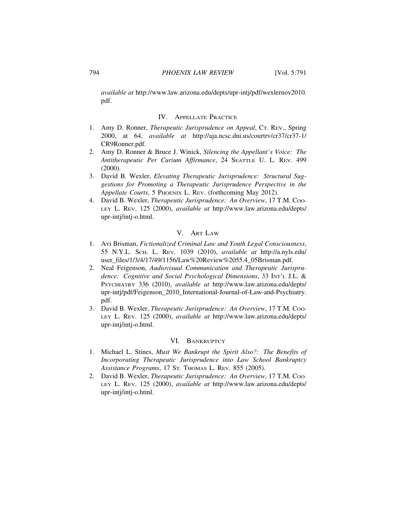*available at* http://www.law.arizona.edu/depts/upr-intj/pdf/wexlernov2010. pdf.

# IV. APPELLATE PRACTICE

- 1. Amy D. Ronner, *Therapeutic Jurisprudence on Appeal*, CT. REV., Spring 2000, at 64, *available at* http://aja.ncsc.dni.us/courtrv/cr37/cr37-1/ CR9Ronner.pdf.
- 2. Amy D. Ronner & Bruce J. Winick, *Silencing the Appellant's Voice: The Antitherapeutic Per Curium Affirmance*, 24 SEATTLE U. L. REV. 499 (2000).
- 3. David B. Wexler, *Elevating Therapeutic Jurisprudence: Structural Suggestions for Promoting a Therapeutic Jurisprudence Perspective in the Appellate Courts*, 5 PHOENIX L. REV. (forthcoming May 2012).
- 4. David B. Wexler, *Therapeutic Jurisprudence: An Overview*, 17 T.M. Coo-LEY L. REV. 125 (2000), *available at* http://www.law.arizona.edu/depts/ upr-intj/intj-o.html.

# V. ART LAW

- 1. Avi Brisman, *Fictionalized Criminal Law and Youth Legal Consciousness*, 55 N.Y.L. SCH. L. REV. 1039 (2010), *available at* http://a.nyls.edu/ user\_files/1/3/4/17/49/1156/Law%20Review%2055.4\_05Brisman.pdf.
- 2. Neal Feigenson, *Audiovisual Communication and Therapeutic Jurisprudence: Cognitive and Social Psychological Dimensions*, 33 INT'L J.L. & PSYCHIATRY 336 (2010), *available at* http://www.law.arizona.edu/depts/ upr-intj/pdf/Feigenson\_2010\_International-Journal-of-Law-and-Psychiatry. pdf.
- 3. David B. Wexler, *Therapeutic Jurisprudence: An Overview*, 17 T.M. Coo-LEY L. REV. 125 (2000), *available at* http://www.law.arizona.edu/depts/ upr-intj/intj-o.html.

### VI. BANKRUPTCY

- 1. Michael L. Stines, *Must We Bankrupt the Spirit Also?: The Benefits of Incorporating Therapeutic Jurisprudence into Law School Bankruptcy Assistance Programs*, 17 ST. THOMAS L. REV. 855 (2005).
- 2. David B. Wexler, *Therapeutic Jurisprudence: An Overview*, 17 T.M. Coo-LEY L. REV. 125 (2000), *available at* http://www.law.arizona.edu/depts/ upr-intj/intj-o.html.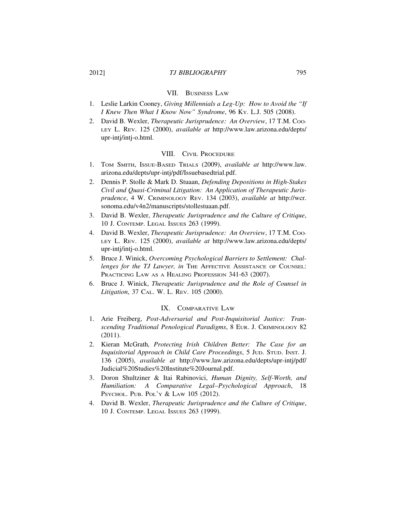## 2012] *TJ BIBLIOGRAPHY* 795

#### VII. BUSINESS LAW

- 1. Leslie Larkin Cooney, *Giving Millennials a Leg-Up: How to Avoid the "If I Knew Then What I Know Now" Syndrome*, 96 KY. L.J. 505 (2008).
- 2. David B. Wexler, *Therapeutic Jurisprudence: An Overview*, 17 T.M. Coo-LEY L. REV. 125 (2000), *available at* http://www.law.arizona.edu/depts/ upr-intj/intj-o.html.

### VIII. CIVIL PROCEDURE

- 1. TOM SMITH, ISSUE-BASED TRIALS (2009), *available at* http://www.law. arizona.edu/depts/upr-intj/pdf/Issuebasedtrial.pdf.
- 2. Dennis P. Stolle & Mark D. Stuaan, *Defending Depositions in High-Stakes Civil and Quasi-Criminal Litigation: An Application of Therapeutic Jurisprudence*, 4 W. CRIMINOLOGY REV. 134 (2003), *available at* http://wcr. sonoma.edu/v4n2/manuscripts/stollestuaan.pdf.
- 3. David B. Wexler, *Therapeutic Jurisprudence and the Culture of Critique*, 10 J. CONTEMP. LEGAL ISSUES 263 (1999).
- 4. David B. Wexler, *Therapeutic Jurisprudence: An Overview*, 17 T.M. Coo-LEY L. REV. 125 (2000), *available at* http://www.law.arizona.edu/depts/ upr-intj/intj-o.html.
- 5. Bruce J. Winick, *Overcoming Psychological Barriers to Settlement: Challenges for the TJ Lawyer, in THE AFFECTIVE ASSISTANCE OF COUNSEL:* PRACTICING LAW AS A HEALING PROFESSION 341-63 (2007).
- 6. Bruce J. Winick, *Therapeutic Jurisprudence and the Role of Counsel in Litigation*, 37 CAL. W. L. REV. 105 (2000).

#### IX. COMPARATIVE LAW

- 1. Arie Freiberg, *Post-Adversarial and Post-Inquisitorial Justice: Transcending Traditional Penological Paradigms*, 8 EUR. J. CRIMINOLOGY 82 (2011).
- 2. Kieran McGrath*, Protecting Irish Children Better: The Case for an Inquisitorial Approach in Child Care Proceedings*, 5 JUD. STUD. INST. J. 136 (2005), *available at* http://www.law.arizona.edu/depts/upr-intj/pdf/ Judicial%20Studies%20Institute%20Journal.pdf.
- 3. Doron Shultziner & Itai Rabinovici, *Human Dignity, Self-Worth, and Humiliation: A Comparative Legal–Psychological Approach*, 18 PSYCHOL. PUB. POL'Y & LAW 105 (2012).
- 4. David B. Wexler, *Therapeutic Jurisprudence and the Culture of Critique*, 10 J. CONTEMP. LEGAL ISSUES 263 (1999).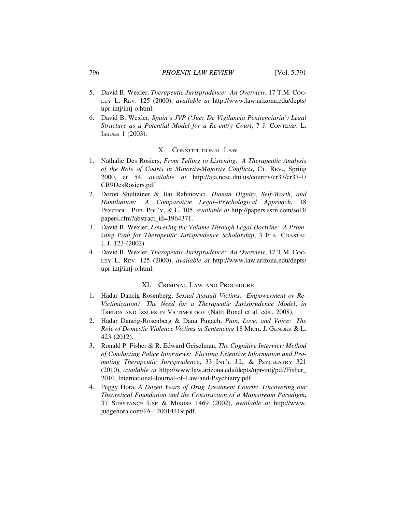- 5. David B. Wexler, *Therapeutic Jurisprudence: An Overview*, 17 T.M. COO-LEY L. REV. 125 (2000), *available at* http://www.law.arizona.edu/depts/ upr-intj/intj-o.html.
- 6. David B. Wexler*, Spain's JVP (*'*Juez De Vigilancia Penitenciaria') Legal Structure as a Potential Model for a Re-entry Court*, 7 J. CONTEMP. L. ISSUES 1 (2003).

### X. CONSTITUTIONAL LAW

- 1. Nathalie Des Rosiers, *From Telling to Listening: A Therapeutic Analysis of the Role of Courts in Minority-Majority Conflicts*, CT. REV., Spring 2000, at 54, *available at* http://aja.ncsc.dni.us/courtrv/cr37/cr37-1/ CR9DesRosiers.pdf.
- 2. Doron Shultziner & Itai Rabinovici, *Human Dignity, Self-Worth, and Humiliation: A Comparative Legal–Psychological Approach*, 18 PSYCHOL., PUB. POL'Y, & L. 105, *available at* http://papers.ssrn.com/sol3/ papers.cfm?abstract\_id=1964371.
- 3. David B. Wexler, *Lowering the Volume Through Legal Doctrine: A Promising Path for Therapeutic Jurisprudence Scholarship*, 3 FLA. COASTAL L.J. 123 (2002).
- 4. David B. Wexler, *Therapeutic Jurisprudence: An Overview*, 17 T.M. Coo-LEY L. REV. 125 (2000), *available at* http://www.law.arizona.edu/depts/ upr-intj/intj-o.html.

# XI. CRIMINAL LAW AND PROCEDURE

- 1. Hadar Dancig-Rosenberg, *Sexual Assault Victims: Empowerment or Re-Victimization? The Need for a Therapeutic Jurisprudence Model*, *in* TRENDS AND ISSUES IN VICTIMOLOGY (Natti Ronel et al. eds., 2008).
- 2. Hadar Dancig-Rosenberg & Dana Pugach, *Pain, Love, and Voice: The Role of Domestic Violence Victims in Sentencing* 18 MICH. J. GENDER & L. 423 (2012).
- 3. Ronald P. Fisher & R. Edward Geiselman, *The Cognitive Interview Method of Conducting Police Interviews: Eliciting Extensive Information and Promoting Therapeutic Jurisprudence*, 33 INT'L J.L. & PSYCHIATRY 321 (2010), *available at* http://www.law.arizona.edu/depts/upr-intj/pdf/Fisher\_ 2010 International-Journal-of-Law-and-Psychiatry.pdf.
- 4. Peggy Hora, *A Dozen Years of Drug Treatment Courts: Uncovering our Theoretical Foundation and the Construction of a Mainstream Paradigm*, 37 SUBSTANCE USE & MISUSE 1469 (2002), *available at* http://www. judgehora.com/JA-120014419.pdf.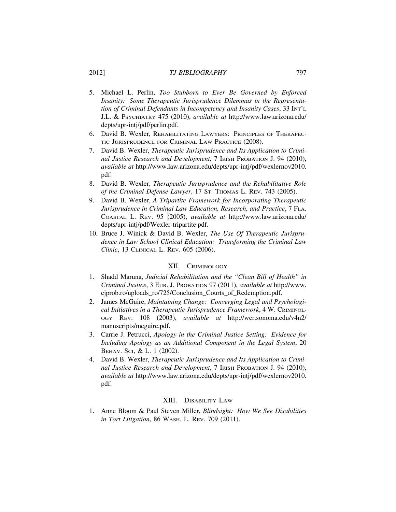### 2012] *TJ BIBLIOGRAPHY* 797

- 5. Michael L. Perlin, *Too Stubborn to Ever Be Governed by Enforced Insanity: Some Therapeutic Jurisprudence Dilemmas in the Representation of Criminal Defendants in Incompetency and Insanity Cases*, 33 INT'L J.L. & PSYCHIATRY 475 (2010), *available at* http://www.law.arizona.edu/ depts/upr-intj/pdf/perlin.pdf.
- 6. David B. Wexler, REHABILITATING LAWYERS: PRINCIPLES OF THERAPEU-TIC JURISPRUDENCE FOR CRIMINAL LAW PRACTICE (2008).
- 7. David B. Wexler, *Therapeutic Jurisprudence and Its Application to Criminal Justice Research and Development*, 7 IRISH PROBATION J. 94 (2010), *available at* http://www.law.arizona.edu/depts/upr-intj/pdf/wexlernov2010. pdf.
- 8. David B. Wexler, *Therapeutic Jurisprudence and the Rehabilitative Role of the Criminal Defense Lawyer*, 17 ST. THOMAS L. REV. 743 (2005).
- 9. David B. Wexler, *A Tripartite Framework for Incorporating Therapeutic Jurisprudence in Criminal Law Education, Research, and Practice*, 7 FLA. COASTAL L. REV. 95 (2005), *available at* http://www.law.arizona.edu/ depts/upr-intj/pdf/Wexler-tripartite.pdf.
- 10. Bruce J. Winick & David B. Wexler, *The Use Of Therapeutic Jurisprudence in Law School Clinical Education: Transforming the Criminal Law Clinic*, 13 CLINICAL L. REV. 605 (2006).

### XII. CRIMINOLOGY

- 1. Shadd Maruna, *Judicial Rehabilitation and the "Clean Bill of Health" in Criminal Justice*, 3 EUR. J. PROBATION 97 (2011), *available at* http://www. ejprob.ro/uploads\_ro/725/Conclusion\_Courts\_of\_Redemption.pdf.
- 2. James McGuire, *Maintaining Change: Converging Legal and Psychological Initiatives in a Therapeutic Jurisprudence Framework*, 4 W. CRIMINOL-OGY REV. 108 (2003), *available at* http://wcr.sonoma.edu/v4n2/ manuscripts/mcguire.pdf.
- 3. Carrie J. Petrucci, *Apology in the Criminal Justice Setting: Evidence for Including Apology as an Additional Component in the Legal System*, 20 BEHAV. SCI, & L. 1 (2002).
- 4. David B. Wexler, *Therapeutic Jurisprudence and Its Application to Criminal Justice Research and Development*, 7 IRISH PROBATION J. 94 (2010), *available at* http://www.law.arizona.edu/depts/upr-intj/pdf/wexlernov2010. pdf.

#### XIII. DISABILITY LAW

1. Anne Bloom & Paul Steven Miller, *Blindsight: How We See Disabilities in Tort Litigation*, 86 WASH. L. REV. 709 (2011).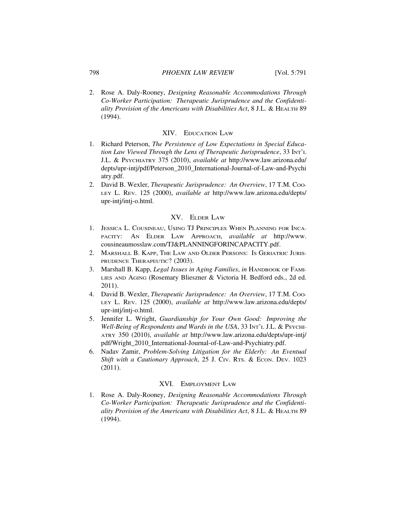#### 798 *PHOENIX LAW REVIEW* [Vol. 5:791

2. Rose A. Daly-Rooney, *Designing Reasonable Accommodations Through Co-Worker Participation: Therapeutic Jurisprudence and the Confidentiality Provision of the Americans with Disabilities Act*, 8 J.L. & HEALTH 89 (1994).

#### XIV. EDUCATION LAW

- 1. Richard Peterson, *The Persistence of Low Expectations in Special Education Law Viewed Through the Lens of Therapeutic Jurisprudence*, 33 INT'L J.L. & PSYCHIATRY 375 (2010), *available at* http://www.law.arizona.edu/ depts/upr-intj/pdf/Peterson\_2010\_International-Journal-of-Law-and-Psychi atry.pdf.
- 2. David B. Wexler, *Therapeutic Jurisprudence: An Overview*, 17 T.M. Coo-LEY L. REV. 125 (2000), *available at* http://www.law.arizona.edu/depts/ upr-intj/intj-o.html.

# XV. ELDER LAW

- 1. JESSICA L. COUSINEAU, USING TJ PRINCIPLES WHEN PLANNING FOR INCA-PACITY: AN ELDER LAW APPROACH, *available at* http://www. cousineaumosslaw.com/TJ&PLANNINGFORINCAPACITY.pdf.
- 2. MARSHALL B. KAPP, THE LAW AND OLDER PERSONS: IS GERIATRIC JURIS-PRUDENCE THERAPEUTIC? (2003).
- 3. Marshall B. Kapp, *Legal Issues in Aging Families*, *in* HANDBOOK OF FAMI-LIES AND AGING (Rosemary Blieszner & Victoria H. Bedford eds., 2d ed. 2011).
- 4. David B. Wexler, *Therapeutic Jurisprudence: An Overview*, 17 T.M. Coo-LEY L. REV. 125 (2000), *available at* http://www.law.arizona.edu/depts/ upr-intj/intj-o.html.
- 5. Jennifer L. Wright, *Guardianship for Your Own Good: Improving the Well-Being of Respondents and Wards in the USA*, 33 INT'L J.L. & PSYCHI-ATRY 350 (2010), *available at* http://www.law.arizona.edu/depts/upr-intj/ pdf/Wright\_2010\_International-Journal-of-Law-and-Psychiatry.pdf.
- 6. Nadav Zamir, *Problem-Solving Litigation for the Elderly: An Eventual* Shift with a Cautionary Approach, 25 J. Civ. RTs. & ECON. DEV. 1023 (2011).

# XVI. EMPLOYMENT LAW

1. Rose A. Daly-Rooney, *Designing Reasonable Accommodations Through Co-Worker Participation: Therapeutic Jurisprudence and the Confidentiality Provision of the Americans with Disabilities Act*, 8 J.L. & HEALTH 89 (1994).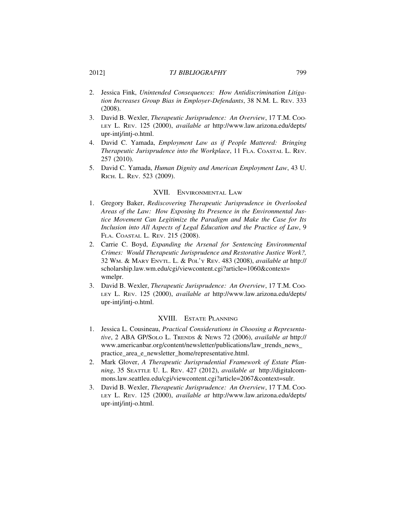# 2012] *TJ BIBLIOGRAPHY* 799

- 2. Jessica Fink, *Unintended Consequences: How Antidiscrimination Litigation Increases Group Bias in Employer-Defendants*, 38 N.M. L. REV. 333 (2008).
- 3. David B. Wexler, *Therapeutic Jurisprudence: An Overview*, 17 T.M. Coo-LEY L. REV. 125 (2000), *available at* http://www.law.arizona.edu/depts/ upr-intj/intj-o.html.
- 4. David C. Yamada, *Employment Law as if People Mattered: Bringing Therapeutic Jurisprudence into the Workplace*, 11 FLA. COASTAL L. REV. 257 (2010).
- 5. David C. Yamada, *Human Dignity and American Employment Law*, 43 U. RICH. L. REV. 523 (2009).

### XVII. ENVIRONMENTAL LAW

- 1. Gregory Baker, *Rediscovering Therapeutic Jurisprudence in Overlooked Areas of the Law: How Exposing Its Presence in the Environmental Justice Movement Can Legitimize the Paradigm and Make the Case for Its Inclusion into All Aspects of Legal Education and the Practice of Law*, 9 FLA. COASTAL L. REV. 215 (2008).
- 2. Carrie C. Boyd, *Expanding the Arsenal for Sentencing Environmental Crimes: Would Therapeutic Jurisprudence and Restorative Justice Work?,* 32 WM. & MARY ENVTL. L. & POL'Y REV. 483 (2008), *available at* http:// scholarship.law.wm.edu/cgi/viewcontent.cgi?article=1060&context= wmelpr.
- 3. David B. Wexler, *Therapeutic Jurisprudence: An Overview*, 17 T.M. COO-LEY L. REV. 125 (2000), *available at* http://www.law.arizona.edu/depts/ upr-intj/intj-o.html.

# XVIII. ESTATE PLANNING

- 1. Jessica L. Cousineau, *Practical Considerations in Choosing a Representative*, 2 ABA GP/SOLO L. TRENDS & NEWS 72 (2006), *available at* http:// www.americanbar.org/content/newsletter/publications/law\_trends\_news\_ practice area e newsletter home/representative.html.
- 2. Mark Glover, *A Therapeutic Jurisprudential Framework of Estate Planning*, 35 SEATTLE U. L. REV. 427 (2012), *available at* http://digitalcommons.law.seattleu.edu/cgi/viewcontent.cgi?article=2067&context=sulr.
- 3. David B. Wexler, *Therapeutic Jurisprudence: An Overview*, 17 T.M. Coo-LEY L. REV. 125 (2000), *available at* http://www.law.arizona.edu/depts/ upr-intj/intj-o.html.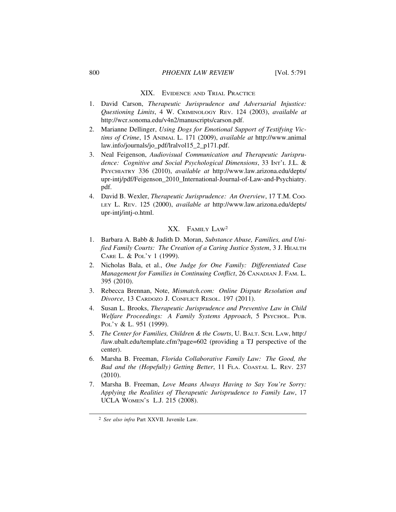#### XIX. EVIDENCE AND TRIAL PRACTICE

- 1. David Carson, *Therapeutic Jurisprudence and Adversarial Injustice: Questioning Limits*, 4 W. CRIMINOLOGY REV. 124 (2003), *available at* http://wcr.sonoma.edu/v4n2/manuscripts/carson.pdf.
- 2. Marianne Dellinger, *Using Dogs for Emotional Support of Testifying Victims of Crime*, 15 ANIMAL L. 171 (2009), *available at* http://www.animal law.info/journals/jo\_pdf/lralvol15\_2\_p171.pdf.
- 3. Neal Feigenson, *Audiovisual Communication and Therapeutic Jurisprudence: Cognitive and Social Psychological Dimensions*, 33 INT'L J.L. & PSYCHIATRY 336 (2010), *available at* http://www.law.arizona.edu/depts/ upr-intj/pdf/Feigenson\_2010\_International-Journal-of-Law-and-Psychiatry. pdf.
- 4. David B. Wexler, *Therapeutic Jurisprudence: An Overview*, 17 T.M. Coo-LEY L. REV. 125 (2000), *available at* http://www.law.arizona.edu/depts/ upr-intj/intj-o.html.

### XX. FAMILY LAW2

- 1. Barbara A. Babb & Judith D. Moran, *Substance Abuse, Families, and Unified Family Courts: The Creation of a Caring Justice System*, 3 J. HEALTH CARE L. & POL'Y 1 (1999).
- 2. Nicholas Bala, et al., *One Judge for One Family: Differentiated Case Management for Families in Continuing Conflict*, 26 CANADIAN J. FAM. L. 395 (2010).
- 3. Rebecca Brennan, Note, *Mismatch.com: Online Dispute Resolution and Divorce*, 13 CARDOZO J. CONFLICT RESOL. 197 (2011).
- 4. Susan L. Brooks, *Therapeutic Jurisprudence and Preventive Law in Child Welfare Proceedings: A Family Systems Approach*, 5 PSYCHOL. PUB. POL'Y & L. 951 (1999).
- 5. *The Center for Families, Children & the Courts*, U. BALT. SCH. LAW, http:/ /law.ubalt.edu/template.cfm?page=602 (providing a TJ perspective of the center).
- 6. Marsha B. Freeman, *Florida Collaborative Family Law: The Good, the Bad and the (Hopefully) Getting Better*, 11 FLA. COASTAL L. REV. 237 (2010).
- 7. Marsha B. Freeman, *Love Means Always Having to Say You're Sorry: Applying the Realities of Therapeutic Jurisprudence to Family Law*, 17 UCLA WOMEN'S L.J. 215 (2008).

<sup>2</sup> *See also infra* Part XXVII. Juvenile Law.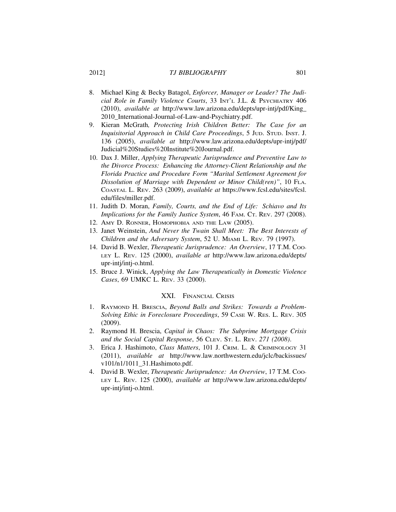# 2012] *TJ BIBLIOGRAPHY* 801

- 8. Michael King & Becky Batagol, *Enforcer, Manager or Leader? The Judicial Role in Family Violence Courts*, 33 INT'L J.L. & PSYCHIATRY 406 (2010), *available at* http://www.law.arizona.edu/depts/upr-intj/pdf/King\_ 2010\_International-Journal-of-Law-and-Psychiatry.pdf.
- 9. Kieran McGrath*, Protecting Irish Children Better: The Case for an Inquisitorial Approach in Child Care Proceedings*, 5 JUD. STUD. INST. J. 136 (2005), *available at* http://www.law.arizona.edu/depts/upr-intj/pdf/ Judicial%20Studies%20Institute%20Journal.pdf.
- 10. Dax J. Miller, *Applying Therapeutic Jurisprudence and Preventive Law to the Divorce Process: Enhancing the Attorney-Client Relationship and the Florida Practice and Procedure Form "Marital Settlement Agreement for Dissolution of Marriage with Dependent or Minor Child(ren)"*, 10 FLA. COASTAL L. REV. 263 (2009), *available at* https://www.fcsl.edu/sites/fcsl. edu/files/miller.pdf.
- 11. Judith D. Moran, *Family, Courts, and the End of Life: Schiavo and Its Implications for the Family Justice System, 46 FAM. CT. REV. 297 (2008).*
- 12. AMY D. RONNER, HOMOPHOBIA AND THE LAW (2005).
- 13. Janet Weinstein, *And Never the Twain Shall Meet: The Best Interests of Children and the Adversary System*, 52 U. MIAMI L. REV. 79 (1997).
- 14. David B. Wexler, *Therapeutic Jurisprudence: An Overview*, 17 T.M. COO-LEY L. REV. 125 (2000), *available at* http://www.law.arizona.edu/depts/ upr-intj/intj-o.html.
- 15. Bruce J. Winick, *Applying the Law Therapeutically in Domestic Violence Cases*, 69 UMKC L. REV. 33 (2000).

# XXI. FINANCIAL CRISIS

- 1. RAYMOND H. BRESCIA, *Beyond Balls and Strikes: Towards a Problem-Solving Ethic in Foreclosure Proceedings*, 59 CASE W. RES. L. REV. 305 (2009).
- 2. Raymond H. Brescia, *Capital in Chaos: The Subprime Mortgage Crisis and the Social Capital Response*, 56 CLEV. ST. L. REV. *271 (2008)*.
- 3. Erica J. Hashimoto, *Class Matters*, 101 J. CRIM. L. & CRIMINOLOGY 31 (2011), *available at* http://www.law.northwestern.edu/jclc/backissues/ v101/n1/1011\_31.Hashimoto.pdf.
- 4. David B. Wexler, *Therapeutic Jurisprudence: An Overview*, 17 T.M. COO-LEY L. REV. 125 (2000), *available at* http://www.law.arizona.edu/depts/ upr-intj/intj-o.html.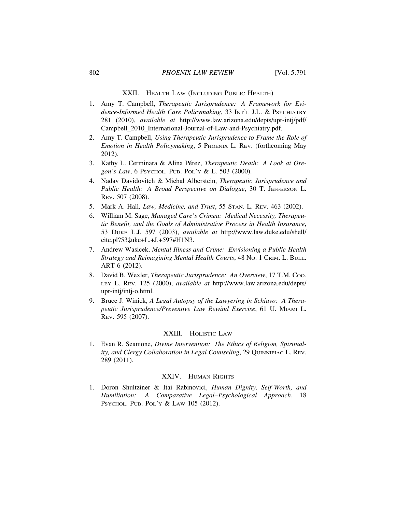### 802 *PHOENIX LAW REVIEW* [Vol. 5:791

# XXII. HEALTH LAW (INCLUDING PUBLIC HEALTH)

- 1. Amy T. Campbell, *Therapeutic Jurisprudence: A Framework for Evidence-Informed Health Care Policymaking*, 33 INT'L J.L. & PSYCHIATRY 281 (2010), *available at* http://www.law.arizona.edu/depts/upr-intj/pdf/ Campbell\_2010\_International-Journal-of-Law-and-Psychiatry.pdf.
- 2. Amy T. Campbell, *Using Therapeutic Jurisprudence to Frame the Role of Emotion in Health Policymaking*, 5 PHOENIX L. REV. (forthcoming May 2012).
- 3. Kathy L. Cerminara & Alina Pérez, *Therapeutic Death: A Look at Oregon's Law*, 6 PSYCHOL. PUB. POL'Y & L. 503 (2000).
- 4. Nadav Davidovitch & Michal Alberstein, *Therapeutic Jurisprudence and Public Health: A Broad Perspective on Dialogue*, 30 T. JEFFERSON L. REV. 507 (2008).
- 5. Mark A. Hall*, Law, Medicine, and Trust*, 55 STAN. L. REV. 463 (2002).
- 6. William M. Sage, *Managed Care's Crimea: Medical Necessity, Therapeutic Benefit, and the Goals of Administrative Process in Health Insurance*, 53 DUKE L.J. 597 (2003), *available at* http://www.law.duke.edu/shell/ cite.pl?53‡uke+L.+J.+597#H1N3.
- 7. Andrew Wasicek, *Mental Illness and Crime: Envisioning a Public Health Strategy and Reimagining Mental Health Courts*, 48 NO. 1 CRIM. L. BULL. ART 6 (2012).
- 8. David B. Wexler, *Therapeutic Jurisprudence: An Overview*, 17 T.M. Coo-LEY L. REV. 125 (2000), *available at* http://www.law.arizona.edu/depts/ upr-intj/intj-o.html.
- 9. Bruce J. Winick, *A Legal Autopsy of the Lawyering in Schiavo: A Therapeutic Jurisprudence/Preventive Law Rewind Exercise*, 61 U. MIAMI L. REV. 595 (2007).

#### XXIII. HOLISTIC LAW

1. Evan R. Seamone, *Divine Intervention: The Ethics of Religion, Spirituality, and Clergy Collaboration in Legal Counseling*, 29 QUINNIPIAC L. REV. 289 (2011).

# XXIV. HUMAN RIGHTS

1. Doron Shultziner & Itai Rabinovici, *Human Dignity, Self-Worth, and Humiliation: A Comparative Legal–Psychological Approach*, 18 PSYCHOL. PUB. POL'Y & LAW 105 (2012).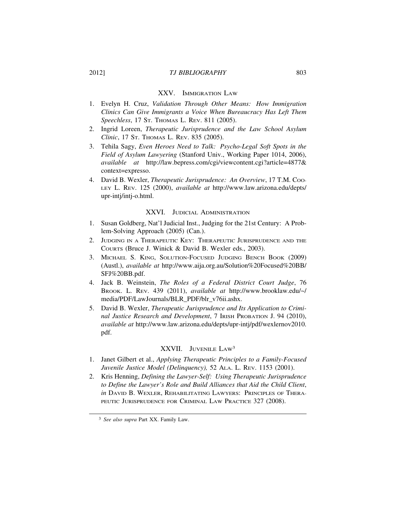# XXV. IMMIGRATION LAW

- 1. Evelyn H. Cruz, *Validation Through Other Means: How Immigration Clinics Can Give Immigrants a Voice When Bureaucracy Has Left Them Speechless*, 17 ST. THOMAS L. REV. 811 (2005).
- 2. Ingrid Loreen, *Therapeutic Jurisprudence and the Law School Asylum Clinic*, 17 ST. THOMAS L. REV. 835 (2005).
- 3. Tehila Sagy, *Even Heroes Need to Talk: Psycho-Legal Soft Spots in the Field of Asylum Lawyering* (Stanford Univ., Working Paper 1014, 2006), *available at* http://law.bepress.com/cgi/viewcontent.cgi?article=4877& context=expresso.
- 4. David B. Wexler, *Therapeutic Jurisprudence: An Overview*, 17 T.M. Coo-LEY L. REV. 125 (2000), *available at* http://www.law.arizona.edu/depts/ upr-intj/intj-o.html.

# XXVI. JUDICIAL ADMINISTRATION

- 1. Susan Goldberg, Nat'l Judicial Inst., Judging for the 21st Century: A Problem-Solving Approach (2005) (Can.).
- 2. JUDGING IN A THERAPEUTIC KEY: THERAPEUTIC JURISPRUDENCE AND THE COURTS (Bruce J. Winick & David B. Wexler eds., 2003).
- 3. MICHAEL S. KING, SOLUTION-FOCUSED JUDGING BENCH BOOK (2009) (Austl.), *available at* http://www.aija.org.au/Solution%20Focused%20BB/ SFJ%20BB.pdf.
- 4. Jack B. Weinstein, *The Roles of a Federal District Court Judge*, 76 BROOK. L. REV. 439 (2011), *available at* http://www.brooklaw.edu/~/ media/PDF/LawJournals/BLR\_PDF/blr\_v76ii.ashx.
- 5. David B. Wexler, *Therapeutic Jurisprudence and Its Application to Criminal Justice Research and Development*, 7 IRISH PROBATION J. 94 (2010), *available at* http://www.law.arizona.edu/depts/upr-intj/pdf/wexlernov2010. pdf.

# XXVII. JUVENILE LAW3

- 1. Janet Gilbert et al., *Applying Therapeutic Principles to a Family-Focused Juvenile Justice Model (Delinquency),* 52 ALA. L. REV. 1153 (2001).
- 2. Kris Henning, *Defining the Lawyer-Self: Using Therapeutic Jurisprudence to Define the Lawyer's Role and Build Alliances that Aid the Child Client*, *in* DAVID B. WEXLER, REHABILITATING LAWYERS: PRINCIPLES OF THERA-PEUTIC JURISPRUDENCE FOR CRIMINAL LAW PRACTICE 327 (2008).

<sup>3</sup> *See also supra* Part XX. Family Law.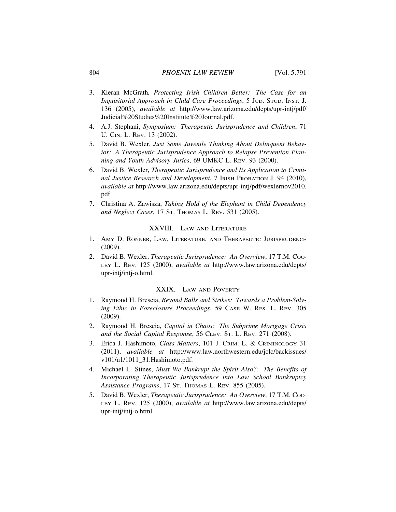- 3. Kieran McGrath*, Protecting Irish Children Better: The Case for an Inquisitorial Approach in Child Care Proceedings*, 5 JUD. STUD. INST. J. 136 (2005), *available at* http://www.law.arizona.edu/depts/upr-intj/pdf/ Judicial%20Studies%20Institute%20Journal.pdf.
- 4. A.J. Stephani, *Symposium: Therapeutic Jurisprudence and Children*, 71 U. CIN. L. REV. 13 (2002).
- 5. David B. Wexler, *Just Some Juvenile Thinking About Delinquent Behavior: A Therapeutic Jurisprudence Approach to Relapse Prevention Planning and Youth Advisory Juries*, 69 UMKC L. REV. 93 (2000).
- 6. David B. Wexler, *Therapeutic Jurisprudence and Its Application to Criminal Justice Research and Development*, 7 IRISH PROBATION J. 94 (2010), *available at* http://www.law.arizona.edu/depts/upr-intj/pdf/wexlernov2010. pdf.
- 7. Christina A. Zawisza, *Taking Hold of the Elephant in Child Dependency and Neglect Cases*, 17 ST. THOMAS L. REV. 531 (2005).

#### XXVIII. LAW AND LITERATURE

- 1. AMY D. RONNER, LAW, LITERATURE, AND THERAPEUTIC JURISPRUDENCE (2009).
- 2. David B. Wexler, *Therapeutic Jurisprudence: An Overview*, 17 T.M. Coo-LEY L. REV. 125 (2000), *available at* http://www.law.arizona.edu/depts/ upr-intj/intj-o.html.

# XXIX. LAW AND POVERTY

- 1. Raymond H. Brescia, *Beyond Balls and Strikes: Towards a Problem-Solving Ethic in Foreclosure Proceedings*, 59 CASE W. RES. L. REV. 305 (2009).
- 2. Raymond H. Brescia, *Capital in Chaos: The Subprime Mortgage Crisis and the Social Capital Response*, 56 CLEV. ST. L. REV. 271 (2008).
- 3. Erica J. Hashimoto, *Class Matters*, 101 J. CRIM. L. & CRIMINOLOGY 31 (2011), *available at* http://www.law.northwestern.edu/jclc/backissues/ v101/n1/1011\_31.Hashimoto.pdf.
- 4. Michael L. Stines, *Must We Bankrupt the Spirit Also?: The Benefits of Incorporating Therapeutic Jurisprudence into Law School Bankruptcy Assistance Programs*, 17 ST. THOMAS L. REV. 855 (2005).
- 5. David B. Wexler, *Therapeutic Jurisprudence: An Overview*, 17 T.M. Coo-LEY L. REV. 125 (2000), *available at* http://www.law.arizona.edu/depts/ upr-intj/intj-o.html.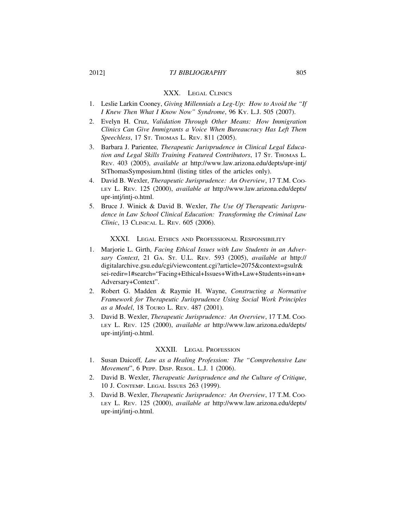# 2012] *TJ BIBLIOGRAPHY* 805

## XXX. LEGAL CLINICS

- 1. Leslie Larkin Cooney, *Giving Millennials a Leg-Up: How to Avoid the "If I Knew Then What I Know Now" Syndrome*, 96 KY. L.J. 505 (2007).
- 2. Evelyn H. Cruz, *Validation Through Other Means: How Immigration Clinics Can Give Immigrants a Voice When Bureaucracy Has Left Them Speechless*, 17 ST. THOMAS L. REV. 811 (2005).
- 3. Barbara J. Parientee*, Therapeutic Jurisprudence in Clinical Legal Education and Legal Skills Training Featured Contributors*, 17 ST. THOMAS L. REV. 403 (2005), *available at* http://www.law.arizona.edu/depts/upr-intj/ StThomasSymposium.html (listing titles of the articles only).
- 4. David B. Wexler, *Therapeutic Jurisprudence: An Overview*, 17 T.M. Coo-LEY L. REV. 125 (2000), *available at* http://www.law.arizona.edu/depts/ upr-intj/intj-o.html.
- 5. Bruce J. Winick & David B. Wexler, *The Use Of Therapeutic Jurisprudence in Law School Clinical Education: Transforming the Criminal Law Clinic*, 13 CLINICAL L. REV. 605 (2006).

# XXXI. LEGAL ETHICS AND PROFESSIONAL RESPONSIBILITY

- 1. Marjorie L. Girth, *Facing Ethical Issues with Law Students in an Adversary Context*, 21 GA. ST. U.L. REV. 593 (2005), *available at* http:// digitalarchive.gsu.edu/cgi/viewcontent.cgi?article=2075&context=gsulr& sei-redir=1#search="Facing+Ethical+Issues+With+Law+Students+in+an+ Adversary+Context".
- 2. Robert G. Madden & Raymie H. Wayne, *Constructing a Normative Framework for Therapeutic Jurisprudence Using Social Work Principles as a Model*, 18 TOURO L. REV. 487 (2001).
- 3. David B. Wexler, *Therapeutic Jurisprudence: An Overview*, 17 T.M. Coo-LEY L. REV. 125 (2000), *available at* http://www.law.arizona.edu/depts/ upr-intj/intj-o.html.

## XXXII. LEGAL PROFESSION

- 1. Susan Daicoff*, Law as a Healing Profession: The "Comprehensive Law Movement*", 6 PEPP. DISP. RESOL. L.J. 1 (2006).
- 2. David B. Wexler, *Therapeutic Jurisprudence and the Culture of Critique*, 10 J. CONTEMP. LEGAL ISSUES 263 (1999).
- 3. David B. Wexler, *Therapeutic Jurisprudence: An Overview*, 17 T.M. Coo-LEY L. REV. 125 (2000), *available at* http://www.law.arizona.edu/depts/ upr-intj/intj-o.html.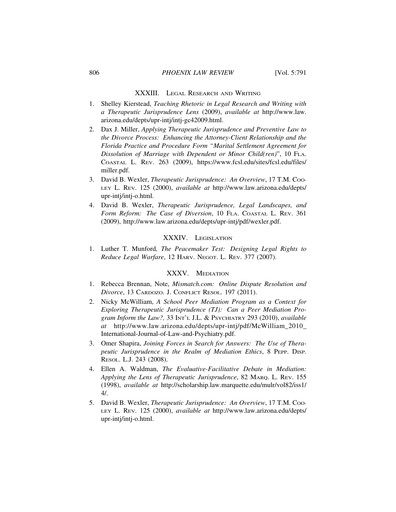### XXXIII. LEGAL RESEARCH AND WRITING

- 1. Shelley Kierstead, *Teaching Rhetoric in Legal Research and Writing with a Therapeutic Jurisprudence Lens* (2009), *available at* http://www.law. arizona.edu/depts/upr-intj/intj-gc42009.html.
- 2. Dax J. Miller, *Applying Therapeutic Jurisprudence and Preventive Law to the Divorce Process: Enhancing the Attorney-Client Relationship and the Florida Practice and Procedure Form "Marital Settlement Agreement for Dissolution of Marriage with Dependent or Minor Child(ren)*", 10 FLA. COASTAL L. REV. 263 (2009), https://www.fcsl.edu/sites/fcsl.edu/files/ miller.pdf.
- 3. David B. Wexler, *Therapeutic Jurisprudence: An Overview*, 17 T.M. Coo-LEY L. REV. 125 (2000), *available at* http://www.law.arizona.edu/depts/ upr-intj/intj-o.html.
- 4. David B. Wexler, *Therapeutic Jurisprudence, Legal Landscapes, and Form Reform: The Case of Diversion*, 10 FLA. COASTAL L. REV. 361 (2009), http://www.law.arizona.edu/depts/upr-intj/pdf/wexler.pdf.

# XXXIV. LEGISLATION

1. Luther T*.* Munford*, The Peacemaker Test: Designing Legal Rights to Reduce Legal Warfare*, 12 HARV. NEGOT. L. REV. 377 (2007).

# XXXV. MEDIATION

- 1. Rebecca Brennan, Note, *Mismatch.com: Online Dispute Resolution and Divorce*, 13 CARDOZO. J. CONFLICT RESOL. 197 (2011).
- 2. Nicky McWilliam, *A School Peer Mediation Program as a Context for Exploring Therapeutic Jurisprudence (TJ): Can a Peer Mediation Program Inform the Law?,* 33 INT'L J.L. & PSYCHIATRY 293 (2010), *available at* http://www.law.arizona.edu/depts/upr-intj/pdf/McWilliam\_2010\_ International-Journal-of-Law-and-Psychiatry.pdf.
- 3. Omer Shapira, *Joining Forces in Search for Answers: The Use of Therapeutic Jurisprudence in the Realm of Mediation Ethics*, 8 PEPP. DISP. RESOL. L.J. 243 (2008).
- 4. Ellen A. Waldman, *The Evaluative-Facilitative Debate in Mediation: Applying the Lens of Therapeutic Jurisprudence*, 82 MARQ. L. REV. 155 (1998), *available at* http://scholarship.law.marquette.edu/mulr/vol82/iss1/ 4/.
- 5. David B. Wexler, *Therapeutic Jurisprudence: An Overview*, 17 T.M. COO-LEY L. REV. 125 (2000), *available at* http://www.law.arizona.edu/depts/ upr-intj/intj-o.html.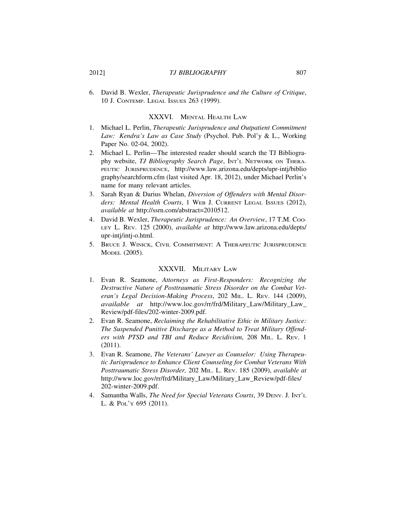6. David B. Wexler, *Therapeutic Jurisprudence and the Culture of Critique*, 10 J. CONTEMP. LEGAL ISSUES 263 (1999).

# XXXVI. MENTAL HEALTH LAW

- 1. Michael L. Perlin, *Therapeutic Jurisprudence and Outpatient Commitment Law: Kendra's Law as Case Study* (Psychol. Pub. Pol'y & L., Working Paper No. 02-04, 2002).
- 2. Michael L. Perlin—The interested reader should search the TJ Bibliography website, *TJ Bibliography Search Page*, INT'L NETWORK ON THERA-PEUTIC JURISPRUDENCE, http://www.law.arizona.edu/depts/upr-intj/biblio graphy/searchform.cfm (last visited Apr. 18, 2012), under Michael Perlin's name for many relevant articles.
- 3. Sarah Ryan & Darius Whelan, *Diversion of Offenders with Mental Disorders: Mental Health Courts*, 1 WEB J. CURRENT LEGAL ISSUES (2012), *available at* http://ssrn.com/abstract=2010512.
- 4. David B. Wexler, *Therapeutic Jurisprudence: An Overview*, 17 T.M. Coo-LEY L. REV. 125 (2000), *available at* http://www.law.arizona.edu/depts/ upr-intj/intj-o.html.
- 5. BRUCE J. WINICK, CIVIL COMMITMENT: A THERAPEUTIC JURISPRUDENCE MODEL (2005).

# XXXVII. MILITARY LAW

- 1. Evan R. Seamone, *Attorneys as First-Responders: Recognizing the Destructive Nature of Posttraumatic Stress Disorder on the Combat Veteran's Legal Decision-Making Process*, 202 MIL. L. REV. 144 (2009), *available at* http://www.loc.gov/rr/frd/Military\_Law/Military\_Law\_ Review/pdf-files/202-winter-2009.pdf.
- 2. Evan R. Seamone, *Reclaiming the Rehabilitative Ethic in Military Justice: The Suspended Punitive Discharge as a Method to Treat Military Offenders with PTSD and TBI and Reduce Recidivism*, 208 MIL. L. REV. 1 (2011).
- 3. Evan R. Seamone, *The Veterans' Lawyer as Counselor: Using Therapeutic Jurisprudence to Enhance Client Counseling for Combat Veterans With Posttraumatic Stress Disorder,* 202 MIL. L. REV. 185 (2009), *available at* http://www.loc.gov/rr/frd/Military\_Law/Military\_Law\_Review/pdf-files/ 202-winter-2009.pdf.
- 4. Samantha Walls, *The Need for Special Veterans Courts*, 39 DENV. J. INT'L L. & POL'Y 695 (2011).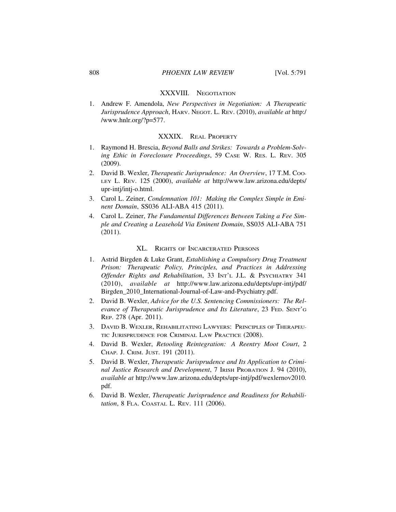### XXXVIII. NEGOTIATION

1. Andrew F. Amendola, *New Perspectives in Negotiation: A Therapeutic Jurisprudence Approach*, HARV. NEGOT. L. REV. (2010), *available at* http:/ /www.hnlr.org/?p=577.

# XXXIX. REAL PROPERTY

- 1. Raymond H. Brescia, *Beyond Balls and Strikes: Towards a Problem-Solving Ethic in Foreclosure Proceedings*, 59 CASE W. RES. L. REV. 305 (2009).
- 2. David B. Wexler, *Therapeutic Jurisprudence: An Overview*, 17 T.M. Coo-LEY L. REV. 125 (2000), *available at* http://www.law.arizona.edu/depts/ upr-intj/intj-o.html.
- 3. Carol L. Zeiner, *Condemnation 101: Making the Complex Simple in Eminent Domain*, SS036 ALI-ABA 415 (2011).
- 4. Carol L. Zeiner, *The Fundamental Differences Between Taking a Fee Simple and Creating a Leasehold Via Eminent Domain*, SS035 ALI-ABA 751 (2011).

# XL. RIGHTS OF INCARCERATED PERSONS

- 1. Astrid Birgden & Luke Grant, *Establishing a Compulsory Drug Treatment Prison: Therapeutic Policy, Principles, and Practices in Addressing Offender Rights and Rehabilitation*, 33 INT'L J.L. & PSYCHIATRY 341 (2010), *available at* http://www.law.arizona.edu/depts/upr-intj/pdf/ Birgden\_2010\_International-Journal-of-Law-and-Psychiatry.pdf.
- 2. David B. Wexler, *Advice for the U.S. Sentencing Commissioners: The Relevance of Therapeutic Jurisprudence and Its Literature*, 23 FED. SENT'G REP. 278 (Apr. 2011).
- 3. DAVID B. WEXLER, REHABILITATING LAWYERS: PRINCIPLES OF THERAPEU-TIC JURISPRUDENCE FOR CRIMINAL LAW PRACTICE (2008).
- 4. David B. Wexler, *Retooling Reintegration: A Reentry Moot Court*, 2 CHAP. J. CRIM. JUST. 191 (2011).
- 5. David B. Wexler, *Therapeutic Jurisprudence and Its Application to Criminal Justice Research and Development*, 7 IRISH PROBATION J. 94 (2010), *available at* http://www.law.arizona.edu/depts/upr-intj/pdf/wexlernov2010. pdf.
- 6. David B. Wexler, *Therapeutic Jurisprudence and Readiness for Rehabilitation*, 8 FLA. COASTAL L. REV. 111 (2006).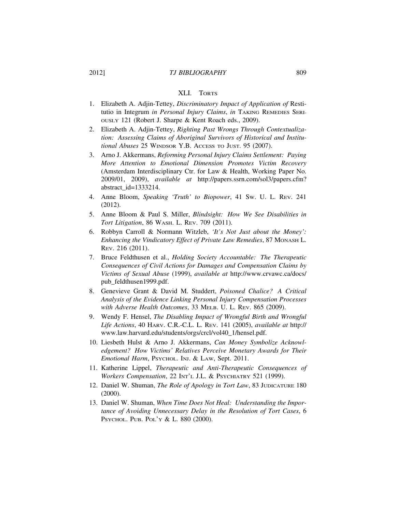# 2012] *TJ BIBLIOGRAPHY* 809

#### XLI. TORTS

- 1. Elizabeth A. Adjin-Tettey, *Discriminatory Impact of Application of* Restitutio in Integrum *in Personal Injury Claims*, *in* TAKING REMEDIES SERI-OUSLY 121 (Robert J. Sharpe & Kent Roach eds., 2009).
- 2. Elizabeth A. Adjin-Tettey, *Righting Past Wrongs Through Contextualization: Assessing Claims of Aboriginal Survivors of Historical and Institutional Abuses* 25 WINDSOR Y.B. ACCESS TO JUST. 95 (2007).
- 3. Arno J. Akkermans, *Reforming Personal Injury Claims Settlement: Paying More Attention to Emotional Dimension Promotes Victim Recovery* (Amsterdam Interdisciplinary Ctr. for Law & Health, Working Paper No. 2009/01, 2009), *available at* http://papers.ssrn.com/sol3/papers.cfm? abstract\_id=1333214.
- 4. Anne Bloom, *Speaking 'Truth' to Biopower*, 41 SW. U. L. REV. 241 (2012).
- 5. Anne Bloom & Paul S. Miller, *Blindsight: How We See Disabilities in Tort Litigation*, 86 WASH. L. REV. 709 (2011).
- 6. Robbyn Carroll & Normann Witzleb, *'It's Not Just about the Money': Enhancing the Vindicatory Effect of Private Law Remedies*, 87 MONASH L. REV. 216 (2011).
- 7. Bruce Feldthusen et al., *Holding Society Accountable: The Therapeutic Consequences of Civil Actions for Damages and Compensation Claims by Victims of Sexual Abuse* (1999), *available at* http://www.crvawc.ca/docs/ pub\_feldthusen1999.pdf.
- 8. Genevieve Grant & David M. Studdert, *Poisoned Chalice? A Critical Analysis of the Evidence Linking Personal Injury Compensation Processes with Adverse Health Outcomes*, 33 MELB. U. L. REV. 865 (2009).
- 9. Wendy F. Hensel, *The Disabling Impact of Wrongful Birth and Wrongful Life Actions*, 40 HARV. C.R.-C.L. L. REV. 141 (2005), *available at* http:// www.law.harvard.edu/students/orgs/crcl/vol40\_1/hensel.pdf.
- 10. Liesbeth Hulst & Arno J. Akkermans, *Can Money Symbolize Acknowledgement? How Victims' Relatives Perceive Monetary Awards for Their Emotional Harm*, PSYCHOL. INJ. & LAW, Sept. 2011.
- 11. Katherine Lippel, *Therapeutic and Anti-Therapeutic Consequences of Workers Compensation*, 22 INT'L J.L. & PSYCHIATRY 521 (1999).
- 12. Daniel W. Shuman, *The Role of Apology in Tort Law*, 83 JUDICATURE 180 (2000).
- 13. Daniel W. Shuman, *When Time Does Not Heal: Understanding the Importance of Avoiding Unnecessary Delay in the Resolution of Tort Cases*, 6 PSYCHOL. PUB. POL'Y & L. 880 (2000).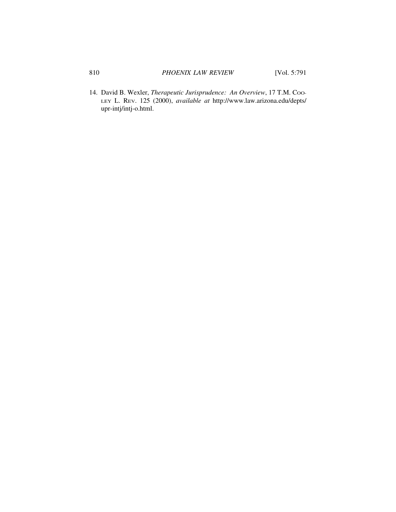14. David B. Wexler, *Therapeutic Jurisprudence: An Overview*, 17 T.M. Coo-LEY L. REV. 125 (2000), *available at* http://www.law.arizona.edu/depts/ upr-intj/intj-o.html.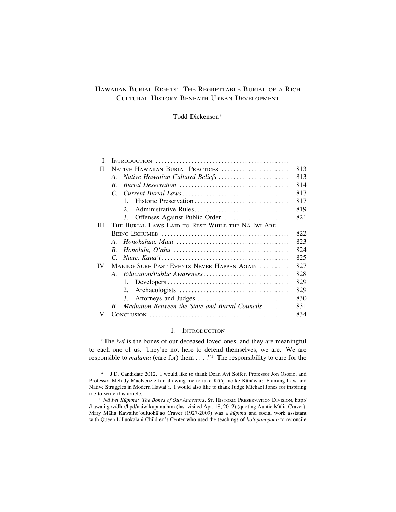# HAWAIIAN BURIAL RIGHTS: THE REGRETTABLE BURIAL OF A RICH CULTURAL HISTORY BENEATH URBAN DEVELOPMENT

## Todd Dickenson\*

| L                 |                                                           |     |
|-------------------|-----------------------------------------------------------|-----|
| $\Pi$             | NATIVE HAWAIIAN BURIAL PRACTICES                          | 813 |
|                   | Native Hawaiian Cultural Beliefs<br>$\mathcal{A}_{\cdot}$ | 813 |
|                   | $B_{\cdot}$                                               | 814 |
|                   | $\mathcal{C}$                                             | 817 |
|                   | Historic Preservation<br>$\mathbf{1}$                     | 817 |
|                   | 2.                                                        | 819 |
|                   | 3.                                                        | 821 |
| III.              | THE BURIAL LAWS LAID TO REST WHILE THE NA IWI ARE         |     |
|                   |                                                           | 822 |
|                   | $A_{\cdot}$                                               | 823 |
|                   | $B_{\cdot}$                                               | 824 |
|                   | $C_{\cdot}$                                               | 825 |
| $\mathbf{IV}_{-}$ | MAKING SURE PAST EVENTS NEVER HAPPEN AGAIN                | 827 |
|                   | $A_{\cdot}$                                               | 828 |
|                   | 1.                                                        | 829 |
|                   | 2.                                                        | 829 |
|                   | 3.                                                        | 830 |
|                   | Mediation Between the State and Burial Councils<br>R.     | 831 |
| V.                |                                                           | 834 |
|                   |                                                           |     |

# I. INTRODUCTION

"The *iwi* is the bones of our deceased loved ones, and they are meaningful to each one of us. They're not here to defend themselves, we are. We are responsible to *mālama* (care for) them . . . ."<sup>1</sup> The responsibility to care for the

<sup>\*</sup> J.D. Candidate 2012. I would like to thank Dean Avi Soifer, Professor Jon Osorio, and Professor Melody MacKenzie for allowing me to take Kūʻç me ke Kānāwai: Framing Law and Native Struggles in Modern Hawai'i. I would also like to thank Judge Michael Jones for inspiring me to write this article.

<sup>&</sup>lt;sup>1</sup> *Nā Iwi Kūpuna: The Bones of Our Ancestors*, St. HISTORIC PRESERVATION DIVISION, http:/ /hawaii.gov/dlnr/hpd/naiwikupuna.htm (last visited Apr. 18, 2012) (quoting Auntie Mālia Craver). Mary Mālia Kawaiho'ouluohā'ao Craver (1927-2009) was a *kūpuna* and social work assistant with Queen Liliuokalani Children's Center who used the teachings of *ho'oponopono* to reconcile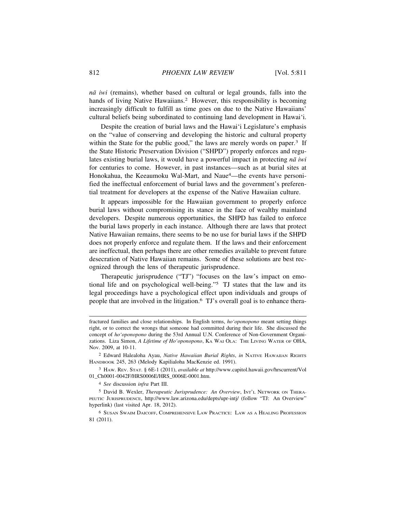*n¯a iwi* (remains), whether based on cultural or legal grounds, falls into the hands of living Native Hawaiians.<sup>2</sup> However, this responsibility is becoming increasingly difficult to fulfill as time goes on due to the Native Hawaiians' cultural beliefs being subordinated to continuing land development in Hawai'i.

Despite the creation of burial laws and the Hawai'i Legislature's emphasis on the "value of conserving and developing the historic and cultural property within the State for the public good," the laws are merely words on paper. $3$  If the State Historic Preservation Division ("SHPD") properly enforces and regulates existing burial laws, it would have a powerful impact in protecting *nā* iwi for centuries to come. However, in past instances—such as at burial sites at Honokahua, the Keeaumoku Wal-Mart, and Naue4—the events have personified the ineffectual enforcement of burial laws and the government's preferential treatment for developers at the expense of the Native Hawaiian culture.

It appears impossible for the Hawaiian government to properly enforce burial laws without compromising its stance in the face of wealthy mainland developers. Despite numerous opportunities, the SHPD has failed to enforce the burial laws properly in each instance. Although there are laws that protect Native Hawaiian remains, there seems to be no use for burial laws if the SHPD does not properly enforce and regulate them. If the laws and their enforcement are ineffectual, then perhaps there are other remedies available to prevent future desecration of Native Hawaiian remains. Some of these solutions are best recognized through the lens of therapeutic jurisprudence.

Therapeutic jurisprudence ("TJ") "focuses on the law's impact on emotional life and on psychological well-being."5 TJ states that the law and its legal proceedings have a psychological effect upon individuals and groups of people that are involved in the litigation.6 TJ's overall goal is to enhance thera-

fractured families and close relationships. In English terms, *ho'oponopono* meant setting things right, or to correct the wrongs that someone had committed during their life. She discussed the concept of *ho'oponopono* during the 53rd Annual U.N. Conference of Non-Government Organizations. Liza Simon, *A Lifetime of Ho'oponopono*, KA WAI OLA: THE LIVING WATER OF OHA, Nov. 2009, at 10-11.

<sup>2</sup> Edward Halealoha Ayau, *Native Hawaiian Burial Rights*, *in* NATIVE HAWAIIAN RIGHTS HANDBOOK 245, 263 (Melody Kapilialoha MacKenzie ed. 1991).

<sup>3</sup> HAW. REV. STAT. § 6E-1 (2011), *available at* http://www.capitol.hawaii.gov/hrscurrent/Vol 01\_Ch0001-0042F/HRS0006E/HRS\_0006E-0001.htm.

<sup>4</sup> *See* discussion *infra* Part III.

<sup>5</sup> David B. Wexler, *Therapeutic Jurisprudence: An Overview*, INT'L NETWORK ON THERA-PEUTIC JURISPRUDENCE, http://www.law.arizona.edu/depts/upr-intj/ (follow "TJ: An Overview" hyperlink) (last visited Apr. 18, 2012).

<sup>6</sup> SUSAN SWAIM DAICOFF, COMPREHENSIVE LAW PRACTICE: LAW AS A HEALING PROFESSION 81 (2011).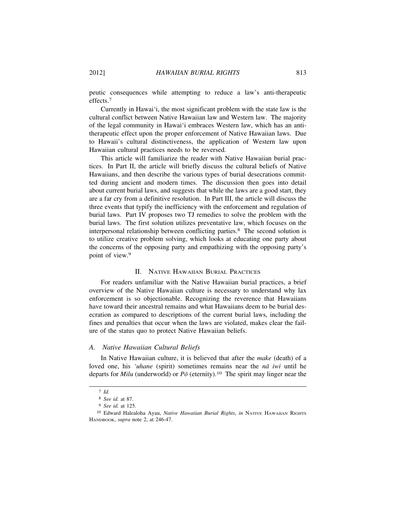peutic consequences while attempting to reduce a law's anti-therapeutic effects.<sup>7</sup>

Currently in Hawai'i, the most significant problem with the state law is the cultural conflict between Native Hawaiian law and Western law. The majority of the legal community in Hawai'i embraces Western law, which has an antitherapeutic effect upon the proper enforcement of Native Hawaiian laws. Due to Hawaii's cultural distinctiveness, the application of Western law upon Hawaiian cultural practices needs to be reversed.

This article will familiarize the reader with Native Hawaiian burial practices. In Part II, the article will briefly discuss the cultural beliefs of Native Hawaiians, and then describe the various types of burial desecrations committed during ancient and modern times. The discussion then goes into detail about current burial laws, and suggests that while the laws are a good start, they are a far cry from a definitive resolution. In Part III, the article will discuss the three events that typify the inefficiency with the enforcement and regulation of burial laws. Part IV proposes two TJ remedies to solve the problem with the burial laws. The first solution utilizes preventative law, which focuses on the interpersonal relationship between conflicting parties.8 The second solution is to utilize creative problem solving, which looks at educating one party about the concerns of the opposing party and empathizing with the opposing party's point of view.<sup>9</sup>

# II. NATIVE HAWAIIAN BURIAL PRACTICES

For readers unfamiliar with the Native Hawaiian burial practices, a brief overview of the Native Hawaiian culture is necessary to understand why lax enforcement is so objectionable. Recognizing the reverence that Hawaiians have toward their ancestral remains and what Hawaiians deem to be burial desecration as compared to descriptions of the current burial laws, including the fines and penalties that occur when the laws are violated, makes clear the failure of the status quo to protect Native Hawaiian beliefs.

#### *A. Native Hawaiian Cultural Beliefs*

In Native Hawaiian culture, it is believed that after the *make* (death) of a loved one, his 'uhane (spirit) sometimes remains near the *nā iwi* until he departs for *Milu* (underworld) or  $P\bar{\sigma}$  (eternity).<sup>10</sup> The spirit may linger near the

<sup>7</sup> *Id.*

<sup>8</sup> *See id.* at 87.

<sup>9</sup> *See id.* at 125.

<sup>10</sup> Edward Halealoha Ayau, *Native Hawaiian Burial Rights*, *in* NATIVE HAWAIIAN RIGHTS HANDBOOK, *supra* note 2, at 246-47.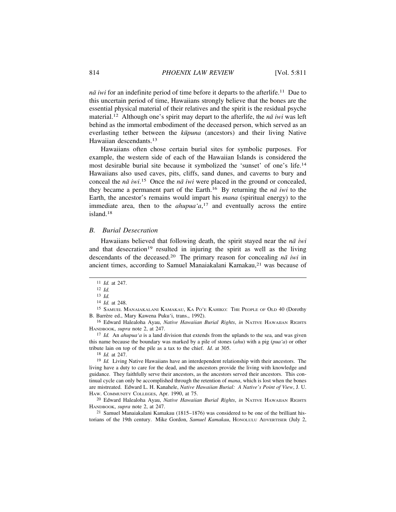*nā iwi* for an indefinite period of time before it departs to the afterlife.<sup>11</sup> Due to this uncertain period of time, Hawaiians strongly believe that the bones are the essential physical material of their relatives and the spirit is the residual psyche material.<sup>12</sup> Although one's spirit may depart to the afterlife, the *nā iwi* was left behind as the immortal embodiment of the deceased person, which served as an everlasting tether between the *kūpuna* (ancestors) and their living Native Hawaiian descendants.<sup>13</sup>

Hawaiians often chose certain burial sites for symbolic purposes. For example, the western side of each of the Hawaiian Islands is considered the most desirable burial site because it symbolized the 'sunset' of one's life.<sup>14</sup> Hawaiians also used caves, pits, cliffs, sand dunes, and caverns to bury and conceal the *nā* iwi.<sup>15</sup> Once the *nā* iwi were placed in the ground or concealed, they became a permanent part of the Earth.<sup>16</sup> By returning the  $n\bar{a}$  *iwi* to the Earth, the ancestor's remains would impart his *mana* (spiritual energy) to the immediate area, then to the  $ahupua'a<sub>i</sub><sup>17</sup>$  and eventually across the entire island.18

# *B. Burial Desecration*

Hawaiians believed that following death, the spirit stayed near the *na* iwi and that desecration<sup>19</sup> resulted in injuring the spirit as well as the living descendants of the deceased.<sup>20</sup> The primary reason for concealing  $n\bar{a}$  *iwi* in ancient times, according to Samuel Manaiakalani Kamakau,<sup>21</sup> was because of

<sup>11</sup> *Id.* at 247.

<sup>12</sup> *Id.*

<sup>13</sup> *Id.*

<sup>14</sup> *Id.* at 248.

<sup>15</sup> SAMUEL MANAIAKALANI KAMAKAU, KA PO'E KAHIKO: THE PEOPLE OF OLD 40 (Dorothy B. Barrère ed., Mary Kawena Puku'i, trans., 1992).

<sup>16</sup> Edward Halealoha Ayau, *Native Hawaiian Burial Rights*, *in* NATIVE HAWAIIAN RIGHTS HANDBOOK, *supra* note 2, at 247.

<sup>17</sup> *Id.* An *ahupua'a* is a land division that extends from the uplands to the sea, and was given this name because the boundary was marked by a pile of stones (*ahu*) with a pig (*pua'a*) or other tribute lain on top of the pile as a tax to the chief. *Id*. at 305.

<sup>18</sup> *Id.* at 247.

<sup>19</sup> *Id.* Living Native Hawaiians have an interdependent relationship with their ancestors. The living have a duty to care for the dead, and the ancestors provide the living with knowledge and guidance. They faithfully serve their ancestors, as the ancestors served their ancestors. This continual cycle can only be accomplished through the retention of *mana*, which is lost when the bones are mistreated. Edward L. H. Kanahele, *Native Hawaiian Burial: A Native's Point of View*, J. U. HAW. COMMUNITY COLLEGES, Apr. 1990, at 75.

<sup>20</sup> Edward Halealoha Ayau, *Native Hawaiian Burial Rights*, *in* NATIVE HAWAIIAN RIGHTS HANDBOOK, *supra* note 2, at 247.

<sup>21</sup> Samuel Manaiakalani Kamakau (1815–1876) was considered to be one of the brilliant historians of the 19th century. Mike Gordon, *Samuel Kamakau*, HONOLULU ADVERTISER (July 2,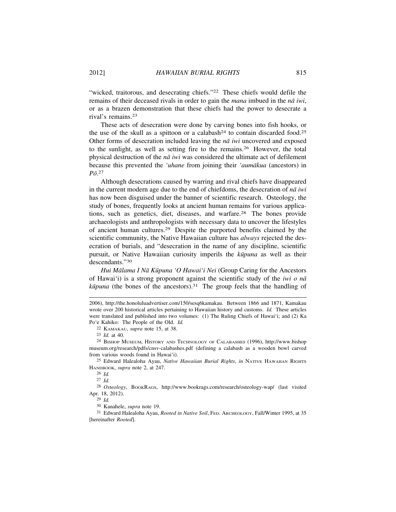"wicked, traitorous, and desecrating chiefs."<sup>22</sup> These chiefs would defile the remains of their deceased rivals in order to gain the *mana* imbued in the *nā* iwi, or as a brazen demonstration that these chiefs had the power to desecrate a rival's remains.<sup>23</sup>

These acts of desecration were done by carving bones into fish hooks, or the use of the skull as a spittoon or a calabash<sup>24</sup> to contain discarded food.<sup>25</sup> Other forms of desecration included leaving the *na* iwi uncovered and exposed to the sunlight, as well as setting fire to the remains.26 However, the total physical destruction of the *nā iwi* was considered the ultimate act of defilement because this prevented the *'uhane* from joining their *'aumākua* (ancestors) in  $P\bar{o}.^{27}$ 

Although desecrations caused by warring and rival chiefs have disappeared in the current modern age due to the end of chiefdoms, the desecration of  $n\bar{a}$  *iwi* has now been disguised under the banner of scientific research. Osteology, the study of bones, frequently looks at ancient human remains for various applications, such as genetics, diet, diseases, and warfare.28 The bones provide archaeologists and anthropologists with necessary data to uncover the lifestyles of ancient human cultures.29 Despite the purported benefits claimed by the scientific community, the Native Hawaiian culture has *always* rejected the desecration of burials, and "desecration in the name of any discipline, scientific pursuit, or Native Hawaiian curiosity imperils the *kūpuna* as well as their descendants."<sup>30</sup>

*Hui Mālama I Nā Kūpuna 'O Hawai'i Nei* (Group Caring for the Ancestors of Hawai'i) is a strong proponent against the scientific study of the *iwi o na*  $k\bar{u}p$ *una* (the bones of the ancestors).<sup>31</sup> The group feels that the handling of

22 KAMAKAU, *supra* note 15, at 38.

25 Edward Halealoha Ayau, *Native Hawaiian Burial Rights*, *in* NATIVE HAWAIIAN RIGHTS HANDBOOK, *supra* note 2, at 247.

26 *Id.*

27 *Id.*

28 *Osteology*, BOOKRAGS, http://www.bookrags.com/research/osteology-wap/ (last visited Apr. 18, 2012).

29 *Id.*

30 Kanahele, *supra* note 19.

31 Edward Halealoha Ayau, *Rooted in Native Soil*, FED. ARCHEOLOGY, Fall/Winter 1995, at 35 [hereinafter *Rooted*].

<sup>2006),</sup> http://the.honoluluadvertiser.com/150/sesq6kamakau. Between 1866 and 1871, Kamakau wrote over 200 historical articles pertaining to Hawaiian history and customs. *Id.* These articles were translated and published into two volumes: (1) The Ruling Chiefs of Hawai'i; and (2) Ka Po'e Kahiko: The People of the Old. *Id.*

<sup>23</sup> *Id.* at 40.

<sup>24</sup> BISHOP MUSEUM, HISTORY AND TECHNOLOGY OF CALABASHES (1996), http://www.bishop museum.org/research/pdfs/cnsv-calabashes.pdf (defining a calabash as a wooden bowl carved from various woods found in Hawai'i).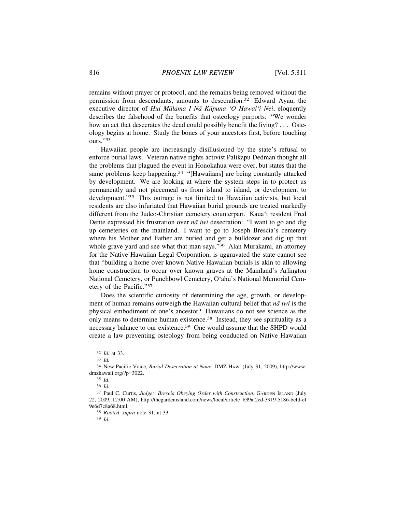remains without prayer or protocol, and the remains being removed without the permission from descendants, amounts to desecration.32 Edward Ayau, the executive director of *Hui Mālama I Nā Kūpuna 'O Hawai'i Nei*, eloquently describes the falsehood of the benefits that osteology purports: "We wonder how an act that desecrates the dead could possibly benefit the living? . . . Osteology begins at home. Study the bones of your ancestors first, before touching ours<sup></sup>.'33

Hawaiian people are increasingly disillusioned by the state's refusal to enforce burial laws. Veteran native rights activist Palikapu Dedman thought all the problems that plagued the event in Honokahua were over, but states that the same problems keep happening.<sup>34</sup> "[Hawaiians] are being constantly attacked by development. We are looking at where the system steps in to protect us permanently and not piecemeal us from island to island, or development to development."35 This outrage is not limited to Hawaiian activists, but local residents are also infuriated that Hawaiian burial grounds are treated markedly different from the Judeo-Christian cemetery counterpart. Kaua'i resident Fred Dente expressed his frustration over  $n\bar{a}$  *iwi* desecration: "I want to go and dig up cemeteries on the mainland. I want to go to Joseph Brescia's cemetery where his Mother and Father are buried and get a bulldozer and dig up that whole grave yard and see what that man says."<sup>36</sup> Alan Murakami, an attorney for the Native Hawaiian Legal Corporation, is aggravated the state cannot see that "building a home over known Native Hawaiian burials is akin to allowing home construction to occur over known graves at the Mainland's Arlington National Cemetery, or Punchbowl Cemetery, O'ahu's National Memorial Cemetery of the Pacific."<sup>37</sup>

Does the scientific curiosity of determining the age, growth, or development of human remains outweigh the Hawaiian cultural belief that *nā iwi* is the physical embodiment of one's ancestor? Hawaiians do not see science as the only means to determine human existence.38 Instead, they see spirituality as a necessary balance to our existence.39 One would assume that the SHPD would create a law preventing osteology from being conducted on Native Hawaiian

38 *Rooted*, *supra* note 31, at 33.

39 *Id.*

<sup>32</sup> *Id.* at 33.

<sup>33</sup> *Id.*

<sup>34</sup> New Pacific Voice, *Burial Desecration at Naue*, DMZ HAW. (July 31, 2009), http://www. dmzhawaii.org/?p=3022.

<sup>35</sup> *Id*.

<sup>36</sup> *Id.*

<sup>&</sup>lt;sup>37</sup> Paul C. Curtis, *Judge: Brescia Obeying Order with Construction*, GARDEN ISLAND (July 22, 2009, 12:00 AM), http://thegardenisland.com/news/local/article\_b39af2ed-3919-5186-befd-ef 9e6d7c8a68.html.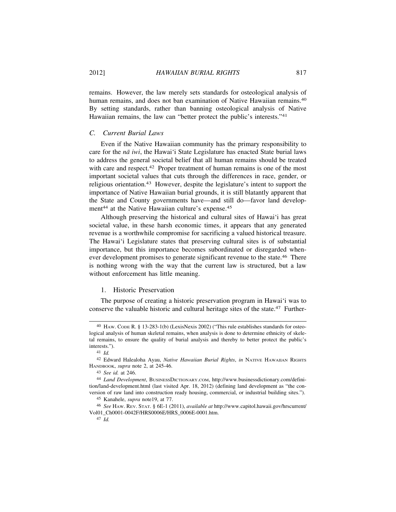remains. However, the law merely sets standards for osteological analysis of human remains, and does not ban examination of Native Hawaiian remains.<sup>40</sup> By setting standards, rather than banning osteological analysis of Native Hawaiian remains, the law can "better protect the public's interests."<sup>41</sup>

# *C. Current Burial Laws*

Even if the Native Hawaiian community has the primary responsibility to care for the *nā iwi*, the Hawai'i State Legislature has enacted State burial laws to address the general societal belief that all human remains should be treated with care and respect.<sup>42</sup> Proper treatment of human remains is one of the most important societal values that cuts through the differences in race, gender, or religious orientation.43 However, despite the legislature's intent to support the importance of Native Hawaiian burial grounds, it is still blatantly apparent that the State and County governments have—and still do—favor land development<sup>44</sup> at the Native Hawaiian culture's expense.<sup>45</sup>

Although preserving the historical and cultural sites of Hawai'i has great societal value, in these harsh economic times, it appears that any generated revenue is a worthwhile compromise for sacrificing a valued historical treasure. The Hawai'i Legislature states that preserving cultural sites is of substantial importance, but this importance becomes subordinated or disregarded whenever development promises to generate significant revenue to the state.<sup>46</sup> There is nothing wrong with the way that the current law is structured, but a law without enforcement has little meaning.

#### 1. Historic Preservation

The purpose of creating a historic preservation program in Hawai'i was to conserve the valuable historic and cultural heritage sites of the state.47 Further-

<sup>40</sup> HAW. CODE R. § 13-283-1(b) (LexisNexis 2002) ("This rule establishes standards for osteological analysis of human skeletal remains, when analysis is done to determine ethnicity of skeletal remains, to ensure the quality of burial analysis and thereby to better protect the public's interests.").

<sup>41</sup> *Id.*

<sup>42</sup> Edward Halealoha Ayau, *Native Hawaiian Burial Rights*, *in* NATIVE HAWAIIAN RIGHTS HANDBOOK, *supra* note 2, at 245-46.

<sup>43</sup> *See id.* at 246.

<sup>44</sup> *Land Development*, BUSINESSDICTIONARY.COM, http://www.businessdictionary.com/definition/land-development.html (last visited Apr. 18, 2012) (defining land development as "the conversion of raw land into construction ready housing, commercial, or industrial building sites.").

<sup>45</sup> Kanahele, *supra* note19, at 77.

<sup>46</sup> *See* HAW. REV. STAT. § 6E-1 (2011), *available at* http://www.capitol.hawaii.gov/hrscurrent/ Vol01\_Ch0001-0042F/HRS0006E/HRS\_0006E-0001.htm.

<sup>47</sup> *Id.*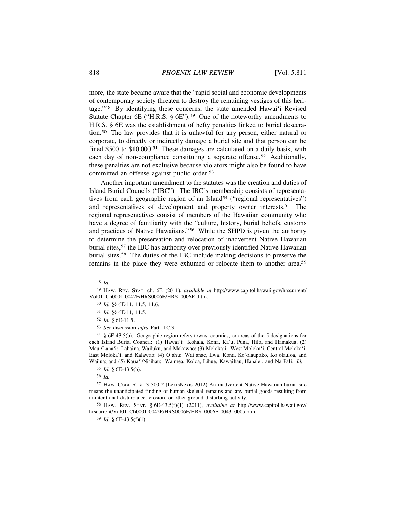more, the state became aware that the "rapid social and economic developments of contemporary society threaten to destroy the remaining vestiges of this heritage."48 By identifying these concerns, the state amended Hawai'i Revised Statute Chapter 6E ("H.R.S.  $\S$  6E").<sup>49</sup> One of the noteworthy amendments to H.R.S. § 6E was the establishment of hefty penalties linked to burial desecration.50 The law provides that it is unlawful for any person, either natural or corporate, to directly or indirectly damage a burial site and that person can be fined \$500 to \$10,000.<sup>51</sup> These damages are calculated on a daily basis, with each day of non-compliance constituting a separate offense.<sup>52</sup> Additionally, these penalties are not exclusive because violators might also be found to have committed an offense against public order.<sup>53</sup>

Another important amendment to the statutes was the creation and duties of Island Burial Councils ("IBC"). The IBC's membership consists of representatives from each geographic region of an Island<sup>54</sup> ("regional representatives") and representatives of development and property owner interests.55 The regional representatives consist of members of the Hawaiian community who have a degree of familiarity with the "culture, history, burial beliefs, customs and practices of Native Hawaiians."56 While the SHPD is given the authority to determine the preservation and relocation of inadvertent Native Hawaiian burial sites,<sup>57</sup> the IBC has authority over previously identified Native Hawaiian burial sites.58 The duties of the IBC include making decisions to preserve the remains in the place they were exhumed or relocate them to another area.<sup>59</sup>

53 *See* discussion *infra* Part II.C.3.

54 § 6E-43.5(b). Geographic region refers towns, counties, or areas of the 5 designations for each Island Burial Council: (1) Hawai'i: Kohala, Kona, Ka'u, Puna, Hilo, and Hamakua; (2) Maui/Lāna'i: Lahaina, Wailuku, and Makawao; (3) Moloka'i: West Moloka'i, Central Moloka'i, East Moloka'i, and Kalawao; (4) O'ahu: Wai'anae, Ewa, Kona, Ko'olaupoko, Ko'olauloa, and Wailua; and (5) Kaua'i/Ni'ihau: Waimea, Koloa, Lihue, Kawaihau, Hanalei, and Na Pali. *Id.*

56 *Id.*

57 HAW. CODE R. § 13-300-2 (LexisNexis 2012) An inadvertent Native Hawaiian burial site means the unanticipated finding of human skeletal remains and any burial goods resulting from unintentional disturbance, erosion, or other ground disturbing activity.

58 HAW. REV. STAT. § 6E-43.5(f)(1) (2011), *available at* http://www.capitol.hawaii.gov/ hrscurrent/Vol01\_Ch0001-0042F/HRS0006E/HRS\_0006E-0043\_0005.htm.

<sup>48</sup> *Id.*

<sup>49</sup> HAW. REV. STAT. ch. 6E (2011), *available at* http://www.capitol.hawaii.gov/hrscurrent/ Vol01\_Ch0001-0042F/HRS0006E/HRS\_0006E-.htm.

<sup>50</sup> *Id.* §§ 6E-11, 11.5, 11.6.

<sup>51</sup> *Id.* §§ 6E-11, 11.5.

<sup>52</sup> *Id.* § 6E-11.5.

<sup>55</sup> *Id.* § 6E-43.5(b).

<sup>59</sup> *Id.* § 6E-43.5(f)(1).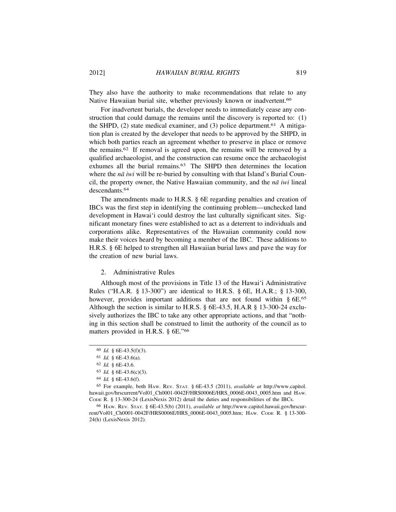They also have the authority to make recommendations that relate to any Native Hawaiian burial site, whether previously known or inadvertent.<sup>60</sup>

For inadvertent burials, the developer needs to immediately cease any construction that could damage the remains until the discovery is reported to: (1) the SHPD,  $(2)$  state medical examiner, and  $(3)$  police department.<sup>61</sup> A mitigation plan is created by the developer that needs to be approved by the SHPD, in which both parties reach an agreement whether to preserve in place or remove the remains.62 If removal is agreed upon, the remains will be removed by a qualified archaeologist, and the construction can resume once the archaeologist exhumes all the burial remains.<sup>63</sup> The SHPD then determines the location where the *nā iwi* will be re-buried by consulting with that Island's Burial Council, the property owner, the Native Hawaiian community, and the  $n\bar{a}$  *iwi* lineal descendants.<sup>64</sup>

The amendments made to H.R.S. § 6E regarding penalties and creation of IBCs was the first step in identifying the continuing problem—unchecked land development in Hawai'i could destroy the last culturally significant sites. Significant monetary fines were established to act as a deterrent to individuals and corporations alike. Representatives of the Hawaiian community could now make their voices heard by becoming a member of the IBC. These additions to H.R.S. § 6E helped to strengthen all Hawaiian burial laws and pave the way for the creation of new burial laws.

2. Administrative Rules

Although most of the provisions in Title 13 of the Hawai'i Administrative Rules ("H.A.R. § 13-300") are identical to H.R.S. § 6E, H.A.R.; § 13-300, however, provides important additions that are not found within § 6E.<sup>65</sup> Although the section is similar to H.R.S. § 6E-43.5, H.A.R § 13-300-24 exclusively authorizes the IBC to take any other appropriate actions, and that "nothing in this section shall be construed to limit the authority of the council as to matters provided in H.R.S. § 6E."<sup>66</sup>

<sup>60</sup> *Id.* § 6E-43.5(f)(3).

<sup>61</sup> *Id.* § 6E-43.6(a).

<sup>62</sup> *Id.* § 6E-43.6.

<sup>63</sup> *Id.* § 6E-43.6(c)(3).

<sup>64</sup> *Id.* § 6E-43.6(f).

<sup>65</sup> For example, both HAW. REV. STAT. § 6E-43.5 (2011), *available at* http://www.capitol. hawaii.gov/hrscurrent/Vol01\_Ch0001-0042F/HRS0006E/HRS\_0006E-0043\_0005.htm and HAw. CODE R. § 13-300-24 (LexisNexis 2012) detail the duties and responsibilities of the IBCs.

<sup>66</sup> HAW. REV. STAT. § 6E-43.5(b) (2011), *available at* http://www.capitol.hawaii.gov/hrscurrent/Vol01\_Ch0001-0042F/HRS0006E/HRS\_0006E-0043\_0005.htm; HAW. CODE R. § 13-300- 24(h) (LexisNexis 2012).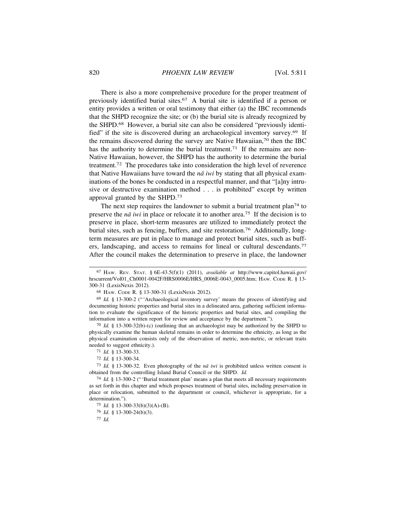There is also a more comprehensive procedure for the proper treatment of previously identified burial sites.67 A burial site is identified if a person or entity provides a written or oral testimony that either (a) the IBC recommends that the SHPD recognize the site; or (b) the burial site is already recognized by the SHPD.68 However, a burial site can also be considered "previously identified" if the site is discovered during an archaeological inventory survey.69 If the remains discovered during the survey are Native Hawaiian,70 then the IBC has the authority to determine the burial treatment.<sup>71</sup> If the remains are non-Native Hawaiian, however, the SHPD has the authority to determine the burial treatment.72 The procedures take into consideration the high level of reverence that Native Hawaiians have toward the  $n\bar{a}$  *iwi* by stating that all physical examinations of the bones be conducted in a respectful manner, and that "[a]ny intrusive or destructive examination method . . . is prohibited" except by written approval granted by the SHPD.<sup>73</sup>

The next step requires the landowner to submit a burial treatment plan<sup>74</sup> to preserve the *nā* iwi in place or relocate it to another area.<sup>75</sup> If the decision is to preserve in place, short-term measures are utilized to immediately protect the burial sites, such as fencing, buffers, and site restoration.76 Additionally, longterm measures are put in place to manage and protect burial sites, such as buffers, landscaping, and access to remains for lineal or cultural descendants.<sup>77</sup> After the council makes the determination to preserve in place, the landowner

70 *Id.* § 13-300-32(b)-(c) (outlining that an archaeologist may be authorized by the SHPD to physically examine the human skeletal remains in order to determine the ethnicity, as long as the physical examination consists only of the observation of metric, non-metric, or relevant traits needed to suggest ethnicity.).

76 *Id.* § 13-300-24(b)(3).

77 *Id.*

<sup>67</sup> HAW. REV. STAT. § 6E-43.5(f)(1) (2011), *available at* http://www.capitol.hawaii.gov/ hrscurrent/Vol01\_Ch0001-0042F/HRS0006E/HRS\_0006E-0043\_0005.htm; HAW. CODE R. § 13-300-31 (LexisNexis 2012).

<sup>68</sup> HAW. CODE R. § 13-300-31 (LexisNexis 2012).

<sup>69</sup> *Id.* § 13-300-2 ("'Archaeological inventory survey' means the process of identifying and documenting historic properties and burial sites in a delineated area, gathering sufficient information to evaluate the significance of the historic properties and burial sites, and compiling the information into a written report for review and acceptance by the department.").

<sup>71</sup> *Id.* § 13-300-33.

<sup>72</sup> *Id.* § 13-300-34.

<sup>73</sup> *Id.* § 13-300-32. Even photography of the *n¯a iwi* is prohibited unless written consent is obtained from the controlling Island Burial Council or the SHPD. *Id.*

<sup>74</sup> *Id.* § 13-300-2 ("'Burial treatment plan' means a plan that meets all necessary requirements as set forth in this chapter and which proposes treatment of burial sites, including preservation in place or relocation, submitted to the department or council, whichever is appropriate, for a determination.").

<sup>75</sup> *Id.* § 13-300-33(b)(3)(A)-(B).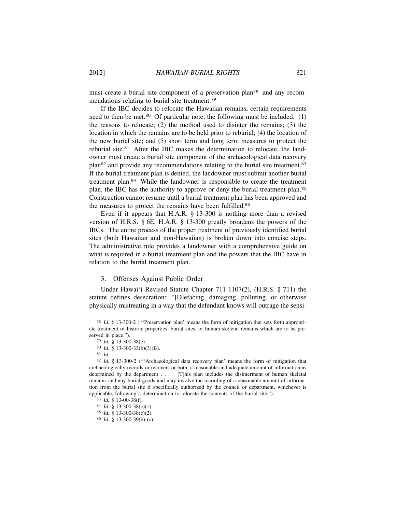must create a burial site component of a preservation plan78 and any recommendations relating to burial site treatment.<sup>79</sup>

If the IBC decides to relocate the Hawaiian remains, certain requirements need to then be met.<sup>80</sup> Of particular note, the following must be included: (1) the reasons to relocate; (2) the method used to disinter the remains; (3) the location in which the remains are to be held prior to reburial; (4) the location of the new burial site; and (5) short term and long term measures to protect the reburial site.81 After the IBC makes the determination to relocate, the landowner must create a burial site component of the archaeological data recovery plan82 and provide any recommendations relating to the burial site treatment.83 If the burial treatment plan is denied, the landowner must submit another burial treatment plan.84 While the landowner is responsible to create the treatment plan, the IBC has the authority to approve or deny the burial treatment plan.<sup>85</sup> Construction cannot resume until a burial treatment plan has been approved and the measures to protect the remains have been fulfilled.<sup>86</sup>

Even if it appears that H.A.R. § 13-300 is nothing more than a revised version of H.R.S. § 6E, H.A.R. § 13-300 greatly broadens the powers of the IBCs. The entire process of the proper treatment of previously identified burial sites (both Hawaiian and non-Hawaiian) is broken down into concise steps. The administrative rule provides a landowner with a comprehensive guide on what is required in a burial treatment plan and the powers that the IBC have in relation to the burial treatment plan.

## 3. Offenses Against Public Order

Under Hawai'i Revised Statute Chapter 711-1107(2), (H.R.S. § 711) the statute defines desecration: "[D]efacing, damaging, polluting, or otherwise physically mistreating in a way that the defendant knows will outrage the sensi-

<sup>78</sup> *Id.* § 13-300-2 ("'Preservation plan' means the form of mitigation that sets forth appropriate treatment of historic properties, burial sites, or human skeletal remains which are to be preserved in place.").

<sup>79</sup> *Id.* § 13-300-38(e).

<sup>80</sup> *Id.* § 13-300-33(b)(3)(B).

<sup>81</sup> *Id.*

<sup>82</sup> *Id.* § 13-300-2 ("'Archaeological data recovery plan' means the form of mitigation that archaeologically records or recovers or both, a reasonable and adequate amount of information as determined by the department . . . . [T]his plan includes the disinterment of human skeletal remains and any burial goods and may involve the recording of a reasonable amount of information from the burial site if specifically authorized by the council or department, whichever is applicable, following a determination to relocate the contents of the burial site.").

<sup>83</sup> *Id.* § 13-00-38(f).

<sup>84</sup> *Id.* § 13-300-38(c)(1).

<sup>85</sup> *Id.* § 13-300-38(c)(2).

<sup>86</sup> *Id.* § 13-300-39(b)-(c).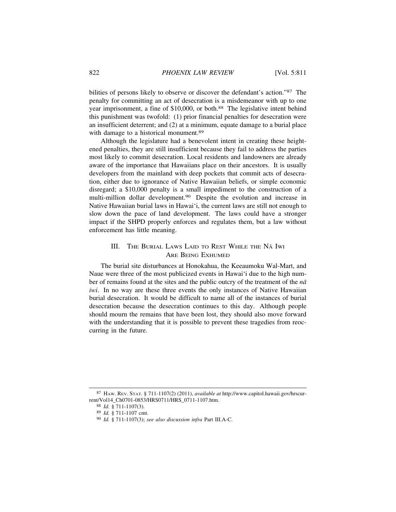bilities of persons likely to observe or discover the defendant's action."87 The penalty for committing an act of desecration is a misdemeanor with up to one year imprisonment, a fine of \$10,000, or both.<sup>88</sup> The legislative intent behind this punishment was twofold: (1) prior financial penalties for desecration were an insufficient deterrent; and (2) at a minimum, equate damage to a burial place with damage to a historical monument.<sup>89</sup>

Although the legislature had a benevolent intent in creating these heightened penalties, they are still insufficient because they fail to address the parties most likely to commit desecration. Local residents and landowners are already aware of the importance that Hawaiians place on their ancestors. It is usually developers from the mainland with deep pockets that commit acts of desecration, either due to ignorance of Native Hawaiian beliefs, or simple economic disregard; a \$10,000 penalty is a small impediment to the construction of a multi-million dollar development.90 Despite the evolution and increase in Native Hawaiian burial laws in Hawai'i, the current laws are still not enough to slow down the pace of land development. The laws could have a stronger impact if the SHPD properly enforces and regulates them, but a law without enforcement has little meaning.

# III. THE BURIAL LAWS LAID TO REST WHILE THE NA¯ IWI ARE BEING EXHUMED

The burial site disturbances at Honokahua, the Keeaumoku Wal-Mart, and Naue were three of the most publicized events in Hawai'i due to the high number of remains found at the sites and the public outcry of the treatment of the  $n\bar{a}$ *iwi*. In no way are these three events the only instances of Native Hawaiian burial desecration. It would be difficult to name all of the instances of burial desecration because the desecration continues to this day. Although people should mourn the remains that have been lost, they should also move forward with the understanding that it is possible to prevent these tragedies from reoccurring in the future.

<sup>87</sup> HAW. REV. STAT. § 711-1107(2) (2011), *available at* http://www.capitol.hawaii.gov/hrscurrent/Vol14\_Ch0701-0853/HRS0711/HRS\_0711-1107.htm.

<sup>88</sup> *Id.* § 711-1107(3).

<sup>89</sup> *Id.* § 711-1107 cmt.

<sup>90</sup> *Id.* § 711-1107(3); *see also discussion infra* Part III.A-C.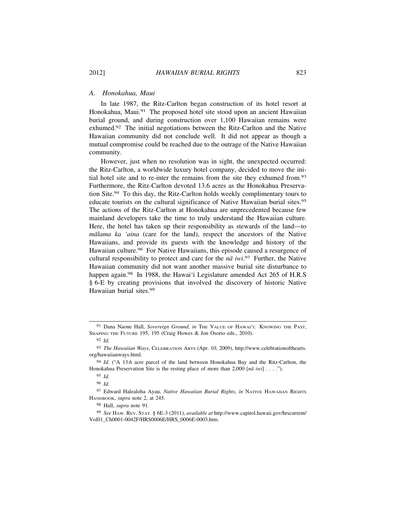#### *A. Honokahua, Maui*

In late 1987, the Ritz-Carlton began construction of its hotel resort at Honokahua, Maui.<sup>91</sup> The proposed hotel site stood upon an ancient Hawaiian burial ground, and during construction over 1,100 Hawaiian remains were exhumed.92 The initial negotiations between the Ritz-Carlton and the Native Hawaiian community did not conclude well. It did not appear as though a mutual compromise could be reached due to the outrage of the Native Hawaiian community.

However, just when no resolution was in sight, the unexpected occurred: the Ritz-Carlton, a worldwide luxury hotel company, decided to move the initial hotel site and to re-inter the remains from the site they exhumed from.<sup>93</sup> Furthermore, the Ritz-Carlton devoted 13.6 acres as the Honokahua Preservation Site.94 To this day, the Ritz-Carlton holds weekly complimentary tours to educate tourists on the cultural significance of Native Hawaiian burial sites.<sup>95</sup> The actions of the Ritz-Carlton at Honokahua are unprecedented because few mainland developers take the time to truly understand the Hawaiian culture. Here, the hotel has taken up their responsibility as stewards of the land—to *mālama ka 'aina* (care for the land), respect the ancestors of the Native Hawaiians, and provide its guests with the knowledge and history of the Hawaiian culture.<sup>96</sup> For Native Hawaiians, this episode caused a resurgence of cultural responsibility to protect and care for the  $n\bar{a}$  iwi.<sup>97</sup> Further, the Native Hawaiian community did not want another massive burial site disturbance to happen again.<sup>98</sup> In 1988, the Hawai'i Legislature amended Act 265 of H.R.S § 6-E by creating provisions that involved the discovery of historic Native Hawaiian burial sites.<sup>99</sup>

96 *Id.*

<sup>&</sup>lt;sup>91</sup> Dana Naone Hall, *Sovereign Ground, in* THE VALUE OF HAWAI'I: KNOWING THE PAST, SHAPING THE FUTURE 195, 195 (Craig Howes & Jon Osorio eds., 2010).

<sup>92</sup> *Id.*

<sup>93</sup> *The Hawaiian Ways*, CELEBRATION ARTS (Apr. 10, 2009), http://www.celebrationofthearts. org/hawaiianways.html.

<sup>94</sup> *Id.* ("A 13.6 acre parcel of the land between Honokahua Bay and the Ritz-Carlton, the Honokahua Preservation Site is the resting place of more than 2,000  $[n\bar{a} \; iwi] \; \ldots \;$ .").

<sup>95</sup> *Id.*

<sup>97</sup> Edward Halealoha Ayau, *Native Hawaiian Burial Rights*, *in* NATIVE HAWAIIAN RIGHTS HANDBOOK, *supra* note 2, at 245.

<sup>98</sup> Hall, *supra* note 91.

<sup>99</sup> *See* HAW. REV. STAT. § 6E-3 (2011), *available at* http://www.capitol.hawaii.gov/hrscurrent/ Vol01\_Ch0001-0042F/HRS0006E/HRS\_0006E-0003.htm.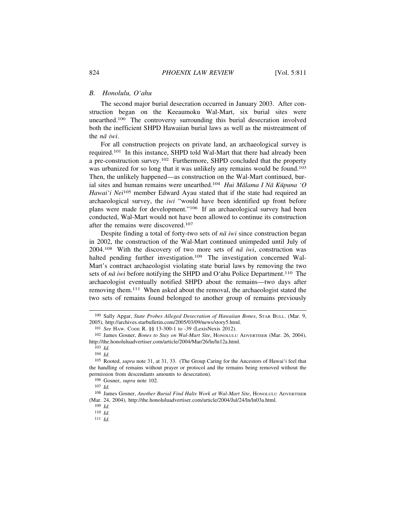#### *B. Honolulu, O'ahu*

The second major burial desecration occurred in January 2003. After construction began on the Keeaumoku Wal-Mart, six burial sites were unearthed.100 The controversy surrounding this burial desecration involved both the inefficient SHPD Hawaiian burial laws as well as the mistreatment of the *nā* iwi.

For all construction projects on private land, an archaeological survey is required.101 In this instance, SHPD told Wal-Mart that there had already been a pre-construction survey.102 Furthermore, SHPD concluded that the property was urbanized for so long that it was unlikely any remains would be found.<sup>103</sup> Then, the unlikely happened—as construction on the Wal-Mart continued, burial sites and human remains were unearthed.<sup>104</sup> *Hui Mālama I Nā Kūpuna 'O Hawai'i Nei*<sup>105</sup> member Edward Ayau stated that if the state had required an archaeological survey, the *iwi* "would have been identified up front before plans were made for development."106 If an archaeological survey had been conducted, Wal-Mart would not have been allowed to continue its construction after the remains were discovered.<sup>107</sup>

Despite finding a total of forty-two sets of  $n\bar{a}$  *iwi* since construction began in 2002, the construction of the Wal-Mart continued unimpeded until July of 2004.<sup>108</sup> With the discovery of two more sets of  $n\bar{a}$  *iwi*, construction was halted pending further investigation.<sup>109</sup> The investigation concerned Wal-Mart's contract archaeologist violating state burial laws by removing the two sets of *nā iwi* before notifying the SHPD and O'ahu Police Department.<sup>110</sup> The archaeologist eventually notified SHPD about the remains—two days after removing them.111 When asked about the removal, the archaeologist stated the two sets of remains found belonged to another group of remains previously

<sup>100</sup> Sally Apgar, *State Probes Alleged Desecration of Hawaiian Bones*, STAR BULL. (Mar. 9, 2005), http://archives.starbulletin.com/2005/03/09/news/story5.html.

<sup>101</sup> *See* HAW. CODE R. §§ 13-300-1 to -39 (LexisNexis 2012).

<sup>102</sup> James Gosner, *Bones to Stay on Wal-Mart Site*, HONOLULU ADVERTISER (Mar. 26, 2004), http://the.honoluluadvertiser.com/article/2004/Mar/26/ln/ln12a.html.

<sup>103</sup> *Id.*

<sup>104</sup> *Id.*

<sup>105</sup> Rooted, *supra* note 31, at 31, 33. (The Group Caring for the Ancestors of Hawai'i feel that the handling of remains without prayer or protocol and the remains being removed without the permission from descendants amounts to desecration).

<sup>106</sup> Gosner, *supra* note 102.

<sup>107</sup> *Id.*

<sup>108</sup> James Gosner, *Another Burial Find Halts Work at Wal-Mart Site*, HONOLULU ADVERTISER (Mar. 24, 2004), http://the.honoluluadvertiser.com/article/2004/Jul/24/ln/ln03a.html.

<sup>109</sup> *Id.*

<sup>110</sup> *Id.*

<sup>111</sup> *Id.*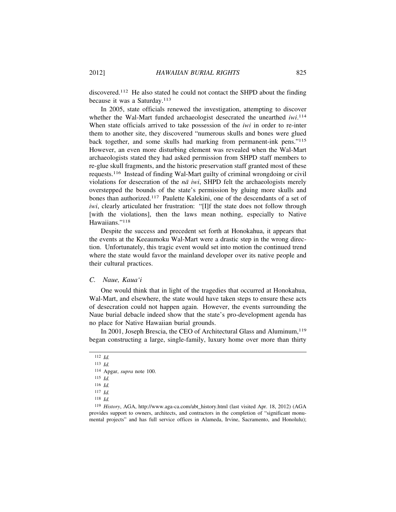discovered.112 He also stated he could not contact the SHPD about the finding because it was a Saturday.<sup>113</sup>

In 2005, state officials renewed the investigation, attempting to discover whether the Wal-Mart funded archaeologist desecrated the unearthed *iwi*.<sup>114</sup> When state officials arrived to take possession of the *iwi* in order to re-inter them to another site, they discovered "numerous skulls and bones were glued back together, and some skulls had marking from permanent-ink pens."<sup>115</sup> However, an even more disturbing element was revealed when the Wal-Mart archaeologists stated they had asked permission from SHPD staff members to re-glue skull fragments, and the historic preservation staff granted most of these requests.116 Instead of finding Wal-Mart guilty of criminal wrongdoing or civil violations for desecration of the  $n\bar{a}$  *iwi*, SHPD felt the archaeologists merely overstepped the bounds of the state's permission by gluing more skulls and bones than authorized.117 Paulette Kalekini, one of the descendants of a set of *iwi*, clearly articulated her frustration: "[I]f the state does not follow through [with the violations], then the laws mean nothing, especially to Native Hawaiians."<sup>118</sup>

Despite the success and precedent set forth at Honokahua, it appears that the events at the Keeaumoku Wal-Mart were a drastic step in the wrong direction. Unfortunately, this tragic event would set into motion the continued trend where the state would favor the mainland developer over its native people and their cultural practices.

# *C. Naue, Kaua'i*

One would think that in light of the tragedies that occurred at Honokahua, Wal-Mart, and elsewhere, the state would have taken steps to ensure these acts of desecration could not happen again. However, the events surrounding the Naue burial debacle indeed show that the state's pro-development agenda has no place for Native Hawaiian burial grounds.

In 2001, Joseph Brescia, the CEO of Architectural Glass and Aluminum,<sup>119</sup> began constructing a large, single-family, luxury home over more than thirty

<sup>112</sup> *Id.*

<sup>113</sup> *Id.*

<sup>114</sup> Apgar, *supra* note 100.

<sup>115</sup> *Id.*

<sup>116</sup> *Id.*

<sup>117</sup> *Id.*

<sup>118</sup> *Id.*

<sup>119</sup> *History*, AGA, http://www.aga-ca.com/abt\_history.html (last visited Apr. 18, 2012) (AGA provides support to owners, architects, and contractors in the completion of "significant monumental projects" and has full service offices in Alameda, Irvine, Sacramento, and Honolulu);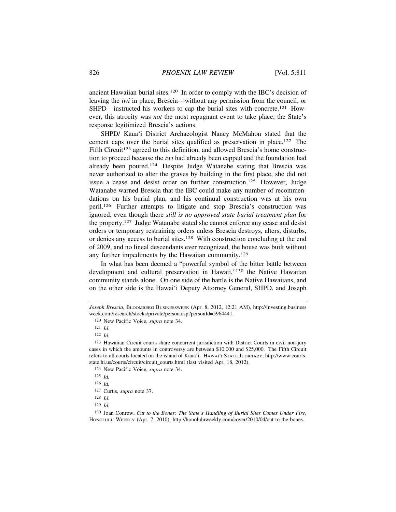ancient Hawaiian burial sites.120 In order to comply with the IBC's decision of leaving the *iwi* in place, Brescia—without any permission from the council, or SHPD—instructed his workers to cap the burial sites with concrete.<sup>121</sup> However, this atrocity was *not* the most repugnant event to take place; the State's response legitimized Brescia's actions.

SHPD/ Kaua'i District Archaeologist Nancy McMahon stated that the cement caps over the burial sites qualified as preservation in place.122 The Fifth Circuit<sup>123</sup> agreed to this definition, and allowed Brescia's home construction to proceed because the *iwi* had already been capped and the foundation had already been poured.124 Despite Judge Watanabe stating that Brescia was never authorized to alter the graves by building in the first place, she did not issue a cease and desist order on further construction.125 However, Judge Watanabe warned Brescia that the IBC could make any number of recommendations on his burial plan, and his continual construction was at his own peril.126 Further attempts to litigate and stop Brescia's construction was ignored, even though there *still is no approved state burial treatment plan* for the property.127 Judge Watanabe stated she cannot enforce any cease and desist orders or temporary restraining orders unless Brescia destroys, alters, disturbs, or denies any access to burial sites.128 With construction concluding at the end of 2009, and no lineal descendants ever recognized, the house was built without any further impediments by the Hawaiian community.<sup>129</sup>

In what has been deemed a "powerful symbol of the bitter battle between development and cultural preservation in Hawaii,"130 the Native Hawaiian community stands alone. On one side of the battle is the Native Hawaiians, and on the other side is the Hawai'i Deputy Attorney General, SHPD, and Joseph

124 New Pacific Voice, *supra* note 34.

*Joseph Brescia*, BLOOMBERG BUSINESSWEEK (Apr. 8, 2012, 12:21 AM), http://investing.business week.com/research/stocks/private/person.asp?personId=5964441.

<sup>120</sup> New Pacific Voice, *supra* note 34.

<sup>121</sup> *Id.*

<sup>122</sup> *Id.*

<sup>123</sup> Hawaiian Circuit courts share concurrent jurisdiction with District Courts in civil non-jury cases in which the amounts in controversy are between \$10,000 and \$25,000. The Fifth Circuit refers to all courts located on the island of Kaua'i. HAWAI'I STATE JUDICIARY, http://www.courts. state.hi.us/courts/circuit/circuit\_courts.html (last visited Apr. 18, 2012).

<sup>125</sup> *Id.*

<sup>126</sup> *Id.*

<sup>127</sup> Curtis, *supra* note 37.

<sup>128</sup> *Id.*

<sup>129</sup> *Id.*

<sup>130</sup> Joan Conrow, *Cut to the Bones: The State's Handling of Burial Sites Comes Under Fire*, HONOLULU WEEKLY (Apr. 7, 2010), http://honoluluweekly.com/cover/2010/04/cut-to-the-bones.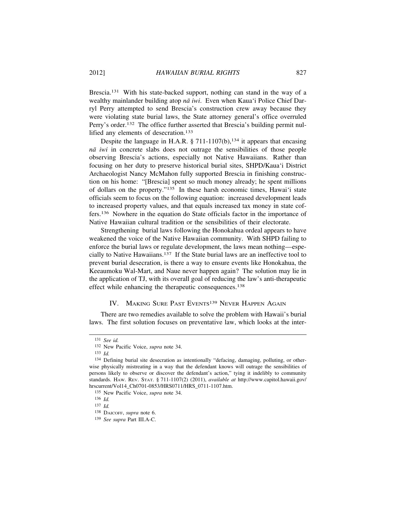Brescia.<sup>131</sup> With his state-backed support, nothing can stand in the way of a wealthy mainlander building atop *nā iwi*. Even when Kaua'i Police Chief Darryl Perry attempted to send Brescia's construction crew away because they were violating state burial laws, the State attorney general's office overruled Perry's order.<sup>132</sup> The office further asserted that Brescia's building permit nullified any elements of desecration.<sup>133</sup>

Despite the language in H.A.R.  $\S 711-1107(b)$ , <sup>134</sup> it appears that encasing *n¯a iwi* in concrete slabs does not outrage the sensibilities of those people observing Brescia's actions, especially not Native Hawaiians. Rather than focusing on her duty to preserve historical burial sites, SHPD/Kaua'i District Archaeologist Nancy McMahon fully supported Brescia in finishing construction on his home: "[Brescia] spent so much money already; he spent millions of dollars on the property."135 In these harsh economic times, Hawai'i state officials seem to focus on the following equation: increased development leads to increased property values, and that equals increased tax money in state coffers.136 Nowhere in the equation do State officials factor in the importance of Native Hawaiian cultural tradition or the sensibilities of their electorate.

Strengthening burial laws following the Honokahua ordeal appears to have weakened the voice of the Native Hawaiian community. With SHPD failing to enforce the burial laws or regulate development, the laws mean nothing—especially to Native Hawaiians.137 If the State burial laws are an ineffective tool to prevent burial desecration, is there a way to ensure events like Honokahua, the Keeaumoku Wal-Mart, and Naue never happen again? The solution may lie in the application of TJ, with its overall goal of reducing the law's anti-therapeutic effect while enhancing the therapeutic consequences.<sup>138</sup>

# IV. MAKING SURE PAST EVENTS<sup>139</sup> NEVER HAPPEN AGAIN

There are two remedies available to solve the problem with Hawaii's burial laws. The first solution focuses on preventative law, which looks at the inter-

<sup>131</sup> *See id.*

<sup>132</sup> New Pacific Voice, *supra* note 34.

<sup>133</sup> *Id.*

<sup>134</sup> Defining burial site desecration as intentionally "defacing, damaging, polluting, or otherwise physically mistreating in a way that the defendant knows will outrage the sensibilities of persons likely to observe or discover the defendant's action," tying it indelibly to community standards. HAW. REV. STAT. § 711-1107(2) (2011), *available at* http://www.capitol.hawaii.gov/ hrscurrent/Vol14\_Ch0701-0853/HRS0711/HRS\_0711-1107.htm.

<sup>135</sup> New Pacific Voice, *supra* note 34.

<sup>136</sup> *Id.*

<sup>137</sup> *Id.*

<sup>138</sup> DAICOFF, *supra* note 6.

<sup>139</sup> *See supra* Part III.A-C.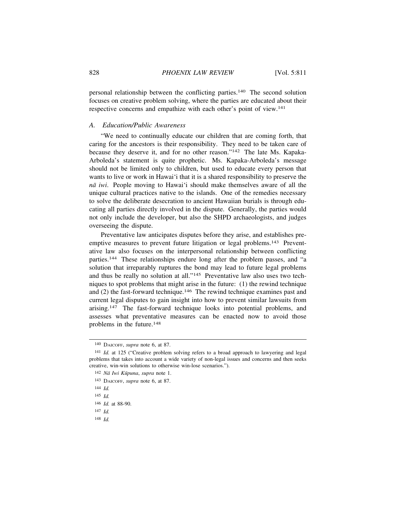personal relationship between the conflicting parties.140 The second solution focuses on creative problem solving, where the parties are educated about their respective concerns and empathize with each other's point of view.<sup>141</sup>

# *A. Education/Public Awareness*

"We need to continually educate our children that are coming forth, that caring for the ancestors is their responsibility. They need to be taken care of because they deserve it, and for no other reason."142 The late Ms. Kapaka-Arboleda's statement is quite prophetic. Ms. Kapaka-Arboleda's message should not be limited only to children, but used to educate every person that wants to live or work in Hawai'i that it is a shared responsibility to preserve the *n¯a iwi*. People moving to Hawai'i should make themselves aware of all the unique cultural practices native to the islands. One of the remedies necessary to solve the deliberate desecration to ancient Hawaiian burials is through educating all parties directly involved in the dispute. Generally, the parties would not only include the developer, but also the SHPD archaeologists, and judges overseeing the dispute.

Preventative law anticipates disputes before they arise, and establishes preemptive measures to prevent future litigation or legal problems.<sup>143</sup> Preventative law also focuses on the interpersonal relationship between conflicting parties.144 These relationships endure long after the problem passes, and "a solution that irreparably ruptures the bond may lead to future legal problems and thus be really no solution at all."145 Preventative law also uses two techniques to spot problems that might arise in the future: (1) the rewind technique and  $(2)$  the fast-forward technique.<sup>146</sup> The rewind technique examines past and current legal disputes to gain insight into how to prevent similar lawsuits from arising.147 The fast-forward technique looks into potential problems, and assesses what preventative measures can be enacted now to avoid those problems in the future.<sup>148</sup>

142 Nā Iwi Kūpuna, supra note 1.

<sup>140</sup> DAICOFF, *supra* note 6, at 87.

<sup>141</sup> *Id.* at 125 ("Creative problem solving refers to a broad approach to lawyering and legal problems that takes into account a wide variety of non-legal issues and concerns and then seeks creative, win-win solutions to otherwise win-lose scenarios.").

<sup>143</sup> DAICOFF, *supra* note 6, at 87.

<sup>144</sup> *Id.*

<sup>145</sup> *Id.*

<sup>146</sup> *Id.* at 88-90.

<sup>147</sup> *Id.*

<sup>148</sup> *Id.*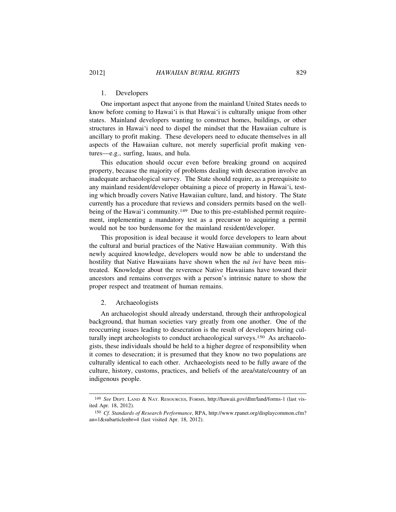#### 1. Developers

One important aspect that anyone from the mainland United States needs to know before coming to Hawai'i is that Hawai'i is culturally unique from other states. Mainland developers wanting to construct homes, buildings, or other structures in Hawai'i need to dispel the mindset that the Hawaiian culture is ancillary to profit making. These developers need to educate themselves in all aspects of the Hawaiian culture, not merely superficial profit making ventures—e.g., surfing, luaus, and hula.

This education should occur even before breaking ground on acquired property, because the majority of problems dealing with desecration involve an inadequate archaeological survey. The State should require, as a prerequisite to any mainland resident/developer obtaining a piece of property in Hawai'i, testing which broadly covers Native Hawaiian culture, land, and history. The State currently has a procedure that reviews and considers permits based on the wellbeing of the Hawai'i community.<sup>149</sup> Due to this pre-established permit requirement, implementing a mandatory test as a precursor to acquiring a permit would not be too burdensome for the mainland resident/developer.

This proposition is ideal because it would force developers to learn about the cultural and burial practices of the Native Hawaiian community. With this newly acquired knowledge, developers would now be able to understand the hostility that Native Hawaiians have shown when the *na* iwi have been mistreated. Knowledge about the reverence Native Hawaiians have toward their ancestors and remains converges with a person's intrinsic nature to show the proper respect and treatment of human remains.

# 2. Archaeologists

An archaeologist should already understand, through their anthropological background, that human societies vary greatly from one another. One of the reoccurring issues leading to desecration is the result of developers hiring culturally inept archeologists to conduct archaeological surveys.150 As archaeologists, these individuals should be held to a higher degree of responsibility when it comes to desecration; it is presumed that they know no two populations are culturally identical to each other. Archaeologists need to be fully aware of the culture, history, customs, practices, and beliefs of the area/state/country of an indigenous people.

<sup>149</sup> *See* DEPT. LAND & NAT. RESOURCES, FORMS, http://hawaii.gov/dlnr/land/forms-1 (last visited Apr. 18, 2012).

<sup>150</sup> *Cf. Standards of Research Performance*, RPA, http://www.rpanet.org/displaycommon.cfm? an=1&subarticlenbr=4 (last visited Apr. 18, 2012).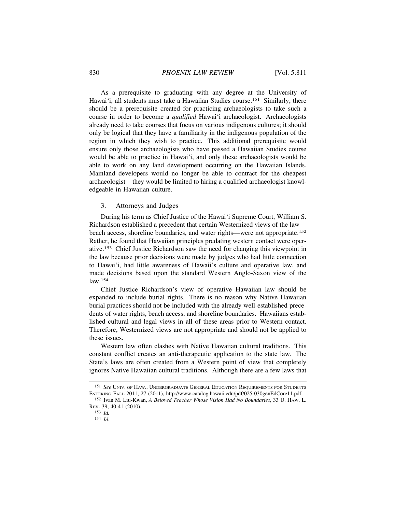As a prerequisite to graduating with any degree at the University of Hawai'i, all students must take a Hawaiian Studies course.<sup>151</sup> Similarly, there should be a prerequisite created for practicing archaeologists to take such a course in order to become a *qualified* Hawai'i archaeologist. Archaeologists already need to take courses that focus on various indigenous cultures; it should only be logical that they have a familiarity in the indigenous population of the region in which they wish to practice. This additional prerequisite would ensure only those archaeologists who have passed a Hawaiian Studies course would be able to practice in Hawai'i, and only these archaeologists would be able to work on any land development occurring on the Hawaiian Islands. Mainland developers would no longer be able to contract for the cheapest archaeologist—they would be limited to hiring a qualified archaeologist knowledgeable in Hawaiian culture.

# 3. Attorneys and Judges

During his term as Chief Justice of the Hawai'i Supreme Court, William S. Richardson established a precedent that certain Westernized views of the law beach access, shoreline boundaries, and water rights—were not appropriate.<sup>152</sup> Rather, he found that Hawaiian principles predating western contact were operative.153 Chief Justice Richardson saw the need for changing this viewpoint in the law because prior decisions were made by judges who had little connection to Hawai'i, had little awareness of Hawaii's culture and operative law, and made decisions based upon the standard Western Anglo-Saxon view of the law.154

Chief Justice Richardson's view of operative Hawaiian law should be expanded to include burial rights. There is no reason why Native Hawaiian burial practices should not be included with the already well-established precedents of water rights, beach access, and shoreline boundaries. Hawaiians established cultural and legal views in all of these areas prior to Western contact. Therefore, Westernized views are not appropriate and should not be applied to these issues.

Western law often clashes with Native Hawaiian cultural traditions. This constant conflict creates an anti-therapeutic application to the state law. The State's laws are often created from a Western point of view that completely ignores Native Hawaiian cultural traditions. Although there are a few laws that

<sup>151</sup> *See* UNIV. OF HAW., UNDERGRADUATE GENERAL EDUCATION REQUIREMENTS FOR STUDENTS ENTERING FALL 2011, 27 (2011), http://www.catalog.hawaii.edu/pdf/025-030genEdCore11.pdf.

<sup>152</sup> Ivan M. Liu-Kwan, *A Beloved Teacher Whose Vision Had No Boundaries*, 33 U. HAW. L. REV. 39, 40-41 (2010).

<sup>153</sup> *Id.*

<sup>154</sup> *Id.*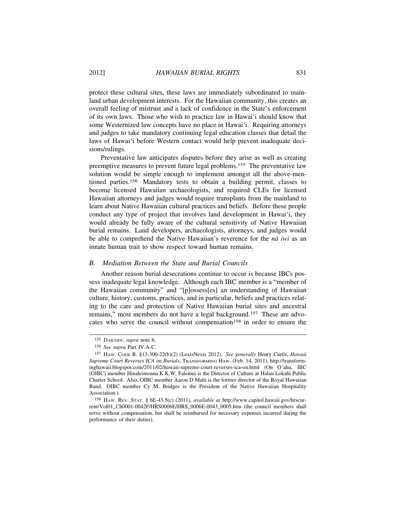protect these cultural sites, these laws are immediately subordinated to mainland urban development interests. For the Hawaiian community, this creates an overall feeling of mistrust and a lack of confidence in the State's enforcement of its own laws. Those who wish to practice law in Hawai'i should know that some Westernized law concepts have no place in Hawai'i. Requiring attorneys and judges to take mandatory continuing legal education classes that detail the laws of Hawai'i before Western contact would help prevent inadequate decisions/rulings.

Preventative law anticipates disputes before they arise as well as creating preemptive measures to prevent future legal problems.155 The preventative law solution would be simple enough to implement amongst all the above-mentioned parties.156 Mandatory tests to obtain a building permit, classes to become licensed Hawaiian archaeologists, and required CLEs for licensed Hawaiian attorneys and judges would require transplants from the mainland to learn about Native Hawaiian cultural practices and beliefs. Before these people conduct any type of project that involves land development in Hawai'i, they would already be fully aware of the cultural sensitivity of Native Hawaiian burial remains. Land developers, archaeologists, attorneys, and judges would be able to comprehend the Native Hawaiian's reverence for the *na* iwi as an innate human trait to show respect toward human remains.

# *B. Mediation Between the State and Burial Councils*

Another reason burial desecrations continue to occur is because IBCs possess inadequate legal knowledge. Although each IBC member is a "member of the Hawaiian community" and "[p]ossess[es] an understanding of Hawaiian culture, history, customs, practices, and in particular, beliefs and practices relating to the care and protection of Native Hawaiian burial sites and ancestral remains," most members do not have a legal background.157 These are advocates who serve the council without compensation<sup>158</sup> in order to ensure the

<sup>155</sup> DAICOFF, *supra* note 6.

<sup>156</sup> *See supra* Part IV.A-C.

<sup>157</sup> HAW. CODE R. §13-300-22(b)(2) (LexisNexis 2012). *See generally* Henry Curtis, *Hawaii Supreme Court Reverses ICA on Burials*, TRANSFORMING HAW. (Feb. 14, 2011), http://transforminghawaii.blogspot.com/2011/02/hawaii-supreme-court-reverses-ica-on.html (On O'ahu, IBC (OIBC) member Hinaleimoana K.K.W. Falemei is the Director of Culture at Halau Lokahi Public Charter School. Also, OIBC member Aaron D Mahi is the former director of the Royal Hawaiian Band. OIBC member Cy M. Bridges is the President of the Native Hawaiian Hospitality Association.).

<sup>158</sup> HAW. REV. STAT. § 6E-43.5(c) (2011), *available at* http://www.capitol.hawaii.gov/hrscurrent/Vol01\_Ch0001-0042F/HRS0006E/HRS\_0006E-0043\_0005.htm (the council members shall serve without compensation, but shall be reimbursed for necessary expenses incurred during the performance of their duties).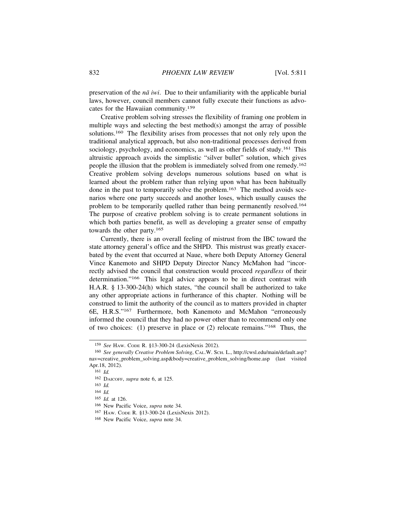preservation of the *nā iwi*. Due to their unfamiliarity with the applicable burial laws, however, council members cannot fully execute their functions as advocates for the Hawaiian community.<sup>159</sup>

Creative problem solving stresses the flexibility of framing one problem in multiple ways and selecting the best method(s) amongst the array of possible solutions.160 The flexibility arises from processes that not only rely upon the traditional analytical approach, but also non-traditional processes derived from sociology, psychology, and economics, as well as other fields of study.<sup>161</sup> This altruistic approach avoids the simplistic "silver bullet" solution, which gives people the illusion that the problem is immediately solved from one remedy.<sup>162</sup> Creative problem solving develops numerous solutions based on what is learned about the problem rather than relying upon what has been habitually done in the past to temporarily solve the problem.163 The method avoids scenarios where one party succeeds and another loses, which usually causes the problem to be temporarily quelled rather than being permanently resolved.<sup>164</sup> The purpose of creative problem solving is to create permanent solutions in which both parties benefit, as well as developing a greater sense of empathy towards the other party.<sup>165</sup>

Currently, there is an overall feeling of mistrust from the IBC toward the state attorney general's office and the SHPD. This mistrust was greatly exacerbated by the event that occurred at Naue, where both Deputy Attorney General Vince Kanemoto and SHPD Deputy Director Nancy McMahon had "incorrectly advised the council that construction would proceed *regardless* of their determination."166 This legal advice appears to be in direct contrast with H.A.R. § 13-300-24(h) which states, "the council shall be authorized to take any other appropriate actions in furtherance of this chapter. Nothing will be construed to limit the authority of the council as to matters provided in chapter 6E, H.R.S."167 Furthermore, both Kanemoto and McMahon "erroneously informed the council that they had no power other than to recommend only one of two choices: (1) preserve in place or (2) relocate remains."168 Thus, the

<sup>159</sup> *See* HAW. CODE R. §13-300-24 (LexisNexis 2012).

<sup>160</sup> *See generally Creative Problem Solving*, CAL.W. SCH. L., http://cwsl.edu/main/default.asp? nav=creative\_problem\_solving.asp&body=creative\_problem\_solving/home.asp (last visited Apr.18, 2012).

<sup>161</sup> *Id.*

<sup>162</sup> DAICOFF, *supra* note 6, at 125.

<sup>163</sup> *Id.*

<sup>164</sup> *Id.*

<sup>165</sup> *Id.* at 126.

<sup>166</sup> New Pacific Voice, *supra* note 34.

<sup>167</sup> HAW. CODE R. §13-300-24 (LexisNexis 2012).

<sup>168</sup> New Pacific Voice, *supra* note 34.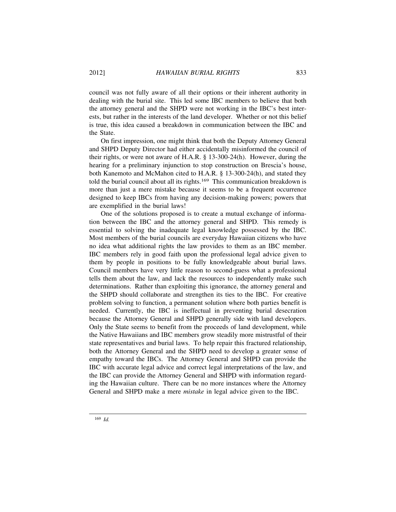council was not fully aware of all their options or their inherent authority in dealing with the burial site. This led some IBC members to believe that both the attorney general and the SHPD were not working in the IBC's best interests, but rather in the interests of the land developer. Whether or not this belief is true, this idea caused a breakdown in communication between the IBC and the State.

On first impression, one might think that both the Deputy Attorney General and SHPD Deputy Director had either accidentally misinformed the council of their rights, or were not aware of H.A.R. § 13-300-24(h). However, during the hearing for a preliminary injunction to stop construction on Brescia's house, both Kanemoto and McMahon cited to H.A.R. § 13-300-24(h), and stated they told the burial council about all its rights.<sup>169</sup> This communication breakdown is more than just a mere mistake because it seems to be a frequent occurrence designed to keep IBCs from having any decision-making powers; powers that are exemplified in the burial laws!

One of the solutions proposed is to create a mutual exchange of information between the IBC and the attorney general and SHPD. This remedy is essential to solving the inadequate legal knowledge possessed by the IBC. Most members of the burial councils are everyday Hawaiian citizens who have no idea what additional rights the law provides to them as an IBC member. IBC members rely in good faith upon the professional legal advice given to them by people in positions to be fully knowledgeable about burial laws. Council members have very little reason to second-guess what a professional tells them about the law, and lack the resources to independently make such determinations. Rather than exploiting this ignorance, the attorney general and the SHPD should collaborate and strengthen its ties to the IBC. For creative problem solving to function, a permanent solution where both parties benefit is needed. Currently, the IBC is ineffectual in preventing burial desecration because the Attorney General and SHPD generally side with land developers. Only the State seems to benefit from the proceeds of land development, while the Native Hawaiians and IBC members grow steadily more mistrustful of their state representatives and burial laws. To help repair this fractured relationship, both the Attorney General and the SHPD need to develop a greater sense of empathy toward the IBCs. The Attorney General and SHPD can provide the IBC with accurate legal advice and correct legal interpretations of the law, and the IBC can provide the Attorney General and SHPD with information regarding the Hawaiian culture. There can be no more instances where the Attorney General and SHPD make a mere *mistake* in legal advice given to the IBC.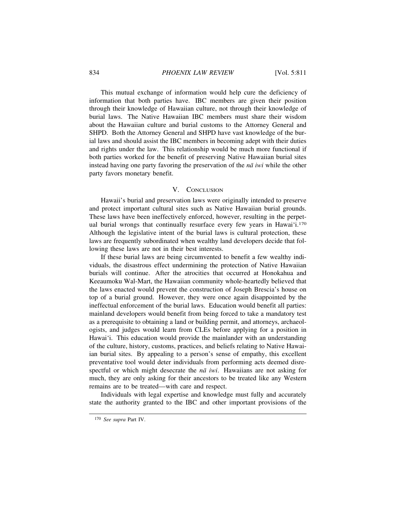This mutual exchange of information would help cure the deficiency of information that both parties have. IBC members are given their position through their knowledge of Hawaiian culture, not through their knowledge of burial laws. The Native Hawaiian IBC members must share their wisdom about the Hawaiian culture and burial customs to the Attorney General and SHPD. Both the Attorney General and SHPD have vast knowledge of the burial laws and should assist the IBC members in becoming adept with their duties and rights under the law. This relationship would be much more functional if both parties worked for the benefit of preserving Native Hawaiian burial sites instead having one party favoring the preservation of the  $n\bar{a}$  *iwi* while the other party favors monetary benefit.

### V. CONCLUSION

Hawaii's burial and preservation laws were originally intended to preserve and protect important cultural sites such as Native Hawaiian burial grounds. These laws have been ineffectively enforced, however, resulting in the perpetual burial wrongs that continually resurface every few years in Hawai'i.<sup>170</sup> Although the legislative intent of the burial laws is cultural protection, these laws are frequently subordinated when wealthy land developers decide that following these laws are not in their best interests.

If these burial laws are being circumvented to benefit a few wealthy individuals, the disastrous effect undermining the protection of Native Hawaiian burials will continue. After the atrocities that occurred at Honokahua and Keeaumoku Wal-Mart, the Hawaiian community whole-heartedly believed that the laws enacted would prevent the construction of Joseph Brescia's house on top of a burial ground. However, they were once again disappointed by the ineffectual enforcement of the burial laws. Education would benefit all parties: mainland developers would benefit from being forced to take a mandatory test as a prerequisite to obtaining a land or building permit, and attorneys, archaeologists, and judges would learn from CLEs before applying for a position in Hawai'i. This education would provide the mainlander with an understanding of the culture, history, customs, practices, and beliefs relating to Native Hawaiian burial sites. By appealing to a person's sense of empathy, this excellent preventative tool would deter individuals from performing acts deemed disrespectful or which might desecrate the  $n\bar{a}$  iwi. Hawaiians are not asking for much, they are only asking for their ancestors to be treated like any Western remains are to be treated—with care and respect.

Individuals with legal expertise and knowledge must fully and accurately state the authority granted to the IBC and other important provisions of the

<sup>170</sup> *See supra* Part IV.